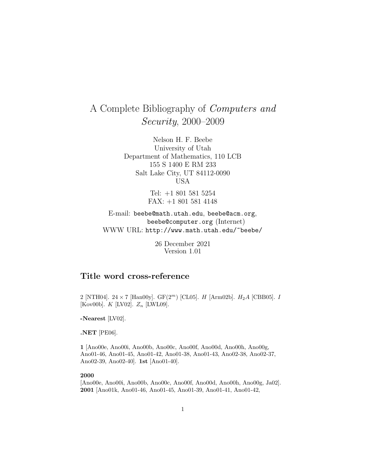# A Complete Bibliography of Computers and Security, 2000–2009

Nelson H. F. Beebe University of Utah Department of Mathematics, 110 LCB 155 S 1400 E RM 233 Salt Lake City, UT 84112-0090 USA

> Tel: +1 801 581 5254 FAX: +1 801 581 4148

E-mail: beebe@math.utah.edu, beebe@acm.org, beebe@computer.org (Internet) WWW URL: http://www.math.utah.edu/~beebe/

> 26 December 2021 Version 1.01

# **Title word cross-reference**

2 [NTH04]. 24 × 7 [Han00y].  $GF(2^m)$  [CL05]. H [Arm02b].  $H_2A$  [CBB05]. I [Kov00b].  $K$  [LV02].  $Z_n$  [LWL09].

**-Nearest** [LV02].

**.NET** [PE06].

**1** [Ano00e, Ano00i, Ano00b, Ano00c, Ano00f, Ano00d, Ano00h, Ano00g, Ano01-46, Ano01-45, Ano01-42, Ano01-38, Ano01-43, Ano02-38, Ano02-37, Ano02-39, Ano02-40]. **1st** [Ano01-40].

#### **2000**

[Ano00e, Ano00i, Ano00b, Ano00c, Ano00f, Ano00d, Ano00h, Ano00g, Ja02]. **2001** [Ano01k, Ano01-46, Ano01-45, Ano01-39, Ano01-41, Ano01-42,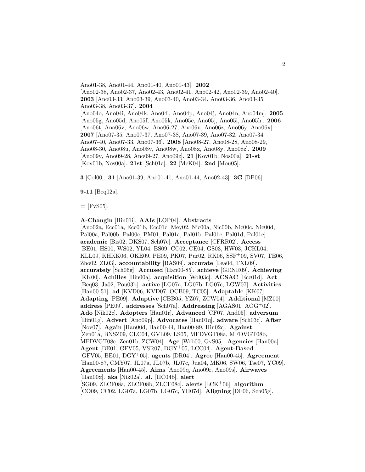Ano01-38, Ano01-44, Ano01-40, Ano01-43]. **2002** [Ano02-38, Ano02-37, Ano02-43, Ano02-41, Ano02-42, Ano02-39, Ano02-40]. **2003** [Ano03-33, Ano03-39, Ano03-40, Ano03-34, Ano03-36, Ano03-35, Ano03-38, Ano03-37]. **2004** [Ano04o, Ano04i, Ano04k, Ano04l, Ano04p, Ano04j, Ano04n, Ano04m]. **2005** [Ano05g, Ano05d, Ano05f, Ano05k, Ano05e, Ano05j, Ano05i, Ano05h]. **2006** [Ano06t, Ano06v, Ano06w, Ano06-27, Ano06u, Ano06z, Ano06y, Ano06x]. **2007** [Ano07-35, Ano07-37, Ano07-38, Ano07-39, Ano07-32, Ano07-34, Ano07-40, Ano07-33, Ano07-36]. **2008** [Ano08-27, Ano08-28, Ano08-29, Ano08-30, Ano08u, Ano08v, Ano08w, Ano08x, Ano08y, Ano08z]. **2009** [Ano09y, Ano09-28, Ano09-27, Ano09z]. **21** [Kov01b, Nos00a]. **21-st** [Kov01b, Nos00a]. **21st** [Sch01a]. **22** [McK04]. **2nd** [Mou05].

**3** [Col00]. **31** [Ano01-39, Ano01-41, Ano01-44, Ano02-43]. **3G** [DP06].

**9-11** [Beq02a].

 $=$  [FvS05].

**A-Changin** [Hin01i]. **AAIs** [LOP04]. **Abstracts** [Ano02a, Ecc01a, Ecc01b, Ecc01c, Mey02, Nic00a, Nic00b, Nic00c, Nic00d, Pal00a, Pal00b, Pal00c, PM01, Pal01a, Pal01b, Pal01c, Pal01d, Pal01e]. **academic** [Bis02, DKS07, Sch07c]. **Acceptance** [CFRR02]. **Access** [BE01, HS00, WS02, YL04, BS09, CC02, CE04, GS03, HW03, JCKL04, KLL09, KHKK06, OKE09, PE09, PK07, Pur02, RK06, SSF<sup>+</sup>09, SV07, TE06, Zho02, ZL03]. **accountability** [BAS09]. **accurate** [Lea04, TXL09]. **accurately** [Sch06g]. **Accused** [Han00-85]. **achieve** [GRNR09]. **Achieving** [KK00]. **Achilles** [Hin00a]. **acquisition** [Wol03c]. **ACSAC** [Ecc01d]. **Act** [Beq03, Ja02, Pou03b]. **active** [LG07a, LG07b, LG07c, LGW07]. **Activities** [Han00-51]. **ad** [KVD06, KVD07, OCB09, TC05]. **Adaptable** [KK07]. **Adapting** [PE09]. **Adaptive** [CBB05, YZ07, ZCW04]. **Additional** [MZ00]. **address** [PE09]. **addresses** [Sch07a]. **Addressing** [AGAS01, AOG<sup>+</sup>02]. **Ado** [Nik02c]. **Adopters** [Han01r]. **Advanced** [CF07, And05]. **adversum** [Hin01g]. **Advert** [Ano09p]. **Advocates** [Han01q]. **adware** [Sch03c]. **After** [Nov07]. **Again** [Han00d, Han00-44, Han00-89, Hin02c]. **Against** [Zen01a, BNSZ09, CLC04, GVL09, LS05, MFDVGT08a, MFDVGT08b, MFDVGT08c, Zen01b, ZCW04]. **Age** [Web00, GvS05]. **Agencies** [Han00a]. **Agent** [BE01, GFV05, VSR07, DGY<sup>+</sup>05, LCC04]. **Agent-Based** [GFV05, BE01, DGY<sup>+</sup>05]. **agents** [DR04]. **Agree** [Han00-45]. **Agreement** [Han00-87, CMY07, JL07a, JL07b, JL07c, Jua04, MK06, SW06, Tse07, YC09]. **Agreements** [Han00-45]. **Aims** [Ano09q, Ano09r, Ano09s]. **Airwaves** [Han00x]. **aka** [Nik02a]. **al.** [HC04b]. **alert** [SG09, ZLCF08a, ZLCF08b, ZLCF08c]. **alerts** [LCK<sup>+</sup>06]. **algorithm** [CO09, CC02, LG07a, LG07b, LG07c, YH07d]. **Aligning** [DF06, Sch05g].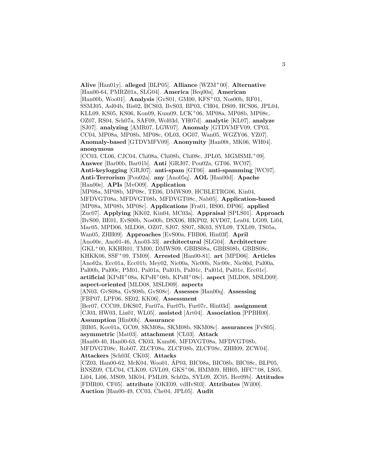[Han00-64, PMRZ01a, SLG04]. **America** [Beq00a]. **American** [Han00b, Woo01]. **Analysis** [GvS01, GM00, KFS<sup>+</sup>03, Nos00b, RF01, SSMJ05, Asl04b, Bis02, BCS03, BvS03, BP03, CH04, DS09, HCS06, JPL04, KLL09, KS05, KS06, Kon09, Kum09, LCK<sup>+</sup>06, MP08a, MP08b, MP08c, OZ07, RS04, Sch07a, SAF09, Wol03d, YH07d]. **analytic** [KL07]. **analyze** [SJ07]. **analyzing** [AMR07, LGW07]. **Anomaly** [GTDVMFV09, CP03, CC04, MP08a, MP08b, MP08c, OL03, OG07, Wan05, WGZY06, YZ07]. **Anomaly-based** [GTDVMFV09]. **Anonymity** [Han00t, MK06, WH04]. **anonymous** [CC03, CL06, CJC04, Chi08a, Chi08b, Chi08c, JPL05, MGMSML+09]. **Answer** [Bar00b, Bar01b]. **Anti** [GRJ07, Pou02a, GT06, WC07]. **Anti-keylogging** [GRJ07]. **anti-spam** [GT06]. **anti-spamming** [WC07]. **Anti-Terrorism** [Pou02a]. **any** [Ano05q]. **AOL** [Han00d]. **Apache** [Han00e]. **APIs** [MvO09]. **Application** [MP08a, MP08b, MP08c, TE06, DMWS09, HCBLETRG06, Kin04, MFDVGT08a, MFDVGT08b, MFDVGT08c, Nab05]. **Application-based** [MP08a, MP08b, MP08c]. **Applications** [Fra01, HS00, DP06]. **applied** [Zuc07]. **Applying** [KK02, Kin04, MC03a]. **Appraisal** [SPLS01]. **Approach** [BvS00, BE01, EvS00b, Nos00b, DSX06, HKP02, KVD07, Lea04, LG09, Li04, Mac05, MPD06, MLD08, OZ07, SJ07, SS07, SK03, SYL09, TXL09, TS05a, Wan05, ZHH09]. **Approaches** [EvS00a, FBB06, Hin03f]. **April** [Ano00e, Ano01-46, Ano03-33]. **architectural** [SLG04]. **Architecture** [GKL<sup>+</sup>00, KKHR01, TM00, DMWS09, GBBS08a, GBBS08b, GBBS08c, KHKK06, SSF<sup>+</sup>09, TM09]. **Arrested** [Han00-81]. **art** [MPD06]. **Articles** [Ano02a, Ecc01a, Ecc01b, Mey02, Nic00a, Nic00b, Nic00c, Nic00d, Pal00a, Pal00b, Pal00c, PM01, Pal01a, Pal01b, Pal01c, Pal01d, Pal01e, Ecc01c]. **artificial** [KPsH<sup>+</sup>08a, KPsH<sup>+</sup>08b, KPsH<sup>+</sup>08c]. **aspect** [MLD08, MSLD09]. **aspect-oriented** [MLD08, MSLD09]. **aspects** [AN03, GvS08a, GvS08b, GvS08c]. **Assesses** [Han00q]. **Assessing** [FBP07, LPF06, SE02, KK06]. **Assessment** [Ber07, CCC09, DKS07, Fur07a, Fur07b, Fur07c, Hin03d]. **assignment** [CJ03, HW03, Lin01, WL05]. **assisted** [Art04]. **Association** [PPBH00]. **Assumption** [Hin00b]. **Assurance** [BB05, Kov01a, GC09, SKM08a, SKM08b, SKM08c]. **assurances** [FvS05]. **asymmetric** [Mat03]. **attachment** [CL03]. **Attack** [Han00-40, Han00-63, CK03, Kum06, MFDVGT08a, MFDVGT08b, MFDVGT08c, Rob07, ZLCF08a, ZLCF08b, ZLCF08c, ZHH09, ZCW04]. **Attackers** [Sch03f, CK03]. **Attacks** [CZ03, Han00-62, McK04, Woo01, AP03, BIC08a, BIC08b, BIC08c, BLP05, BNSZ09, CLC04, CLK09, GVL09, GKS<sup>+</sup>06, HMM09, HH05, HFC<sup>+</sup>08, LS05, Li04, Li06, MS09, MK04, PML09, Sch02a, SYL09, ZC05, Her09b]. **Attitudes** [FDIR00, CF05]. **attribute** [OKE09, vdHvS03]. **Attributes** [Wil00]. **Auction** [Han00-49, CC03, Che04, JPL05]. **Audit**

**Alive** [Han01y]. **alleged** [BLP05]. **Alliance** [WZM<sup>+</sup>00]. **Alternative**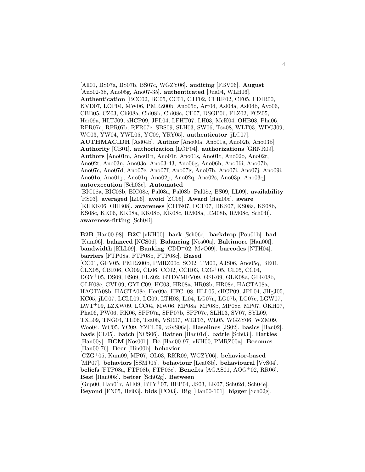[All01, BS07a, BS07b, BS07c, WGZY06]. **auditing** [FBV06]. **August** [Ano02-38, Ano05g, Ano07-35]. **authenticated** [Jua04, WLH06]. **Authentication** [BCC02, BC05, CC01, CJT02, CFRR02, CF05, FDIR00, KVD07, LOP04, MW06, PMRZ00b, Ano05q, Art04, Asl04a, Asl04b, Ayo06, CBB05, CZ03, Chi08a, Chi08b, Chi08c, CF07, DSGP06, FLZ02, FCZ05, Her09a, HLTJ09, sHCP09, JPL04, LFHT07, LH03, McK04, OHB08, Pha06, RFR07a, RFR07b, RFR07c, SBS09, SLH03, SW06, Tsa08, WLT03, WDCJ09, WC03, YW04, YWL05, YC09, YRY05]. **authenticator** [jLC07]. **AUTHMAC DH** [Asl04b]. **Author** [Ano00a, Ano01a, Ano02b, Ano03b]. **Authority** [CB01]. **authorization** [LOP04]. **authorizations** [GRNR09]. **Authors** [Ano01m, Ano01n, Ano01r, Ano01s, Ano01t, Ano02o, Ano02r, Ano02t, Ano03n, Ano03o, Ano03-43, Ano06g, Ano06h, Ano06i, Ano07b, Ano07c, Ano07d, Ano07e, Ano07f, Ano07g, Ano07h, Ano07i, Ano07j, Ano09i, Ano01o, Ano01p, Ano01q, Ano02p, Ano02q, Ano02s, Ano03p, Ano03q]. **autoexecution** [Sch03c]. **Automated** [BIC08a, BIC08b, BIC08c, Pal08a, Pal08b, Pal08c, BS09, LL09]. **availability** [RS03]. **averaged** [Li06]. **avoid** [ZC05]. **Award** [Han00c]. **aware** [KHKK06, OHB08]. **awareness** [CITN07, DCF07, DKS07, KS08a, KS08b, KS08c, KK06, KK08a, KK08b, KK08c, RM08a, RM08b, RM08c, Sch04i]. **awareness-fitting** [Sch04i].

**B2B** [Han00-98]. **B2C** [vKH00]. **back** [Sch06e]. **backdrop** [Pou01b]. **bad** [Kum06]. **balanced** [NCS06]. **Balancing** [Nos00a]. **Baltimore** [Han00f]. **bandwidth** [KLL09]. **Banking** [CDD<sup>+</sup>02, MvO09]. **barcodes** [NTH04]. **barriers** [FTP08a, FTP08b, FTP08c]. **Based**

[CC01, GFV05, PMRZ00b, PMRZ00c, SC02, TM00, AJS06, Ano05q, BE01, CLX05, CBR06, CO09, CL06, CC02, CCH03, CZG<sup>+</sup>05, CL05, CC04, DGY<sup>+</sup>05, DS09, ES09, FLZ02, GTDVMFV09, GSK09, GLK08a, GLK08b, GLK08c, GVL09, GYLC09, HC03, HR08a, HR08b, HR08c, HAGTA08a, HAGTA08b, HAGTA08c, Her09a, HFC<sup>+</sup>08, HLL05, sHCP09, JPL04, JHgJ05, KC05, jLC07, LCLL09, LG09, LTH03, Li04, LG07a, LG07b, LG07c, LGW07, LWT<sup>+</sup>09, LZXW09, LCC04, MW06, MP08a, MP08b, MP08c, MP07, OKH07, Pha06, PW06, RK06, SPP07a, SPP07b, SPP07c, SLH03, SV07, SYL09, TXL09, TNG04, TE06, Tsa08, VSR07, WLT03, WL05, WGZY06, WZM09, Woo04, WC05, YC09, YZPL09, vSvS06a]. **Baselines** [JS02]. **basics** [Han02]. **basis** [CL05]. **batch** [NCS06]. **Batten** [Han01d]. **battle** [Sch03l]. **Battles** [Han00y]. **BCM** [Nos00b]. **Be** [Han00-97, vKH00, PMRZ00a]. **Becomes** [Han00-76]. **Beer** [Hin00b]. **behavior**

[CZG<sup>+</sup>05, Kum09, MP07, OL03, RKR09, WGZY06]. **behavior-based** [MP07]. **behaviors** [SSMJ05]. **behaviour** [Lea03b]. **behavioural** [VvS04]. **beliefs** [FTP08a, FTP08b, FTP08c]. **Benefits** [AGAS01, AOG<sup>+</sup>02, RR06]. **Best** [Han00k]. **better** [Sch02g]. **Between**

[Gup00, Han01r, AH09, BTY<sup>+</sup>07, BEP04, JS03, LK07, Sch02d, Sch04e]. **Beyond** [FN05, Hei03]. **bids** [CC03]. **Big** [Han00-101]. **bigger** [Sch02g].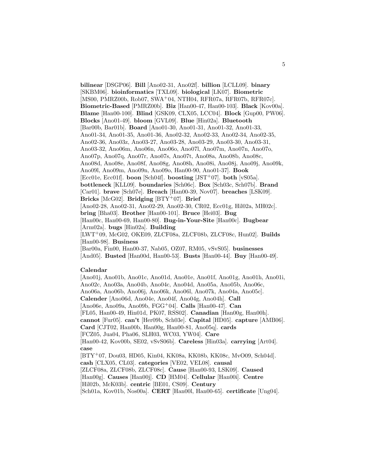**bilinear** [DSGP06]. **Bill** [Ano02-31, Ano02f]. **billion** [LCLL09]. **binary** [SKBM06]. **bioinformatics** [TXL09]. **biological** [LK07]. **Biometric** [MS00, PMRZ00b, Rob07, SWA<sup>+</sup>04, NTH04, RFR07a, RFR07b, RFR07c]. **Biometric-Based** [PMRZ00b]. **Biz** [Han00-47, Han00-103]. **Black** [Kov00a]. **Blame** [Han00-100]. **Blind** [GSK09, CLX05, LCC04]. **Block** [Gup00, PW06]. **Blocks** [Ano01-49]. **bloom** [GVL09]. **Blue** [Hin02a]. **Bluetooth** [Bar00b, Bar01b]. **Board** [Ano01-30, Ano01-31, Ano01-32, Ano01-33, Ano01-34, Ano01-35, Ano01-36, Ano02-32, Ano02-33, Ano02-34, Ano02-35, Ano02-36, Ano03z, Ano03-27, Ano03-28, Ano03-29, Ano03-30, Ano03-31, Ano03-32, Ano06m, Ano06n, Ano06o, Ano07l, Ano07m, Ano07n, Ano07o, Ano07p, Ano07q, Ano07r, Ano07s, Ano07t, Ano08a, Ano08b, Ano08c, Ano08d, Ano08e, Ano08f, Ano08g, Ano08h, Ano08i, Ano08j, Ano09j, Ano09k, Ano09l, Ano09m, Ano09n, Ano09o, Han00-90, Ano01-37]. **Book** [Ecc01e, Ecc01f]. **boon** [Sch04f]. **boosting** [JST<sup>+</sup>07]. **both** [vS05a]. **bottleneck** [KLL09]. **boundaries** [Sch06c]. **Box** [Sch03c, Sch07b]. **Brand** [Car01]. **brave** [Sch07e]. **Breach** [Han00-39, Nov07]. **breaches** [LSK09]. **Bricks** [McG02]. **Bridging** [BTY<sup>+</sup>07]. **Brief** [Ano02-28, Ano02-31, Ano02-29, Ano02-30, CR02, Ecc01g, Hil02a, MH02c]. **bring** [Bha03]. **Brother** [Han00-101]. **Bruce** [Hei03]. **Bug** [Han00c, Han00-69, Han00-80]. **Bug-in-Your-Site** [Han00c]. **Bugbear** [Arm02a]. **bugs** [Hin02a]. **Building** [LWT<sup>+</sup>09, McG02, OKE09, ZLCF08a, ZLCF08b, ZLCF08c, Hun02]. **Builds** [Han00-98]. **Business** [Bar00a, Fin00, Han00-37, Nab05, OZ07, RM05, vSvS05]. **businesses** [And05]. **Busted** [Han00d, Han00-53]. **Busts** [Han00-44]. **Buy** [Han00-49].

#### **Calendar**

[Ano01j, Ano01b, Ano01c, Ano01d, Ano01e, Ano01f, Ano01g, Ano01h, Ano01i, Ano02c, Ano03a, Ano04b, Ano04c, Ano04d, Ano05a, Ano05b, Ano06c, Ano06a, Ano06b, Ano06j, Ano06k, Ano06l, Ano07k, Ano04a, Ano05c]. **Calender** [Ano06d, Ano04e, Ano04f, Ano04g, Ano04h]. **Call** [Ano06e, Ano09a, Ano09b, FGG<sup>+</sup>04]. **Calls** [Han00-47]. **Can** [FL05, Han00-49, Hin01d, PK07, RSS02]. **Canadian** [Han00g, Han00h]. **cannot** [Fur05]. **can't** [Her09b, Sch03e]. **Capital** [HD05]. **capture** [AMB06]. **Card** [CJT02, Han00b, Han00g, Han00-81, Ano05q]. **cards** [FCZ05, Jua04, Pha06, SLH03, WC03, YW04]. **Care** [Han00-42, Kov00b, SE02, vSvS06b]. **Careless** [Hin03a]. **carrying** [Art04]. **case** [BTY<sup>+</sup>07, Dou03, HD05, Kin04, KK08a, KK08b, KK08c, MvO09, Sch04d]. **cash** [CLX05, CL03]. **categories** [VE02, VEL08]. **causal** [ZLCF08a, ZLCF08b, ZLCF08c]. **Cause** [Han00-93, LSK09]. **Caused** [Han00g]. **Causes** [Han00j]. **CD** [HM04]. **Cellular** [Han00i]. **Centre** [Hil02b, McK03b]. **centric** [BE01, CS09]. **Century** [Sch01a, Kov01b, Nos00a]. **CERT** [Han00l, Han00-65]. **certificate** [Ung04].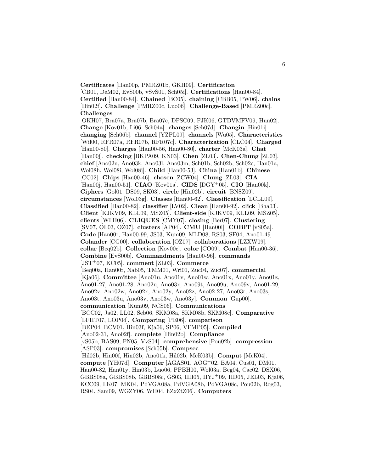**Certificates** [Han00p, PMRZ01b, GKH09]. **Certification** [CB01, DeM02, EvS00b, vSvS01, Sch05i]. **Certifications** [Han00-84]. **Certified** [Han00-84]. **Chained** [BC05]. **chaining** [CBB05, PW06]. **chains** [Hin02f]. **Challenge** [PMRZ00c, Luo06]. **Challenge-Based** [PMRZ00c]. **Challenges**

[OKH07, Bra07a, Bra07b, Bra07c, DFSC09, FJK06, GTDVMFV09, Hun02]. **Change** [Kov01b, Li06, Sch04a]. **changes** [Sch07d]. **Changin** [Hin01i]. **changing** [Sch06b]. **channel** [YZPL09]. **channels** [Wu05]. **Characteristics** [Wil00, RFR07a, RFR07b, RFR07c]. **Characterization** [CLC04]. **Charged** [Han00-80]. **Charges** [Han00-56, Han00-80]. **charter** [McK03a]. **Chat** [Han00j]. **checking** [BKPA09, KN03]. **Chen** [ZL03]. **Chen-Chung** [ZL03]. **chief** [Ano02n, Ano03k, Ano03l, Ano03m, Sch01b, Sch02b, Sch02c, Han01a, Wol08h, Wol08i, Wol08j]. **Child** [Han00-53]. **China** [Han01b]. **Chinese** [CC02]. **Chips** [Han00-46]. **chosen** [ZCW04]. **Chung** [ZL03]. **CIA** [Han00j, Han00-51]. **CIAO** [Kov01a]. **CIDS** [DGY<sup>+</sup>05]. **CIO** [Han00k]. **Ciphers** [Gol01, DS09, SK03]. **circle** [Hin02b]. **circuit** [BNSZ09]. **circumstances** [Wol03g]. **Classes** [Han00-62]. **Classification** [LCLL09]. **Classified** [Han00-82]. **classifier** [LV02]. **Clean** [Han00-92]. **click** [Bha03]. **Client** [KJKV09, KLL09, MSZ05]. **Client-side** [KJKV09, KLL09, MSZ05]. **clients** [WLH06]. **CLIQUES** [CMY07]. **closing** [Ber07]. **Clustering** [SV07, OL03, OZ07]. **clusters** [AP04]. **CMU** [Han00l]. **COBIT** [vS05a]. **Code** [Han00r, Han00-99, JS03, Kum09, MLD08, RS03, SF04, Ano01-49]. **Colander** [CG00]. **collaboration** [OZ07]. **collaborations** [LZXW09]. **collar** [Beq02b]. **Collection** [Kov00c]. **color** [CO09]. **Combat** [Han00-36]. **Combine** [EvS00b]. **Commandments** [Han00-96]. **commands** [JST<sup>+</sup>07, KC05]. **comment** [ZL03]. **Commerce** [Beq00a, Han00r, Nab05, TMM01, Wri01, Zuc04, Zuc07]. **commercial** [Kja06]. **Committee** [Ano01u, Ano01v, Ano01w, Ano01x, Ano01y, Ano01z, Ano01-27, Ano01-28, Ano02u, Ano03x, Ano09t, Ano09u, Ano09v, Ano01-29, Ano02v, Ano02w, Ano02x, Ano02y, Ano02z, Ano02-27, Ano03r, Ano03s, Ano03t, Ano03u, Ano03v, Ano03w, Ano03y]. **Common** [Gup00]. **communication** [Kum09, NCS06]. **Communications** [BCC02, Ja02, LL02, Seb06, SKM08a, SKM08b, SKM08c]. **Comparative** [LFHT07, LOP04]. **Comparing** [PE06]. **comparison** [BEP04, BCV01, Hin03f, Kja06, SP06, VFMP05]. **Compiled** [Ano02-31, Ano02f]. **complete** [Hin02b]. **Compliance** [vS05b, BAS09, FN05, VvS04]. **comprehensive** [Pou02b]. **compression** [ASP03]. **compromises** [Sch05b]. **Compsec** [Hil02b, Hin00f, Hin02b, Ano01k, Hil02b, McK03b]. **Comput** [McK04]. **compute** [YH07d]. **Computer** [AGAS01, AOG<sup>+</sup>02, BA04, Cus01, DM01, Han00-82, Han01y, Hin03b, Luo06, PPBH00, Wol03a, Beg04, Cae02, DSX06, GBBS08a, GBBS08b, GBBS08c, GS03, HH05, HYJ<sup>+</sup>09, HD05, JEL03, Kja06, KCC09, LK07, MK04, PdVGA08a, PdVGA08b, PdVGA08c, Pou02b, Rog03, RS04, Sam09, WGZY06, WH04, hZxZtZ06]. **Computers**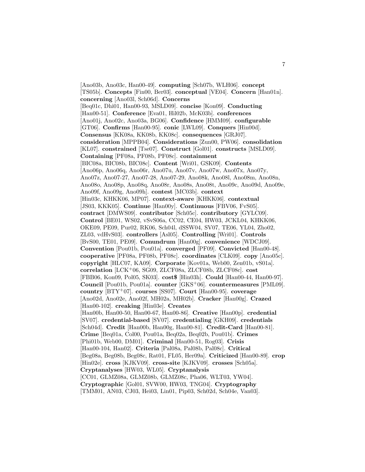[Ano03b, Ano03c, Han00-49]. **computing** [Sch07b, WLH06]. **concept** [TS05b]. **Concepts** [Fin00, Ber03]. **conceptual** [VE04]. **Concern** [Han01n]. **concerning** [Ano03l, Sch06d]. **Concerns** [Beq01c, Dhi01, Han00-93, MSLD09]. **concise** [Kon09]. **Conducting** [Han00-51]. **Conference** [Eva01, Hil02b, McK03b]. **conferences** [Ano01j, Ano02c, Ano03a, BG06]. **Confidence** [HMM09]. **configurable** [GT06]. **Confirms** [Han00-95]. **conic** [LWL09]. **Conquers** [Hin00d]. **Consensus** [KK08a, KK08b, KK08c]. **consequences** [GRJ07]. **consideration** [MPPB04]. **Considerations** [Zun00, PW06]. **consolidation** [KL07]. **constrained** [Tse07]. **Construct** [Gol01]. **constructs** [MSLD09]. **Containing** [PF08a, PF08b, PF08c]. **containment** [BIC08a, BIC08b, BIC08c]. **Content** [Wri01, GSK09]. **Contents** [Ano06p, Ano06q, Ano06r, Ano07u, Ano07v, Ano07w, Ano07x, Ano07y, Ano07z, Ano07-27, Ano07-28, Ano07-29, Ano08k, Ano08l, Ano08m, Ano08n, Ano08o, Ano08p, Ano08q, Ano08r, Ano08s, Ano08t, Ano09c, Ano09d, Ano09e, Ano09f, Ano09g, Ano09h]. **contest** [MC03b]. **context** [Hin03c, KHKK06, MP07]. **context-aware** [KHKK06]. **contextual** [JS03, KKK05]. **Continue** [Han00y]. **Continuous** [FBV06, FvS05]. **contract** [DMWS09]. **contributor** [Sch05c]. **contributory** [GYLC09]. **Control** [BE01, WS02, vSvS06a, CC02, CE04, HW03, JCKL04, KHKK06, OKE09, PE09, Pur02, RK06, Sch04l, dSSW04, SV07, TE06, YL04, Zho02, ZL03, vdHvS03]. **controllers** [Asl05]. **Controlling** [Wri01]. **Controls** [BvS00, TE01, PE09]. **Conundrum** [Han00g]. **convenience** [WDCJ09]. **Convention** [Pou01b, Pou01a]. **converged** [PF09]. **Convicted** [Han00-48]. **cooperative** [PF08a, PF08b, PF08c]. **coordinates** [CLK09]. **copy** [Ano05c]. **copyright** [HLC07, KA09]. **Corporate** [Kov01a, Web00, Zen01b, vS01a]. **correlation** [LCK<sup>+</sup>06, SG09, ZLCF08a, ZLCF08b, ZLCF08c]. **cost** [FBB06, Kon09, Pol05, SK03]. **cost**\$ [Hin03h]. **Could** [Han00-44, Han00-97]. **Council** [Pou01b, Pou01a]. **counter** [GKS<sup>+</sup>06]. **countermeasures** [PML09]. **country** [BTY<sup>+</sup>07]. **courses** [SS07]. **Court** [Han00-95]. **coverage** [Ano02d, Ano02e, Ano02f, MH02a, MH02b]. **Cracker** [Han00g]. **Crazed** [Han00-102]. **creaking** [Hin03e]. **Creates** [Han00b, Han00-50, Han00-67, Han00-86]. **Creative** [Han00p]. **credential** [SV07]. **credential-based** [SV07]. **credentialing** [GKH09]. **credentials** [Sch04d]. **Credit** [Han00b, Han00g, Han00-81]. **Credit-Card** [Han00-81]. **Crime** [Beq01a, Col00, Pou01a, Beq02a, Beq02b, Pou01b]. **Crimes** [Phi01b, Web00, DM01]. **Criminal** [Han00-51, Rog03]. **Crisis** [Han00-104, Han02]. **Criteria** [Pal08a, Pal08b, Pal08c]. **Critical** [Beg08a, Beg08b, Beg08c, Rat01, FL05, Her09a]. **Criticized** [Han00-89]. **crop** [Hin02e]. **cross** [KJKV09]. **cross-site** [KJKV09]. **crosses** [Sch05a]. **Cryptanalyses** [HW03, WL05]. **Cryptanalysis** [CC01, GLMZ08a, GLMZ08b, GLMZ08c, Pha06, WLT03, YW04]. **Cryptographic** [Gol01, SVW00, HW03, TNG04]. **Cryptography** [TMM01, AN03, CJ03, Hei03, Lin01, Pip03, Sch02d, Sch04e, Van03].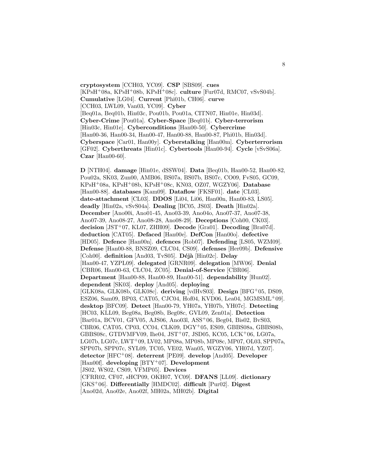**cryptosystem** [CCH03, YC09]. **CSP** [SBS09]. **cues** [KPsH<sup>+</sup>08a, KPsH<sup>+</sup>08b, KPsH<sup>+</sup>08c]. **culture** [Fur07d, RMC07, vSvS04b]. **Cumulative** [LG04]. **Current** [Phi01b, CH06]. **curve** [CCH03, LWL09, Van03, YC09]. **Cyber** [Beq01a, Beq01b, Hin03c, Pou01b, Pou01a, CITN07, Hin01e, Hin03d]. **Cyber-Crime** [Pou01a]. **Cyber-Space** [Beq01b]. **Cyber-terrorism** [Hin03c, Hin01e]. **Cyberconditions** [Han00-50]. **Cybercrime** [Han00-36, Han00-34, Han00-47, Han00-88, Han00-87, Phi01b, Hin03d]. **Cyberspace** [Car01, Han00y]. **Cyberstalking** [Han00m]. **Cyberterrorism** [GF02]. **Cyberthreats** [Hin01c]. **Cybertools** [Han00-94]. **Cycle** [vSvS06a]. **Czar** [Han00-60].

**D** [NTH04]. **damage** [Hin01e, dSSW04]. **Data** [Beq01b, Han00-52, Han00-82, Pou02a, SK03, Zun00, AMB06, BS07a, BS07b, BS07c, CO09, FvS05, GC09, KPsH<sup>+</sup>08a, KPsH<sup>+</sup>08b, KPsH<sup>+</sup>08c, KN03, OZ07, WGZY06]. **Database** [Han00-88]. **databases** [Kam09]. **Dataflow** [FKSF01]. **date** [CL03]. **date-attachment** [CL03]. **DDOS** [Li04, Li06, Han00n, Han00-83, LS05]. **deadly** [Hin02a, vSvS04a]. **Dealing** [BC05, JS03]. **Death** [Hin02a]. **December** [Ano00i, Ano01-45, Ano03-39, Ano04o, Ano07-37, Ano07-38, Ano07-39, Ano08-27, Ano08-28, Ano08-29]. **Deceptions** [Coh00, CK03]. **decision** [JST<sup>+</sup>07, KL07, ZHH09]. **Decode** [Gra01]. **Decoding** [Bra07d]. **deduction** [CAT05]. **Defaced** [Han00e]. **DefCon** [Han00o]. **defective** [HD05]. **Defence** [Han00n]. **defences** [Rob07]. **Defending** [LS05, WZM09]. **Defense** [Han00-88, BNSZ09, CLC04, CS09]. **defenses** [Her09b]. **Defensive** [Coh00]. definition [And03, TvS05]. Déjà [Hin02c]. Delay [Han00-47, YZPL09]. **delegated** [GRNR09]. **delegation** [MW06]. **Denial** [CBR06, Han00-63, CLC04, ZC05]. **Denial-of-Service** [CBR06]. **Department** [Han00-88, Han00-89, Han00-51]. **dependability** [Hun02]. **dependent** [SK03]. **deploy** [And05]. **deploying** [GLK08a, GLK08b, GLK08c]. **deriving** [vdHvS03]. **Design** [BFG<sup>+</sup>05, DS09, ESZ06, Sam09, BP03, CAT05, CJC04, Hof04, KVD06, Lea04, MGMSML<sup>+</sup>09]. **desktop** [BFC09]. **Detect** [Han00-79, YH07a, YH07b, YH07c]. **Detecting** [HC03, KLL09, Beg08a, Beg08b, Beg08c, GVL09, Zen01a]. **Detection** [Bar01a, BCV01, GFV05, AJS06, Ano03l, ASS<sup>+</sup>06, Beg04, Bis02, BvS03, CBR06, CAT05, CP03, CC04, CLK09, DGY<sup>+</sup>05, ES09, GBBS08a, GBBS08b, GBBS08c, GTDVMFV09, Ihe04, JST<sup>+</sup>07, JSD05, KC05, LCK<sup>+</sup>06, LG07a, LG07b, LG07c, LWT<sup>+</sup>09, LV02, MP08a, MP08b, MP08c, MP07, OL03, SPP07a, SPP07b, SPP07c, SYL09, TC05, VE02, Wan05, WGZY06, YH07d, YZ07]. **detector** [HFC<sup>+</sup>08]. **deterrent** [PE09]. **develop** [And05]. **Developer** [Han00f]. **developing** [BTY<sup>+</sup>07]. **Development** [JS02, WS02, CS09, VFMP05]. **Devices** [CFRR02, CF07, sHCP09, OKH07, YC09]. **DFANS** [LL09]. **dictionary** [GKS<sup>+</sup>06]. **Differentially** [HMDC02]. **difficult** [Pur02]. **Digest** [Ano02d, Ano02e, Ano02f, MH02a, MH02b]. **Digital**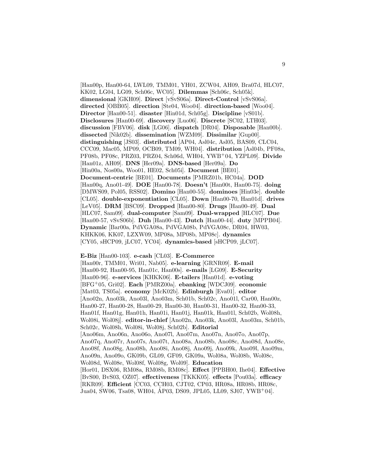[Han00p, Han00-64, LWL09, TMM01, YH01, ZCW04, AH09, Bra07d, HLC07, KK02, LG04, LG09, Sch06c, WC05]. **Dilemmas** [Sch06c, Sch05k]. **dimensional** [GKH09]. **Direct** [vSvS06a]. **Direct-Control** [vSvS06a]. **directed** [OBB05]. **direction** [Ste04, Woo04]. **direction-based** [Woo04]. **Director** [Han00-51]. **disaster** [Hin01d, Sch05g]. **Discipline** [vS01b]. **Disclosures** [Han00-69]. **discovery** [Luo06]. **Discrete** [SC02, LTH03]. **discussion** [FBV06]. **disk** [LG06]. **dispatch** [DR04]. **Disposable** [Han00b]. **dissected** [Nik02b]. **dissemination** [WZM09]. **Dissimilar** [Gup00]. **distinguishing** [JS03]. **distributed** [AP04, Asl04c, Asl05, BAS09, CLC04, CCC09, Mac05, MP09, OCB09, TM09, WH04]. **distribution** [Asl04b, PF08a, PF08b, PF08c, PRZ03, PRZ04, Sch06d, WH04, YWB<sup>+</sup>04, YZPL09]. **Divide** [Han01z, AH09]. **DNS** [Her09a]. **DNS-based** [Her09a]. **Do** [Hin00a, Nos00a, Woo01, HE02, Sch05i]. **Document** [BE01]. **Document-centric** [BE01]. **Documents** [PMRZ01b, HC04a]. **DOD** [Han00q, Ano01-49]. **DOE** [Han00-78]. **Doesn't** [Han00t, Han00-75]. **doing** [DMWS09, Pol05, RSS02]. **Domino** [Han00-55]. **dominoes** [Hin03e]. **double** [CL05]. **double-exponentiation** [CL05]. **Down** [Han00-70, Han01d]. **drives** [LeV05]. **DRM** [BSC09]. **Dropped** [Han00-80]. **Drugs** [Han00-49]. **Dual** [HLC07, Sam09]. **dual-computer** [Sam09]. **Dual-wrapped** [HLC07]. **Due** [Han00-57, vSvS06b]. **Duh** [Han00-43]. **Dutch** [Han00-44]. **duty** [MPPB04]. **Dynamic** [Bar00a, PdVGA08a, PdVGA08b, PdVGA08c, DR04, HW03, KHKK06, KK07, LZXW09, MP08a, MP08b, MP08c]. **dynamics** [CY05, sHCP09, jLC07, YC04]. **dynamics-based** [sHCP09, jLC07].

#### **E-Biz** [Han00-103]. **e-cash** [CL03]. **E-Commerce**

[Han00r, TMM01, Wri01, Nab05]. **e-learning** [GRNR09]. **E-mail** [Han00-92, Han00-95, Han01c, Han00s]. **e-mails** [LG09]. **E-Security** [Han00-96]. **e-services** [KHKK06]. **E-tailers** [Han01d]. **e-voting** [BFG<sup>+</sup>05, Gri02]. **Each** [PMRZ00a]. **ebanking** [WDCJ09]. **economic** [Mat03, TS05a]. **economy** [McK02b]. **Edinburgh** [Eva01]. **editor** [Ano02n, Ano03k, Ano03l, Ano03m, Sch01b, Sch02c, Ano01l, Car00, Han00z, Han00-27, Han00-28, Han00-29, Han00-30, Han00-31, Han00-32, Han00-33, Han01f, Han01g, Han01h, Han01i, Han01j, Han01k, Han01l, Sch02b, Wol08h, Wol08i, Wol08j]. **editor-in-chief** [Ano02n, Ano03k, Ano03l, Ano03m, Sch01b, Sch02c, Wol08h, Wol08i, Wol08j, Sch02b]. **Editorial** [Ano06m, Ano06n, Ano06o, Ano07l, Ano07m, Ano07n, Ano07o, Ano07p, Ano07q, Ano07r, Ano07s, Ano07t, Ano08a, Ano08b, Ano08c, Ano08d, Ano08e, Ano08f, Ano08g, Ano08h, Ano08i, Ano08j, Ano09j, Ano09k, Ano09l, Ano09m, Ano09n, Ano09o, GK09b, GL09, GF09, GK09a, Wol08a, Wol08b, Wol08c, Wol08d, Wol08e, Wol08f, Wol08g, Wol09]. **Education** [Hor01, DSX06, RM08a, RM08b, RM08c]. **Effect** [PPBH00, Ihe04]. **Effective** [BvS00, BvS03, OZ07]. **effectiveness** [TKKK05]. **effects** [Pou03a]. **efficacy** [RKR09]. **Efficient** [CC03, CCH03, CJT02, CP03, HR08a, HR08b, HR08c, Jua04, SW06, Tsa08, WH04, AP03, DS09, JPL05, LL09, SJ07, YWB<sup>+</sup>04.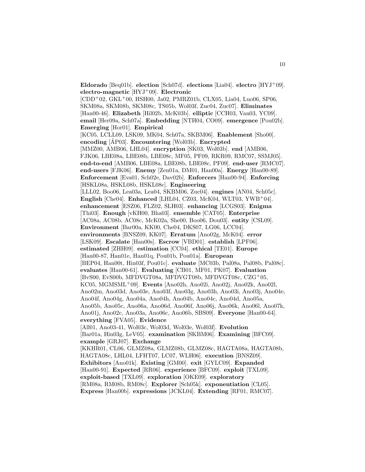**Eldorado** [Beq01b]. **election** [Sch07d]. **elections** [Lia04]. **electro** [HYJ<sup>+</sup>09]. **electro-magnetic** [HYJ<sup>+</sup>09]. **Electronic**  $[CDD+02, GKL+00, HSH00, Ja02, PMRZ01b, CLX05, Lia04, Luo06, SP06,$ SKM08a, SKM08b, SKM08c, TS05b, Wol03f, Zuc04, Zuc07]. **Eliminates** [Han00-46]. **Elizabeth** [Hil02b, McK03b]. **elliptic** [CCH03, Van03, YC09]. **email** [Her09a, Sch07a]. **Embedding** [NTH04, CO09]. **emergence** [Pou02b]. **Emerging** [Hor01]. **Empirical** [KC05, LCLL09, LSK09, MK04, Sch07a, SKBM06]. **Enablement** [Sho00]. **encoding** [AP03]. **Encountering** [Wol03b]. **Encrypted** [MMZ00, AMB06, LHL04]. **encryption** [SK03, Wol03b]. **end** [AMB06, FJK06, LBE08a, LBE08b, LBE08c, MF05, PF09, RKR09, RMC07, SSMJ05]. **end-to-end** [AMB06, LBE08a, LBE08b, LBE08c, PF09]. **end-user** [RMC07]. **end-users** [FJK06]. **Enemy** [Zen01a, DM01, Han00a]. **Energy** [Han00-89]. **Enforcement** [Eva01, Sch02e, Dav02b]. **Enforcers** [Han00-94]. **Enforcing** [HSKL08a, HSKL08b, HSKL08c]. **Engineering** [LLL02, Boo06, Lea03a, Lea04, SKBM06, Zuc04]. **engines** [AN04, Sch05c]. **English** [Che04]. **Enhanced** [LHL04, CZ03, McK04, WLT03, YWB<sup>+</sup>04]. **enhancement** [ESZ06, FLZ02, SLH03]. **enhancing** [LCGS03]. **Enigma** [Thi03]. **Enough** [vKH00, Bha03]. **ensemble** [CAT05]. **Enterprise** [AC08a, AC08b, AC08c, McK02a, She00, Boo06, Dou03]. **entity** [CSL09]. **Environment** [Bar00a, KK00, Che04, DKS07, LG06, LCC04]. **environments** [BNSZ09, KK07]. **Erratum** [Ano02g, McK04]. **error** [LSK09]. **Escalate** [Han00s]. **Escrow** [VBD01]. **establish** [LPF06]. **estimated** [ZHH09]. **estimation** [CC04]. **ethical** [TE01]. **Europe** [Han00-87, Han01e, Han01q, Pou01b, Pou01a]. **European** [BEP04, Han00t, Hin03f, Pou01c]. **evaluate** [MC03b, Pal08a, Pal08b, Pal08c]. **evaluates** [Han00-61]. **Evaluating** [CB01, MF01, PK07]. **Evaluation** [BvS00, EvS00b, MFDVGT08a, MFDVGT08b, MFDVGT08c, CZG<sup>+</sup>05, KC05, MGMSML<sup>+</sup>09]. **Events** [Ano02h, Ano02i, Ano02j, Ano02k, Ano02l, Ano02m, Ano03d, Ano03e, Ano03f, Ano03g, Ano03h, Ano03i, Ano03j, Ano04e, Ano04f, Ano04g, Ano04a, Ano04h, Ano04b, Ano04c, Ano04d, Ano05a, Ano05b, Ano05c, Ano06a, Ano06d, Ano06f, Ano06j, Ano06k, Ano06l, Ano07k, Ano01j, Ano02c, Ano03a, Ano06c, Ano06b, SBS09]. **Everyone** [Han00-64]. **everything** [FVA05]. **Evidence** [All01, Ano03-41, Wol03c, Wol03d, Wol03e, Wol03f]. **Evolution** [Bar01a, Hin03g, LeV05]. **examination** [SKBM06]. **Examining** [BFC09]. **example** [GRJ07]. **Exchange** [KKHR01, CL06, GLMZ08a, GLMZ08b, GLMZ08c, HAGTA08a, HAGTA08b, HAGTA08c, LHL04, LFHT07, LC07, WLH06]. **execution** [BNSZ09]. **Exhibitors** [Ano01k]. **Existing** [GM00]. **exit** [GYLC09]. **Expanded** [Han00-91]. **Expected** [RR06]. **experience** [BFC09]. **exploit** [TXL09]. **exploit-based** [TXL09]. **exploration** [OKE09]. **exploratory** [RM08a, RM08b, RM08c]. **Explorer** [Sch05k]. **exponentiation** [CL05]. **Express** [Han00b]. **expressions** [JCKL04]. **Extending** [RF01, RMC07].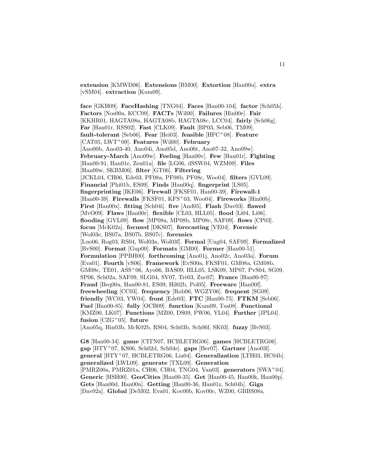**extension** [KMWD06]. **Extensions** [BM00]. **Extortion** [Han00u]. **extra** [vSM04]. **extraction** [Kum09].

**face** [GKH09]. **FaceHashing** [TNG04]. **Faces** [Han00-104]. **factor** [Sch05h]. **Factors** [Nos00a, KCC09]. **FACTs** [Wil00]. **Failures** [Hin00e]. **Fair** [KKHR01, HAGTA08a, HAGTA08b, HAGTA08c, LCC04]. **fairly** [Sch06g]. **Far** [Han01r, RSS02]. **Fast** [CLK09]. **Fault** [BP03, Seb06, TM09]. **fault-tolerant** [Seb06]. **Fear** [Hei03]. **feasible** [HFC<sup>+</sup>08]. **Feature** [CAT05, LWT<sup>+</sup>09]. **Features** [Wil00]. **February** [Ano00b, Ano03-40, Ano04i, Ano05d, Ano06t, Ano07-32, Ano09w]. **February-March** [Ano09w]. **Feeling** [Han00v]. **Few** [Han01r]. **Fighting** [Han00-91, Han01e, Zen01a]. **file** [LG06, dSSW04, WZM09]. **Files** [Han00w, SKBM06]. **filter** [GT06]. **Filtering** [JCKL04, CH06, Ede03, PF08a, PF08b, PF08c, Woo04]. **filters** [GVL09]. **Financial** [Phi01b, ES09]. **Finds** [Han00q]. **fingerprint** [LS05]. **fingerprinting** [IKE06]. **Firewall** [FKSF01, Han00-39]. **Firewall-1** [Han00-39]. **Firewalls** [FKSF01, KFS<sup>+</sup>03, Woo04]. **Fireworks** [Hin00b]. **First** [Han00x]. **fitting** [Sch04i]. **five** [And05]. **Flash** [Dav03]. **flawed** [MvO09]. **Flaws** [Han00r]. **flexible** [CL03, HLL05]. **flood** [Li04, Li06]. **flooding** [GVL09]. **flow** [MP08a, MP08b, MP08c, SAF09]. **flows** [CP03]. **focus** [McK02a]. **focused** [DKS07]. **forecasting** [VE04]. **Forensic** [Wol03e, BS07a, BS07b, BS07c]. **forensics** [Luo06, Rog03, RS04, Wol03a, Wol03f]. **Formal** [Ung04, SAF09]. **Formalized** [BvS00]. **Format** [Gup00]. **Formats** [GM00]. **Former** [Han00-51]. **Formulation** [PPBH00]. **forthcoming** [Ano01j, Ano02c, Ano03a]. **Forum** [Eva01]. **Fourth** [vS06]. **Framework** [EvS00a, FKSF01, GM08a, GM08b, GM08c, TE01, ASS<sup>+</sup>06, Ayo06, BAS09, HLL05, LSK09, MP07, PvS04, SG09, SP06, Sch02a, SAF09, SLG04, SV07, Trè03, Zuc07]. **France** [Han00-97]. **Fraud** [Beq00a, Han00-81, ES09, Hil02b, Pol05]. **Freeware** [Han00f]. **freewheeling** [CC03]. **frequency** [Rob06, WGZY06]. **frequent** [SG09]. **friendly** [WC03, YW04]. **front** [Ede03]. **FTC** [Han00-75]. **FTKM** [Seb06]. **Fuel** [Han00-85]. **fully** [OCB09]. **function** [Kum09, Tsa08]. **Functional** [KMZ00, LK07]. **Functions** [MZ00, DS09, PW06, YL04]. **Further** [JPL04]. **fusion** [CZG<sup>+</sup>05]. **future**

[Ano05q, Hin03b, McK02b, RS04, Sch03b, Sch06f, SK03]. **fuzzy** [BvS03].

**G8** [Han00-34]. **game** [CITN07, HCBLETRG06]. **games** [HCBLETRG06]. **gap** [BTY<sup>+</sup>07, KS06, Sch02d, Sch04e]. **gaps** [Ber07]. **Gartner** [Ano03l]. **general** [BTY<sup>+</sup>07, HCBLETRG06, Lia04]. **Generalization** [LTH03, HC04b]. **generalized** [LWL09]. **generate** [TXL09]. **Generation** [PMRZ00a, PMRZ01a, CH06, CH04, TNG04, Van03]. **generators** [SWA<sup>+</sup>04]. **Generic** [HSH00]. **GeoCities** [Han00-35]. **Get** [Han00-45, Han00k, Han00p]. **Gets** [Han00d, Han00n]. **Getting** [Han00-36, Han01z, Sch04h]. **Giga** [Dav02a]. **Global** [DeM02, Eva01, Kov00b, Kov00c, WZ00, GBBS08a,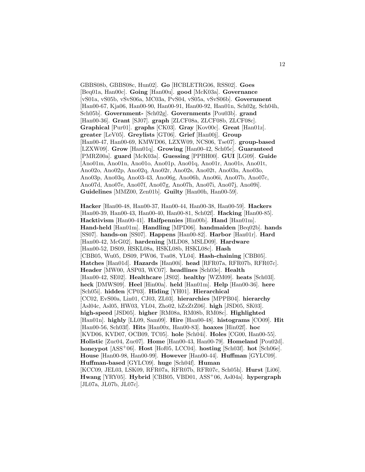GBBS08b, GBBS08c, Hun02]. **Go** [HCBLETRG06, RSS02]. **Goes** [Beq01a, Han00c]. **Going** [Han00u]. **good** [McK03a]. **Governance** [vS01a, vS05b, vSvS06a, MC03a, PvS04, vS05a, vSvS06b]. **Government** [Han00-67, Kja06, Han00-90, Han00-91, Han00-92, Han01n, Sch02g, Sch04h, Sch05b]. **Government-** [Sch02g]. **Governments** [Pou03b]. **grand** [Han00-36]. **Grant** [SJ07]. **graph** [ZLCF08a, ZLCF08b, ZLCF08c]. **Graphical** [Pur01]. **graphs** [CK03]. **Gray** [Kov00c]. **Great** [Han01z]. **greater** [LeV05]. **Greylists** [GT06]. **Grief** [Han00j]. **Group** [Han00-47, Han00-69, KMWD06, LZXW09, NCS06, Tse07]. **group-based** [LZXW09]. **Grow** [Han01q]. **Growing** [Han00-42, Sch05c]. **Guaranteed** [PMRZ00a]. **guard** [McK03a]. **Guessing** [PPBH00]. **GUI** [LG09]. **Guide** [Ano01m, Ano01n, Ano01o, Ano01p, Ano01q, Ano01r, Ano01s, Ano01t, Ano02o, Ano02p, Ano02q, Ano02r, Ano02s, Ano02t, Ano03n, Ano03o, Ano03p, Ano03q, Ano03-43, Ano06g, Ano06h, Ano06i, Ano07b, Ano07c, Ano07d, Ano07e, Ano07f, Ano07g, Ano07h, Ano07i, Ano07j, Ano09i]. **Guidelines** [MMZ00, Zen01b]. **Guilty** [Han00h, Han00-59].

**Hacker** [Han00-48, Han00-37, Han00-44, Han00-38, Han00-59]. **Hackers** [Han00-39, Han00-43, Han00-40, Han00-81, Sch02f]. **Hacking** [Han00-85]. **Hacktivism** [Han00-41]. **Halfpennies** [Hin00b]. **Hand** [Han01m]. **Hand-held** [Han01m]. **Handling** [MPD06]. **handmaiden** [Beq02b]. **hands** [SS07]. **hands-on** [SS07]. **Happens** [Han00-82]. **Harbor** [Han01r]. **Hard** [Han00-42, McG02]. **hardening** [MLD08, MSLD09]. **Hardware** [Han00-52, DS09, HSKL08a, HSKL08b, HSKL08c]. **Hash** [CBB05, Wu05, DS09, PW06, Tsa08, YL04]. **Hash-chaining** [CBB05]. **Hatches** [Han01d]. **Hazards** [Han00i]. **head** [RFR07a, RFR07b, RFR07c]. **Header** [MW00, ASP03, WC07]. **headlines** [Sch03e]. **Health** [Han00-42, SE02]. **Healthcare** [JS02]. **healthy** [WZM09]. **heats** [Sch03l]. **heck** [DMWS09]. **Heel** [Hin00a]. **held** [Han01m]. **Help** [Han00-36]. **here** [Sch05i]. **hidden** [CP03]. **Hiding** [YH01]. **Hierarchical** [CC02, EvS00a, Lin01, CJ03, ZL03]. **hierarchies** [MPPB04]. **hierarchy** [Asl04c, Asl05, HW03, YL04, Zho02, hZxZtZ06]. **high** [JSD05, SK03]. **high-speed** [JSD05]. **higher** [RM08a, RM08b, RM08c]. **Highlighted** [Han01n]. **highly** [LL09, Sam09]. **Hire** [Han00-48]. **histograms** [CO09]. **Hit** [Han00-56, Sch03f]. **Hits** [Han00x, Han00-83]. **hoaxes** [Hin02f]. **hoc** [KVD06, KVD07, OCB09, TC05]. **hole** [Sch04i]. **Holes** [CG00, Han00-55]. **Holistic** [Zuc04, Zuc07]. **Home** [Han00-43, Han00-79]. **Homeland** [Pou02d]. **honeypot** [ASS<sup>+</sup>06]. **Host** [Hof05, LCC04]. **hosting** [Sch03f]. **hot** [Sch06e]. **House** [Han00-98, Han00-99]. **However** [Han00-44]. **Huffman** [GYLC09]. **Huffman-based** [GYLC09]. **huge** [Sch04f]. **Human** [KCC09, JEL03, LSK09, RFR07a, RFR07b, RFR07c, Sch05h]. **Hurst** [Li06]. **Hwang** [YRY05]. **Hybrid** [CBB05, VBD01, ASS<sup>+</sup>06, Asl04a]. **hypergraph** [JL07a, JL07b, JL07c].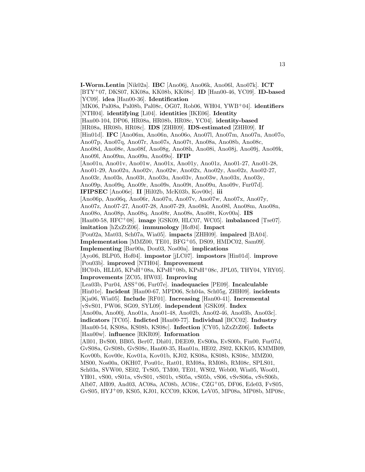**I-Worm.Lentin** [Nik02a]. **IBC** [Ano06j, Ano06k, Ano06l, Ano07k]. **ICT** [BTY<sup>+</sup>07, DKS07, KK08a, KK08b, KK08c]. **ID** [Han00-46, YC09]. **ID-based** [YC09]. **idea** [Han00-36]. **Identification** [MK06, Pal08a, Pal08b, Pal08c, OG07, Rob06, WH04, YWB<sup>+</sup>04]. **identifiers** [NTH04]. **identifying** [Li04]. **identities** [IKE06]. **Identity** [Han00-104, DP06, HR08a, HR08b, HR08c, YC04]. **identity-based** [HR08a, HR08b, HR08c]. **IDS** [ZHH09]. **IDS-estimated** [ZHH09]. **If** [Hin01d]. **IFC** [Ano06m, Ano06n, Ano06o, Ano07l, Ano07m, Ano07n, Ano07o, Ano07p, Ano07q, Ano07r, Ano07s, Ano07t, Ano08a, Ano08b, Ano08c, Ano08d, Ano08e, Ano08f, Ano08g, Ano08h, Ano08i, Ano08j, Ano09j, Ano09k, Ano09l, Ano09m, Ano09n, Ano09o]. **IFIP** [Ano01u, Ano01v, Ano01w, Ano01x, Ano01y, Ano01z, Ano01-27, Ano01-28, Ano01-29, Ano02u, Ano02v, Ano02w, Ano02x, Ano02y, Ano02z, Ano02-27, Ano03r, Ano03s, Ano03t, Ano03u, Ano03v, Ano03w, Ano03x, Ano03y, Ano09p, Ano09q, Ano09r, Ano09s, Ano09t, Ano09u, Ano09v, Fur07d]. **IFIPSEC** [Ano06e]. **II** [Hil02b, McK03b, Kov00c]. **iii** [Ano06p, Ano06q, Ano06r, Ano07u, Ano07v, Ano07w, Ano07x, Ano07y, Ano07z, Ano07-27, Ano07-28, Ano07-29, Ano08k, Ano08l, Ano08m, Ano08n, Ano08o, Ano08p, Ano08q, Ano08r, Ano08s, Ano08t, Kov00a]. **IIS** [Han00-58, HFC<sup>+</sup>08]. **image** [GSK09, HLC07, WC05]. **imbalanced** [Tse07]. **imitation** [hZxZtZ06]. **immunology** [Hof04]. **Impact** [Pou02a, Mat03, Sch07a, Wia05]. **impacts** [ZHH09]. **impaired** [BA04]. **Implementation** [MMZ00, TE01, BFG<sup>+</sup>05, DS09, HMDC02, Sam09]. **Implementing** [Bar00a, Dou03, Nos00a]. **implications** [Ayo06, BLP05, Hof04]. **impostor** [jLC07]. **impostors** [Hin01d]. **improve** [Pou03b]. **improved** [NTH04]. **Improvement** [HC04b, HLL05, KPsH<sup>+</sup>08a, KPsH<sup>+</sup>08b, KPsH<sup>+</sup>08c, JPL05, THY04, YRY05]. **Improvements** [ZC05, HW03]. **Improving** [Lea03b, Pur04, ASS<sup>+</sup>06, Fur07e]. **inadequacies** [PE09]. **Incalculable** [Hin01e]. **Incident** [Han00-67, MPD06, Sch04a, Sch05g, ZHH09]. **incidents** [Kja06, Wia05]. **Include** [RF01]. **Increasing** [Han00-41]. **Incremental** [vSvS01, PW06, SG09, SYL09]. **independent** [GSK09]. **Index** [Ano00a, Ano00j, Ano01a, Ano01-48, Ano02b, Ano02-46, Ano03b, Ano03c]. **indicators** [TC05]. **Indicted** [Han00-77]. **Individual** [BCC02]. **Industry** [Han00-54, KS08a, KS08b, KS08c]. **Infection** [CY05, hZxZtZ06]. **Infects** [Han00w]. **influence** [RKR09]. **Information** [All01, BvS00, BB05, Ber07, Dhi01, DEE09, EvS00a, EvS00b, Fin00, Fur07d, GvS08a, GvS08b, GvS08c, Han00-35, Han01n, HE02, JS02, KKK05, KMMB09, Kov00b, Kov00c, Kov01a, Kov01b, KJ02, KS08a, KS08b, KS08c, MMZ00, MS00, Nos00a, OKH07, Pou01c, Rat01, RM08a, RM08b, RM08c, SPLS01, Sch03a, SVW00, SE02, TvS05, TM00, TE01, WS02, Web00, Wia05, Woo01, YH01, vS00, vS01a, vSvS01, vS01b, vS05a, vS05b, vS06, vSvS06a, vSvS06b, Alb07, AH09, And03, AC08a, AC08b, AC08c, CZG<sup>+</sup>05, DF06, Ede03, FvS05, GvS05, HYJ<sup>+</sup>09, KS05, KJ01, KCC09, KK06, LeV05, MP08a, MP08b, MP08c,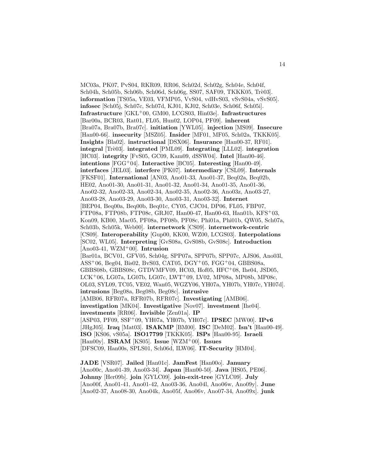MC03a, PK07, PvS04, RKR09, RR06, Sch02d, Sch02g, Sch04e, Sch04f, Sch04h, Sch05b, Sch06b, Sch06d, Sch06g, SS07, SAF09, TKKK05, Trè03]. **information** [TS05a, VE03, VFMP05, VvS04, vdHvS03, vSvS04a, vSvS05]. **infosec** [Sch05j, Sch07c, Sch07d, KJ01, KJ02, Sch03e, Sch06f, Sch05i]. **Infrastructure** [GKL<sup>+</sup>00, GM00, LCGS03, Hin03e]. **Infrastructures** [Bar00a, BCR03, Rat01, FL05, Hun02, LOP04, PF09]. **inherent** [Bra07a, Bra07b, Bra07c]. **initiation** [YWL05]. **injection** [MS09]. **Insecure** [Han00-66]. **insecurity** [MSZ05]. **Insider** [MF01, MF05, Sch02a, TKKK05]. **Insights** [Bla02]. **instructional** [DSX06]. **Insurance** [Han00-37, RF01]. **integral** [Tr`e03]. **integrated** [PML09]. **Integrating** [LLL02]. **integration** [HC03]. **integrity** [FvS05, GC09, Kam09, dSSW04]. **Intel** [Han00-46]. **intentions** [FGG<sup>+</sup>04]. **Interactive** [BC05]. **Interesting** [Han00-49]. **interfaces** [JEL03]. **interfere** [PK07]. **intermediary** [CSL09]. **Internals** [FKSF01]. **International** [AN03, Ano01-33, Ano01-37, Beq02a, Beq02b, HE02, Ano01-30, Ano01-31, Ano01-32, Ano01-34, Ano01-35, Ano01-36, Ano02-32, Ano02-33, Ano02-34, Ano02-35, Ano02-36, Ano03z, Ano03-27, Ano03-28, Ano03-29, Ano03-30, Ano03-31, Ano03-32]. **Internet** [BEP04, Beq00a, Beq00b, Beq01c, CY05, CJC04, DP06, FL05, FBP07, FTP08a, FTP08b, FTP08c, GRJ07, Han00-47, Han00-63, Han01b, KFS<sup>+</sup>03, Kon09, KB00, Mac05, PF08a, PF08b, PF08c, Phi01a, Phi01b, QW05, Sch07a, Sch03b, Sch05k, Web00]. **internetwork** [CS09]. **internetwork-centric** [CS09]. **Interoperability** [Gup00, KK00, WZ00, LCGS03]. **Interpolations** [SC02, WL05]. **Interpreting** [GvS08a, GvS08b, GvS08c]. **Introduction** [Ano03-41, WZM<sup>+</sup>00]. **Intrusion** [Bar01a, BCV01, GFV05, Sch04g, SPP07a, SPP07b, SPP07c, AJS06, Ano03l, ASS<sup>+</sup>06, Beg04, Bis02, BvS03, CAT05, DGY<sup>+</sup>05, FGG<sup>+</sup>04, GBBS08a, GBBS08b, GBBS08c, GTDVMFV09, HC03, Hof05, HFC<sup>+</sup>08, Ihe04, JSD05, LCK<sup>+</sup>06, LG07a, LG07b, LG07c, LWT<sup>+</sup>09, LV02, MP08a, MP08b, MP08c, OL03, SYL09, TC05, VE02, Wan05, WGZY06, YH07a, YH07b, YH07c, YH07d]. **intrusions** [Beg08a, Beg08b, Beg08c]. **intrusive** [AMB06, RFR07a, RFR07b, RFR07c]. **Investigating** [AMB06]. **investigation** [MK04]. **Investigative** [Nov07]. **investment** [Ihe04]. **investments** [RR06]. **Invisible** [Zen01a]. **IP** [ASP03, PF09, SSF<sup>+</sup>09, YH07a, YH07b, YH07c]. **IPSEC** [MW00]. **IPv6** [JHgJ05]. **Iraq** [Mat03]. **ISAKMP** [BM00]. **ISC** [DeM02]. **Isn't** [Han00-49]. **ISO** [KS06, vS05a]. **ISO17799** [TKKK05]. **ISPs** [Han00-95]. **Israeli** [Han00y]. **ISRAM** [KS05]. **Issue** [WZM<sup>+</sup>00]. **Issues** [DFSC09, Han00s, SPLS01, Sch06d, ILW06]. **IT-Security** [HM04].

**JADE** [VSR07]. **Jailed** [Han01c]. **JamFest** [Han00o]. **January** [Ano00c, Ano01-39, Ano03-34]. **Japan** [Han00-50]. **Java** [HS05, PE06]. **Johnny** [Her09b]. **join** [GYLC09]. **join-exit-tree** [GYLC09]. **July** [Ano00f, Ano01-41, Ano01-42, Ano03-36, Ano04l, Ano06w, Ano09y]. **June** [Ano02-37, Ano08-30, Ano04k, Ano05f, Ano06v, Ano07-34, Ano09x]. **junk**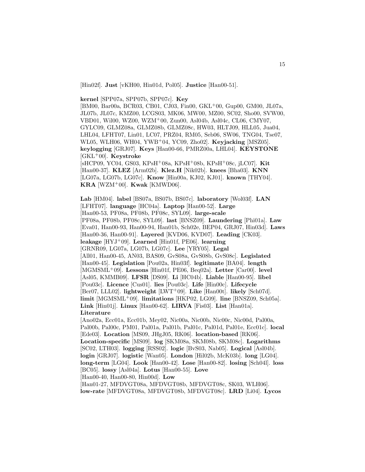[Hin02f]. **Just** [vKH00, Hin01d, Pol05]. **Justice** [Han00-51].

**kernel** [SPP07a, SPP07b, SPP07c]. **Key**

[BM00, Bar00a, BCR03, CB01, CJ03, Fin00, GKL<sup>+</sup>00, Gup00, GM00, JL07a, JL07b, JL07c, KMZ00, LCGS03, MK06, MW00, MZ00, SC02, Sho00, SVW00, VBD01, Wil00, WZ00, WZM<sup>+</sup>00, Zun00, Asl04b, Asl04c, CL06, CMY07, GYLC09, GLMZ08a, GLMZ08b, GLMZ08c, HW03, HLTJ09, HLL05, Jua04, LHL04, LFHT07, Lin01, LC07, PRZ04, RM05, Seb06, SW06, TNG04, Tse07, WL05, WLH06, WH04, YWB<sup>+</sup>04, YC09, Zho02]. **Keyjacking** [MSZ05]. **keylogging** [GRJ07]. **Keys** [Han00-66, PMRZ00a, LHL04]. **KEYSTONE** [GKL<sup>+</sup>00]. **Keystroke**

[sHCP09, YC04, GS03, KPsH<sup>+</sup>08a, KPsH<sup>+</sup>08b, KPsH<sup>+</sup>08c, jLC07]. **Kit** [Han00-37]. **KLEZ** [Arm02b]. **Klez.H** [Nik02b]. **knees** [Bha03]. **KNN** [LG07a, LG07b, LG07c]. **Know** [Hin00a, KJ02, KJ01]. **known** [THY04]. **KRA** [WZM<sup>+</sup>00]. **Kwak** [KMWD06].

**Lab** [HM04]. **label** [BS07a, BS07b, BS07c]. **laboratory** [Wol03f]. **LAN** [LFHT07]. **language** [HC04a]. **Laptop** [Han00-52]. **Large** [Han00-53, PF08a, PF08b, PF08c, SYL09]. **large-scale** [PF08a, PF08b, PF08c, SYL09]. **last** [BNSZ09]. **Laundering** [Phi01a]. **Law** [Eva01, Han00-93, Han00-94, Han01b, Sch02e, BEP04, GRJ07, Hin03d]. **Laws** [Han00-36, Han00-91]. **Layered** [KVD06, KVD07]. **Leading** [CK03]. **leakage** [HYJ<sup>+</sup>09]. **Learned** [Hin01f, PE06]. **learning** [GRNR09, LG07a, LG07b, LG07c]. **Lee** [YRY05]. **Legal** [All01, Han00-45, AN03, BAS09, GvS08a, GvS08b, GvS08c]. **Legislated** [Han00-45]. **Legislation** [Pou02a, Hin03f]. **legitimate** [BA04]. **length** [MGMSML<sup>+</sup>09]. **Lessons** [Hin01f, PE06, Beq02a]. **Letter** [Car00]. **level** [Asl05, KMMB09]. **LFSR** [DS09]. **Li** [HC04b]. **Liable** [Han00-95]. **libel** [Pou03c]. **Licence** [Cus01]. **lies** [Pou03c]. **Life** [Hin00c]. **Lifecycle** [Ber07, LLL02]. **lightweight** [LWT<sup>+</sup>09]. **Like** [Han00t]. **likely** [Sch07d]. **limit** [MGMSML<sup>+</sup>09]. **limitations** [HKP02, LG09]. **line** [BNSZ09, Sch05a]. **Link** [Hin01j]. **Linux** [Han00-62]. **LIRVA** [Fis03]. **List** [Han01a]. **Literature** [Ano02a, Ecc01a, Ecc01b, Mey02, Nic00a, Nic00b, Nic00c, Nic00d, Pal00a,

Pal00b, Pal00c, PM01, Pal01a, Pal01b, Pal01c, Pal01d, Pal01e, Ecc01c]. **local** [Ede03]. **Location** [MS09, JHgJ05, RK06]. **location-based** [RK06]. **Location-specific** [MS09]. **log** [SKM08a, SKM08b, SKM08c]. **Logarithms** [SC02, LTH03]. **logging** [RSS02]. **logic** [BvS03, Nab05]. **Logical** [Asl04b]. **login** [GRJ07]. **logistic** [Wan05]. **London** [Hil02b, McK03b]. **long** [LG04]. **long-term** [LG04]. **Look** [Han00-42]. **Lose** [Han00-82]. **losing** [Sch04l]. **loss** [BC05]. **lossy** [Asl04a]. **Lotus** [Han00-55]. **Love** [Han00-40, Han00-80, Hin00d]. **Low**

[Han01-27, MFDVGT08a, MFDVGT08b, MFDVGT08c, SK03, WLH06]. **low-rate** [MFDVGT08a, MFDVGT08b, MFDVGT08c]. **LRD** [Li04]. **Lycos**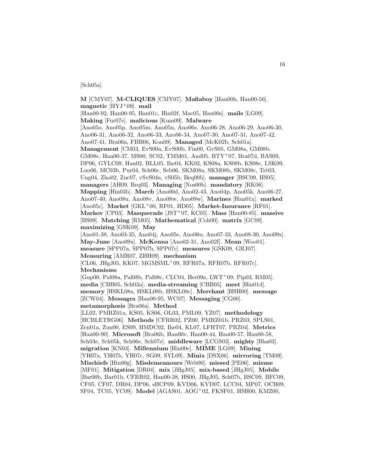#### [Sch05a].

**M** [CMY07]. **M-CLIQUES** [CMY07]. **Mafiaboy** [Han00h, Han00-56]. **magnetic** [HYJ<sup>+</sup>09]. **mail** [Han00-92, Han00-95, Han01c, Hin02f, Mac05, Han00s]. **mails** [LG09]. **Making** [Fur07e]. **malicious** [Kum09]. **Malware** [Ano05o, Ano05p, Ano05m, Ano05n, Ano06s, Ano06-28, Ano06-29, Ano06-30, Ano06-31, Ano06-32, Ano06-33, Ano06-34, Ano07-30, Ano07-31, Ano07-42, Ano07-41, Bra06a, FBB06, Kon09]. **Managed** [McK02b, Sch01a]. **Management** [CM03, EvS00a, EvS00b, Fin00, GvS05, GM08a, GM08b, GM08c, Han00-37, MS00, SC02, TMM01, And05, BTY<sup>+</sup>07, Bra07d, BAS09, DP06, GYLC09, Han02, HLL05, Ihe04, KK02, KS08a, KS08b, KS08c, LSK09, Luo06, MC03b, Pur04, Sch06c, Seb06, SKM08a, SKM08b, SKM08c, Trè03, Ung04, Zho02, Zuc07, vSvS04a, vS05b, Beq00b]. **manager** [BSC09, HS05]. **managers** [AH09, Beq03]. **Managing** [Nos00b]. **mandatory** [RK06]. **Mapping** [Hin03b]. **March** [Ano00d, Ano02-43, Ano04p, Ano05k, Ano06-27, Ano07-40, Ano08u, Ano08v, Ano08w, Ano09w]. **Marines** [Han01x]. **marked** [Ano05c]. **Market** [GKL<sup>+</sup>00, RF01, HD05]. **Market-Insurance** [RF01]. **Markov** [CP03]. **Masquerade** [JST<sup>+</sup>07, KC05]. **Mass** [Han00-85]. **massive** [BS09]. **Matching** [RM05]. **Mathematical** [Coh00]. **matrix** [GC09]. **maximizing** [GSK09]. **May** [Ano01-38, Ano03-35, Ano04j, Ano05e, Ano06u, Ano07-33, Ano08-30, Ano09x]. **May-June** [Ano09x]. **McKenna** [Ano02-31, Ano02f]. **Mean** [Woo01]. **measure** [SPP07a, SPP07b, SPP07c]. **measures** [GSK09, GRJ07]. **Measuring** [AMR07, ZHH09]. **mechanism**  $[CL06, JHgJ05, KK07, MGMSML<sup>+</sup>09, RFR07a, RFR07b, RFR07c].$ **Mechanisms** [Gup00, Pal08a, Pal08b, Pal08c, CLC04, Her09a, LWT<sup>+</sup>09, Pip03, RM05]. **media** [CBB05, Sch03a]. **media-streaming** [CBB05]. **meet** [Hin01d]. **memory** [HSKL08a, HSKL08b, HSKL08c]. **Merchant** [HSH00]. **message** [ZCW04]. **Messages** [Han00-95, WC07]. **Messaging** [CG00]. **metamorphosis** [Bra06a]. **Method** [LL02, PMRZ01a, KS05, KS06, OL03, PML09, YZ07]. **methodology** [HCBLETRG06]. **Methods** [CFRR02, PZ00, PMRZ01b, PRZ03, SPLS01, Zen01a, Zun00, ES09, HMDC02, Ihe04, KL07, LFHT07, PRZ04]. **Metrics** [Han00-90]. Microsoft [Bra06b, Han00v, Han00-44, Han00-57, Han00-58, Sch03e, Sch05k, Sch06e, Sch07e]. **middleware** [LCGS03]. **mighty** [Bha03]. **migration** [KN03]. **Millennium** [Hin00e]. **MIME** [LG09]. **Mining** [YH07a, YH07b, YH07c, SG09, SYL09]. **Minix** [DSX06]. **mirroring** [TM09]. **Mischiefs** [Hin00g]. **Misdemeanours** [Web00]. **missed** [PE06]. **misuse** [MF01]. **Mitigation** [DR04]. **mix** [JHgJ05]. **mix-based** [JHgJ05]. **Mobile** [Bar00b, Bar01b, CFRR02, Han00-38, HS00, JHgJ05, Sch07b, BSC09, BFC09, CF05, CF07, DR04, DP06, sHCP09, KVD06, KVD07, LCC04, MP07, OCB09, SF04, TC05, YC09]. **Model** [AGAS01, AOG<sup>+</sup>02, FKSF01, HSH00, KMZ00,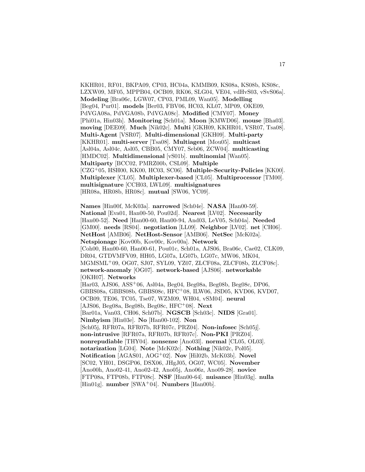KKHR01, RF01, BKPA09, CP03, HC04a, KMMB09, KS08a, KS08b, KS08c, LZXW09, MF05, MPPB04, OCB09, RK06, SLG04, VE04, vdHvS03, vSvS06a]. **Modeling** [Bra06c, LGW07, CP03, PML09, Wan05]. **Modelling** [Beg04, Pur01]. **models** [Ber03, FBV06, HC03, KL07, MP09, OKE09, PdVGA08a, PdVGA08b, PdVGA08c]. **Modified** [CMY07]. **Money** [Phi01a, Hin03h]. **Monitoring** [Sch01a]. **Moon** [KMWD06]. **mouse** [Bha03]. **moving** [DEE09]. **Much** [Nik02c]. **Multi** [GKH09, KKHR01, VSR07, Tsa08]. **Multi-Agent** [VSR07]. **Multi-dimensional** [GKH09]. **Multi-party** [KKHR01]. **multi-server** [Tsa08]. **Multiagent** [Mou05]. **multicast** [Asl04a, Asl04c, Asl05, CBB05, CMY07, Seb06, ZCW04]. **multicasting** [HMDC02]. **Multidimensional** [vS01b]. **multinomial** [Wan05]. **Multiparty** [BCC02, PMRZ00b, CSL09]. **Multiple** [CZG<sup>+</sup>05, HSH00, KK00, HC03, SC06]. **Multiple-Security-Policies** [KK00]. **Multiplexer** [CL05]. **Multiplexer-based** [CL05]. **Multiprocessor** [TM00]. **multisignature** [CCH03, LWL09]. **multisignatures** [HR08a, HR08b, HR08c]. **mutual** [SW06, YC09].

**Names** [Hin00f, McK03a]. **narrowed** [Sch04e]. **NASA** [Han00-59]. **National** [Eva01, Han00-50, Pou02d]. **Nearest** [LV02]. **Necessarily** [Han00-52]. **Need** [Han00-60, Han00-94, And03, LeV05, Sch04a]. **Needed** [GM00]. **needs** [RS04]. **negotiation** [LL09]. **Neighbor** [LV02]. **net** [CH06]. **NetHost** [AMB06]. **NetHost-Sensor** [AMB06]. **NetSec** [McK02a]. **Netspionage** [Kov00b, Kov00c, Kov00a]. **Network** [Coh00, Han00-60, Han00-61, Pou01c, Sch01a, AJS06, Bra06c, Cae02, CLK09, DR04, GTDVMFV09, HH05, LG07a, LG07b, LG07c, MW06, MK04, MGMSML<sup>+</sup>09, OG07, SJ07, SYL09, YZ07, ZLCF08a, ZLCF08b, ZLCF08c]. **network-anomaly** [OG07]. **network-based** [AJS06]. **networkable** [OKH07]. **Networks** [Har03, AJS06, ASS<sup>+</sup>06, Asl04a, Beg04, Beg08a, Beg08b, Beg08c, DP06, GBBS08a, GBBS08b, GBBS08c, HFC<sup>+</sup>08, ILW06, JSD05, KVD06, KVD07, OCB09, TE06, TC05, Tse07, WZM09, WH04, vSM04]. **neural** [AJS06, Beg08a, Beg08b, Beg08c, HFC<sup>+</sup>08]. **Next** [Bar01a, Van03, CH06, Sch07b]. **NGSCB** [Sch03c]. **NIDS** [Gra01]. **Nimbyism** [Hin03e]. **No** [Han00-102]. **Non** [Sch05j, RFR07a, RFR07b, RFR07c, PRZ04]. **Non-infosec** [Sch05j]. **non-intrusive** [RFR07a, RFR07b, RFR07c]. **Non-PKI** [PRZ04]. **nonrepudiable** [THY04]. **nonsense** [Ano03l]. **normal** [CL05, OL03]. **notarization** [LG04]. **Note** [McK02c]. **Nothing** [Nik02c, Pol05]. **Notification** [AGAS01, AOG<sup>+</sup>02]. **Nov** [Hil02b, McK03b]. **Novel** [SC02, YH01, DSGP06, DSX06, JHgJ05, OG07, WC05]. **November** [Ano00h, Ano02-41, Ano02-42, Ano05j, Ano06z, Ano09-28]. **novice** [FTP08a, FTP08b, FTP08c]. **NSF** [Han00-64]. **nuisance** [Hin03g]. **nulla** [Hin01g]. **number** [SWA<sup>+</sup>04]. **Numbers** [Han00b].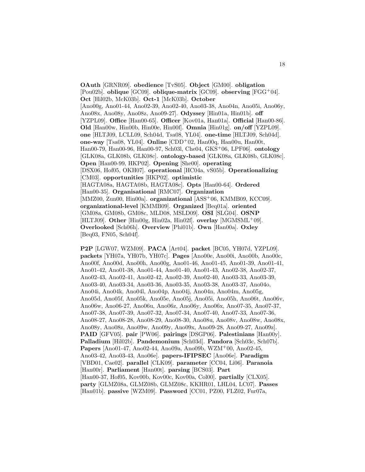**OAuth** [GRNR09]. **obedience** [TvS05]. **Object** [GM00]. **obligation** [Pou02b]. **oblique** [GC09]. **oblique-matrix** [GC09]. **observing** [FGG<sup>+</sup>04]. **Oct** [Hil02b, McK03b]. **Oct-1** [McK03b]. **October** [Ano00g, Ano01-44, Ano02-39, Ano02-40, Ano03-38, Ano04n, Ano05i, Ano06y, Ano08x, Ano08y, Ano08z, Ano09-27]. **Odyssey** [Hin01a, Hin01b]. **off** [YZPL09]. **Office** [Han00-65]. **Officer** [Kov01a, Han01a]. **Official** [Han00-86]. **Old** [Han00w, Hin00b, Hin00e, Hin00f]. **Omnia** [Hin01g]. **on/off** [YZPL09]. **one** [HLTJ09, LCLL09, Sch04d, Tsa08, YL04]. **one-time** [HLTJ09, Sch04d]. **one-way** [Tsa08, YL04]. **Online** [CDD<sup>+</sup>02, Han00q, Han00u, Han00t, Han00-79, Han00-96, Han00-97, Sch03l, Che04, GKS<sup>+</sup>06, LPF06]. **ontology** [GLK08a, GLK08b, GLK08c]. **ontology-based** [GLK08a, GLK08b, GLK08c]. **Open** [Han00-99, HKP02]. **Opening** [She00]. **operating** [DSX06, Hof05, OKH07]. **operational** [HC04a, vS05b]. **Operationalizing** [CM03]. **opportunities** [HKP02]. **optimistic** [HAGTA08a, HAGTA08b, HAGTA08c]. **Opts** [Han00-64]. **Ordered** [Han00-35]. **Organisational** [RMC07]. **Organization** [MMZ00, Zun00, Hin00a]. **organizational** [ASS<sup>+</sup>06, KMMB09, KCC09]. **organizational-level** [KMMB09]. **Organized** [Beq01a]. **oriented** [GM08a, GM08b, GM08c, MLD08, MSLD09]. **OSI** [SLG04]. **OSNP** [HLTJ09]. **Other** [Hin00g, Hin02a, Hin02f]. **overlay** [MGMSML<sup>+</sup>09]. **Overlooked** [Sch06h]. **Overview** [Phi01b]. **Own** [Han00a]. **Oxley** [Beq03, FN05, Sch04f].

**P2P** [LGW07, WZM09]. **PACA** [Art04]. **packet** [BC05, YH07d, YZPL09]. **packets** [YH07a, YH07b, YH07c]. **Pages** [Ano00e, Ano00i, Ano00b, Ano00c, Ano00f, Ano00d, Ano00h, Ano00g, Ano01-46, Ano01-45, Ano01-39, Ano01-41, Ano01-42, Ano01-38, Ano01-44, Ano01-40, Ano01-43, Ano02-38, Ano02-37, Ano02-43, Ano02-41, Ano02-42, Ano02-39, Ano02-40, Ano03-33, Ano03-39, Ano03-40, Ano03-34, Ano03-36, Ano03-35, Ano03-38, Ano03-37, Ano04o, Ano04i, Ano04k, Ano04l, Ano04p, Ano04j, Ano04n, Ano04m, Ano05g, Ano05d, Ano05f, Ano05k, Ano05e, Ano05j, Ano05i, Ano05h, Ano06t, Ano06v, Ano06w, Ano06-27, Ano06u, Ano06z, Ano06y, Ano06x, Ano07-35, Ano07-37, Ano07-38, Ano07-39, Ano07-32, Ano07-34, Ano07-40, Ano07-33, Ano07-36, Ano08-27, Ano08-28, Ano08-29, Ano08-30, Ano08u, Ano08v, Ano08w, Ano08x, Ano08y, Ano08z, Ano09w, Ano09y, Ano09x, Ano09-28, Ano09-27, Ano09z]. **PAID** [GFV05]. **pair** [PW06]. **pairings** [DSGP06]. **Palestinians** [Han00y]. **Palladium** [Hil02b]. **Pandemonium** [Sch03d]. **Pandora** [Sch03c, Sch07b]. **Papers** [Ano01-47, Ano02-44, Ano09a, Ano09b, WZM<sup>+</sup>00, Ano02-45, Ano03-42, Ano03-43, Ano06e]. **papers-IFIPSEC** [Ano06e]. **Paradigm** [VBD01, Cae02]. **parallel** [CLK09]. **parameter** [CC04, Li06]. **Paranoia** [Han00r]. **Parliament** [Han00t]. **parsing** [BCS03]. **Part** [Han00-37, Hof05, Kov00b, Kov00c, Kov00a, Col00]. **partially** [CLX05]. **party** [GLMZ08a, GLMZ08b, GLMZ08c, KKHR01, LHL04, LC07]. **Passes** [Han01b]. **passive** [WZM09]. **Password** [CC01, PZ00, FLZ02, Fur07a,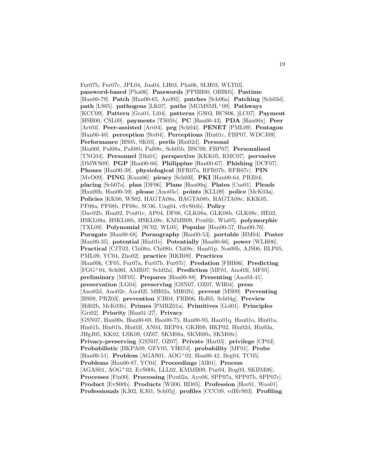Fur07b, Fur07c, JPL04, Jua04, LH03, Pha06, SLH03, WLT03]. **password-based** [Pha06]. **Passwords** [PPBH00, OBB05]. **Pastime** [Han00-79]. **Patch** [Han00-65, And05]. **patches** [Sch06a]. **Patching** [Sch03d]. **path** [LS05]. **pathogens** [LK07]. **paths** [MGMSML<sup>+</sup>09]. **Pathways** [KCC09]. **Pattern** [Gra01, Li04]. **patterns** [GS03, HCS06, jLC07]. **Payment** [HSH00, CSL09]. **payments** [TS05b]. **PC** [Han00-43]. **PDA** [Han00x]. **Peer** [Art04]. **Peer-assisted** [Art04]. **peg** [Sch04i]. **PENET** [PML09]. **Pentagon** [Han00-40]. **perception** [Ste04]. **Perceptions** [Hin01c, FBP07, WDCJ09]. **Performance** [HS05, SK03]. **perils** [Hin02d]. **Personal** [Hin00f, Pal08a, Pal08b, Pal08c, Sch05b, BSC09, FBP07]. **Personalised** [TNG04]. **Personnel** [Dhi01]. **perspective** [KKK05, RMC07]. **pervasive** [DMWS09]. **PGP** [Han00-66]. **Philippine** [Han00-67]. **Phishing** [DCF07]. **Phones** [Han00-38]. **physiological** [RFR07a, RFR07b, RFR07c]. **PIN** [MvO09]. **PING** [Kum06]. **piracy** [Sch03l]. **PKI** [Han00-64, PRZ04]. **placing** [Sch07a]. **plan** [DF06]. **Plans** [Han00q]. **Plates** [Cus01]. **Pleads** [Han00h, Han00-59]. **please** [Ano05c]. **points** [KLL09]. **police** [McK03a]. **Policies** [KK00, WS02, HAGTA08a, HAGTA08b, HAGTA08c, KKK05, PF08a, PF08b, PF08c, SC06, Ung04, vSvS04b]. **Policy** [Dav02b, Hun02, Pou01c, AP04, DF06, GLK08a, GLK08b, GLK08c, HE02, HSKL08a, HSKL08b, HSKL08c, KMMB09, Pou02c, Wia05]. **polymorphic** [TXL09]. **Polynomial** [SC02, WL05]. **Popular** [Han00-57, Han00-76]. **Porngate** [Han00-68]. **Pornography** [Han00-53]. **portable** [HM04]. **Poster** [Han00-35]. **potential** [Hin01e]. **Potentially** [Han00-66]. **power** [WLH06]. **Practical** [CJT02, Chi08a, Chi08b, Chi08c, Han01p, Nos00b, AJS06, BLP05, PML09, YC04, Zho02]. **practice** [RKR09]. **Practices** [Han00k, CF05, Fur07a, Fur07b, Fur07c]. **Predation** [FBB06]. **Predicting** [FGG<sup>+</sup>04, Sch06f, AMR07, Sch02a]. **Prediction** [MF01, Ano03l, MF05]. **preliminary** [MF05]. **Prepares** [Han00-88]. **Presenting** [Ano03-41]. **preservation** [LG04]. **preserving** [GSN07, OZ07, WH04]. **press** [Ano02d, Ano02e, Ano02f, MH02a, MH02b]. **prevent** [MS09]. **Preventing** [BS09, PRZ03]. **prevention** [CH04, FBB06, Hof05, Sch04g]. **Preview** [Hil02b, McK03b]. **Primes** [PMRZ01a]. **Primitives** [Gol01]. **Principles** [Gri02]. **Priority** [Han01-27]. **Privacy** [GSN07, Han00s, Han00-69, Han00-75, Han00-93, Han01q, Han01o, Hin01a, Hin01b, Hin01h, Hin03f, AN04, BEP04, GKH09, HKP02, Hin02d, Hin03a, JHgJ05, KK02, LSK09, OZ07, SKM08a, SKM08b, SKM08c]. **Privacy-preserving** [GSN07, OZ07]. **Private** [Har03]. **privilege** [CP03]. **Probabilistic** [BKPA09, GFV05, YH07d]. **probability** [MF01]. **Probe** [Han00-51]. **Problem** [AGAS01, AOG<sup>+</sup>02, Han00-42, Beg04, TC05]. **Problems** [Han00-87, YC04]. **Proceedings** [All01]. **Process** [AGAS01, AOG<sup>+</sup>02, EvS00b, LLL02, KMMB09, Pur04, Rog03, SKBM06]. **Processes** [Fin00]. **Processing** [Pou02a, Ayo06, SPP07a, SPP07b, SPP07c]. **Product** [EvS00b]. **Products** [Wil00, HD05]. **Profession** [Hor01, Woo01]. **Professionals** [KJ02, KJ01, Sch05j]. **profiles** [CCC09, vdHvS03]. **Profiling**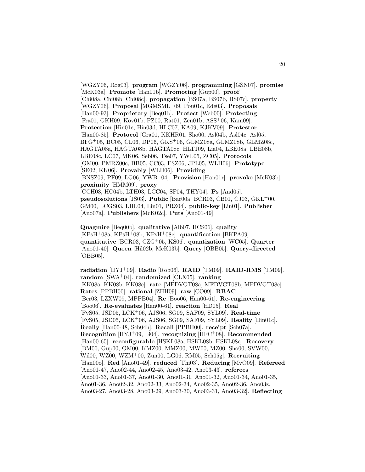[WGZY06, Rog03]. **program** [WGZY06]. **programming** [GSN07]. **promise** [McK03a]. **Promote** [Han01b]. **Promoting** [Gup00]. **proof** [Chi08a, Chi08b, Chi08c]. **propagation** [BS07a, BS07b, BS07c]. **property** [WGZY06]. **Proposal** [MGMSML<sup>+</sup>09, Pou01c, Ede03]. **Proposals** [Han00-93]. **Proprietary** [Beq01b]. **Protect** [Web00]. **Protecting** [Fra01, GKH09, Kov01b, PZ00, Rat01, Zen01b, ASS<sup>+</sup>06, Kam09]. **Protection** [Hin01c, Hin03d, HLC07, KA09, KJKV09]. **Protestor** [Han00-85]. **Protocol** [Gra01, KKHR01, Sho00, Asl04b, Asl04c, Asl05, BFG<sup>+</sup>05, BC05, CL06, DP06, GKS<sup>+</sup>06, GLMZ08a, GLMZ08b, GLMZ08c, HAGTA08a, HAGTA08b, HAGTA08c, HLTJ09, Lia04, LBE08a, LBE08b, LBE08c, LC07, MK06, Seb06, Tse07, YWL05, ZC05]. **Protocols** [GM00, PMRZ00c, BB05, CC03, ESZ06, JPL05, WLH06]. **Prototype** [SE02, KK06]. **Provably** [WLH06]. **Providing** [BNSZ09, PF09, LG06, YWB<sup>+</sup>04]. **Provision** [Han01r]. **provoke** [McK03b]. **proximity** [HMM09]. **proxy** [CCH03, HC04b, LTH03, LCC04, SF04, THY04]. **Ps** [And05]. **pseudosolutions** [JS03]. **Public** [Bar00a, BCR03, CB01, CJ03, GKL<sup>+</sup>00, GM00, LCGS03, LHL04, Lin01, PRZ04]. **public-key** [Lin01]. **Publisher** [Ano07a]. **Publishers** [McK02c]. **Puts** [Ano01-49].

**Quagmire** [Beq00b]. **qualitative** [Alb07, HCS06]. **quality** [KPsH<sup>+</sup>08a, KPsH<sup>+</sup>08b, KPsH<sup>+</sup>08c]. **quantification** [BKPA09]. **quantitative** [BCR03, CZG<sup>+</sup>05, KS06]. **quantization** [WC05]. **Quarter** [Ano01-40]. **Queen** [Hil02b, McK03b]. **Query** [OBB05]. **Query-directed** [OBB05].

**radiation** [HYJ<sup>+</sup>09]. **Radio** [Rob06]. **RAID** [TM09]. **RAID-RMS** [TM09]. **random** [SWA<sup>+</sup>04]. **randomized** [CLX05]. **ranking** [KK08a, KK08b, KK08c]. **rate** [MFDVGT08a, MFDVGT08b, MFDVGT08c]. **Rates** [PPBH00]. **rational** [ZHH09]. **raw** [CO09]. **RBAC** [Ber03, LZXW09, MPPB04]. **Re** [Boo06, Han00-61]. **Re-engineering** [Boo06]. **Re-evaluates** [Han00-61]. **reaction** [HD05]. **Real** [FvS05, JSD05, LCK<sup>+</sup>06, AJS06, SG09, SAF09, SYL09]. **Real-time** [FvS05, JSD05, LCK<sup>+</sup>06, AJS06, SG09, SAF09, SYL09]. **Reality** [Hin01c]. **Really** [Han00-48, Sch04h]. **Recall** [PPBH00]. **receipt** [Sch07a]. **Recognition** [HYJ<sup>+</sup>09, Li04]. **recognizing** [HFC<sup>+</sup>08]. **Recommended** [Han00-65]. **reconfigurable** [HSKL08a, HSKL08b, HSKL08c]. **Recovery** [BM00, Gup00, GM00, KMZ00, MMZ00, MW00, MZ00, Sho00, SVW00, Wil00, WZ00, WZM<sup>+</sup>00, Zun00, LG06, RM05, Sch05g]. **Recruiting** [Han00o]. **Red** [Ano01-49]. **reduced** [Thi03]. **Reducing** [MvO09]. **Refereed** [Ano01-47, Ano02-44, Ano02-45, Ano03-42, Ano03-43]. **referees** [Ano01-33, Ano01-37, Ano01-30, Ano01-31, Ano01-32, Ano01-34, Ano01-35, Ano01-36, Ano02-32, Ano02-33, Ano02-34, Ano02-35, Ano02-36, Ano03z, Ano03-27, Ano03-28, Ano03-29, Ano03-30, Ano03-31, Ano03-32]. **Reflecting**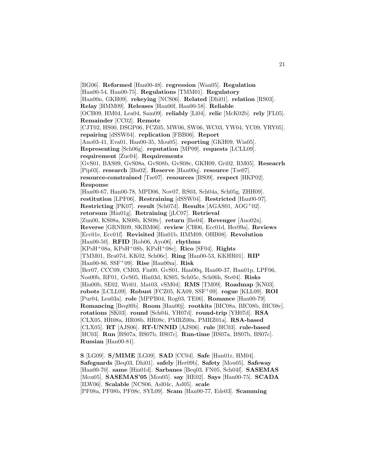[BG06]. **Reformed** [Han00-48]. **regression** [Wan05]. **Regulation** [Han00-54, Han00-75]. **Regulations** [TMM01]. **Regulatory** [Han00n, GKH09]. **rekeying** [NCS06]. **Related** [Dhi01]. **relation** [RS03]. **Relay** [HMM09]. **Releases** [Han00f, Han00-58]. **Reliable** [OCB09, HM04, Lea04, Sam09]. **reliably** [Li04]. **relic** [McK02b]. **rely** [FL05]. **Remainder** [CC02]. **Remote** [CJT02, HS00, DSGP06, FCZ05, MW06, SW06, WC03, YW04, YC09, YRY05]. **repairing** [dSSW04]. **replication** [FBB06]. **Report** [Ano03-41, Eva01, Han00-35, Mou05]. **reporting** [GKH09, Wia05]. **Representing** [Sch06g]. **reputation** [MP09]. **requests** [LCLL09]. **requirement** [Zuc04]. **Requirements** [GvS01, BAS09, GvS08a, GvS08b, GvS08c, GKH09, Gri02, RM05]. **Reseacrh** [Pip03]. **research** [Bis02]. **Reserve** [Han00q]. **resource** [Tse07]. **resource-constrained** [Tse07]. **resources** [BS09]. **respect** [HKP02]. **Response** [Han00-67, Han00-78, MPD06, Nov07, RS03, Sch04a, Sch05g, ZHH09]. **restitution** [LPF06]. **Restraining** [dSSW04]. **Restricted** [Han00-97]. **Restricting** [PK07]. **result** [Sch07d]. **Results** [AGAS01, AOG<sup>+</sup>02]. **retorsum** [Hin01g]. **Retraining** [jLC07]. **Retrieval** [Zun00, KS08a, KS08b, KS08c]. **return** [Ihe04]. **Revenger** [Ano02n]. **Reverse** [GRNR09, SKBM06]. **review** [CH06, Ecc01d, Her09a]. **Reviews** [Ecc01e, Ecc01f]. **Revisited** [Hin01b, HMM09, OHB08]. **Revolution** [Han00-50]. **RFID** [Rob06, Ayo06]. **rhythms** [KPsH<sup>+</sup>08a, KPsH<sup>+</sup>08b, KPsH<sup>+</sup>08c]. **Rico** [SF04]. **Rights** [TMM01, Bra07d, KK02, Sch06c]. **Ring** [Han00-53, KKHR01]. **RIP** [Han00-86, SSF<sup>+</sup>09]. **Rise** [Han00m]. **Risk** [Ber07, CCC09, CM03, Fin00, GvS01, Han00q, Han00-37, Han01p, LPF06, Nos00b, RF01, GvS05, Hin03d, KS05, Sch05c, Sch06h, Ste04]. **Risks** [Hin00b, SE02, Wri01, Mat03, vSM04]. **RMS** [TM09]. **Roadmap** [KN03]. **robots** [LCLL09]. **Robust** [FCZ05, KA09, SSF<sup>+</sup>09]. **rogue** [KLL09]. **ROI** [Pur04, Lea03a]. **role** [MPPB04, Rog03, TE06]. **Romance** [Han00-79]. **Romancing** [Beq00b]. **Room** [Han00j]. **rootkits** [BIC08a, BIC08b, BIC08c]. **rotations** [SK03]. **round** [Sch04i, YH07d]. **round-trip** [YH07d]. **RSA** [CLX05, HR08a, HR08b, HR08c, PMRZ00a, PMRZ01a]. **RSA-based** [CLX05]. **RT** [AJS06]. **RT-UNNID** [AJS06]. **rule** [HC03]. **rule-based** [HC03]. **Run** [BS07a, BS07b, BS07c]. **Run-time** [BS07a, BS07b, BS07c]. **Russian** [Han00-81].

**S** [LG09]. **S/MIME** [LG09]. **SAD** [CC04]. **Safe** [Han01r, HM04]. **Safeguards** [Beq03, Dhi01]. **safely** [Her09b]. **Safety** [Mou05]. **Safeway** [Han00-70]. **same** [Hin01d]. **Sarbanes** [Beq03, FN05, Sch04f]. **SASEMAS** [Mou05]. **SASEMAS'05** [Mou05]. **say** [HE02]. **Says** [Han00-75]. **SCADA** [ILW06]. **Scalable** [NCS06, Asl04c, Asl05]. **scale** [PF08a, PF08b, PF08c, SYL09]. **Scam** [Han00-77, Ede03]. **Scamming**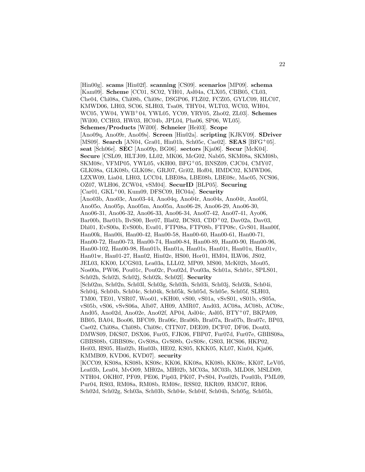[Hin00g]. **scams** [Hin02f]. **scanning** [CS09]. **scenarios** [MP09]. **schema** [Kam09]. **Scheme** [CC01, SC02, YH01, Asl04a, CLX05, CBB05, CL03, Che04, Chi08a, Chi08b, Chi08c, DSGP06, FLZ02, FCZ05, GYLC09, HLC07, KMWD06, LH03, SC06, SLH03, Tsa08, THY04, WLT03, WC03, WH04, WC05, YW04, YWB<sup>+</sup>04, YWL05, YC09, YRY05, Zho02, ZL03]. **Schemes** [Wil00, CCH03, HW03, HC04b, JPL04, Pha06, SP06, WL05]. **Schemes/Products** [Wil00]. **Schneier** [Hei03]. **Scope** [Ano09q, Ano09r, Ano09s]. **Screen** [Hin02a]. **scripting** [KJKV09]. **SDriver** [MS09]. **Search** [AN04, Gra01, Hin01h, Sch05c, Cae02]. **SEAS** [BFG<sup>+</sup>05]. **seat** [Sch06e]. **SEC** [Ano09p, BG06]. **sectors** [Kja06]. **Secur** [McK04]. **Secure** [CSL09, HLTJ09, LL02, MK06, McG02, Nab05, SKM08a, SKM08b, SKM08c, VFMP05, YWL05, vKH00, BFG<sup>+</sup>05, BNSZ09, CJC04, CMY07, GLK08a, GLK08b, GLK08c, GRJ07, Gri02, Hof04, HMDC02, KMWD06, LZXW09, Lia04, LH03, LCC04, LBE08a, LBE08b, LBE08c, Mac05, NCS06, OZ07, WLH06, ZCW04, vSM04]. **SecurID** [BLP05]. **Securing** [Car01, GKL<sup>+</sup>00, Kum09, DFSC09, HC04a]. **Security** [Ano03b, Ano03c, Ano03-44, Ano04q, Ano04r, Ano04s, Ano04t, Ano05l, Ano05o, Ano05p, Ano05m, Ano05n, Ano06-28, Ano06-29, Ano06-30, Ano06-31, Ano06-32, Ano06-33, Ano06-34, Ano07-42, Ano07-41, Ayo06, Bar00b, Bar01b, BvS00, Ber07, Bla02, BCS03, CDD<sup>+</sup>02, Dav02a, Dav03, Dhi01, EvS00a, EvS00b, Eva01, FTP08a, FTP08b, FTP08c, GvS01, Han00f, Han00k, Han00i, Han00-42, Han00-58, Han00-60, Han00-61, Han00-71, Han00-72, Han00-73, Han00-74, Han00-84, Han00-89, Han00-90, Han00-96, Han00-102, Han00-98, Han01b, Han01a, Han01s, Han01t, Han01u, Han01v, Han01w, Han01-27, Han02, Hin02e, HS00, Hor01, HM04, ILW06, JS02, JEL03, KK00, LCGS03, Lea03a, LLL02, MP09, MS00, McK02b, Mou05, Nos00a, PW06, Pou01c, Pou02c, Pou02d, Pou03a, Sch01a, Sch01c, SPLS01, Sch02h, Sch02i, Sch02j, Sch02k, Sch02l]. **Security** [Sch02m, Sch02n, Sch03l, Sch03g, Sch03h, Sch03i, Sch03j, Sch03k, Sch04i, Sch04j, Sch04b, Sch04c, Sch04k, Sch05k, Sch05d, Sch05e, Sch05f, SLH03, TM00, TE01, VSR07, Woo01, vKH00, vS00, vS01a, vSvS01, vS01b, vS05a, vS05b, vS06, vSvS06a, Alb07, AH09, AMR07, And03, AC08a, AC08b, AC08c, And05, Ano02d, Ano02e, Ano02f, AP04, Asl04c, Asl05, BTY<sup>+</sup>07, BKPA09, BB05, BA04, Boo06, BFC09, Bra06c, Bra06b, Bra07a, Bra07b, Bra07c, BP03, Cae02, Chi08a, Chi08b, Chi08c, CITN07, DEE09, DCF07, DF06, Dou03, DMWS09, DKS07, DSX06, Fur05, FJK06, FBP07, Fur07d, Fur07e, GBBS08a, GBBS08b, GBBS08c, GvS08a, GvS08b, GvS08c, GS03, HCS06, HKP02, Hei03, HS05, Hin02b, Hin03b, HE02, KS05, KKK05, KL07, Kin04, Kja06, KMMB09, KVD06, KVD07]. **security** [KCC09, KS08a, KS08b, KS08c, KK06, KK08a, KK08b, KK08c, KK07, LeV05,

Lea03b, Lea04, MvO09, MH02a, MH02b, MC03a, MC03b, MLD08, MSLD09, NTH04, OKH07, PF09, PE06, Pip03, PK07, PvS04, Pou02b, Pou03b, PML09, Pur04, RS03, RM08a, RM08b, RM08c, RSS02, RKR09, RMC07, RR06, Sch02d, Sch02g, Sch03a, Sch03b, Sch04e, Sch04f, Sch04h, Sch05g, Sch05h,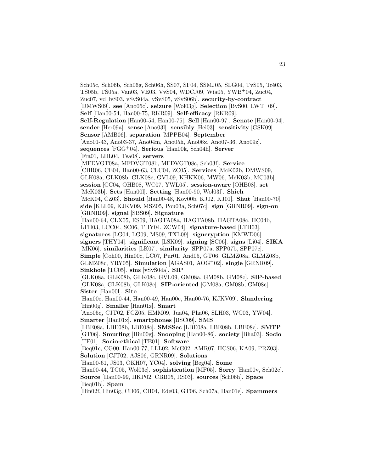Sch05c, Sch06b, Sch06g, Sch06h, SS07, SF04, SSMJ05, SLG04, TvS05, Trè03, TS05b, TS05a, Van03, VE03, VvS04, WDCJ09, Wia05, YWB<sup>+</sup>04, Zuc04, Zuc07, vdHvS03, vSvS04a, vSvS05, vSvS06b]. **security-by-contract** [DMWS09]. **see** [Ano05c]. **seizure** [Wol03g]. **Selection** [BvS00, LWT<sup>+</sup>09]. **Self** [Han00-54, Han00-75, RKR09]. **Self-efficacy** [RKR09]. **Self-Regulation** [Han00-54, Han00-75]. **Sell** [Han00-97]. **Senate** [Han00-94]. **sender** [Her09a]. **sense** [Ano03l]. **sensibly** [Hei03]. **sensitivity** [GSK09]. **Sensor** [AMB06]. **separation** [MPPB04]. **September** [Ano01-43, Ano03-37, Ano04m, Ano05h, Ano06x, Ano07-36, Ano09z]. **sequences** [FGG<sup>+</sup>04]. **Serious** [Han00k, Sch04h]. **Server** [Fra01, LHL04, Tsa08]. **servers** [MFDVGT08a, MFDVGT08b, MFDVGT08c, Sch03f]. **Service** [CBR06, CE04, Han00-63, CLC04, ZC05]. **Services** [McK02b, DMWS09, GLK08a, GLK08b, GLK08c, GVL09, KHKK06, MW06, McK03b, MC03b]. **session** [CC04, OHB08, WC07, YWL05]. **session-aware** [OHB08]. **set** [McK03b]. **Sets** [Han00l]. **Setting** [Han00-90, Wol03f]. **Shieh** [McK04, CZ03]. **Should** [Han00-48, Kov00b, KJ02, KJ01]. **Shut** [Han00-70]. **side** [KLL09, KJKV09, MSZ05, Pou03a, Sch07c]. **sign** [GRNR09]. **sign-on** [GRNR09]. **signal** [SBS09]. **Signature** [Han00-64, CLX05, ES09, HAGTA08a, HAGTA08b, HAGTA08c, HC04b, LTH03, LCC04, SC06, THY04, ZCW04]. **signature-based** [LTH03]. **signatures** [LG04, LG09, MS09, TXL09]. **signcryption** [KMWD06]. **signers** [THY04]. **significant** [LSK09]. **signing** [SC06]. **signs** [Li04]. **SIKA** [MK06]. **similarities** [LK07]. **similarity** [SPP07a, SPP07b, SPP07c]. **Simple** [Coh00, Hin00c, LC07, Pur01, And05, GT06, GLMZ08a, GLMZ08b, GLMZ08c, YRY05]. **Simulation** [AGAS01, AOG<sup>+</sup>02]. **single** [GRNR09]. **Sinkhole** [TC05]. **sins** [vSvS04a]. **SIP** [GLK08a, GLK08b, GLK08c, GVL09, GM08a, GM08b, GM08c]. **SIP-based** [GLK08a, GLK08b, GLK08c]. **SIP-oriented** [GM08a, GM08b, GM08c]. **Sister** [Han00l]. **Site** [Han00e, Han00-44, Han00-49, Han00c, Han00-76, KJKV09]. **Slandering** [Hin00g]. **Smaller** [Han01z]. **Smart** [Ano05q, CJT02, FCZ05, HMM09, Jua04, Pha06, SLH03, WC03, YW04]. **Smarter** [Han01x]. **smartphones** [BSC09]. **SMS** [LBE08a, LBE08b, LBE08c]. **SMSSec** [LBE08a, LBE08b, LBE08c]. **SMTP** [GT06]. **Smurfing** [Hin00g]. **Snooping** [Han00-86]. **society** [Bha03]. **Socio** [TE01]. **Socio-ethical** [TE01]. **Software** [Beq01c, CG00, Han00-77, LLL02, McG02, AMR07, HCS06, KA09, PRZ03]. **Solution** [CJT02, AJS06, GRNR09]. **Solutions** [Han00-61, JS03, OKH07, YC04]. **solving** [Beg04]. **Some** [Han00-44, TC05, Wol03e]. **sophistication** [MF05]. **Sorry** [Han00v, Sch02e]. **Source** [Han00-99, HKP02, CBB05, RS03]. **sources** [Sch06h]. **Space** [Beq01b]. **Spam**

[Hin02f, Hin03g, CH06, CH04, Ede03, GT06, Sch07a, Han01e]. **Spammers**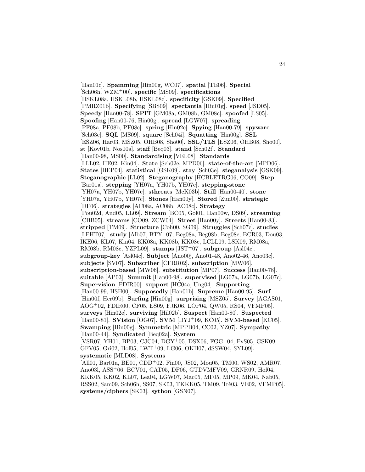[Han01c]. **Spamming** [Hin00g, WC07]. **spatial** [TE06]. **Special** [Sch06h, WZM<sup>+</sup>00]. **specific** [MS09]. **specifications** [HSKL08a, HSKL08b, HSKL08c]. **specificity** [GSK09]. **Specified** [PMRZ01b]. **Specifying** [SBS09]. **spectantia** [Hin01g]. **speed** [JSD05]. **Speedy** [Han00-78]. **SPIT** [GM08a, GM08b, GM08c]. **spoofed** [LS05]. **Spoofing** [Han00-76, Hin00g]. **spread** [LGW07]. **spreading** [PF08a, PF08b, PF08c]. **spring** [Hin02e]. **Spying** [Han00-79]. **spyware** [Sch03c]. **SQL** [MS09]. **square** [Sch04i]. **Squatting** [Hin00g]. **SSL** [ESZ06, Har03, MSZ05, OHB08, Sho00]. **SSL/TLS** [ESZ06, OHB08, Sho00]. **st** [Kov01b, Nos00a]. **staff** [Beq03]. **stand** [Sch02f]. **Standard** [Han00-98, MS00]. **Standardising** [VEL08]. **Standards** [LLL02, HE02, Kin04]. **State** [Sch02e, MPD06]. **state-of-the-art** [MPD06]. **States** [BEP04]. **statistical** [GSK09]. **stay** [Sch03e]. **steganalysis** [GSK09]. **Steganographic** [LL02]. **Steganography** [HCBLETRG06, CO09]. **Step** [Bar01a]. **stepping** [YH07a, YH07b, YH07c]. **stepping-stone** [YH07a, YH07b, YH07c]. **sthreats** [McK03b]. **Still** [Han00-40]. **stone** [YH07a, YH07b, YH07c]. **Stones** [Han00y]. **Stored** [Zun00]. **strategic** [DF06]. **strategies** [AC08a, AC08b, AC08c]. **Strategy** [Pou02d, And05, LL09]. **Stream** [BC05, Gol01, Han00w, DS09]. **streaming** [CBB05]. **streams** [CO09, ZCW04]. **Street** [Han00y]. **Streets** [Han00-83]. **stripped** [TM09]. **Structure** [Coh00, SG09]. **Struggles** [Sch07c]. **studies** [LFHT07]. **study** [Alb07, BTY<sup>+</sup>07, Beg08a, Beg08b, Beg08c, BCR03, Dou03, IKE06, KL07, Kin04, KK08a, KK08b, KK08c, LCLL09, LSK09, RM08a, RM08b, RM08c, YZPL09]. **stumps** [JST<sup>+</sup>07]. **subgroup** [Asl04c]. **subgroup-key** [Asl04c]. **Subject** [Ano00j, Ano01-48, Ano02-46, Ano03c]. **subjects** [SV07]. **Subscriber** [CFRR02]. **subscription** [MW06]. **subscription-based** [MW06]. **substitution** [MP07]. **Success** [Han00-78]. **suitable** [AP03]. **Summit** [Han00-98]. **supervised** [LG07a, LG07b, LG07c]. **Supervision** [FDIR00]. **support** [HC04a, Ung04]. **Supporting** [Han00-99, HSH00]. **Supposedly** [Han01b]. **Supreme** [Han00-95]. **Surf** [Hin00f, Her09b]. **Surfing** [Hin00g]. **surprising** [MSZ05]. **Survey** [AGAS01, AOG<sup>+</sup>02, FDIR00, CF05, ES09, FJK06, LOP04, QW05, RS04, VFMP05]. **surveys** [Hin02e]. **surviving** [Hil02b]. **Suspect** [Han00-80]. **Suspected** [Han00-81]. **SVision** [OG07]. **SVM** [HYJ<sup>+</sup>09, KC05]. **SVM-based** [KC05]. **Swamping** [Hin00g]. **Symmetric** [MPPB04, CC02, YZ07]. **Sympathy** [Han00-44]. **Syndicated** [Beq02a]. **System** [VSR07, YH01, BP03, CJC04, DGY<sup>+</sup>05, DSX06, FGG<sup>+</sup>04, FvS05, GSK09, GFV05, Gri02, Hof05, LWT<sup>+</sup>09, LG06, OKH07, dSSW04, SYL09]. **systematic** [MLD08]. **Systems** [All01, Bar01a, BE01, CDD<sup>+</sup>02, Fin00, JS02, Mou05, TM00, WS02, AMR07, Ano03l, ASS<sup>+</sup>06, BCV01, CAT05, DF06, GTDVMFV09, GRNR09, Hof04, KKK05, KK02, KL07, Lea04, LGW07, Mac05, MF05, MP09, MK04, Nab05, RSS02, Sam09, Sch06h, SS07, SK03, TKKK05, TM09, Trè03, VE02, VFMP05].

**systems/ciphers** [SK03]. **sython** [GSN07].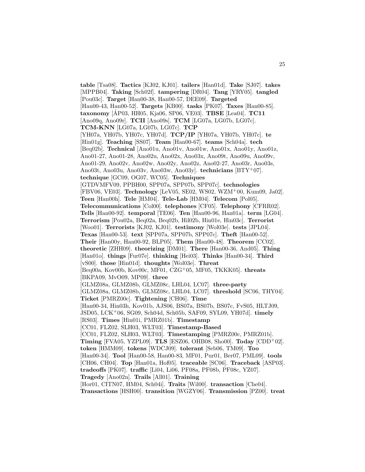**table** [Tsa08]. **Tactics** [KJ02, KJ01]. **tailers** [Han01d]. **Take** [SJ07]. **takes** [MPPB04]. **Taking** [Sch02f]. **tampering** [DR04]. **Tang** [YRY05]. **tangled** [Pou03c]. **Target** [Han00-38, Han00-57, DEE09]. **Targeted** [Han00-43, Han00-52]. **Targets** [KB00]. **tasks** [PK07]. **Taxes** [Han00-85]. **taxonomy** [AP03, HH05, Kja06, SP06, VE03]. **TBSE** [Lea04]. **TC11** [Ano09q, Ano09r]. **TCII** [Ano09s]. **TCM** [LG07a, LG07b, LG07c]. **TCM-KNN** [LG07a, LG07b, LG07c]. **TCP** [YH07a, YH07b, YH07c, YH07d]. **TCP/IP** [YH07a, YH07b, YH07c]. **te** [Hin01g]. **Teaching** [SS07]. **Team** [Han00-67]. **teams** [Sch04a]. **tech** [Beq02b]. **Technical** [Ano01u, Ano01v, Ano01w, Ano01x, Ano01y, Ano01z, Ano01-27, Ano01-28, Ano02u, Ano02x, Ano03x, Ano09t, Ano09u, Ano09v, Ano01-29, Ano02v, Ano02w, Ano02y, Ano02z, Ano02-27, Ano03r, Ano03s, Ano03t, Ano03u, Ano03v, Ano03w, Ano03y]. **technicians** [BTY<sup>+</sup>07]. **technique** [GC09, OG07, WC05]. **Techniques** [GTDVMFV09, PPBH00, SPP07a, SPP07b, SPP07c]. **technologies** [FBV06, VE03]. **Technology** [LeV05, SE02, WS02, WZM<sup>+</sup>00, Kum09, Ja02]. **Teen** [Han00h]. **Tele** [HM04]. **Tele-Lab** [HM04]. **Telecom** [Pol05]. **Telecommunications** [Col00]. **telephones** [CF05]. **Telephony** [CFRR02]. **Tells** [Han00-92]. **temporal** [TE06]. **Ten** [Han00-96, Han01a]. **term** [LG04]. **Terrorism** [Pou02a, Beq02a, Beq02b, Hil02b, Hin01e, Hin03c]. **Terrorist** [Woo01]. **Terrorists** [KJ02, KJ01]. **testimony** [Wol03e]. **tests** [JPL04]. **Texas** [Han00-53]. **text** [SPP07a, SPP07b, SPP07c]. **Theft** [Han00-52]. **Their** [Han00y, Han00-92, BLP05]. **Them** [Han00-48]. **Theorem** [CC02]. **theoretic** [ZHH09]. **theorizing** [DM01]. **There** [Han00-36, And05]. **Thing** [Han01o]. **things** [Fur07e]. **thinking** [Hei03]. **Thinks** [Han00-34]. **Third** [vS00]. **those** [Hin01d]. **thoughts** [Wol03e]. **Threat** [Beq00a, Kov00b, Kov00c, MF01, CZG<sup>+</sup>05, MF05, TKKK05]. **threats** [BKPA09, MvO09, MP09]. **three** [GLMZ08a, GLMZ08b, GLMZ08c, LHL04, LC07]. **three-party** [GLMZ08a, GLMZ08b, GLMZ08c, LHL04, LC07]. **threshold** [SC06, THY04]. **Ticket** [PMRZ00c]. **Tightening** [CH06]. **Time** [Han00-34, Hin03h, Kov01b, AJS06, BS07a, BS07b, BS07c, FvS05, HLTJ09, JSD05, LCK<sup>+</sup>06, SG09, Sch04d, Sch05b, SAF09, SYL09, YH07d]. **timely** [RS03]. **Times** [Hin01i, PMRZ01b]. **Timestamp** [CC01, FLZ02, SLH03, WLT03]. **Timestamp-Based** [CC01, FLZ02, SLH03, WLT03]. **Timestamping** [PMRZ00c, PMRZ01b]. **Timing** [FVA05, YZPL09]. **TLS** [ESZ06, OHB08, Sho00]. **Today** [CDD<sup>+</sup>02]. **token** [HMM09]. **tokens** [WDCJ09]. **tolerant** [Seb06, TM09]. **Too** [Han00-34]. **Tool** [Han00-58, Han00-83, MF01, Pur01, Ber07, PML09]. **tools** [CH06, CH04]. **Top** [Han01a, Hof05]. **traceable** [SC06]. **Traceback** [ASP03]. **tradeoffs** [PK07]. **traffic** [Li04, Li06, PF08a, PF08b, PF08c, YZ07]. **Tragedy** [Ano02n]. **Trails** [All01]. **Training** [Hor01, CITN07, HM04, Sch04i]. **Traits** [Wil00]. **transaction** [Che04]. **Transactions** [HSH00]. **transition** [WGZY06]. **Transmission** [PZ00]. **treat**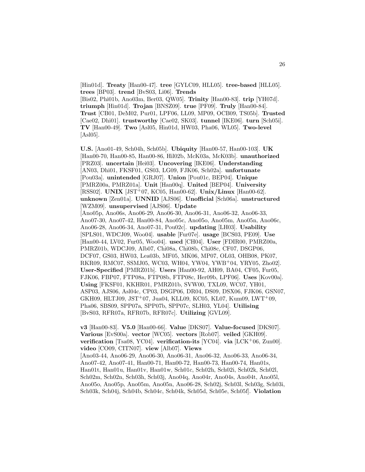[Hin01d]. **Treaty** [Han00-47]. **tree** [GYLC09, HLL05]. **tree-based** [HLL05]. **trees** [BP03]. **trend** [BvS03, Li06]. **Trends** [Bis02, Phi01b, Ano03m, Ber03, QW05]. **Trinity** [Han00-83]. **trip** [YH07d]. **triumph** [Hin01d]. **Trojan** [BNSZ09]. **true** [PF09]. **Truly** [Han00-84]. **Trust** [CB01, DeM02, Pur01, LPF06, LL09, MP09, OCB09, TS05b]. **Trusted** [Cae02, Dhi01]. **trustworthy** [Cae02, SK03]. **tunnel** [IKE06]. **turn** [Sch05i]. **TV** [Han00-49]. **Two** [Asl05, Hin01d, HW03, Pha06, WL05]. **Two-level**  $[As105]$ .

**U.S.** [Ano01-49, Sch04h, Sch05b]. **Ubiquity** [Han00-57, Han00-103]. **UK** [Han00-70, Han00-85, Han00-86, Hil02b, McK03a, McK03b]. **unauthorized** [PRZ03]. **uncertain** [Hei03]. **Uncovering** [IKE06]. **Understanding** [AN03, Dhi01, FKSF01, GS03, LG09, FJK06, Sch02a]. **unfortunate** [Pou03a]. **unintended** [GRJ07]. **Union** [Pou01c, BEP04]. **Unique** [PMRZ00a, PMRZ01a]. **Unit** [Han00q]. **United** [BEP04]. **University** [RSS02]. **UNIX** [JST<sup>+</sup>07, KC05, Han00-62]. **Unix/Linux** [Han00-62]. **unknown** [Zen01a]. **UNNID** [AJS06]. **Unofficial** [Sch06a]. **unstructured** [WZM09]. **unsupervised** [AJS06]. **Update** [Ano05p, Ano06s, Ano06-29, Ano06-30, Ano06-31, Ano06-32, Ano06-33, Ano07-30, Ano07-42, Han00-84, Ano05c, Ano05o, Ano05m, Ano05n, Ano06c, Ano06-28, Ano06-34, Ano07-31, Pou02c]. **updating** [LH03]. **Usability** [SPLS01, WDCJ09, Woo04]. **usable** [Fur07e]. **usage** [BCS03, PE09]. **Use** [Han00-44, LV02, Fur05, Woo04]. **used** [CH04]. **User** [FDIR00, PMRZ00a, PMRZ01b, WDCJ09, Alb07, Chi08a, Chi08b, Chi08c, CF07, DSGP06, DCF07, GS03, HW03, Lea03b, MF05, MK06, MP07, OL03, OHB08, PK07, RKR09, RMC07, SSMJ05, WC03, WH04, YW04, YWB<sup>+</sup>04, YRY05, Zho02]. **User-Specified** [PMRZ01b]. **Users** [Han00-92, AH09, BA04, CF05, Fur05, FJK06, FBP07, FTP08a, FTP08b, FTP08c, Her09b, LPF06]. **Uses** [Kov00a]. **Using** [FKSF01, KKHR01, PMRZ01b, SVW00, TXL09, WC07, YH01, ASP03, AJS06, Asl04c, CP03, DSGP06, DR04, DS09, DSX06, FJK06, GSN07, GKH09, HLTJ09, JST<sup>+</sup>07, Jua04, KLL09, KC05, KL07, Kum09, LWT<sup>+</sup>09, Pha06, SBS09, SPP07a, SPP07b, SPP07c, SLH03, YL04]. **Utilising** [BvS03, RFR07a, RFR07b, RFR07c]. **Utilizing** [GVL09].

**v3** [Han00-83]. **V5.0** [Han00-66]. **Value** [DKS07]. **Value-focused** [DKS07]. **Various** [EvS00a]. **vector** [WC05]. **vectors** [Rob07]. **veiled** [GKH09]. **verification** [Tsa08, YC04]. **verification-its** [YC04]. **via** [LCK<sup>+</sup>06, Zun00]. **video** [CO09, CITN07]. **view** [Alb07]. **Views** [Ano03-44, Ano06-29, Ano06-30, Ano06-31, Ano06-32, Ano06-33, Ano06-34, Ano07-42, Ano07-41, Han00-71, Han00-72, Han00-73, Han00-74, Han01s, Han01t, Han01u, Han01v, Han01w, Sch01c, Sch02h, Sch02i, Sch02k, Sch02l, Sch02m, Sch02n, Sch03h, Sch03j, Ano04q, Ano04r, Ano04s, Ano04t, Ano05l, Ano05o, Ano05p, Ano05m, Ano05n, Ano06-28, Sch02j, Sch03l, Sch03g, Sch03i, Sch03k, Sch04j, Sch04b, Sch04c, Sch04k, Sch05d, Sch05e, Sch05f]. **Violation**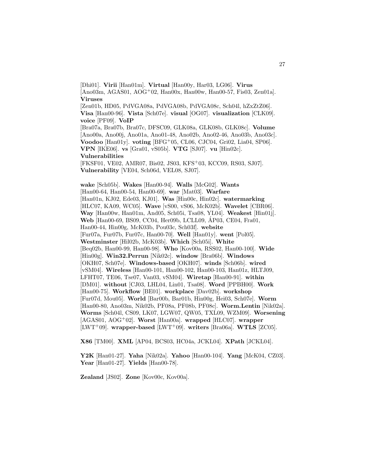[Dhi01]. **Virii** [Han01m]. **Virtual** [Han00y, Har03, LG06]. **Virus** [Ano03m, AGAS01, AOG<sup>+</sup>02, Han00x, Han00w, Han00-57, Fis03, Zen01a]. **Viruses**

[Zen01b, HD05, PdVGA08a, PdVGA08b, PdVGA08c, Sch04l, hZxZtZ06]. **Visa** [Han00-96]. **Vista** [Sch07e]. **visual** [OG07]. **visualization** [CLK09]. **voice** [PF09]. **VoIP** [Bra07a, Bra07b, Bra07c, DFSC09, GLK08a, GLK08b, GLK08c]. **Volume** [Ano00a, Ano00j, Ano01a, Ano01-48, Ano02b, Ano02-46, Ano03b, Ano03c].

**Voodoo** [Han01y]. **voting** [BFG<sup>+</sup>05, CL06, CJC04, Gri02, Lia04, SP06]. **VPN** [IKE06]. **vs** [Gra01, vS05b]. **VTG** [SJ07]. **vu** [Hin02c]. **Vulnerabilities**

[FKSF01, VE02, AMR07, Bis02, JS03, KFS<sup>+</sup>03, KCC09, RS03, SJ07]. **Vulnerability** [VE04, Sch06d, VEL08, SJ07].

**wake** [Sch05b]. **Wakes** [Han00-94]. **Walls** [McG02]. **Wants** [Han00-64, Han00-54, Han00-69]. **war** [Mat03]. **Warfare** [Han01n, KJ02, Ede03, KJ01]. **Was** [Hin00c, Hin02c]. **watermarking** [HLC07, KA09, WC05]. **Wave** [vS00, vS06, McK02b]. **Wavelet** [CBR06]. **Way** [Han00w, Han01m, And05, Sch05i, Tsa08, YL04]. **Weakest** [Hin01j]. **Web** [Han00-69, BS09, CC04, Her09b, LCLL09, AP03, CE04, Fra01, ´ Han00-44, Hin00g, McK03b, Pou03c, Sch03f]. **website** [Fur07a, Fur07b, Fur07c, Han00-70]. **Well** [Han01y]. **went** [Pol05]. **Westminster** [Hil02b, McK03b]. **Which** [Sch05i]. **White** [Beq02b, Han00-99, Han00-98]. **Who** [Kov00a, RSS02, Han00-100]. **Wide** [Hin00g]. **Win32.Perrun** [Nik02c]. **window** [Bra06b]. **Windows** [OKH07, Sch07e]. **Windows-based** [OKH07]. **winds** [Sch06b]. **wired** [vSM04]. **Wireless** [Han00-101, Han00-102, Han00-103, Han01z, HLTJ09, LFHT07, TE06, Tse07, Van03, vSM04]. **Wiretap** [Han00-91]. **within** [DM01]. **without** [CJ03, LHL04, Lin01, Tsa08]. **Word** [PPBH00]. **Work** [Han00-75]. **Workflow** [BE01]. **workplace** [Dav02b]. **workshop** [Fur07d, Mou05]. **World** [Bar00b, Bar01b, Hin00g, Hei03, Sch07e]. **Worm** [Han00-80, Ano03m, Nik02b, PF08a, PF08b, PF08c]. **Worm.Lentin** [Nik02a]. **Worms** [Sch04l, CS09, LK07, LGW07, QW05, TXL09, WZM09]. **Worsening** [AGAS01, AOG<sup>+</sup>02]. **Worst** [Han00a]. **wrapped** [HLC07]. **wrapper** [LWT<sup>+</sup>09]. **wrapper-based** [LWT<sup>+</sup>09]. **writers** [Bra06a]. **WTLS** [ZC05].

**X86** [TM00]. **XML** [AP04, BCS03, HC04a, JCKL04]. **XPath** [JCKL04].

**Y2K** [Han01-27]. **Yaha** [Nik02a]. **Yahoo** [Han00-104]. **Yang** [McK04, CZ03]. **Year** [Han01-27]. **Yields** [Han00-78].

**Zealand** [JS02]. **Zone** [Kov00c, Kov00a].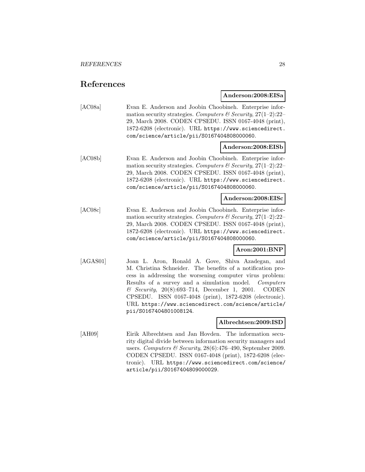# **References**

**Anderson:2008:EISa**

[AC08a] Evan E. Anderson and Joobin Choobineh. Enterprise information security strategies. Computers & Security,  $27(1-2)$ :  $22-$ 29, March 2008. CODEN CPSEDU. ISSN 0167-4048 (print), 1872-6208 (electronic). URL https://www.sciencedirect. com/science/article/pii/S0167404808000060.

# **Anderson:2008:EISb**

[AC08b] Evan E. Anderson and Joobin Choobineh. Enterprise information security strategies. Computers & Security,  $27(1-2)$ : 22-29, March 2008. CODEN CPSEDU. ISSN 0167-4048 (print), 1872-6208 (electronic). URL https://www.sciencedirect. com/science/article/pii/S0167404808000060.

#### **Anderson:2008:EISc**

[AC08c] Evan E. Anderson and Joobin Choobineh. Enterprise information security strategies. Computers  $\mathcal C$  Security, 27(1–2):22– 29, March 2008. CODEN CPSEDU. ISSN 0167-4048 (print), 1872-6208 (electronic). URL https://www.sciencedirect. com/science/article/pii/S0167404808000060.

#### **Aron:2001:BNP**

[AGAS01] Joan L. Aron, Ronald A. Gove, Shiva Azadegan, and M. Christina Schneider. The benefits of a notification process in addressing the worsening computer virus problem: Results of a survey and a simulation model. Computers & Security, 20(8):693–714, December 1, 2001. CODEN CPSEDU. ISSN 0167-4048 (print), 1872-6208 (electronic). URL https://www.sciencedirect.com/science/article/ pii/S0167404801008124.

#### **Albrechtsen:2009:ISD**

[AH09] Eirik Albrechtsen and Jan Hovden. The information security digital divide between information security managers and users. Computers & Security,  $28(6)$ :476-490, September 2009. CODEN CPSEDU. ISSN 0167-4048 (print), 1872-6208 (electronic). URL https://www.sciencedirect.com/science/ article/pii/S0167404809000029.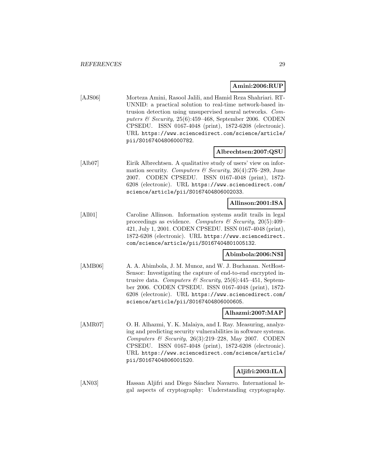#### **Amini:2006:RUP**

[AJS06] Morteza Amini, Rasool Jalili, and Hamid Reza Shahriari. RT-UNNID: a practical solution to real-time network-based intrusion detection using unsupervised neural networks. Computers & Security,  $25(6):459-468$ , September 2006. CODEN CPSEDU. ISSN 0167-4048 (print), 1872-6208 (electronic). URL https://www.sciencedirect.com/science/article/ pii/S0167404806000782.

#### **Albrechtsen:2007:QSU**

[Alb07] Eirik Albrechtsen. A qualitative study of users' view on information security. Computers & Security, 26(4):276-289, June 2007. CODEN CPSEDU. ISSN 0167-4048 (print), 1872- 6208 (electronic). URL https://www.sciencedirect.com/ science/article/pii/S0167404806002033.

#### **Allinson:2001:ISA**

[All01] Caroline Allinson. Information systems audit trails in legal proceedings as evidence. Computers  $\mathcal{C}$  Security, 20(5):409– 421, July 1, 2001. CODEN CPSEDU. ISSN 0167-4048 (print), 1872-6208 (electronic). URL https://www.sciencedirect. com/science/article/pii/S0167404801005132.

# **Abimbola:2006:NSI**

[AMB06] A. A. Abimbola, J. M. Munoz, and W. J. Buchanan. NetHost-Sensor: Investigating the capture of end-to-end encrypted intrusive data. Computers & Security,  $25(6)$ :445-451, September 2006. CODEN CPSEDU. ISSN 0167-4048 (print), 1872- 6208 (electronic). URL https://www.sciencedirect.com/ science/article/pii/S0167404806000605.

#### **Alhazmi:2007:MAP**

[AMR07] O. H. Alhazmi, Y. K. Malaiya, and I. Ray. Measuring, analyzing and predicting security vulnerabilities in software systems. Computers & Security,  $26(3):219-228$ , May 2007. CODEN CPSEDU. ISSN 0167-4048 (print), 1872-6208 (electronic). URL https://www.sciencedirect.com/science/article/ pii/S0167404806001520.

# **Aljifri:2003:ILA**

[AN03] Hassan Aljifri and Diego Sánchez Navarro. International legal aspects of cryptography: Understanding cryptography.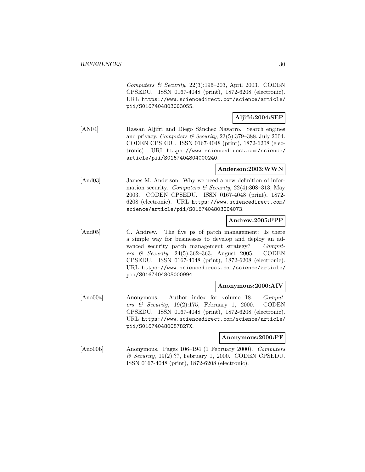Computers & Security,  $22(3):196-203$ , April 2003. CODEN CPSEDU. ISSN 0167-4048 (print), 1872-6208 (electronic). URL https://www.sciencedirect.com/science/article/ pii/S0167404803003055.

# **Aljifri:2004:SEP**

[AN04] Hassan Aljifri and Diego Sánchez Navarro. Search engines and privacy. Computers  $\mathcal B$  Security, 23(5):379–388, July 2004. CODEN CPSEDU. ISSN 0167-4048 (print), 1872-6208 (electronic). URL https://www.sciencedirect.com/science/ article/pii/S0167404804000240.

# **Anderson:2003:WWN**

[And03] James M. Anderson. Why we need a new definition of information security. Computers & Security, 22(4):308-313, May 2003. CODEN CPSEDU. ISSN 0167-4048 (print), 1872- 6208 (electronic). URL https://www.sciencedirect.com/ science/article/pii/S0167404803004073.

# **Andrew:2005:FPP**

[And05] C. Andrew. The five ps of patch management: Is there a simple way for businesses to develop and deploy an advanced security patch management strategy? Computers & Security,  $24(5):362-363$ , August 2005. CODEN CPSEDU. ISSN 0167-4048 (print), 1872-6208 (electronic). URL https://www.sciencedirect.com/science/article/ pii/S0167404805000994.

## **Anonymous:2000:AIV**

[Ano00a] Anonymous. Author index for volume 18. Computers & Security,  $19(2):175$ , February 1, 2000. CODEN CPSEDU. ISSN 0167-4048 (print), 1872-6208 (electronic). URL https://www.sciencedirect.com/science/article/ pii/S016740480087827X.

## **Anonymous:2000:PF**

[Ano00b] Anonymous. Pages 106–194 (1 February 2000). Computers & Security, 19(2):??, February 1, 2000. CODEN CPSEDU. ISSN 0167-4048 (print), 1872-6208 (electronic).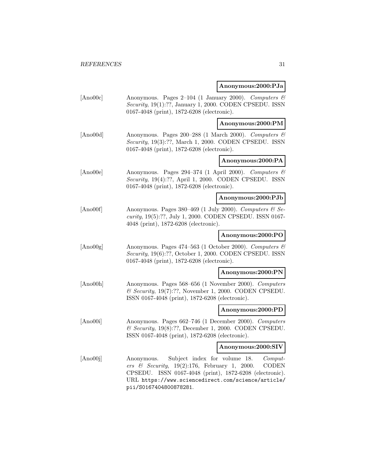#### **Anonymous:2000:PJa**

[Ano00c] Anonymous. Pages 2–104 (1 January 2000). Computers & Security, 19(1):??, January 1, 2000. CODEN CPSEDU. ISSN 0167-4048 (print), 1872-6208 (electronic).

**Anonymous:2000:PM**

[Ano00d] Anonymous. Pages 200–288 (1 March 2000). Computers & Security, 19(3):??, March 1, 2000. CODEN CPSEDU. ISSN 0167-4048 (print), 1872-6208 (electronic).

# **Anonymous:2000:PA**

[Ano00e] Anonymous. Pages 294–374 (1 April 2000). Computers & Security, 19(4):??, April 1, 2000. CODEN CPSEDU. ISSN 0167-4048 (print), 1872-6208 (electronic).

#### **Anonymous:2000:PJb**

[Ano00f] Anonymous. Pages 380–469 (1 July 2000). Computers  $\mathcal{C}$  Security, 19(5):??, July 1, 2000. CODEN CPSEDU. ISSN 0167- 4048 (print), 1872-6208 (electronic).

# **Anonymous:2000:PO**

[Ano00g] Anonymous. Pages 474–563 (1 October 2000). Computers  $\mathcal{B}$ Security, 19(6):??, October 1, 2000. CODEN CPSEDU. ISSN 0167-4048 (print), 1872-6208 (electronic).

#### **Anonymous:2000:PN**

[Ano00h] Anonymous. Pages 568–656 (1 November 2000). Computers  $\&$  Security, 19(7):??, November 1, 2000. CODEN CPSEDU. ISSN 0167-4048 (print), 1872-6208 (electronic).

#### **Anonymous:2000:PD**

[Ano00i] Anonymous. Pages 662–746 (1 December 2000). Computers & Security, 19(8):??, December 1, 2000. CODEN CPSEDU. ISSN 0167-4048 (print), 1872-6208 (electronic).

# **Anonymous:2000:SIV**

[Ano00j] Anonymous. Subject index for volume 18. Computers & Security,  $19(2):176$ , February 1, 2000. CODEN CPSEDU. ISSN 0167-4048 (print), 1872-6208 (electronic). URL https://www.sciencedirect.com/science/article/ pii/S0167404800878281.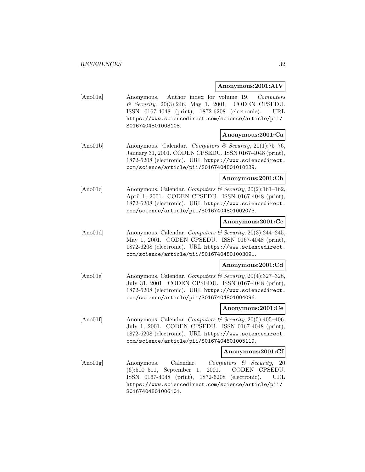#### **Anonymous:2001:AIV**

[Ano01a] Anonymous. Author index for volume 19. Computers & Security, 20(3):246, May 1, 2001. CODEN CPSEDU. ISSN 0167-4048 (print), 1872-6208 (electronic). URL https://www.sciencedirect.com/science/article/pii/ S0167404801003108.

#### **Anonymous:2001:Ca**

 $[\text{Ano01b}]$  Anonymous. Calendar. Computers & Security, 20(1):75–76, January 31, 2001. CODEN CPSEDU. ISSN 0167-4048 (print), 1872-6208 (electronic). URL https://www.sciencedirect. com/science/article/pii/S0167404801010239.

#### **Anonymous:2001:Cb**

[Ano01c] Anonymous. Calendar. Computers & Security, 20(2):161–162, April 1, 2001. CODEN CPSEDU. ISSN 0167-4048 (print), 1872-6208 (electronic). URL https://www.sciencedirect. com/science/article/pii/S0167404801002073.

#### **Anonymous:2001:Cc**

[Ano01d] Anonymous. Calendar. Computers & Security, 20(3):244-245, May 1, 2001. CODEN CPSEDU. ISSN 0167-4048 (print), 1872-6208 (electronic). URL https://www.sciencedirect. com/science/article/pii/S0167404801003091.

# **Anonymous:2001:Cd**

[Ano01e] Anonymous. Calendar. Computers & Security, 20(4):327–328, July 31, 2001. CODEN CPSEDU. ISSN 0167-4048 (print), 1872-6208 (electronic). URL https://www.sciencedirect. com/science/article/pii/S0167404801004096.

#### **Anonymous:2001:Ce**

[Ano01f] Anonymous. Calendar. Computers & Security, 20(5):405-406, July 1, 2001. CODEN CPSEDU. ISSN 0167-4048 (print), 1872-6208 (electronic). URL https://www.sciencedirect. com/science/article/pii/S0167404801005119.

#### **Anonymous:2001:Cf**

[Ano01g] Anonymous. Calendar. Computers & Security, 20 (6):510–511, September 1, 2001. CODEN CPSEDU. ISSN 0167-4048 (print), 1872-6208 (electronic). URL https://www.sciencedirect.com/science/article/pii/ S0167404801006101.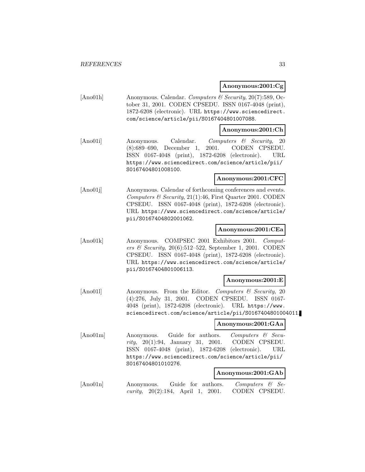**Anonymous:2001:Cg**

[Ano01h] Anonymous. Calendar. Computers & Security, 20(7):589, October 31, 2001. CODEN CPSEDU. ISSN 0167-4048 (print), 1872-6208 (electronic). URL https://www.sciencedirect. com/science/article/pii/S0167404801007088.

#### **Anonymous:2001:Ch**

[Ano01i] Anonymous. Calendar. Computers & Security, 20 (8):689–690, December 1, 2001. CODEN CPSEDU. ISSN 0167-4048 (print), 1872-6208 (electronic). URL https://www.sciencedirect.com/science/article/pii/ S0167404801008100.

#### **Anonymous:2001:CFC**

[Ano01] Anonymous. Calendar of forthcoming conferences and events. Computers & Security,  $21(1):46$ , First Quarter 2001. CODEN CPSEDU. ISSN 0167-4048 (print), 1872-6208 (electronic). URL https://www.sciencedirect.com/science/article/ pii/S0167404802001062.

# **Anonymous:2001:CEa**

[Ano01k] Anonymous. COMPSEC 2001 Exhibitors 2001. Computers & Security, 20(6):512–522, September 1, 2001. CODEN CPSEDU. ISSN 0167-4048 (print), 1872-6208 (electronic). URL https://www.sciencedirect.com/science/article/ pii/S0167404801006113.

#### **Anonymous:2001:E**

[Ano011] Anonymous. From the Editor. Computers & Security, 20 (4):276, July 31, 2001. CODEN CPSEDU. ISSN 0167- 4048 (print), 1872-6208 (electronic). URL https://www. sciencedirect.com/science/article/pii/S0167404801004011.

# **Anonymous:2001:GAa**

[Ano01m] Anonymous. Guide for authors. Computers & Security, 20(1):94, January 31, 2001. CODEN CPSEDU. ISSN 0167-4048 (print), 1872-6208 (electronic). URL https://www.sciencedirect.com/science/article/pii/ S0167404801010276.

#### **Anonymous:2001:GAb**

[Ano01n] Anonymous. Guide for authors. Computers & Security, 20(2):184, April 1, 2001. CODEN CPSEDU.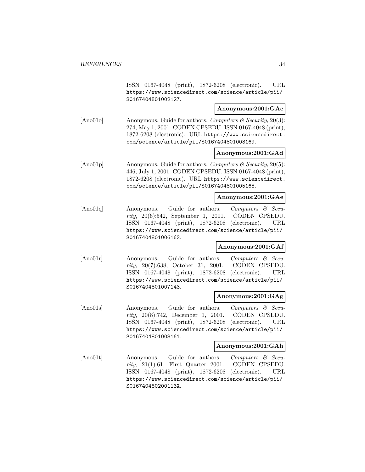ISSN 0167-4048 (print), 1872-6208 (electronic). URL https://www.sciencedirect.com/science/article/pii/ S0167404801002127.

# **Anonymous:2001:GAc**

[Ano01o] Anonymous. Guide for authors. Computers  $\mathcal C$  Security, 20(3): 274, May 1, 2001. CODEN CPSEDU. ISSN 0167-4048 (print), 1872-6208 (electronic). URL https://www.sciencedirect. com/science/article/pii/S0167404801003169.

# **Anonymous:2001:GAd**

[Ano01p] Anonymous. Guide for authors. Computers  $\mathcal C$  Security, 20(5): 446, July 1, 2001. CODEN CPSEDU. ISSN 0167-4048 (print), 1872-6208 (electronic). URL https://www.sciencedirect. com/science/article/pii/S0167404801005168.

# **Anonymous:2001:GAe**

[Ano01q] Anonymous. Guide for authors. Computers & Security, 20(6):542, September 1, 2001. CODEN CPSEDU. ISSN 0167-4048 (print), 1872-6208 (electronic). URL https://www.sciencedirect.com/science/article/pii/ S0167404801006162.

# **Anonymous:2001:GAf**

[Ano01r] Anonymous. Guide for authors. Computers & Security, 20(7):638, October 31, 2001. CODEN CPSEDU. ISSN 0167-4048 (print), 1872-6208 (electronic). URL https://www.sciencedirect.com/science/article/pii/ S0167404801007143.

# **Anonymous:2001:GAg**

[Ano01s] Anonymous. Guide for authors. Computers & Security, 20(8):742, December 1, 2001. CODEN CPSEDU. ISSN 0167-4048 (print), 1872-6208 (electronic). URL https://www.sciencedirect.com/science/article/pii/ S0167404801008161.

# **Anonymous:2001:GAh**

[Ano01t] Anonymous. Guide for authors. Computers & Secu $rity$ ,  $21(1):61$ , First Quarter 2001. CODEN CPSEDU. ISSN 0167-4048 (print), 1872-6208 (electronic). URL https://www.sciencedirect.com/science/article/pii/ S016740480200113X.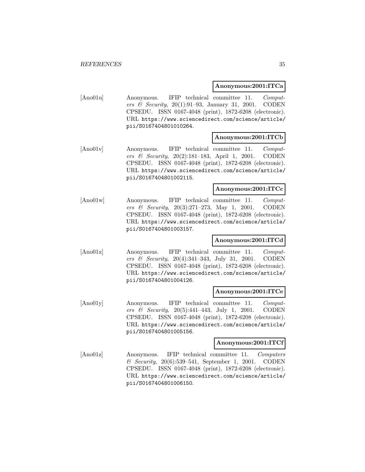# **Anonymous:2001:ITCa**

[Ano01u] Anonymous. IFIP technical committee 11. Computers & Security, 20(1):91–93, January 31, 2001. CODEN CPSEDU. ISSN 0167-4048 (print), 1872-6208 (electronic). URL https://www.sciencedirect.com/science/article/ pii/S0167404801010264.

#### **Anonymous:2001:ITCb**

[Ano01v] Anonymous. IFIP technical committee 11. Computers & Security, 20(2):181–183, April 1, 2001. CODEN CPSEDU. ISSN 0167-4048 (print), 1872-6208 (electronic). URL https://www.sciencedirect.com/science/article/ pii/S0167404801002115.

#### **Anonymous:2001:ITCc**

[Ano01w] Anonymous. IFIP technical committee 11. Computers & Security, 20(3):271–273, May 1, 2001. CODEN CPSEDU. ISSN 0167-4048 (print), 1872-6208 (electronic). URL https://www.sciencedirect.com/science/article/ pii/S0167404801003157.

#### **Anonymous:2001:ITCd**

[Ano01x] Anonymous. IFIP technical committee 11. Computers & Security, 20(4):341–343, July 31, 2001. CODEN CPSEDU. ISSN 0167-4048 (print), 1872-6208 (electronic). URL https://www.sciencedirect.com/science/article/ pii/S0167404801004126.

#### **Anonymous:2001:ITCe**

[Ano01y] Anonymous. IFIP technical committee 11. Computers & Security,  $20(5):441-443$ , July 1, 2001. CODEN CPSEDU. ISSN 0167-4048 (print), 1872-6208 (electronic). URL https://www.sciencedirect.com/science/article/ pii/S0167404801005156.

#### **Anonymous:2001:ITCf**

[Ano01z] Anonymous. IFIP technical committee 11. Computers & Security, 20(6):539–541, September 1, 2001. CODEN CPSEDU. ISSN 0167-4048 (print), 1872-6208 (electronic). URL https://www.sciencedirect.com/science/article/ pii/S0167404801006150.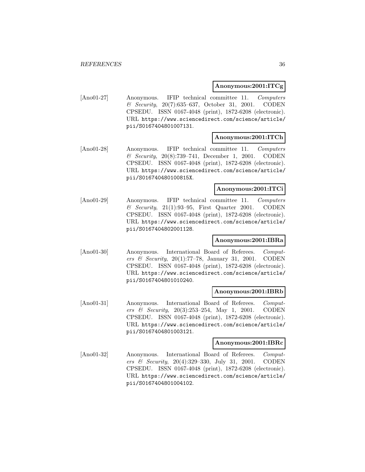# **Anonymous:2001:ITCg**

[Ano01-27] Anonymous. IFIP technical committee 11. Computers & Security, 20(7):635–637, October 31, 2001. CODEN CPSEDU. ISSN 0167-4048 (print), 1872-6208 (electronic). URL https://www.sciencedirect.com/science/article/ pii/S0167404801007131.

#### **Anonymous:2001:ITCh**

[Ano01-28] Anonymous. IFIP technical committee 11. Computers & Security, 20(8):739–741, December 1, 2001. CODEN CPSEDU. ISSN 0167-4048 (print), 1872-6208 (electronic). URL https://www.sciencedirect.com/science/article/ pii/S016740480100815X.

# **Anonymous:2001:ITCi**

[Ano01-29] Anonymous. IFIP technical committee 11. Computers  $\&$  Security, 21(1):93-95, First Quarter 2001. CODEN CPSEDU. ISSN 0167-4048 (print), 1872-6208 (electronic). URL https://www.sciencedirect.com/science/article/ pii/S0167404802001128.

# **Anonymous:2001:IBRa**

[Ano01-30] Anonymous. International Board of Referees. Computers & Security, 20(1):77–78, January 31, 2001. CODEN CPSEDU. ISSN 0167-4048 (print), 1872-6208 (electronic). URL https://www.sciencedirect.com/science/article/ pii/S0167404801010240.

#### **Anonymous:2001:IBRb**

[Ano01-31] Anonymous. International Board of Referees. Computers & Security, 20(3):253–254, May 1, 2001. CODEN CPSEDU. ISSN 0167-4048 (print), 1872-6208 (electronic). URL https://www.sciencedirect.com/science/article/ pii/S0167404801003121.

#### **Anonymous:2001:IBRc**

[Ano01-32] Anonymous. International Board of Referees. Computers & Security,  $20(4):329-330$ , July 31, 2001. CODEN CPSEDU. ISSN 0167-4048 (print), 1872-6208 (electronic). URL https://www.sciencedirect.com/science/article/ pii/S0167404801004102.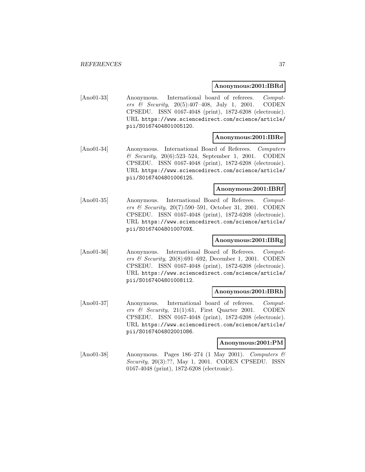#### **Anonymous:2001:IBRd**

[Ano01-33] Anonymous. International board of referees. Computers & Security, 20(5):407–408, July 1, 2001. CODEN CPSEDU. ISSN 0167-4048 (print), 1872-6208 (electronic). URL https://www.sciencedirect.com/science/article/ pii/S0167404801005120.

## **Anonymous:2001:IBRe**

[Ano01-34] Anonymous. International Board of Referees. Computers & Security, 20(6):523–524, September 1, 2001. CODEN CPSEDU. ISSN 0167-4048 (print), 1872-6208 (electronic). URL https://www.sciencedirect.com/science/article/ pii/S0167404801006125.

# **Anonymous:2001:IBRf**

[Ano01-35] Anonymous. International Board of Referees. Computers & Security, 20(7):590–591, October 31, 2001. CODEN CPSEDU. ISSN 0167-4048 (print), 1872-6208 (electronic). URL https://www.sciencedirect.com/science/article/ pii/S016740480100709X.

# **Anonymous:2001:IBRg**

[Ano01-36] Anonymous. International Board of Referees. Computers & Security, 20(8):691–692, December 1, 2001. CODEN CPSEDU. ISSN 0167-4048 (print), 1872-6208 (electronic). URL https://www.sciencedirect.com/science/article/ pii/S0167404801008112.

#### **Anonymous:2001:IBRh**

[Ano01-37] Anonymous. International board of referees. Computers  $\mathcal C$  Security, 21(1):61, First Quarter 2001. CODEN CPSEDU. ISSN 0167-4048 (print), 1872-6208 (electronic). URL https://www.sciencedirect.com/science/article/ pii/S0167404802001086.

#### **Anonymous:2001:PM**

[Ano01-38] Anonymous. Pages 186–274 (1 May 2001). Computers &  $Security, 20(3):??, May 1, 2001. CODEN CPSEDU. ISSN$ 0167-4048 (print), 1872-6208 (electronic).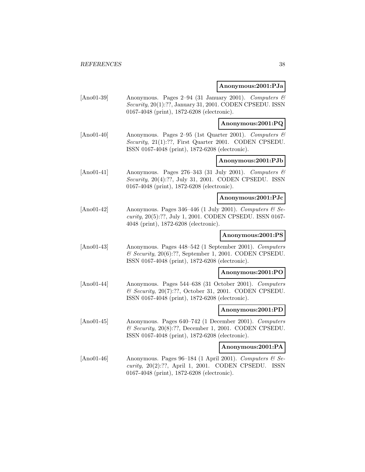## **Anonymous:2001:PJa**

[Ano01-39] Anonymous. Pages 2–94 (31 January 2001). Computers & Security, 20(1):??, January 31, 2001. CODEN CPSEDU. ISSN 0167-4048 (print), 1872-6208 (electronic).

**Anonymous:2001:PQ**

[Ano01-40] Anonymous. Pages 2–95 (1st Quarter 2001). Computers & Security, 21(1):??, First Quarter 2001. CODEN CPSEDU. ISSN 0167-4048 (print), 1872-6208 (electronic).

# **Anonymous:2001:PJb**

 $[\text{Ano01-41}]$  Anonymous. Pages 276–343 (31 July 2001). Computers  $\mathcal{B}$ Security, 20(4):??, July 31, 2001. CODEN CPSEDU. ISSN 0167-4048 (print), 1872-6208 (electronic).

#### **Anonymous:2001:PJc**

[Ano01-42] Anonymous. Pages 346-446 (1 July 2001). Computers  $\mathcal{B}$  Security, 20(5):??, July 1, 2001. CODEN CPSEDU. ISSN 0167- 4048 (print), 1872-6208 (electronic).

# **Anonymous:2001:PS**

[Ano01-43] Anonymous. Pages 448–542 (1 September 2001). Computers  $\mathcal C$  Security, 20(6):??, September 1, 2001. CODEN CPSEDU. ISSN 0167-4048 (print), 1872-6208 (electronic).

## **Anonymous:2001:PO**

[Ano01-44] Anonymous. Pages 544–638 (31 October 2001). Computers & Security, 20(7):??, October 31, 2001. CODEN CPSEDU. ISSN 0167-4048 (print), 1872-6208 (electronic).

#### **Anonymous:2001:PD**

[Ano01-45] Anonymous. Pages 640–742 (1 December 2001). Computers & Security, 20(8):??, December 1, 2001. CODEN CPSEDU. ISSN 0167-4048 (print), 1872-6208 (electronic).

#### **Anonymous:2001:PA**

[Ano01-46] Anonymous. Pages 96–184 (1 April 2001). Computers  $\mathcal{C}$  Security, 20(2):??, April 1, 2001. CODEN CPSEDU. ISSN 0167-4048 (print), 1872-6208 (electronic).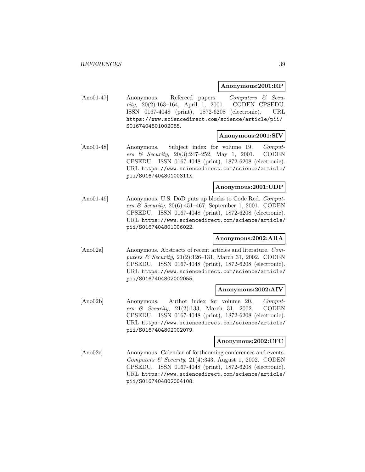#### **Anonymous:2001:RP**

[Ano01-47] Anonymous. Refereed papers. Computers & Security, 20(2):163–164, April 1, 2001. CODEN CPSEDU. ISSN 0167-4048 (print), 1872-6208 (electronic). URL https://www.sciencedirect.com/science/article/pii/ S0167404801002085.

#### **Anonymous:2001:SIV**

[Ano01-48] Anonymous. Subject index for volume 19. Computers & Security, 20(3):247–252, May 1, 2001. CODEN CPSEDU. ISSN 0167-4048 (print), 1872-6208 (electronic). URL https://www.sciencedirect.com/science/article/ pii/S016740480100311X.

# **Anonymous:2001:UDP**

[Ano01-49] Anonymous. U.S. DoD puts up blocks to Code Red. Computers & Security,  $20(6):451-467$ , September 1, 2001. CODEN CPSEDU. ISSN 0167-4048 (print), 1872-6208 (electronic). URL https://www.sciencedirect.com/science/article/ pii/S0167404801006022.

# **Anonymous:2002:ARA**

[Ano02a] Anonymous. Abstracts of recent articles and literature. Computers & Security, 21(2):126–131, March 31, 2002. CODEN CPSEDU. ISSN 0167-4048 (print), 1872-6208 (electronic). URL https://www.sciencedirect.com/science/article/ pii/S0167404802002055.

## **Anonymous:2002:AIV**

[Ano02b] Anonymous. Author index for volume 20. Computers & Security, 21(2):133, March 31, 2002. CODEN CPSEDU. ISSN 0167-4048 (print), 1872-6208 (electronic). URL https://www.sciencedirect.com/science/article/ pii/S0167404802002079.

## **Anonymous:2002:CFC**

[Ano02c] Anonymous. Calendar of forthcoming conferences and events. Computers  $\&$  Security, 21(4):343, August 1, 2002. CODEN CPSEDU. ISSN 0167-4048 (print), 1872-6208 (electronic). URL https://www.sciencedirect.com/science/article/ pii/S0167404802004108.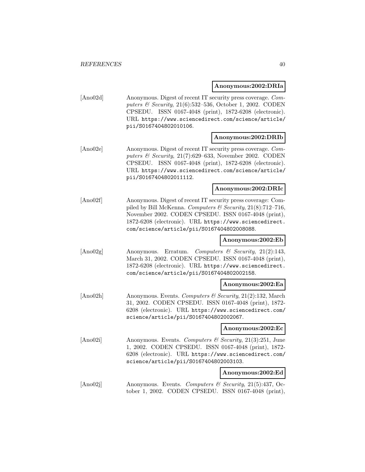#### **Anonymous:2002:DRIa**

[Ano02d] Anonymous. Digest of recent IT security press coverage. Computers & Security, 21(6):532–536, October 1, 2002. CODEN CPSEDU. ISSN 0167-4048 (print), 1872-6208 (electronic). URL https://www.sciencedirect.com/science/article/ pii/S0167404802010106.

## **Anonymous:2002:DRIb**

[Ano02e] Anonymous. Digest of recent IT security press coverage. Computers & Security,  $21(7):629-633$ , November 2002. CODEN CPSEDU. ISSN 0167-4048 (print), 1872-6208 (electronic). URL https://www.sciencedirect.com/science/article/ pii/S0167404802011112.

#### **Anonymous:2002:DRIc**

[Ano02f] Anonymous. Digest of recent IT security press coverage: Compiled by Bill McKenna. Computers & Security,  $21(8)$ :712–716, November 2002. CODEN CPSEDU. ISSN 0167-4048 (print), 1872-6208 (electronic). URL https://www.sciencedirect. com/science/article/pii/S0167404802008088.

## **Anonymous:2002:Eb**

[Ano02g] Anonymous. Erratum. Computers & Security, 21(2):143, March 31, 2002. CODEN CPSEDU. ISSN 0167-4048 (print), 1872-6208 (electronic). URL https://www.sciencedirect. com/science/article/pii/S0167404802002158.

## **Anonymous:2002:Ea**

[Ano02h] Anonymous. Events. Computers & Security, 21(2):132, March 31, 2002. CODEN CPSEDU. ISSN 0167-4048 (print), 1872- 6208 (electronic). URL https://www.sciencedirect.com/ science/article/pii/S0167404802002067.

## **Anonymous:2002:Ec**

[Ano02i] Anonymous. Events. Computers & Security, 21(3):251, June 1, 2002. CODEN CPSEDU. ISSN 0167-4048 (print), 1872- 6208 (electronic). URL https://www.sciencedirect.com/ science/article/pii/S0167404802003103.

## **Anonymous:2002:Ed**

[Ano02j] Anonymous. Events. Computers & Security, 21(5):437, October 1, 2002. CODEN CPSEDU. ISSN 0167-4048 (print),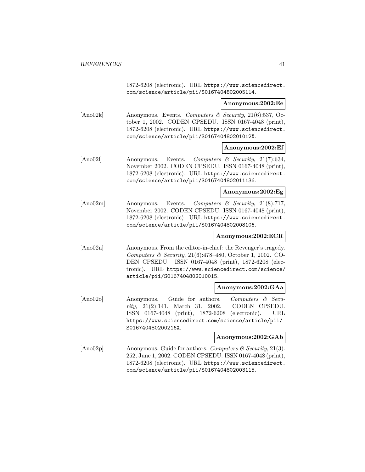1872-6208 (electronic). URL https://www.sciencedirect. com/science/article/pii/S0167404802005114.

#### **Anonymous:2002:Ee**

[Ano02k] Anonymous. Events. Computers & Security, 21(6):537, October 1, 2002. CODEN CPSEDU. ISSN 0167-4048 (print), 1872-6208 (electronic). URL https://www.sciencedirect. com/science/article/pii/S016740480201012X.

## **Anonymous:2002:Ef**

[Ano02l] Anonymous. Events. Computers & Security, 21(7):634, November 2002. CODEN CPSEDU. ISSN 0167-4048 (print), 1872-6208 (electronic). URL https://www.sciencedirect. com/science/article/pii/S0167404802011136.

## **Anonymous:2002:Eg**

[Ano02m] Anonymous. Events. Computers & Security, 21(8):717, November 2002. CODEN CPSEDU. ISSN 0167-4048 (print), 1872-6208 (electronic). URL https://www.sciencedirect. com/science/article/pii/S0167404802008106.

# **Anonymous:2002:ECR**

[Ano02n] Anonymous. From the editor-in-chief: the Revenger's tragedy. Computers & Security, 21(6):478–480, October 1, 2002. CO-DEN CPSEDU. ISSN 0167-4048 (print), 1872-6208 (electronic). URL https://www.sciencedirect.com/science/ article/pii/S0167404802010015.

#### **Anonymous:2002:GAa**

[Ano02o] Anonymous. Guide for authors. Computers & Security, 21(2):141, March 31, 2002. CODEN CPSEDU. ISSN 0167-4048 (print), 1872-6208 (electronic). URL https://www.sciencedirect.com/science/article/pii/ S016740480200216X.

# **Anonymous:2002:GAb**

 $[\text{Ano02p}]$  Anonymous. Guide for authors. Computers & Security, 21(3): 252, June 1, 2002. CODEN CPSEDU. ISSN 0167-4048 (print), 1872-6208 (electronic). URL https://www.sciencedirect. com/science/article/pii/S0167404802003115.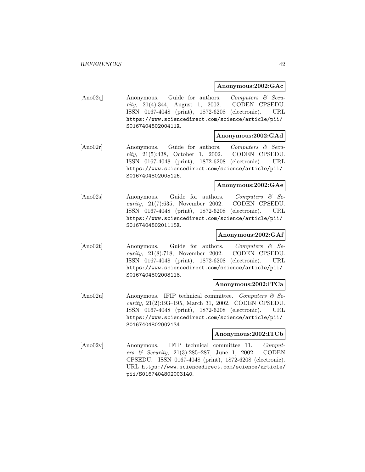## **Anonymous:2002:GAc**

[Ano02q] Anonymous. Guide for authors. Computers & Security, 21(4):344, August 1, 2002. CODEN CPSEDU. ISSN 0167-4048 (print), 1872-6208 (electronic). URL https://www.sciencedirect.com/science/article/pii/ S016740480200411X.

#### **Anonymous:2002:GAd**

[Ano02r] Anonymous. Guide for authors. Computers & Security, 21(5):438, October 1, 2002. CODEN CPSEDU. ISSN 0167-4048 (print), 1872-6208 (electronic). URL https://www.sciencedirect.com/science/article/pii/ S0167404802005126.

#### **Anonymous:2002:GAe**

[Ano02s] Anonymous. Guide for authors. Computers & Security, 21(7):635, November 2002. CODEN CPSEDU. ISSN 0167-4048 (print), 1872-6208 (electronic). URL https://www.sciencedirect.com/science/article/pii/ S016740480201115X.

# **Anonymous:2002:GAf**

[Ano02t] Anonymous. Guide for authors. Computers & Security, 21(8):718, November 2002. CODEN CPSEDU. ISSN 0167-4048 (print), 1872-6208 (electronic). URL https://www.sciencedirect.com/science/article/pii/ S0167404802008118.

# **Anonymous:2002:ITCa**

[Ano02u] Anonymous. IFIP technical committee. Computers & Security, 21(2):193–195, March 31, 2002. CODEN CPSEDU. ISSN 0167-4048 (print), 1872-6208 (electronic). URL https://www.sciencedirect.com/science/article/pii/ S0167404802002134.

# **Anonymous:2002:ITCb**

[Ano02v] Anonymous. IFIP technical committee 11. Computers & Security, 21(3):285–287, June 1, 2002. CODEN CPSEDU. ISSN 0167-4048 (print), 1872-6208 (electronic). URL https://www.sciencedirect.com/science/article/ pii/S0167404802003140.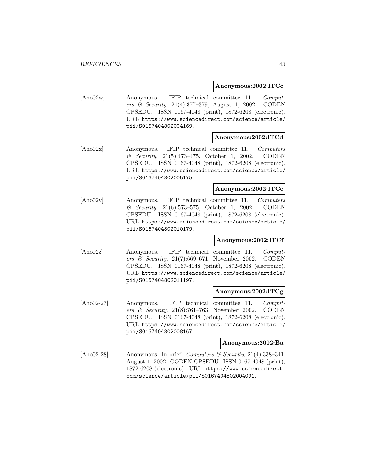#### **Anonymous:2002:ITCc**

[Ano02w] Anonymous. IFIP technical committee 11. Computers & Security, 21(4):377–379, August 1, 2002. CODEN CPSEDU. ISSN 0167-4048 (print), 1872-6208 (electronic). URL https://www.sciencedirect.com/science/article/ pii/S0167404802004169.

## **Anonymous:2002:ITCd**

[Ano02x] Anonymous. IFIP technical committee 11. Computers & Security, 21(5):473–475, October 1, 2002. CODEN CPSEDU. ISSN 0167-4048 (print), 1872-6208 (electronic). URL https://www.sciencedirect.com/science/article/ pii/S0167404802005175.

#### **Anonymous:2002:ITCe**

[Ano02y] Anonymous. IFIP technical committee 11. Computers & Security, 21(6):573–575, October 1, 2002. CODEN CPSEDU. ISSN 0167-4048 (print), 1872-6208 (electronic). URL https://www.sciencedirect.com/science/article/ pii/S0167404802010179.

## **Anonymous:2002:ITCf**

[Ano02z] Anonymous. IFIP technical committee 11. Computers & Security,  $21(7)$ :669-671, November 2002. CODEN CPSEDU. ISSN 0167-4048 (print), 1872-6208 (electronic). URL https://www.sciencedirect.com/science/article/ pii/S0167404802011197.

#### **Anonymous:2002:ITCg**

[Ano02-27] Anonymous. IFIP technical committee 11. Computers & Security, 21(8):761–763, November 2002. CODEN CPSEDU. ISSN 0167-4048 (print), 1872-6208 (electronic). URL https://www.sciencedirect.com/science/article/ pii/S0167404802008167.

#### **Anonymous:2002:Ba**

[Ano02-28] Anonymous. In brief. Computers & Security,  $21(4):338-341$ , August 1, 2002. CODEN CPSEDU. ISSN 0167-4048 (print), 1872-6208 (electronic). URL https://www.sciencedirect. com/science/article/pii/S0167404802004091.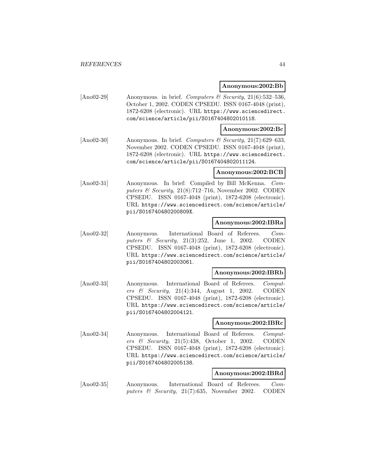#### **Anonymous:2002:Bb**

[Ano02-29] Anonymous. in brief. Computers & Security, 21(6):532-536, October 1, 2002. CODEN CPSEDU. ISSN 0167-4048 (print), 1872-6208 (electronic). URL https://www.sciencedirect. com/science/article/pii/S0167404802010118.

## **Anonymous:2002:Bc**

[Ano02-30] Anonymous. In brief. Computers & Security,  $21(7):629-633$ , November 2002. CODEN CPSEDU. ISSN 0167-4048 (print), 1872-6208 (electronic). URL https://www.sciencedirect. com/science/article/pii/S0167404802011124.

## **Anonymous:2002:BCB**

[Ano02-31] Anonymous. In brief: Compiled by Bill McKenna. Computers  $\mathcal B$  Security, 21(8):712–716, November 2002. CODEN CPSEDU. ISSN 0167-4048 (print), 1872-6208 (electronic). URL https://www.sciencedirect.com/science/article/ pii/S016740480200809X.

# **Anonymous:2002:IBRa**

[Ano02-32] Anonymous. International Board of Referees. Computers  $\&$  Security, 21(3):252, June 1, 2002. CODEN CPSEDU. ISSN 0167-4048 (print), 1872-6208 (electronic). URL https://www.sciencedirect.com/science/article/ pii/S0167404802003061.

#### **Anonymous:2002:IBRb**

[Ano02-33] Anonymous. International Board of Referees. Computers & Security, 21(4):344, August 1, 2002. CODEN CPSEDU. ISSN 0167-4048 (print), 1872-6208 (electronic). URL https://www.sciencedirect.com/science/article/ pii/S0167404802004121.

#### **Anonymous:2002:IBRc**

[Ano02-34] Anonymous. International Board of Referees. Computers & Security, 21(5):438, October 1, 2002. CODEN CPSEDU. ISSN 0167-4048 (print), 1872-6208 (electronic). URL https://www.sciencedirect.com/science/article/ pii/S0167404802005138.

# **Anonymous:2002:IBRd**

[Ano02-35] Anonymous. International Board of Referees. Computers & Security, 21(7):635, November 2002. CODEN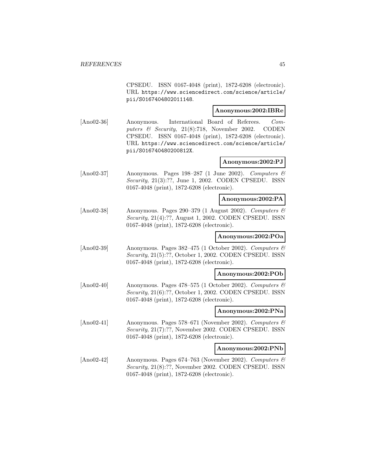CPSEDU. ISSN 0167-4048 (print), 1872-6208 (electronic). URL https://www.sciencedirect.com/science/article/ pii/S0167404802011148.

# **Anonymous:2002:IBRe**

[Ano02-36] Anonymous. International Board of Referees. Computers & Security, 21(8):718, November 2002. CODEN CPSEDU. ISSN 0167-4048 (print), 1872-6208 (electronic). URL https://www.sciencedirect.com/science/article/ pii/S016740480200812X.

# **Anonymous:2002:PJ**

[Ano02-37] Anonymous. Pages 198–287 (1 June 2002). Computers  $\mathcal{B}$ Security, 21(3):??, June 1, 2002. CODEN CPSEDU. ISSN 0167-4048 (print), 1872-6208 (electronic).

## **Anonymous:2002:PA**

[Ano02-38] Anonymous. Pages 290–379 (1 August 2002). Computers  $\mathcal{B}$ Security, 21(4):??, August 1, 2002. CODEN CPSEDU. ISSN 0167-4048 (print), 1872-6208 (electronic).

# **Anonymous:2002:POa**

[Ano02-39] Anonymous. Pages  $382-475$  (1 October 2002). Computers  $\mathcal{O}$ Security, 21(5):??, October 1, 2002. CODEN CPSEDU. ISSN 0167-4048 (print), 1872-6208 (electronic).

#### **Anonymous:2002:POb**

[Ano02-40] Anonymous. Pages 478–575 (1 October 2002). Computers & Security, 21(6):??, October 1, 2002. CODEN CPSEDU. ISSN 0167-4048 (print), 1872-6208 (electronic).

## **Anonymous:2002:PNa**

[Ano02-41] Anonymous. Pages 578–671 (November 2002). Computers  $\mathcal{B}$ Security, 21(7):??, November 2002. CODEN CPSEDU. ISSN 0167-4048 (print), 1872-6208 (electronic).

# **Anonymous:2002:PNb**

[Ano02-42] Anonymous. Pages 674–763 (November 2002). Computers & Security, 21(8):??, November 2002. CODEN CPSEDU. ISSN 0167-4048 (print), 1872-6208 (electronic).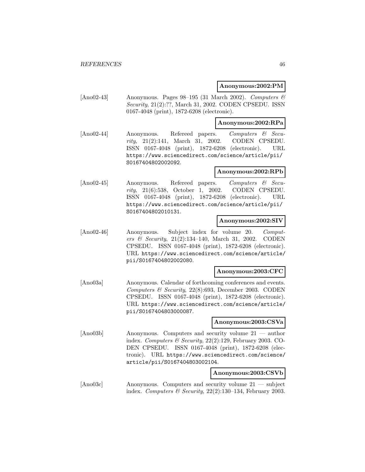#### **Anonymous:2002:PM**

[Ano02-43] Anonymous. Pages 98–195 (31 March 2002). Computers  $\mathcal{C}$ Security, 21(2):??, March 31, 2002. CODEN CPSEDU. ISSN 0167-4048 (print), 1872-6208 (electronic).

#### **Anonymous:2002:RPa**

[Ano02-44] Anonymous. Refereed papers. Computers & Security, 21(2):141, March 31, 2002. CODEN CPSEDU. ISSN 0167-4048 (print), 1872-6208 (electronic). URL https://www.sciencedirect.com/science/article/pii/ S0167404802002092.

## **Anonymous:2002:RPb**

[Ano02-45] Anonymous. Refereed papers. Computers & Security, 21(6):538, October 1, 2002. CODEN CPSEDU. ISSN 0167-4048 (print), 1872-6208 (electronic). URL https://www.sciencedirect.com/science/article/pii/ S0167404802010131.

# **Anonymous:2002:SIV**

[Ano02-46] Anonymous. Subject index for volume 20. Computers & Security, 21(2):134–140, March 31, 2002. CODEN CPSEDU. ISSN 0167-4048 (print), 1872-6208 (electronic). URL https://www.sciencedirect.com/science/article/ pii/S0167404802002080.

#### **Anonymous:2003:CFC**

[Ano03a] Anonymous. Calendar of forthcoming conferences and events. Computers & Security,  $22(8):693$ , December 2003. CODEN CPSEDU. ISSN 0167-4048 (print), 1872-6208 (electronic). URL https://www.sciencedirect.com/science/article/ pii/S0167404803000087.

#### **Anonymous:2003:CSVa**

[Ano03b] Anonymous. Computers and security volume 21 — author index. Computers & Security, 22(2):129, February 2003. CO-DEN CPSEDU. ISSN 0167-4048 (print), 1872-6208 (electronic). URL https://www.sciencedirect.com/science/ article/pii/S0167404803002104.

## **Anonymous:2003:CSVb**

[Ano03c] Anonymous. Computers and security volume 21 — subject index. Computers & Security,  $22(2):130-134$ , February 2003.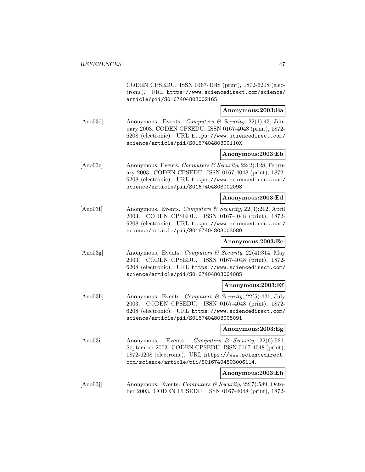CODEN CPSEDU. ISSN 0167-4048 (print), 1872-6208 (electronic). URL https://www.sciencedirect.com/science/ article/pii/S0167404803002165.

## **Anonymous:2003:Ea**

[Ano03d] Anonymous. Events. Computers & Security, 22(1):43, January 2003. CODEN CPSEDU. ISSN 0167-4048 (print), 1872- 6208 (electronic). URL https://www.sciencedirect.com/ science/article/pii/S016740480300110X.

## **Anonymous:2003:Eb**

[Ano03e] Anonymous. Events. Computers & Security, 22(2):128, February 2003. CODEN CPSEDU. ISSN 0167-4048 (print), 1872- 6208 (electronic). URL https://www.sciencedirect.com/ science/article/pii/S0167404803002098.

## **Anonymous:2003:Ed**

[Ano03f] Anonymous. Events. Computers & Security, 22(3):212, April 2003. CODEN CPSEDU. ISSN 0167-4048 (print), 1872- 6208 (electronic). URL https://www.sciencedirect.com/ science/article/pii/S0167404803003080.

# **Anonymous:2003:Ee**

[Ano03g] Anonymous. Events. Computers & Security, 22(4):314, May 2003. CODEN CPSEDU. ISSN 0167-4048 (print), 1872- 6208 (electronic). URL https://www.sciencedirect.com/ science/article/pii/S0167404803004085.

#### **Anonymous:2003:Ef**

[Ano03h] Anonymous. Events. Computers & Security, 22(5):421, July 2003. CODEN CPSEDU. ISSN 0167-4048 (print), 1872- 6208 (electronic). URL https://www.sciencedirect.com/ science/article/pii/S0167404803005091.

#### **Anonymous:2003:Eg**

[Ano03i] Anonymous. Events. Computers & Security, 22(6):521, September 2003. CODEN CPSEDU. ISSN 0167-4048 (print), 1872-6208 (electronic). URL https://www.sciencedirect. com/science/article/pii/S0167404803006114.

# **Anonymous:2003:Eh**

[Ano03] Anonymous. Events. Computers & Security, 22(7):589, October 2003. CODEN CPSEDU. ISSN 0167-4048 (print), 1872-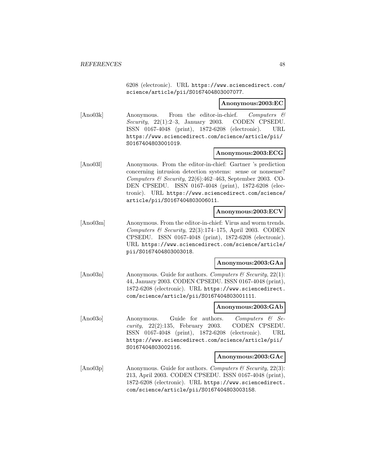6208 (electronic). URL https://www.sciencedirect.com/ science/article/pii/S0167404803007077.

**Anonymous:2003:EC**

[Ano03k] Anonymous. From the editor-in-chief. Computers & Security,  $22(1):2-3$ , January 2003. CODEN CPSEDU. ISSN 0167-4048 (print), 1872-6208 (electronic). URL https://www.sciencedirect.com/science/article/pii/ S0167404803001019.

#### **Anonymous:2003:ECG**

[Ano03l] Anonymous. From the editor-in-chief: Gartner 's prediction concerning intrusion detection systems: sense or nonsense? Computers & Security,  $22(6)$ :462-463, September 2003. CO-DEN CPSEDU. ISSN 0167-4048 (print), 1872-6208 (electronic). URL https://www.sciencedirect.com/science/ article/pii/S0167404803006011.

#### **Anonymous:2003:ECV**

[Ano03m] Anonymous. From the editor-in-chief: Virus and worm trends. Computers  $\mathcal B$  Security, 22(3):174-175, April 2003. CODEN CPSEDU. ISSN 0167-4048 (print), 1872-6208 (electronic). URL https://www.sciencedirect.com/science/article/ pii/S0167404803003018.

# **Anonymous:2003:GAa**

[Ano03n] Anonymous. Guide for authors. Computers  $\mathcal C$  Security, 22(1): 44, January 2003. CODEN CPSEDU. ISSN 0167-4048 (print), 1872-6208 (electronic). URL https://www.sciencedirect. com/science/article/pii/S0167404803001111.

#### **Anonymous:2003:GAb**

[Ano03o] Anonymous. Guide for authors. Computers & Security, 22(2):135, February 2003. CODEN CPSEDU. ISSN 0167-4048 (print), 1872-6208 (electronic). URL https://www.sciencedirect.com/science/article/pii/ S0167404803002116.

## **Anonymous:2003:GAc**

[Ano03p] Anonymous. Guide for authors. Computers  $\mathcal C$  Security, 22(3): 213, April 2003. CODEN CPSEDU. ISSN 0167-4048 (print), 1872-6208 (electronic). URL https://www.sciencedirect. com/science/article/pii/S0167404803003158.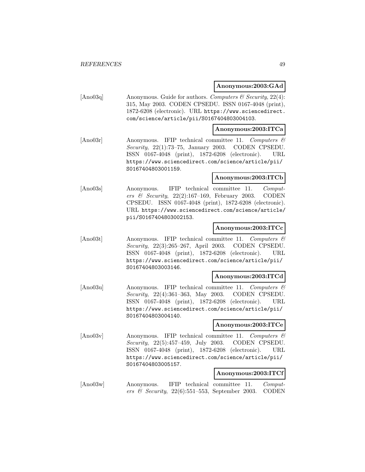**Anonymous:2003:GAd**

| [Ano03q] | Anonymous. Guide for authors. Computers & Security, 22(4): |
|----------|------------------------------------------------------------|
|          | 315, May 2003. CODEN CPSEDU. ISSN 0167-4048 (print),       |
|          | 1872-6208 (electronic). URL https://www.sciencedirect.     |
|          | com/science/article/pii/S0167404803004103.                 |

## **Anonymous:2003:ITCa**

[Ano03r] Anonymous. IFIP technical committee 11. Computers & Security, 22(1):73–75, January 2003. CODEN CPSEDU. ISSN 0167-4048 (print), 1872-6208 (electronic). URL https://www.sciencedirect.com/science/article/pii/ S0167404803001159.

# **Anonymous:2003:ITCb**

[Ano03s] Anonymous. IFIP technical committee 11. Computers & Security, 22(2):167–169, February 2003. CODEN CPSEDU. ISSN 0167-4048 (print), 1872-6208 (electronic). URL https://www.sciencedirect.com/science/article/ pii/S0167404803002153.

# **Anonymous:2003:ITCc**

[Ano03t] Anonymous. IFIP technical committee 11. Computers & Security, 22(3):265–267, April 2003. CODEN CPSEDU. ISSN 0167-4048 (print), 1872-6208 (electronic). URL https://www.sciencedirect.com/science/article/pii/ S0167404803003146.

# **Anonymous:2003:ITCd**

[Ano03u] Anonymous. IFIP technical committee 11. Computers & Security, 22(4):361–363, May 2003. CODEN CPSEDU. ISSN 0167-4048 (print), 1872-6208 (electronic). URL https://www.sciencedirect.com/science/article/pii/ S0167404803004140.

# **Anonymous:2003:ITCe**

[Ano03v] Anonymous. IFIP technical committee 11. Computers & Security, 22(5):457–459, July 2003. CODEN CPSEDU. ISSN 0167-4048 (print), 1872-6208 (electronic). URL https://www.sciencedirect.com/science/article/pii/ S0167404803005157.

# **Anonymous:2003:ITCf**

[Ano03w] Anonymous. IFIP technical committee 11. Computers & Security,  $22(6)$ :551–553, September 2003. CODEN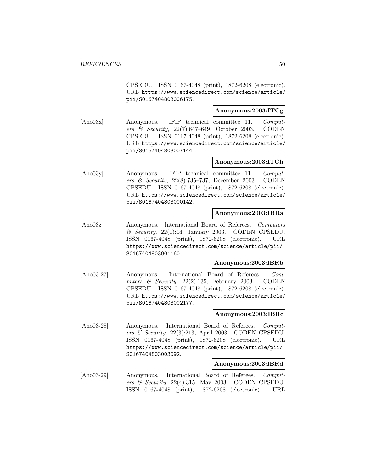CPSEDU. ISSN 0167-4048 (print), 1872-6208 (electronic). URL https://www.sciencedirect.com/science/article/ pii/S0167404803006175.

# **Anonymous:2003:ITCg**

[Ano03x] Anonymous. IFIP technical committee 11. Computers & Security, 22(7):647–649, October 2003. CODEN CPSEDU. ISSN 0167-4048 (print), 1872-6208 (electronic). URL https://www.sciencedirect.com/science/article/ pii/S0167404803007144.

## **Anonymous:2003:ITCh**

[Ano03y] Anonymous. IFIP technical committee 11. Computers & Security, 22(8):735–737, December 2003. CODEN CPSEDU. ISSN 0167-4048 (print), 1872-6208 (electronic). URL https://www.sciencedirect.com/science/article/ pii/S0167404803000142.

# **Anonymous:2003:IBRa**

[Ano03z] Anonymous. International Board of Referees. Computers  $\&$  Security, 22(1):44, January 2003. CODEN CPSEDU. ISSN 0167-4048 (print), 1872-6208 (electronic). URL https://www.sciencedirect.com/science/article/pii/ S0167404803001160.

#### **Anonymous:2003:IBRb**

[Ano03-27] Anonymous. International Board of Referees. Computers  $\&$  Security, 22(2):135, February 2003. CODEN CPSEDU. ISSN 0167-4048 (print), 1872-6208 (electronic). URL https://www.sciencedirect.com/science/article/ pii/S0167404803002177.

## **Anonymous:2003:IBRc**

[Ano03-28] Anonymous. International Board of Referees. Computers & Security,  $22(3):213$ , April 2003. CODEN CPSEDU. ISSN 0167-4048 (print), 1872-6208 (electronic). URL https://www.sciencedirect.com/science/article/pii/ S0167404803003092.

## **Anonymous:2003:IBRd**

[Ano03-29] Anonymous. International Board of Referees. Computers & Security, 22(4):315, May 2003. CODEN CPSEDU. ISSN 0167-4048 (print), 1872-6208 (electronic). URL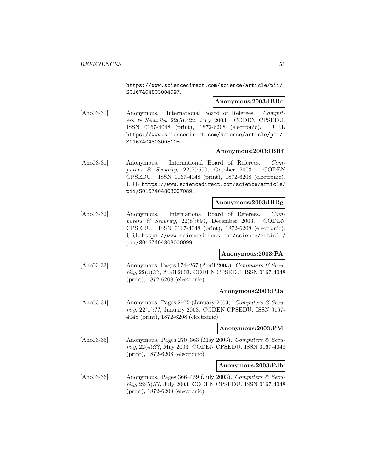https://www.sciencedirect.com/science/article/pii/ S0167404803004097.

## **Anonymous:2003:IBRe**

[Ano03-30] Anonymous. International Board of Referees. Computers  $\mathcal B$  Security, 22(5):422, July 2003. CODEN CPSEDU. ISSN 0167-4048 (print), 1872-6208 (electronic). URL https://www.sciencedirect.com/science/article/pii/ S0167404803005108.

## **Anonymous:2003:IBRf**

[Ano03-31] Anonymous. International Board of Referees. Computers & Security, 22(7):590, October 2003. CODEN CPSEDU. ISSN 0167-4048 (print), 1872-6208 (electronic). URL https://www.sciencedirect.com/science/article/ pii/S0167404803007089.

# **Anonymous:2003:IBRg**

[Ano03-32] Anonymous. International Board of Referees. Computers & Security, 22(8):694, December 2003. CODEN CPSEDU. ISSN 0167-4048 (print), 1872-6208 (electronic). URL https://www.sciencedirect.com/science/article/ pii/S0167404803000099.

## **Anonymous:2003:PA**

[Ano03-33] Anonymous. Pages 174–267 (April 2003). Computers  $\mathcal{C}$  Security, 22(3):??, April 2003. CODEN CPSEDU. ISSN 0167-4048 (print), 1872-6208 (electronic).

#### **Anonymous:2003:PJa**

[Ano03-34] Anonymous. Pages 2–75 (January 2003). Computers  $\mathcal{B}$  Security, 22(1):??, January 2003. CODEN CPSEDU. ISSN 0167- 4048 (print), 1872-6208 (electronic).

#### **Anonymous:2003:PM**

[Ano03-35] Anonymous. Pages 270–363 (May 2003). Computers  $\mathcal{C}$  Security, 22(4):??, May 2003. CODEN CPSEDU. ISSN 0167-4048 (print), 1872-6208 (electronic).

# **Anonymous:2003:PJb**

[Ano03-36] Anonymous. Pages 366–459 (July 2003). Computers  $\mathcal{C}$  Security, 22(5):??, July 2003. CODEN CPSEDU. ISSN 0167-4048 (print), 1872-6208 (electronic).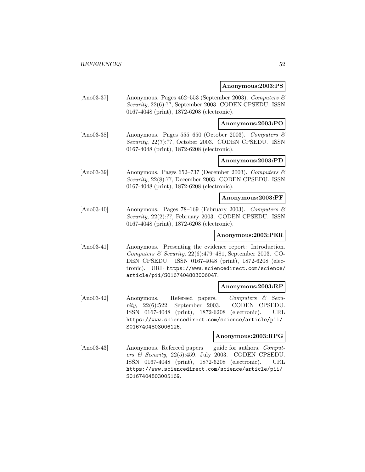#### **Anonymous:2003:PS**

[Ano03-37] Anonymous. Pages 462–553 (September 2003). Computers & Security, 22(6):??, September 2003. CODEN CPSEDU. ISSN 0167-4048 (print), 1872-6208 (electronic).

## **Anonymous:2003:PO**

[Ano03-38] Anonymous. Pages 555–650 (October 2003). Computers & Security, 22(7):??, October 2003. CODEN CPSEDU. ISSN 0167-4048 (print), 1872-6208 (electronic).

# **Anonymous:2003:PD**

 $[\text{Ano03-39}]$  Anonymous. Pages 652–737 (December 2003). Computers  $\mathcal{B}$ Security, 22(8):??, December 2003. CODEN CPSEDU. ISSN 0167-4048 (print), 1872-6208 (electronic).

#### **Anonymous:2003:PF**

[Ano03-40] Anonymous. Pages 78–169 (February 2003). Computers & Security, 22(2):??, February 2003. CODEN CPSEDU. ISSN 0167-4048 (print), 1872-6208 (electronic).

# **Anonymous:2003:PER**

[Ano03-41] Anonymous. Presenting the evidence report: Introduction. Computers & Security,  $22(6)$ :479-481, September 2003. CO-DEN CPSEDU. ISSN 0167-4048 (print), 1872-6208 (electronic). URL https://www.sciencedirect.com/science/ article/pii/S0167404803006047.

#### **Anonymous:2003:RP**

[Ano03-42] Anonymous. Refereed papers. Computers & Security, 22(6):522, September 2003. CODEN CPSEDU. ISSN 0167-4048 (print), 1872-6208 (electronic). URL https://www.sciencedirect.com/science/article/pii/ S0167404803006126.

## **Anonymous:2003:RPG**

[Ano03-43] Anonymous. Refereed papers — guide for authors. Computers & Security, 22(5):459, July 2003. CODEN CPSEDU. ISSN 0167-4048 (print), 1872-6208 (electronic). URL https://www.sciencedirect.com/science/article/pii/ S0167404803005169.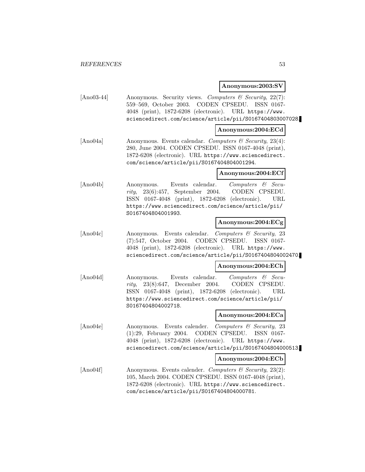#### **Anonymous:2003:SV**

[Ano03-44] Anonymous. Security views. Computers & Security, 22(7): 559–569, October 2003. CODEN CPSEDU. ISSN 0167- 4048 (print), 1872-6208 (electronic). URL https://www. sciencedirect.com/science/article/pii/S0167404803007028.

## **Anonymous:2004:ECd**

[Ano04a] Anonymous. Events calendar. Computers & Security, 23(4): 280, June 2004. CODEN CPSEDU. ISSN 0167-4048 (print), 1872-6208 (electronic). URL https://www.sciencedirect. com/science/article/pii/S0167404804001294.

# **Anonymous:2004:ECf**

[Ano04b] Anonymous. Events calendar. Computers & Security, 23(6):457, September 2004. CODEN CPSEDU. ISSN 0167-4048 (print), 1872-6208 (electronic). URL https://www.sciencedirect.com/science/article/pii/ S0167404804001993.

# **Anonymous:2004:ECg**

[Ano04c] Anonymous. Events calendar. Computers & Security, 23 (7):547, October 2004. CODEN CPSEDU. ISSN 0167- 4048 (print), 1872-6208 (electronic). URL https://www. sciencedirect.com/science/article/pii/S0167404804002470.

#### **Anonymous:2004:ECh**

[Ano04d] Anonymous. Events calendar. Computers & Security, 23(8):647, December 2004. CODEN CPSEDU. ISSN 0167-4048 (print), 1872-6208 (electronic). URL https://www.sciencedirect.com/science/article/pii/ S0167404804002718.

# **Anonymous:2004:ECa**

[Ano04e] Anonymous. Events calender. Computers & Security, 23 (1):29, February 2004. CODEN CPSEDU. ISSN 0167- 4048 (print), 1872-6208 (electronic). URL https://www. sciencedirect.com/science/article/pii/S0167404804000513.

#### **Anonymous:2004:ECb**

[Ano04f] Anonymous. Events calender. Computers & Security, 23(2): 105, March 2004. CODEN CPSEDU. ISSN 0167-4048 (print), 1872-6208 (electronic). URL https://www.sciencedirect. com/science/article/pii/S0167404804000781.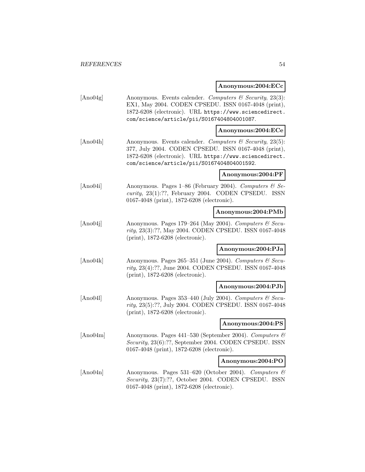# **Anonymous:2004:ECc**

| [Ano04g] | Anonymous. Events calender. Computers & Security, 23(3):<br>EX1, May 2004. CODEN CPSEDU. ISSN 0167-4048 (print),<br>1872-6208 (electronic). URL https://www.sciencedirect.<br>com/science/article/pii/S0167404804001087.  |                    |
|----------|---------------------------------------------------------------------------------------------------------------------------------------------------------------------------------------------------------------------------|--------------------|
|          |                                                                                                                                                                                                                           | Anonymous:2004:ECe |
| [Ano04h] | Anonymous. Events calender. Computers & Security, 23(5):<br>377, July 2004. CODEN CPSEDU. ISSN 0167-4048 (print),<br>1872-6208 (electronic). URL https://www.sciencedirect.<br>com/science/article/pii/S0167404804001592. |                    |
|          |                                                                                                                                                                                                                           | Anonymous:2004:PF  |
| [Ano04i] | Anonymous. Pages $1-86$ (February 2004). Computers & Se-<br>$curity$ , 23(1):??, February 2004. CODEN CPSEDU.<br>ISSN<br>0167-4048 (print), 1872-6208 (electronic).                                                       |                    |
|          |                                                                                                                                                                                                                           | Anonymous:2004:PMb |
| [Ano04j] | Anonymous. Pages 179-264 (May 2004). Computers & Secu-<br>rity, 23(3):??, May 2004. CODEN CPSEDU. ISSN 0167-4048<br>$(print), 1872-6208$ (electronic).                                                                    |                    |
|          |                                                                                                                                                                                                                           | Anonymous:2004:PJa |
| [Ano04k] | Anonymous. Pages 265-351 (June 2004). Computers & Secu-<br>rity, 23(4):??, June 2004. CODEN CPSEDU. ISSN 0167-4048<br>$(print), 1872-6208$ (electronic).                                                                  |                    |
|          |                                                                                                                                                                                                                           | Anonymous:2004:PJb |
| [Ano04]  | Anonymous. Pages 353-440 (July 2004). Computers $\mathcal C$ Secu-<br>rity, 23(5):??, July 2004. CODEN CPSEDU. ISSN 0167-4048<br>$(print), 1872-6208$ (electronic).                                                       |                    |
|          |                                                                                                                                                                                                                           | Anonymous:2004:PS  |
| [Ano04m] | Anonymous. Pages 441-530 (September 2004). Computers &<br>Security, 23(6):??, September 2004. CODEN CPSEDU. ISSN<br>0167-4048 (print), 1872-6208 (electronic).                                                            |                    |
|          |                                                                                                                                                                                                                           | Anonymous:2004:PO  |
| [Ano04n] | Anonymous. Pages 531-620 (October 2004). Computers &<br>Security, 23(7):??, October 2004. CODEN CPSEDU. ISSN<br>0167-4048 (print), 1872-6208 (electronic).                                                                |                    |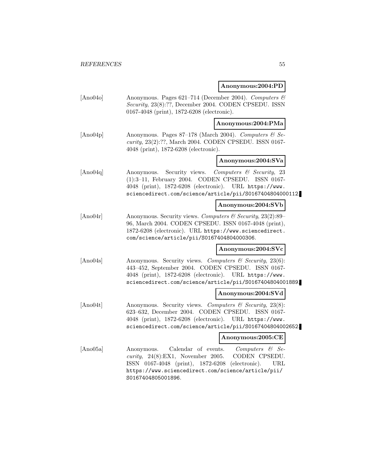## **Anonymous:2004:PD**

[Ano04o] Anonymous. Pages 621–714 (December 2004). Computers & Security, 23(8):??, December 2004. CODEN CPSEDU. ISSN 0167-4048 (print), 1872-6208 (electronic).

**Anonymous:2004:PMa**

 $[\text{Ano04p}]$  Anonymous. Pages 87–178 (March 2004). Computers & Security, 23(2):??, March 2004. CODEN CPSEDU. ISSN 0167- 4048 (print), 1872-6208 (electronic).

# **Anonymous:2004:SVa**

[Ano04q] Anonymous. Security views. Computers & Security, 23 (1):3–11, February 2004. CODEN CPSEDU. ISSN 0167- 4048 (print), 1872-6208 (electronic). URL https://www. sciencedirect.com/science/article/pii/S0167404804000112.

## **Anonymous:2004:SVb**

[Ano04r] Anonymous. Security views. Computers & Security, 23(2):89– 96, March 2004. CODEN CPSEDU. ISSN 0167-4048 (print), 1872-6208 (electronic). URL https://www.sciencedirect. com/science/article/pii/S0167404804000306.

## **Anonymous:2004:SVc**

[Ano04s] Anonymous. Security views. Computers  $\mathcal{C}$  Security, 23(6): 443–452, September 2004. CODEN CPSEDU. ISSN 0167- 4048 (print), 1872-6208 (electronic). URL https://www. sciencedirect.com/science/article/pii/S0167404804001889.

## **Anonymous:2004:SVd**

[Ano04t] Anonymous. Security views. Computers & Security, 23(8): 623–632, December 2004. CODEN CPSEDU. ISSN 0167- 4048 (print), 1872-6208 (electronic). URL https://www. sciencedirect.com/science/article/pii/S0167404804002652.

## **Anonymous:2005:CE**

[Ano05a] Anonymous. Calendar of events. Computers & Security, 24(8):EX1, November 2005. CODEN CPSEDU. ISSN 0167-4048 (print), 1872-6208 (electronic). URL https://www.sciencedirect.com/science/article/pii/ S0167404805001896.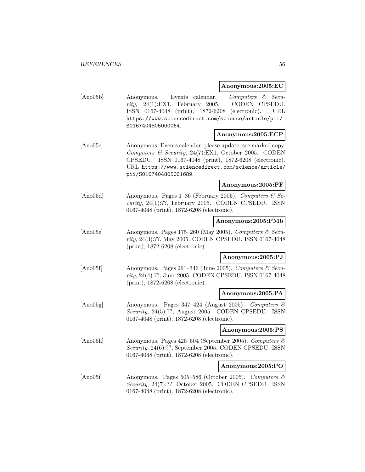# **Anonymous:2005:EC**

| [Ano05b] | Events calendar.<br>Anonymous.<br>$24(1)$ :EX1, February<br>2005.<br>rity,<br>ISSN 0167-4048 (print), 1872-6208 (electronic).<br>https://www.sciencedirect.com/science/article/pii/<br>S0167404805000064.                                                      | Computers & Secu-<br>CODEN CPSEDU.<br>URL |
|----------|----------------------------------------------------------------------------------------------------------------------------------------------------------------------------------------------------------------------------------------------------------------|-------------------------------------------|
|          |                                                                                                                                                                                                                                                                | Anonymous:2005:ECP                        |
| [Ano05c] | Anonymous. Events calendar, please update, see marked copy.<br>Computers & Security, 24(7):EX1, October 2005. CODEN<br>CPSEDU. ISSN 0167-4048 (print), 1872-6208 (electronic).<br>URL https://www.sciencedirect.com/science/article/<br>pii/S0167404805001689. |                                           |
|          |                                                                                                                                                                                                                                                                | Anonymous:2005:PF                         |
| [Ano05d] | Anonymous. Pages 1–86 (February 2005). Computers $\mathcal{C}$ Se-<br>curity, 24(1):??, February 2005. CODEN CPSEDU. ISSN<br>0167-4048 (print), 1872-6208 (electronic).                                                                                        |                                           |
|          |                                                                                                                                                                                                                                                                | Anonymous:2005:PMb                        |
| [Ano05e] | Anonymous. Pages 175-260 (May 2005). Computers & Secu-<br>rity, 24(3):??, May 2005. CODEN CPSEDU. ISSN 0167-4048<br>(print), 1872-6208 (electronic).                                                                                                           |                                           |
|          |                                                                                                                                                                                                                                                                | Anonymous:2005:PJ                         |
| [Ano05f] | Anonymous. Pages 261-346 (June 2005). Computers & Secu-<br>$rity$ , 24(4):??, June 2005. CODEN CPSEDU. ISSN 0167-4048<br>(print), 1872-6208 (electronic).                                                                                                      |                                           |
|          |                                                                                                                                                                                                                                                                | Anonymous:2005:PA                         |
| [Ano05g] | Anonymous. Pages 347-424 (August 2005). Computers &<br>Security, 24(5):??, August 2005. CODEN CPSEDU. ISSN<br>0167-4048 (print), 1872-6208 (electronic).                                                                                                       |                                           |
|          |                                                                                                                                                                                                                                                                | Anonymous:2005:PS                         |
| [Ano05h] | Anonymous. Pages 425-504 (September 2005). Computers &<br>Security, 24(6):??, September 2005. CODEN CPSEDU. ISSN<br>0167-4048 (print), 1872-6208 (electronic).                                                                                                 |                                           |
|          |                                                                                                                                                                                                                                                                | Anonymous:2005:PO                         |
| [Ano05i] | Anonymous. Pages 505-586 (October 2005). Computers &<br>Security, 24(7):??, October 2005. CODEN CPSEDU. ISSN<br>0167-4048 (print), 1872-6208 (electronic).                                                                                                     |                                           |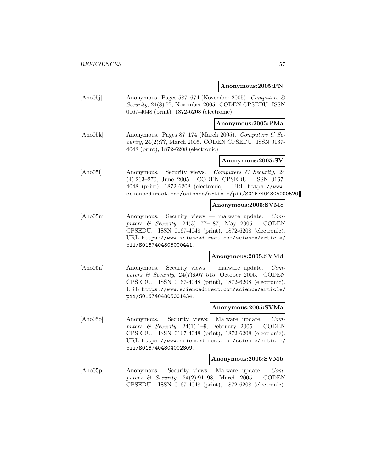#### **Anonymous:2005:PN**

[Ano05j] Anonymous. Pages 587–674 (November 2005). Computers & Security, 24(8):??, November 2005. CODEN CPSEDU. ISSN 0167-4048 (print), 1872-6208 (electronic).

#### **Anonymous:2005:PMa**

 $[Ano05k]$  Anonymous. Pages 87–174 (March 2005). Computers & Security, 24(2):??, March 2005. CODEN CPSEDU. ISSN 0167- 4048 (print), 1872-6208 (electronic).

## **Anonymous:2005:SV**

[Ano05l] Anonymous. Security views. Computers & Security, 24 (4):263–270, June 2005. CODEN CPSEDU. ISSN 0167- 4048 (print), 1872-6208 (electronic). URL https://www. sciencedirect.com/science/article/pii/S0167404805000520.

#### **Anonymous:2005:SVMc**

[Ano05m] Anonymous. Security views — malware update. Computers & Security, 24(3):177-187, May 2005. CODEN CPSEDU. ISSN 0167-4048 (print), 1872-6208 (electronic). URL https://www.sciencedirect.com/science/article/ pii/S0167404805000441.

# **Anonymous:2005:SVMd**

[Ano05n] Anonymous. Security views — malware update. Computers & Security,  $24(7):507-515$ , October 2005. CODEN CPSEDU. ISSN 0167-4048 (print), 1872-6208 (electronic). URL https://www.sciencedirect.com/science/article/ pii/S0167404805001434.

#### **Anonymous:2005:SVMa**

[Ano05o] Anonymous. Security views: Malware update. Computers & Security, 24(1):1–9, February 2005. CODEN CPSEDU. ISSN 0167-4048 (print), 1872-6208 (electronic). URL https://www.sciencedirect.com/science/article/ pii/S0167404804002809.

#### **Anonymous:2005:SVMb**

[Ano05p] Anonymous. Security views: Malware update. Computers  $\&$  Security, 24(2):91–98, March 2005. CODEN CPSEDU. ISSN 0167-4048 (print), 1872-6208 (electronic).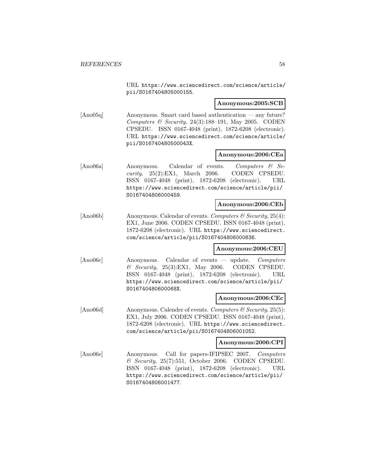URL https://www.sciencedirect.com/science/article/ pii/S0167404805000155.

#### **Anonymous:2005:SCB**

[Ano05q] Anonymous. Smart card based authentication — any future? Computers & Security, 24(3):188-191, May 2005. CODEN CPSEDU. ISSN 0167-4048 (print), 1872-6208 (electronic). URL https://www.sciencedirect.com/science/article/ pii/S016740480500043X.

#### **Anonymous:2006:CEa**

[Ano06a] Anonymous. Calendar of events. Computers & Se $curity, 25(2)$ :EX1, March 2006. CODEN CPSEDU. ISSN 0167-4048 (print), 1872-6208 (electronic). URL https://www.sciencedirect.com/science/article/pii/ S0167404806000459.

#### **Anonymous:2006:CEb**

[Ano06b] Anonymous. Calendar of events. Computers & Security, 25(4): EX1, June 2006. CODEN CPSEDU. ISSN 0167-4048 (print), 1872-6208 (electronic). URL https://www.sciencedirect. com/science/article/pii/S0167404806000836.

## **Anonymous:2006:CEU**

[Ano06c] Anonymous. Calendar of events — update. Computers  $\&$  Security, 25(3):EX1, May 2006. CODEN CPSEDU. ISSN 0167-4048 (print), 1872-6208 (electronic). URL https://www.sciencedirect.com/science/article/pii/ S016740480600068X.

## **Anonymous:2006:CEc**

[Ano06d] Anonymous. Calender of events. *Computers*  $\mathcal{C}$  Security, 25(5): EX1, July 2006. CODEN CPSEDU. ISSN 0167-4048 (print), 1872-6208 (electronic). URL https://www.sciencedirect. com/science/article/pii/S0167404806001052.

# **Anonymous:2006:CPI**

[Ano06e] Anonymous. Call for papers-IFIPSEC 2007. Computers  $\&$  Security, 25(7):551, October 2006. CODEN CPSEDU. ISSN 0167-4048 (print), 1872-6208 (electronic). URL https://www.sciencedirect.com/science/article/pii/ S0167404806001477.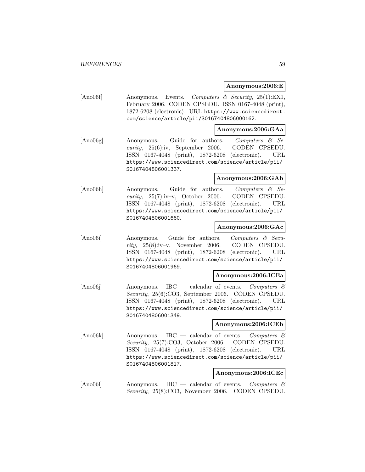#### **Anonymous:2006:E**

[Ano06f] Anonymous. Events. Computers & Security, 25(1):EX1, February 2006. CODEN CPSEDU. ISSN 0167-4048 (print), 1872-6208 (electronic). URL https://www.sciencedirect. com/science/article/pii/S0167404806000162.

#### **Anonymous:2006:GAa**

[Ano06g] Anonymous. Guide for authors. Computers & Security, 25(6):iv, September 2006. CODEN CPSEDU. ISSN 0167-4048 (print), 1872-6208 (electronic). URL https://www.sciencedirect.com/science/article/pii/ S0167404806001337.

# **Anonymous:2006:GAb**

[Ano06h] Anonymous. Guide for authors. Computers & Security, 25(7):iv–v, October 2006. CODEN CPSEDU. ISSN 0167-4048 (print), 1872-6208 (electronic). URL https://www.sciencedirect.com/science/article/pii/ S0167404806001660.

# **Anonymous:2006:GAc**

[Ano06i] Anonymous. Guide for authors. Computers & Security, 25(8):iv–v, November 2006. CODEN CPSEDU. ISSN 0167-4048 (print), 1872-6208 (electronic). URL https://www.sciencedirect.com/science/article/pii/ S0167404806001969.

# **Anonymous:2006:ICEa**

[Ano06j] Anonymous. IBC — calendar of events. Computers & Security, 25(6):CO3, September 2006. CODEN CPSEDU. ISSN 0167-4048 (print), 1872-6208 (electronic). URL https://www.sciencedirect.com/science/article/pii/ S0167404806001349.

# **Anonymous:2006:ICEb**

[Ano06k] Anonymous. IBC — calendar of events. Computers & Security, 25(7):CO3, October 2006. CODEN CPSEDU. ISSN 0167-4048 (print), 1872-6208 (electronic). URL https://www.sciencedirect.com/science/article/pii/ S0167404806001817.

# **Anonymous:2006:ICEc**

[Ano06] Anonymous. IBC — calendar of events. Computers  $\mathcal{C}$ Security, 25(8):CO3, November 2006. CODEN CPSEDU.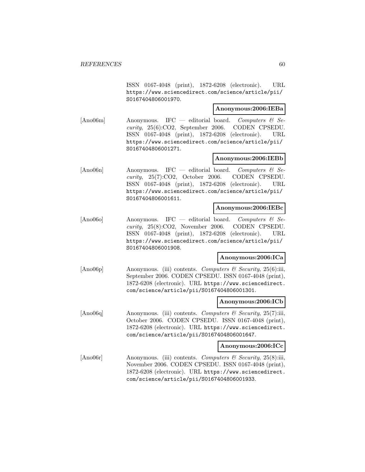ISSN 0167-4048 (print), 1872-6208 (electronic). URL https://www.sciencedirect.com/science/article/pii/ S0167404806001970.

# **Anonymous:2006:IEBa**

[Ano06m] Anonymous. IFC — editorial board. Computers  $\mathcal{C}$  Security, 25(6):CO2, September 2006. CODEN CPSEDU. ISSN 0167-4048 (print), 1872-6208 (electronic). URL https://www.sciencedirect.com/science/article/pii/ S0167404806001271.

# **Anonymous:2006:IEBb**

[Ano06n] Anonymous. IFC — editorial board. Computers  $\mathcal{C}$  Security, 25(7):CO2, October 2006. CODEN CPSEDU. ISSN 0167-4048 (print), 1872-6208 (electronic). URL https://www.sciencedirect.com/science/article/pii/ S0167404806001611.

# **Anonymous:2006:IEBc**

[Ano06o] Anonymous. IFC — editorial board. Computers & Security, 25(8):CO2, November 2006. CODEN CPSEDU. ISSN 0167-4048 (print), 1872-6208 (electronic). URL https://www.sciencedirect.com/science/article/pii/ S0167404806001908.

# **Anonymous:2006:ICa**

[Ano06p] Anonymous. (iii) contents. Computers & Security, 25(6):iii, September 2006. CODEN CPSEDU. ISSN 0167-4048 (print), 1872-6208 (electronic). URL https://www.sciencedirect. com/science/article/pii/S0167404806001301.

## **Anonymous:2006:ICb**

[Ano06q] Anonymous. (iii) contents. Computers & Security, 25(7):iii, October 2006. CODEN CPSEDU. ISSN 0167-4048 (print), 1872-6208 (electronic). URL https://www.sciencedirect. com/science/article/pii/S0167404806001647.

#### **Anonymous:2006:ICc**

[Ano06r] Anonymous. (iii) contents. Computers & Security, 25(8):iii, November 2006. CODEN CPSEDU. ISSN 0167-4048 (print), 1872-6208 (electronic). URL https://www.sciencedirect. com/science/article/pii/S0167404806001933.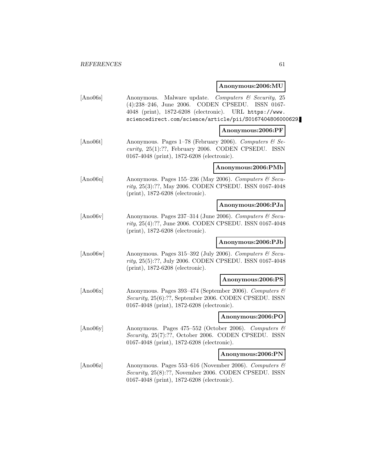# **Anonymous:2006:MU**

| [Ano06s] | Anonymous. Malware update. Computers & Security, 25<br>CODEN CPSEDU.<br>$(4):238-246$ , June 2006.<br>ISSN 0167-<br>4048 (print), 1872-6208 (electronic). URL https://www.<br>sciencedirect.com/science/article/pii/S0167404806000629. |  |
|----------|----------------------------------------------------------------------------------------------------------------------------------------------------------------------------------------------------------------------------------------|--|
|          | Anonymous:2006:PF                                                                                                                                                                                                                      |  |
| [Ano06t] | Anonymous. Pages $1-78$ (February 2006). Computers & Se-<br>curity, $25(1)$ :??, February 2006. CODEN CPSEDU. ISSN<br>0167-4048 (print), 1872-6208 (electronic).                                                                       |  |
|          | Anonymous:2006:PMb                                                                                                                                                                                                                     |  |
| [Ano06u] | Anonymous. Pages 155-236 (May 2006). Computers & Secu-<br>rity, 25(3):??, May 2006. CODEN CPSEDU. ISSN 0167-4048<br>(print), 1872-6208 (electronic).                                                                                   |  |
|          | Anonymous:2006:PJa                                                                                                                                                                                                                     |  |
| [Ano06v] | Anonymous. Pages 237-314 (June 2006). Computers & Secu-<br>rity, 25(4):??, June 2006. CODEN CPSEDU. ISSN 0167-4048<br>$(print), 1872-6208$ (electronic).                                                                               |  |
|          | Anonymous:2006:PJb                                                                                                                                                                                                                     |  |
| [Ano06w] | Anonymous. Pages 315-392 (July 2006). Computers & Secu-<br>rity, 25(5):??, July 2006. CODEN CPSEDU. ISSN 0167-4048<br>$(print), 1872-6208$ (electronic).                                                                               |  |
|          | Anonymous:2006:PS                                                                                                                                                                                                                      |  |
| [Ano06x] | Anonymous. Pages 393-474 (September 2006). Computers &<br>Security, 25(6):??, September 2006. CODEN CPSEDU. ISSN<br>0167-4048 (print), 1872-6208 (electronic).                                                                         |  |
|          | Anonymous:2006:PO                                                                                                                                                                                                                      |  |
| [Ano06y] | Anonymous. Pages 475-552 (October 2006). Computers &<br>Security, 25(7):??, October 2006. CODEN CPSEDU. ISSN<br>0167-4048 (print), 1872-6208 (electronic).                                                                             |  |
|          | Anonymous:2006:PN                                                                                                                                                                                                                      |  |
| [Ano06z] | Anonymous. Pages 553-616 (November 2006). Computers &<br>Security, 25(8):??, November 2006. CODEN CPSEDU. ISSN<br>0167-4048 (print), 1872-6208 (electronic).                                                                           |  |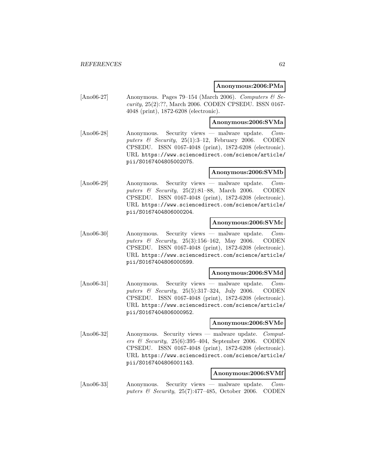## **Anonymous:2006:PMa**

[Ano06-27] Anonymous. Pages 79–154 (March 2006). Computers  $\mathcal{C}$  Security, 25(2):??, March 2006. CODEN CPSEDU. ISSN 0167- 4048 (print), 1872-6208 (electronic).

## **Anonymous:2006:SVMa**

[Ano06-28] Anonymous. Security views — malware update. Computers & Security,  $25(1):3-12$ , February 2006. CODEN CPSEDU. ISSN 0167-4048 (print), 1872-6208 (electronic). URL https://www.sciencedirect.com/science/article/ pii/S0167404805002075.

## **Anonymous:2006:SVMb**

[Ano06-29] Anonymous. Security views — malware update. Computers  $\&$  Security, 25(2):81–88, March 2006. CODEN CPSEDU. ISSN 0167-4048 (print), 1872-6208 (electronic). URL https://www.sciencedirect.com/science/article/ pii/S0167404806000204.

## **Anonymous:2006:SVMc**

[Ano06-30] Anonymous. Security views — malware update. Computers & Security, 25(3):156–162, May 2006. CODEN CPSEDU. ISSN 0167-4048 (print), 1872-6208 (electronic). URL https://www.sciencedirect.com/science/article/ pii/S0167404806000599.

#### **Anonymous:2006:SVMd**

[Ano06-31] Anonymous. Security views — malware update. Computers & Security, 25(5):317-324, July 2006. CODEN CPSEDU. ISSN 0167-4048 (print), 1872-6208 (electronic). URL https://www.sciencedirect.com/science/article/ pii/S0167404806000952.

#### **Anonymous:2006:SVMe**

[Ano06-32] Anonymous. Security views — malware update. Computers & Security,  $25(6):395-404$ , September 2006. CODEN CPSEDU. ISSN 0167-4048 (print), 1872-6208 (electronic). URL https://www.sciencedirect.com/science/article/ pii/S0167404806001143.

# **Anonymous:2006:SVMf**

[Ano06-33] Anonymous. Security views — malware update. Computers & Security, 25(7):477–485, October 2006. CODEN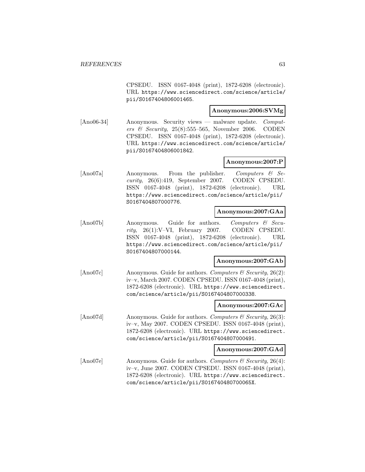CPSEDU. ISSN 0167-4048 (print), 1872-6208 (electronic). URL https://www.sciencedirect.com/science/article/ pii/S0167404806001465.

# **Anonymous:2006:SVMg**

[Ano06-34] Anonymous. Security views — malware update. Computers & Security,  $25(8):555-565$ , November 2006. CODEN CPSEDU. ISSN 0167-4048 (print), 1872-6208 (electronic). URL https://www.sciencedirect.com/science/article/ pii/S0167404806001842.

# **Anonymous:2007:P**

[Ano07a] Anonymous. From the publisher. Computers & Security, 26(6):419, September 2007. CODEN CPSEDU. ISSN 0167-4048 (print), 1872-6208 (electronic). URL https://www.sciencedirect.com/science/article/pii/ S0167404807000776.

#### **Anonymous:2007:GAa**

[Ano07b] Anonymous. Guide for authors. Computers & Security, 26(1):V–VI, February 2007. CODEN CPSEDU. ISSN 0167-4048 (print), 1872-6208 (electronic). URL https://www.sciencedirect.com/science/article/pii/ S0167404807000144.

#### **Anonymous:2007:GAb**

[Ano07c] Anonymous. Guide for authors. Computers & Security, 26(2): iv–v, March 2007. CODEN CPSEDU. ISSN 0167-4048 (print), 1872-6208 (electronic). URL https://www.sciencedirect. com/science/article/pii/S0167404807000338.

#### **Anonymous:2007:GAc**

[Ano07d] Anonymous. Guide for authors. Computers  $\mathcal C$  Security, 26(3): iv–v, May 2007. CODEN CPSEDU. ISSN 0167-4048 (print), 1872-6208 (electronic). URL https://www.sciencedirect. com/science/article/pii/S0167404807000491.

#### **Anonymous:2007:GAd**

[Ano07e] Anonymous. Guide for authors. Computers & Security, 26(4): iv–v, June 2007. CODEN CPSEDU. ISSN 0167-4048 (print), 1872-6208 (electronic). URL https://www.sciencedirect. com/science/article/pii/S016740480700065X.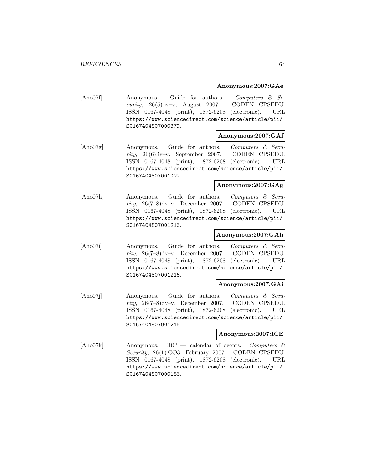# **Anonymous:2007:GAe**

[Ano07f] Anonymous. Guide for authors. Computers & Security, 26(5):iv–v, August 2007. CODEN CPSEDU. ISSN 0167-4048 (print), 1872-6208 (electronic). URL https://www.sciencedirect.com/science/article/pii/ S0167404807000879.

## **Anonymous:2007:GAf**

[Ano07g] Anonymous. Guide for authors. Computers & Security, 26(6):iv–v, September 2007. CODEN CPSEDU. ISSN 0167-4048 (print), 1872-6208 (electronic). URL https://www.sciencedirect.com/science/article/pii/ S0167404807001022.

#### **Anonymous:2007:GAg**

[Ano07h] Anonymous. Guide for authors. Computers & Security, 26(7–8):iv–v, December 2007. CODEN CPSEDU. ISSN 0167-4048 (print), 1872-6208 (electronic). URL https://www.sciencedirect.com/science/article/pii/ S0167404807001216.

# **Anonymous:2007:GAh**

[Ano07i] Anonymous. Guide for authors. Computers & Security, 26(7–8):iv–v, December 2007. CODEN CPSEDU. ISSN 0167-4048 (print), 1872-6208 (electronic). URL https://www.sciencedirect.com/science/article/pii/ S0167404807001216.

## **Anonymous:2007:GAi**

[Ano07j] Anonymous. Guide for authors. Computers & Security, 26(7–8):iv–v, December 2007. CODEN CPSEDU. ISSN 0167-4048 (print), 1872-6208 (electronic). URL https://www.sciencedirect.com/science/article/pii/ S0167404807001216.

# **Anonymous:2007:ICE**

[Ano07k] Anonymous. IBC — calendar of events. Computers & Security, 26(1):CO3, February 2007. CODEN CPSEDU. ISSN 0167-4048 (print), 1872-6208 (electronic). URL https://www.sciencedirect.com/science/article/pii/ S0167404807000156.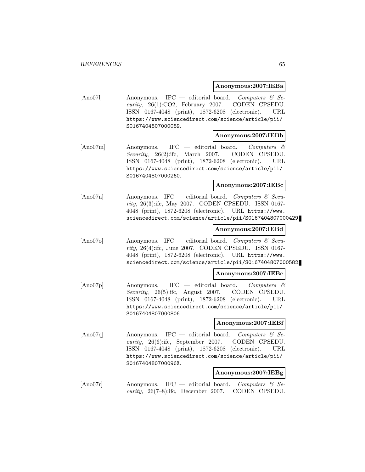#### **Anonymous:2007:IEBa**

[Ano071] Anonymous. IFC — editorial board. Computers  $\mathcal{C}$  Security, 26(1):CO2, February 2007. CODEN CPSEDU. ISSN 0167-4048 (print), 1872-6208 (electronic). URL https://www.sciencedirect.com/science/article/pii/ S0167404807000089.

#### **Anonymous:2007:IEBb**

[Ano07m] Anonymous. IFC — editorial board. Computers & Security, 26(2):ifc, March 2007. CODEN CPSEDU. ISSN 0167-4048 (print), 1872-6208 (electronic). URL https://www.sciencedirect.com/science/article/pii/ S0167404807000260.

# **Anonymous:2007:IEBc**

[Ano07n] Anonymous. IFC — editorial board. Computers  $\mathcal{C}$  Security, 26(3):ifc, May 2007. CODEN CPSEDU. ISSN 0167- 4048 (print), 1872-6208 (electronic). URL https://www. sciencedirect.com/science/article/pii/S0167404807000429.

#### **Anonymous:2007:IEBd**

[Ano07o] Anonymous. IFC — editorial board. Computers  $\mathcal{C}$  Security, 26(4):ifc, June 2007. CODEN CPSEDU. ISSN 0167- 4048 (print), 1872-6208 (electronic). URL https://www. sciencedirect.com/science/article/pii/S0167404807000582.

## **Anonymous:2007:IEBe**

[Ano07p] Anonymous. IFC — editorial board. Computers & Security, 26(5):ifc, August 2007. CODEN CPSEDU. ISSN 0167-4048 (print), 1872-6208 (electronic). URL https://www.sciencedirect.com/science/article/pii/ S0167404807000806.

#### **Anonymous:2007:IEBf**

[Ano07q] Anonymous. IFC — editorial board. Computers  $\mathcal{C}$  Security, 26(6):ifc, September 2007. CODEN CPSEDU. ISSN 0167-4048 (print), 1872-6208 (electronic). URL https://www.sciencedirect.com/science/article/pii/ S016740480700096X.

#### **Anonymous:2007:IEBg**

 $[Ano07r]$  Anonymous. IFC — editorial board. Computers & Security, 26(7–8):ifc, December 2007. CODEN CPSEDU.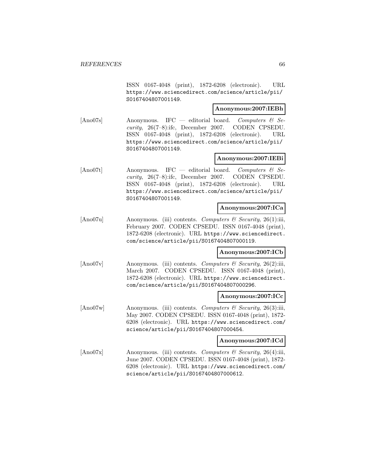ISSN 0167-4048 (print), 1872-6208 (electronic). URL https://www.sciencedirect.com/science/article/pii/ S0167404807001149.

# **Anonymous:2007:IEBh**

[Ano07s] Anonymous. IFC — editorial board. Computers  $\mathcal{C}$  Security, 26(7–8):ifc, December 2007. CODEN CPSEDU. ISSN 0167-4048 (print), 1872-6208 (electronic). URL https://www.sciencedirect.com/science/article/pii/ S0167404807001149.

# **Anonymous:2007:IEBi**

[Ano07t] Anonymous. IFC — editorial board. Computers  $\mathcal{C}$  Security, 26(7–8):ifc, December 2007. CODEN CPSEDU. ISSN 0167-4048 (print), 1872-6208 (electronic). URL https://www.sciencedirect.com/science/article/pii/ S0167404807001149.

# **Anonymous:2007:ICa**

[Ano07u] Anonymous. (iii) contents. Computers & Security, 26(1):iii, February 2007. CODEN CPSEDU. ISSN 0167-4048 (print), 1872-6208 (electronic). URL https://www.sciencedirect. com/science/article/pii/S0167404807000119.

#### **Anonymous:2007:ICb**

[Ano07v] Anonymous. (iii) contents. Computers & Security, 26(2):iii, March 2007. CODEN CPSEDU. ISSN 0167-4048 (print), 1872-6208 (electronic). URL https://www.sciencedirect. com/science/article/pii/S0167404807000296.

## **Anonymous:2007:ICc**

[Ano07w] Anonymous. (iii) contents. Computers & Security, 26(3):iii, May 2007. CODEN CPSEDU. ISSN 0167-4048 (print), 1872- 6208 (electronic). URL https://www.sciencedirect.com/ science/article/pii/S0167404807000454.

#### **Anonymous:2007:ICd**

 $[\text{Ano07x}]$  Anonymous. (iii) contents. Computers & Security, 26(4):iii, June 2007. CODEN CPSEDU. ISSN 0167-4048 (print), 1872- 6208 (electronic). URL https://www.sciencedirect.com/ science/article/pii/S0167404807000612.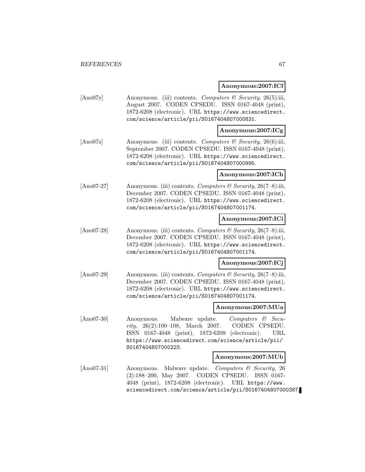## **Anonymous:2007:ICf**

[Ano07y] Anonymous. (iii) contents. Computers & Security, 26(5):iii, August 2007. CODEN CPSEDU. ISSN 0167-4048 (print), 1872-6208 (electronic). URL https://www.sciencedirect. com/science/article/pii/S0167404807000831.

# **Anonymous:2007:ICg**

[Ano07z] Anonymous. (iii) contents. Computers & Security, 26(6):iii, September 2007. CODEN CPSEDU. ISSN 0167-4048 (print), 1872-6208 (electronic). URL https://www.sciencedirect. com/science/article/pii/S0167404807000995.

## **Anonymous:2007:ICh**

[Ano07-27] Anonymous. (iii) contents. Computers  $\mathcal C$  Security, 26(7–8):iii, December 2007. CODEN CPSEDU. ISSN 0167-4048 (print), 1872-6208 (electronic). URL https://www.sciencedirect. com/science/article/pii/S0167404807001174.

## **Anonymous:2007:ICi**

[Ano07-28] Anonymous. (iii) contents. Computers & Security, 26(7-8):iii, December 2007. CODEN CPSEDU. ISSN 0167-4048 (print), 1872-6208 (electronic). URL https://www.sciencedirect. com/science/article/pii/S0167404807001174.

## **Anonymous:2007:ICj**

[Ano07-29] Anonymous. (iii) contents. Computers  $\mathcal C$  Security, 26(7–8):iii, December 2007. CODEN CPSEDU. ISSN 0167-4048 (print), 1872-6208 (electronic). URL https://www.sciencedirect. com/science/article/pii/S0167404807001174.

#### **Anonymous:2007:MUa**

[Ano07-30] Anonymous. Malware update. Computers & Security, 26(2):100–108, March 2007. CODEN CPSEDU. ISSN 0167-4048 (print), 1872-6208 (electronic). URL https://www.sciencedirect.com/science/article/pii/ S0167404807000223.

## **Anonymous:2007:MUb**

[Ano07-31] Anonymous. Malware update. Computers & Security, 26 (3):188–200, May 2007. CODEN CPSEDU. ISSN 0167- 4048 (print), 1872-6208 (electronic). URL https://www. sciencedirect.com/science/article/pii/S0167404807000387.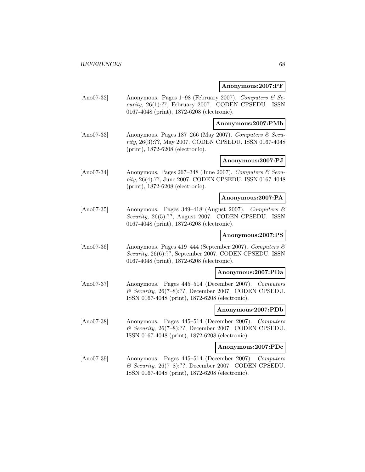# **Anonymous:2007:PF**

[Ano07-32] Anonymous. Pages 1–98 (February 2007). Computers & Security, 26(1):??, February 2007. CODEN CPSEDU. ISSN 0167-4048 (print), 1872-6208 (electronic).

# **Anonymous:2007:PMb**

[Ano07-33] Anonymous. Pages 187–266 (May 2007). Computers  $\mathcal{C}$  Security, 26(3):??, May 2007. CODEN CPSEDU. ISSN 0167-4048 (print), 1872-6208 (electronic).

# **Anonymous:2007:PJ**

[Ano07-34] Anonymous. Pages  $267-348$  (June 2007). Computers & Security, 26(4):??, June 2007. CODEN CPSEDU. ISSN 0167-4048 (print), 1872-6208 (electronic).

## **Anonymous:2007:PA**

[Ano07-35] Anonymous. Pages 349–418 (August 2007). Computers & Security, 26(5):??, August 2007. CODEN CPSEDU. ISSN 0167-4048 (print), 1872-6208 (electronic).

# **Anonymous:2007:PS**

[Ano07-36] Anonymous. Pages 419–444 (September 2007). Computers  $\mathcal{B}$ Security, 26(6):??, September 2007. CODEN CPSEDU. ISSN 0167-4048 (print), 1872-6208 (electronic).

## **Anonymous:2007:PDa**

[Ano07-37] Anonymous. Pages 445–514 (December 2007). Computers  $&$  Security, 26(7-8):??, December 2007. CODEN CPSEDU. ISSN 0167-4048 (print), 1872-6208 (electronic).

#### **Anonymous:2007:PDb**

[Ano07-38] Anonymous. Pages 445–514 (December 2007). Computers & Security, 26(7–8):??, December 2007. CODEN CPSEDU. ISSN 0167-4048 (print), 1872-6208 (electronic).

# **Anonymous:2007:PDc**

[Ano07-39] Anonymous. Pages 445–514 (December 2007). Computers  $\&$  Security, 26(7–8):??, December 2007. CODEN CPSEDU. ISSN 0167-4048 (print), 1872-6208 (electronic).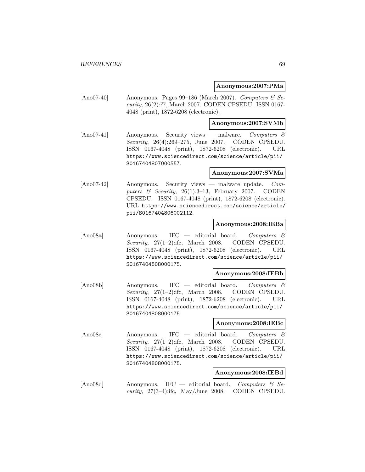# **Anonymous:2007:PMa**

[Ano07-40] Anonymous. Pages 99-186 (March 2007). Computers  $\mathcal{C}$  Security, 26(2):??, March 2007. CODEN CPSEDU. ISSN 0167- 4048 (print), 1872-6208 (electronic).

## **Anonymous:2007:SVMb**

[Ano07-41] Anonymous. Security views — malware. Computers & Security, 26(4):269–275, June 2007. CODEN CPSEDU. ISSN 0167-4048 (print), 1872-6208 (electronic). URL https://www.sciencedirect.com/science/article/pii/ S0167404807000557.

## **Anonymous:2007:SVMa**

[Ano07-42] Anonymous. Security views — malware update. Computers & Security,  $26(1):3-13$ , February 2007. CODEN CPSEDU. ISSN 0167-4048 (print), 1872-6208 (electronic). URL https://www.sciencedirect.com/science/article/ pii/S0167404806002112.

## **Anonymous:2008:IEBa**

[Ano08a] Anonymous. IFC — editorial board. Computers & Security, 27(1-2):ifc, March 2008. CODEN CPSEDU. ISSN 0167-4048 (print), 1872-6208 (electronic). URL https://www.sciencedirect.com/science/article/pii/ S0167404808000175.

#### **Anonymous:2008:IEBb**

[Ano08b] Anonymous. IFC — editorial board. Computers & Security, 27(1–2):ifc, March 2008. CODEN CPSEDU. ISSN 0167-4048 (print), 1872-6208 (electronic). URL https://www.sciencedirect.com/science/article/pii/ S0167404808000175.

## **Anonymous:2008:IEBc**

[Ano08c] Anonymous. IFC — editorial board. Computers & Security, 27(1–2):ifc, March 2008. CODEN CPSEDU. ISSN 0167-4048 (print), 1872-6208 (electronic). URL https://www.sciencedirect.com/science/article/pii/ S0167404808000175.

## **Anonymous:2008:IEBd**

[Ano08d] Anonymous. IFC — editorial board. Computers & Se*curity*,  $27(3-4)$ :ifc,  $\text{May/June } 2008$ . CODEN CPSEDU.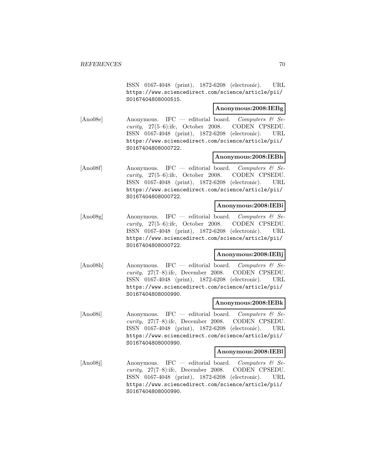ISSN 0167-4048 (print), 1872-6208 (electronic). URL https://www.sciencedirect.com/science/article/pii/ S0167404808000515.

## **Anonymous:2008:IEBg**

[Ano08e] Anonymous. IFC — editorial board. Computers  $\mathcal{B}$  Security, 27(5–6):ifc, October 2008. CODEN CPSEDU. ISSN 0167-4048 (print), 1872-6208 (electronic). URL https://www.sciencedirect.com/science/article/pii/ S0167404808000722.

# **Anonymous:2008:IEBh**

[Ano08f] Anonymous. IFC — editorial board. Computers  $\mathcal{B}$  Security, 27(5–6):ifc, October 2008. CODEN CPSEDU. ISSN 0167-4048 (print), 1872-6208 (electronic). URL https://www.sciencedirect.com/science/article/pii/ S0167404808000722.

# **Anonymous:2008:IEBi**

[Ano08g] Anonymous. IFC — editorial board. Computers & Security, 27(5–6):ifc, October 2008. CODEN CPSEDU. ISSN 0167-4048 (print), 1872-6208 (electronic). URL https://www.sciencedirect.com/science/article/pii/ S0167404808000722.

## **Anonymous:2008:IEBj**

[Ano08h] Anonymous. IFC — editorial board. Computers  $\mathcal{C}$  Security, 27(7–8):ifc, December 2008. CODEN CPSEDU. ISSN 0167-4048 (print), 1872-6208 (electronic). URL https://www.sciencedirect.com/science/article/pii/ S0167404808000990.

## **Anonymous:2008:IEBk**

[Ano08i] Anonymous. IFC — editorial board. Computers & Security, 27(7–8):ifc, December 2008. CODEN CPSEDU. ISSN 0167-4048 (print), 1872-6208 (electronic). URL https://www.sciencedirect.com/science/article/pii/ S0167404808000990.

#### **Anonymous:2008:IEBl**

[Ano08j] Anonymous. IFC — editorial board. Computers  $\mathcal{C}$  Security, 27(7–8):ifc, December 2008. CODEN CPSEDU. ISSN 0167-4048 (print), 1872-6208 (electronic). URL https://www.sciencedirect.com/science/article/pii/ S0167404808000990.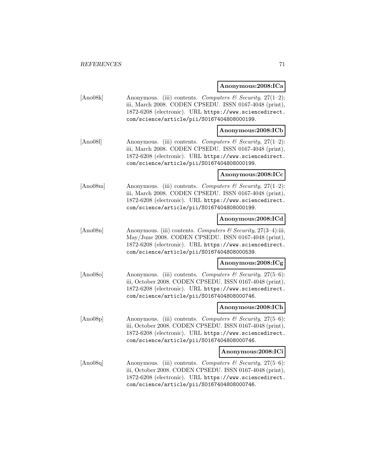**Anonymous:2008:ICa**

[Ano08k] Anonymous. (iii) contents. Computers  $\mathcal C$  Security, 27(1–2): iii, March 2008. CODEN CPSEDU. ISSN 0167-4048 (print), 1872-6208 (electronic). URL https://www.sciencedirect. com/science/article/pii/S0167404808000199.

#### **Anonymous:2008:ICb**

[Ano081] Anonymous. (iii) contents. Computers & Security,  $27(1-2)$ : iii, March 2008. CODEN CPSEDU. ISSN 0167-4048 (print), 1872-6208 (electronic). URL https://www.sciencedirect. com/science/article/pii/S0167404808000199.

#### **Anonymous:2008:ICc**

[Ano08m] Anonymous. (iii) contents. Computers  $\mathcal{C}$  Security, 27(1–2): iii, March 2008. CODEN CPSEDU. ISSN 0167-4048 (print), 1872-6208 (electronic). URL https://www.sciencedirect. com/science/article/pii/S0167404808000199.

## **Anonymous:2008:ICd**

 $[\text{Ano08n}]$  Anonymous. (iii) contents. Computers & Security, 27(3–4):iii, May/June 2008. CODEN CPSEDU. ISSN 0167-4048 (print), 1872-6208 (electronic). URL https://www.sciencedirect. com/science/article/pii/S0167404808000539.

## **Anonymous:2008:ICg**

[Ano08o] Anonymous. (iii) contents. Computers & Security, 27(5–6): iii, October 2008. CODEN CPSEDU. ISSN 0167-4048 (print), 1872-6208 (electronic). URL https://www.sciencedirect. com/science/article/pii/S0167404808000746.

#### **Anonymous:2008:ICh**

 $[\text{Ano08p}]$  Anonymous. (iii) contents. Computers & Security, 27(5–6): iii, October 2008. CODEN CPSEDU. ISSN 0167-4048 (print), 1872-6208 (electronic). URL https://www.sciencedirect. com/science/article/pii/S0167404808000746.

#### **Anonymous:2008:ICi**

[Ano08q] Anonymous. (iii) contents. Computers & Security, 27(5–6): iii, October 2008. CODEN CPSEDU. ISSN 0167-4048 (print), 1872-6208 (electronic). URL https://www.sciencedirect. com/science/article/pii/S0167404808000746.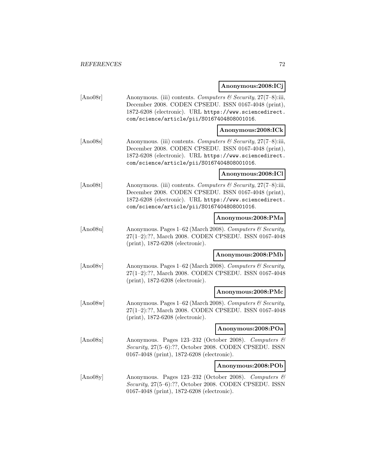$\Gamma$ **Anonymous:2008:ICj**

|          |                                                                                                                                                                                                                                  | Anonymous:2008:ICj |
|----------|----------------------------------------------------------------------------------------------------------------------------------------------------------------------------------------------------------------------------------|--------------------|
| [Ano08r] | Anonymous. (iii) contents. Computers & Security, $27(7-8)$ :iii,<br>December 2008. CODEN CPSEDU. ISSN 0167-4048 (print),<br>1872-6208 (electronic). URL https://www.sciencedirect.<br>com/science/article/pii/S0167404808001016. |                    |
|          |                                                                                                                                                                                                                                  | Anonymous:2008:ICk |
| [Ano08s] | Anonymous. (iii) contents. Computers & Security, 27(7-8):iii,<br>December 2008. CODEN CPSEDU. ISSN 0167-4048 (print),<br>1872-6208 (electronic). URL https://www.sciencedirect.<br>com/science/article/pii/S0167404808001016.    |                    |
|          |                                                                                                                                                                                                                                  | Anonymous:2008:ICl |
| [Ano08t] | Anonymous. (iii) contents. Computers & Security, 27(7-8):iii,<br>December 2008. CODEN CPSEDU. ISSN 0167-4048 (print),<br>1872-6208 (electronic). URL https://www.sciencedirect.<br>com/science/article/pii/S0167404808001016.    |                    |
|          |                                                                                                                                                                                                                                  | Anonymous:2008:PMa |
| [Ano08u] | Anonymous. Pages 1–62 (March 2008). Computers & Security,<br>27(1-2):??, March 2008. CODEN CPSEDU. ISSN 0167-4048<br>$(print), 1872-6208$ (electronic).                                                                          |                    |
|          |                                                                                                                                                                                                                                  | Anonymous:2008:PMb |
| [Ano08v] | Anonymous. Pages 1-62 (March 2008). Computers & Security,<br>27(1-2):??, March 2008. CODEN CPSEDU. ISSN 0167-4048<br>(print), 1872-6208 (electronic).                                                                            |                    |
|          |                                                                                                                                                                                                                                  | Anonymous:2008:PMc |
| [Ano08w] | Anonymous. Pages 1-62 (March 2008). Computers & Security,<br>27(1-2):??, March 2008. CODEN CPSEDU. ISSN 0167-4048<br>$(print), 1872-6208$ (electronic).                                                                          |                    |
|          |                                                                                                                                                                                                                                  | Anonymous:2008:POa |
| [Ano08x] | Anonymous. Pages 123-232 (October 2008). Computers &<br>Security, 27(5-6):??, October 2008. CODEN CPSEDU. ISSN<br>0167-4048 (print), 1872-6208 (electronic).                                                                     |                    |
|          |                                                                                                                                                                                                                                  | Anonymous:2008:POb |
| [Ano08y] | Anonymous. Pages 123-232 (October 2008). Computers &<br>$Security\ 27(5-6)\cdot 22$ October 2008. CODEN CPSEDIL ISSN                                                                                                             |                    |

Security, 27(5–6):??, October 2008. CODEN CPSEDU. ISSN 0167-4048 (print), 1872-6208 (electronic).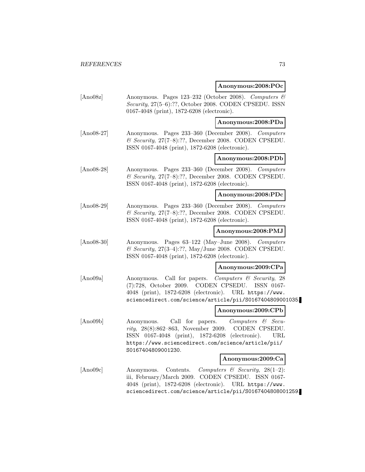#### **Anonymous:2008:POc**

[Ano08z] Anonymous. Pages 123–232 (October 2008). Computers & Security, 27(5–6):??, October 2008. CODEN CPSEDU. ISSN 0167-4048 (print), 1872-6208 (electronic).

**Anonymous:2008:PDa**

[Ano08-27] Anonymous. Pages 233–360 (December 2008). Computers  $\&$  Security, 27(7-8):??, December 2008. CODEN CPSEDU. ISSN 0167-4048 (print), 1872-6208 (electronic).

### **Anonymous:2008:PDb**

[Ano08-28] Anonymous. Pages 233–360 (December 2008). Computers  $\&$  Security, 27(7–8):??, December 2008. CODEN CPSEDU. ISSN 0167-4048 (print), 1872-6208 (electronic).

#### **Anonymous:2008:PDc**

[Ano08-29] Anonymous. Pages 233–360 (December 2008). Computers  $\&$  Security, 27(7-8):??, December 2008. CODEN CPSEDU. ISSN 0167-4048 (print), 1872-6208 (electronic).

#### **Anonymous:2008:PMJ**

[Ano08-30] Anonymous. Pages 63–122 (May–June 2008). Computers  $\mathcal C$  Security, 27(3-4):??, May/June 2008. CODEN CPSEDU. ISSN 0167-4048 (print), 1872-6208 (electronic).

### **Anonymous:2009:CPa**

[Ano09a] Anonymous. Call for papers. Computers & Security, 28 (7):728, October 2009. CODEN CPSEDU. ISSN 0167- 4048 (print), 1872-6208 (electronic). URL https://www. sciencedirect.com/science/article/pii/S0167404809001035.

#### **Anonymous:2009:CPb**

[Ano09b] Anonymous. Call for papers. Computers & Security, 28(8):862–863, November 2009. CODEN CPSEDU. ISSN 0167-4048 (print), 1872-6208 (electronic). URL https://www.sciencedirect.com/science/article/pii/ S0167404809001230.

#### **Anonymous:2009:Ca**

[Ano09c] Anonymous. Contents. Computers & Security, 28(1–2): iii, February/March 2009. CODEN CPSEDU. ISSN 0167- 4048 (print), 1872-6208 (electronic). URL https://www. sciencedirect.com/science/article/pii/S0167404808001259.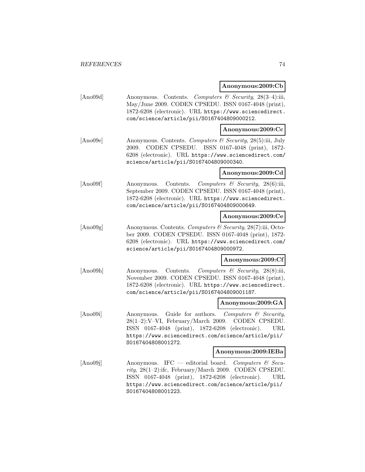### **Anonymous:2009:Cb**

[Ano09d] Anonymous. Contents. Computers & Security, 28(3–4):iii, May/June 2009. CODEN CPSEDU. ISSN 0167-4048 (print), 1872-6208 (electronic). URL https://www.sciencedirect. com/science/article/pii/S0167404809000212.

### **Anonymous:2009:Cc**

[Ano09e] Anonymous. Contents. Computers & Security, 28(5):iii, July 2009. CODEN CPSEDU. ISSN 0167-4048 (print), 1872- 6208 (electronic). URL https://www.sciencedirect.com/ science/article/pii/S0167404809000340.

### **Anonymous:2009:Cd**

[Ano09f] Anonymous. Contents. Computers & Security, 28(6):iii, September 2009. CODEN CPSEDU. ISSN 0167-4048 (print), 1872-6208 (electronic). URL https://www.sciencedirect. com/science/article/pii/S0167404809000649.

## **Anonymous:2009:Ce**

[Ano09g] Anonymous. Contents. Computers & Security, 28(7):iii, October 2009. CODEN CPSEDU. ISSN 0167-4048 (print), 1872- 6208 (electronic). URL https://www.sciencedirect.com/ science/article/pii/S0167404809000972.

## **Anonymous:2009:Cf**

[Ano09h] Anonymous. Contents. Computers & Security, 28(8):iii, November 2009. CODEN CPSEDU. ISSN 0167-4048 (print), 1872-6208 (electronic). URL https://www.sciencedirect. com/science/article/pii/S0167404809001187.

#### **Anonymous:2009:GA**

[Ano09i] Anonymous. Guide for authors. Computers & Security, 28(1–2):V–VI, February/March 2009. CODEN CPSEDU. ISSN 0167-4048 (print), 1872-6208 (electronic). URL https://www.sciencedirect.com/science/article/pii/ S0167404808001272.

### **Anonymous:2009:IEBa**

[Ano09] Anonymous. IFC — editorial board. Computers  $\mathcal{C}$  Security, 28(1–2):ifc, February/March 2009. CODEN CPSEDU. ISSN 0167-4048 (print), 1872-6208 (electronic). URL https://www.sciencedirect.com/science/article/pii/ S0167404808001223.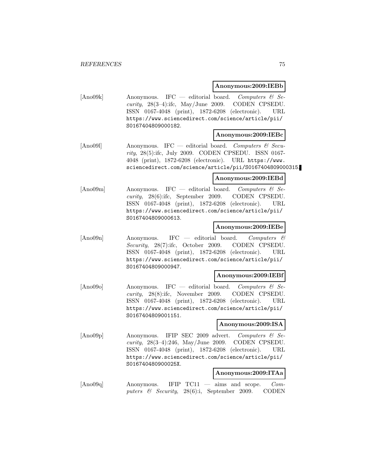### **Anonymous:2009:IEBb**

[Ano09k] Anonymous. IFC — editorial board. Computers  $\mathcal{C}$  Se*curity*,  $28(3-4)$ :ifc, May/June 2009. CODEN CPSEDU. ISSN 0167-4048 (print), 1872-6208 (electronic). URL https://www.sciencedirect.com/science/article/pii/ S0167404809000182.

#### **Anonymous:2009:IEBc**

 $[Ano09]$  Anonymous. IFC — editorial board. Computers & Security, 28(5):ifc, July 2009. CODEN CPSEDU. ISSN 0167- 4048 (print), 1872-6208 (electronic). URL https://www. sciencedirect.com/science/article/pii/S0167404809000315.

## **Anonymous:2009:IEBd**

[Ano09m] Anonymous. IFC — editorial board. Computers  $\mathcal{C}$  Security, 28(6):ifc, September 2009. CODEN CPSEDU. ISSN 0167-4048 (print), 1872-6208 (electronic). URL https://www.sciencedirect.com/science/article/pii/ S0167404809000613.

## **Anonymous:2009:IEBe**

[Ano09n] Anonymous. IFC — editorial board. Computers & Security, 28(7):ifc, October 2009. CODEN CPSEDU. ISSN 0167-4048 (print), 1872-6208 (electronic). URL https://www.sciencedirect.com/science/article/pii/ S0167404809000947.

#### **Anonymous:2009:IEBf**

[Ano09o] Anonymous. IFC — editorial board. Computers & Security, 28(8):ifc, November 2009. CODEN CPSEDU. ISSN 0167-4048 (print), 1872-6208 (electronic). URL https://www.sciencedirect.com/science/article/pii/ S0167404809001151.

## **Anonymous:2009:ISA**

[Ano09p] Anonymous. IFIP SEC 2009 advert. Computers & Se*curity*,  $28(3-4):246$ , May/June 2009. CODEN CPSEDU. ISSN 0167-4048 (print), 1872-6208 (electronic). URL https://www.sciencedirect.com/science/article/pii/ S016740480900025X.

### **Anonymous:2009:ITAa**

[Ano09q] Anonymous. IFIP TC11 — aims and scope. Computers & Security, 28(6):i, September 2009. CODEN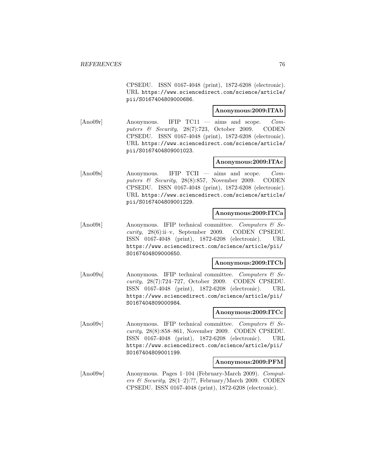CPSEDU. ISSN 0167-4048 (print), 1872-6208 (electronic). URL https://www.sciencedirect.com/science/article/ pii/S0167404809000686.

## **Anonymous:2009:ITAb**

[Ano09r] Anonymous. IFIP TC11 — aims and scope. Computers & Security, 28(7):723, October 2009. CODEN CPSEDU. ISSN 0167-4048 (print), 1872-6208 (electronic). URL https://www.sciencedirect.com/science/article/ pii/S0167404809001023.

### **Anonymous:2009:ITAc**

[Ano09s] Anonymous. IFIP TCII — aims and scope. Computers & Security, 28(8):857, November 2009. CODEN CPSEDU. ISSN 0167-4048 (print), 1872-6208 (electronic). URL https://www.sciencedirect.com/science/article/ pii/S0167404809001229.

### **Anonymous:2009:ITCa**

[Ano09t] Anonymous. IFIP technical committee. Computers  $\mathcal{C}$  Security, 28(6):ii–v, September 2009. CODEN CPSEDU. ISSN 0167-4048 (print), 1872-6208 (electronic). URL https://www.sciencedirect.com/science/article/pii/ S0167404809000650.

### **Anonymous:2009:ITCb**

[Ano09u] Anonymous. IFIP technical committee. Computers & Security, 28(7):724–727, October 2009. CODEN CPSEDU. ISSN 0167-4048 (print), 1872-6208 (electronic). URL https://www.sciencedirect.com/science/article/pii/ S0167404809000984.

### **Anonymous:2009:ITCc**

[Ano09v] Anonymous. IFIP technical committee. Computers  $\mathcal{B}$  Security, 28(8):858–861, November 2009. CODEN CPSEDU. ISSN 0167-4048 (print), 1872-6208 (electronic). URL https://www.sciencedirect.com/science/article/pii/ S0167404809001199.

#### **Anonymous:2009:PFM**

[Ano09w] Anonymous. Pages 1–104 (February-March 2009). Computers & Security,  $28(1-2)$ :??, February/March 2009. CODEN CPSEDU. ISSN 0167-4048 (print), 1872-6208 (electronic).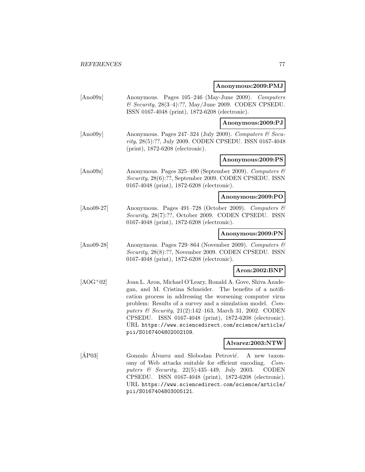### **Anonymous:2009:PMJ**

- [Ano09x] Anonymous. Pages 105–246 (May-June 2009). Computers  $\&$  Security, 28(3-4):??, May/June 2009. CODEN CPSEDU. ISSN 0167-4048 (print), 1872-6208 (electronic). **Anonymous:2009:PJ**
- [Ano09y] Anonymous. Pages 247–324 (July 2009). Computers & Security, 28(5):??, July 2009. CODEN CPSEDU. ISSN 0167-4048 (print), 1872-6208 (electronic).

### **Anonymous:2009:PS**

[Ano09z] Anonymous. Pages 325–490 (September 2009). Computers & Security, 28(6):??, September 2009. CODEN CPSEDU. ISSN 0167-4048 (print), 1872-6208 (electronic).

## **Anonymous:2009:PO**

[Ano09-27] Anonymous. Pages 491–728 (October 2009). Computers & Security, 28(7):??, October 2009. CODEN CPSEDU. ISSN 0167-4048 (print), 1872-6208 (electronic).

### **Anonymous:2009:PN**

[Ano09-28] Anonymous. Pages 729–864 (November 2009). Computers & Security, 28(8):??, November 2009. CODEN CPSEDU. ISSN 0167-4048 (print), 1872-6208 (electronic).

## **Aron:2002:BNP**

[AOG<sup>+</sup>02] Joan L. Aron, Michael O'Leary, Ronald A. Gove, Shiva Azadegan, and M. Cristina Schneider. The benefits of a notification process in addressing the worsening computer virus problem: Results of a survey and a simulation model. Computers & Security, 21(2):142–163, March 31, 2002. CODEN CPSEDU. ISSN 0167-4048 (print), 1872-6208 (electronic). URL https://www.sciencedirect.com/science/article/ pii/S0167404802002109.

### **Alvarez:2003:NTW**

[AP03] Gonzalo Alvarez and Slobodan Petrović. A new taxonomy of Web attacks suitable for efficient encoding. Computers & Security, 22(5):435–449, July 2003. CODEN CPSEDU. ISSN 0167-4048 (print), 1872-6208 (electronic). URL https://www.sciencedirect.com/science/article/ pii/S0167404803005121.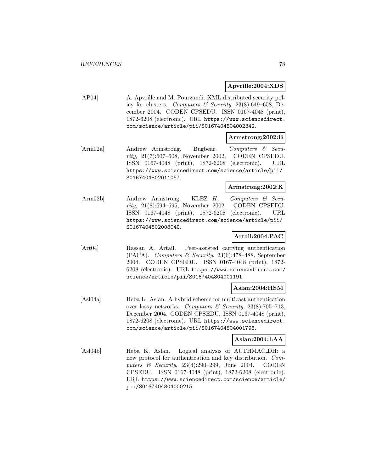### **Apvrille:2004:XDS**

[AP04] A. Apvrille and M. Pourzandi. XML distributed security policy for clusters. Computers & Security,  $23(8)$ :649–658, December 2004. CODEN CPSEDU. ISSN 0167-4048 (print), 1872-6208 (electronic). URL https://www.sciencedirect. com/science/article/pii/S0167404804002342.

### **Armstrong:2002:B**

[Arm02a] Andrew Armstrong. Bugbear. Computers & Security, 21(7):607–608, November 2002. CODEN CPSEDU. ISSN 0167-4048 (print), 1872-6208 (electronic). URL https://www.sciencedirect.com/science/article/pii/ S0167404802011057.

## **Armstrong:2002:K**

[Arm02b] Andrew Armstrong. KLEZ H. Computers & Security, 21(8):694–695, November 2002. CODEN CPSEDU. ISSN 0167-4048 (print), 1872-6208 (electronic). URL https://www.sciencedirect.com/science/article/pii/ S0167404802008040.

## **Artail:2004:PAC**

[Art04] Hassan A. Artail. Peer-assisted carrying authentication (PACA). Computers & Security, 23(6):478–488, September 2004. CODEN CPSEDU. ISSN 0167-4048 (print), 1872- 6208 (electronic). URL https://www.sciencedirect.com/ science/article/pii/S0167404804001191.

## **Aslan:2004:HSM**

[Asl04a] Heba K. Aslan. A hybrid scheme for multicast authentication over lossy networks. Computers  $\mathcal C$  Security, 23(8):705–713, December 2004. CODEN CPSEDU. ISSN 0167-4048 (print), 1872-6208 (electronic). URL https://www.sciencedirect. com/science/article/pii/S0167404804001798.

## **Aslan:2004:LAA**

[Asl04b] Heba K. Aslan. Logical analysis of AUTHMAC DH: a new protocol for authentication and key distribution. Computers  $\&$  Security, 23(4):290–299, June 2004. CODEN CPSEDU. ISSN 0167-4048 (print), 1872-6208 (electronic). URL https://www.sciencedirect.com/science/article/ pii/S0167404804000215.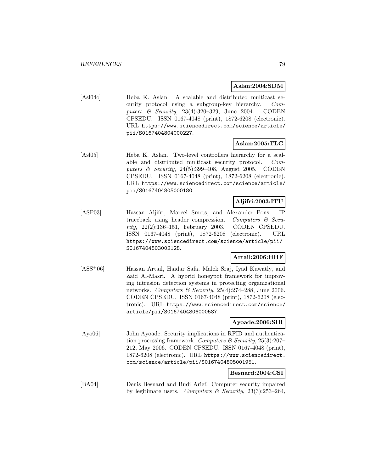## **Aslan:2004:SDM**

[Asl04c] Heba K. Aslan. A scalable and distributed multicast security protocol using a subgroup-key hierarchy. Computers  $\&$  Security, 23(4):320–329, June 2004. CODEN CPSEDU. ISSN 0167-4048 (print), 1872-6208 (electronic). URL https://www.sciencedirect.com/science/article/ pii/S0167404804000227.

## **Aslan:2005:TLC**

[Asl05] Heba K. Aslan. Two-level controllers hierarchy for a scalable and distributed multicast security protocol. Computers & Security, 24(5):399–408, August 2005. CODEN CPSEDU. ISSN 0167-4048 (print), 1872-6208 (electronic). URL https://www.sciencedirect.com/science/article/ pii/S0167404805000180.

## **Aljifri:2003:ITU**

[ASP03] Hassan Aljifri, Marcel Smets, and Alexander Pons. IP traceback using header compression. Computers  $\mathcal{C}$  Security, 22(2):136–151, February 2003. CODEN CPSEDU. ISSN 0167-4048 (print), 1872-6208 (electronic). URL https://www.sciencedirect.com/science/article/pii/ S0167404803002128.

## **Artail:2006:HHF**

[ASS<sup>+</sup>06] Hassan Artail, Haidar Safa, Malek Sraj, Iyad Kuwatly, and Zaid Al-Masri. A hybrid honeypot framework for improving intrusion detection systems in protecting organizational networks. Computers & Security,  $25(4):274-288$ , June 2006. CODEN CPSEDU. ISSN 0167-4048 (print), 1872-6208 (electronic). URL https://www.sciencedirect.com/science/ article/pii/S0167404806000587.

## **Ayoade:2006:SIR**

[Ayo06] John Ayoade. Security implications in RFID and authentication processing framework. Computers & Security,  $25(3):207-$ 212, May 2006. CODEN CPSEDU. ISSN 0167-4048 (print), 1872-6208 (electronic). URL https://www.sciencedirect. com/science/article/pii/S0167404805001951.

## **Besnard:2004:CSI**

[BA04] Denis Besnard and Budi Arief. Computer security impaired by legitimate users. Computers & Security,  $23(3):253-264$ .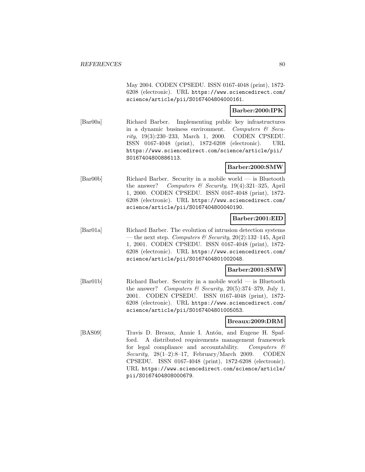May 2004. CODEN CPSEDU. ISSN 0167-4048 (print), 1872- 6208 (electronic). URL https://www.sciencedirect.com/ science/article/pii/S0167404804000161.

### **Barber:2000:IPK**

[Bar00a] Richard Barber. Implementing public key infrastructures in a dynamic business environment. Computers & Security, 19(3):230–233, March 1, 2000. CODEN CPSEDU. ISSN 0167-4048 (print), 1872-6208 (electronic). URL https://www.sciencedirect.com/science/article/pii/ S0167404800886113.

## **Barber:2000:SMW**

[Bar00b] Richard Barber. Security in a mobile world — is Bluetooth the answer? Computers & Security,  $19(4):321-325$ , April 1, 2000. CODEN CPSEDU. ISSN 0167-4048 (print), 1872- 6208 (electronic). URL https://www.sciencedirect.com/ science/article/pii/S0167404800040190.

## **Barber:2001:EID**

[Bar01a] Richard Barber. The evolution of intrusion detection systems — the next step. Computers & Security,  $20(2):132-145$ , April 1, 2001. CODEN CPSEDU. ISSN 0167-4048 (print), 1872- 6208 (electronic). URL https://www.sciencedirect.com/ science/article/pii/S0167404801002048.

### **Barber:2001:SMW**

[Bar01b] Richard Barber. Security in a mobile world — is Bluetooth the answer? Computers  $\mathcal B$  Security, 20(5):374-379, July 1, 2001. CODEN CPSEDU. ISSN 0167-4048 (print), 1872- 6208 (electronic). URL https://www.sciencedirect.com/ science/article/pii/S0167404801005053.

## **Breaux:2009:DRM**

[BAS09] Travis D. Breaux, Annie I. Antón, and Eugene H. Spafford. A distributed requirements management framework for legal compliance and accountability. Computers  $\mathcal{C}$ Security,  $28(1-2) \cdot 8-17$ , February/March 2009. CODEN CPSEDU. ISSN 0167-4048 (print), 1872-6208 (electronic). URL https://www.sciencedirect.com/science/article/ pii/S0167404808000679.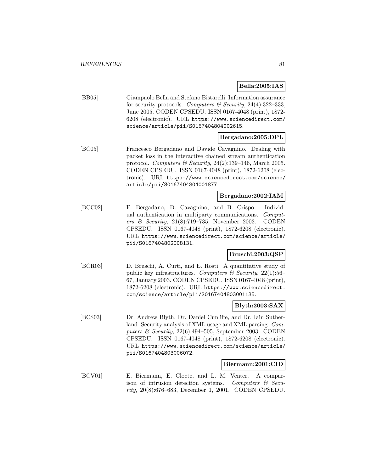**Bella:2005:IAS**

| [BB05] | Giampaolo Bella and Stefano Bistarelli. Information assurance |
|--------|---------------------------------------------------------------|
|        | for security protocols. Computers & Security, 24(4):322-333,  |
|        | June 2005. CODEN CPSEDU. ISSN 0167-4048 (print), 1872-        |
|        | 6208 (electronic). URL https://www.sciencedirect.com/         |
|        | science/article/pii/S0167404804002615.                        |

## **Bergadano:2005:DPL**

[BC05] Francesco Bergadano and Davide Cavagnino. Dealing with packet loss in the interactive chained stream authentication protocol. Computers & Security, 24(2):139–146, March 2005. CODEN CPSEDU. ISSN 0167-4048 (print), 1872-6208 (electronic). URL https://www.sciencedirect.com/science/ article/pii/S0167404804001877.

## **Bergadano:2002:IAM**

[BCC02] F. Bergadano, D. Cavagnino, and B. Crispo. Individual authentication in multiparty communications. Computers & Security,  $21(8)$ :719-735, November 2002. CODEN CPSEDU. ISSN 0167-4048 (print), 1872-6208 (electronic). URL https://www.sciencedirect.com/science/article/ pii/S0167404802008131.

### **Bruschi:2003:QSP**

[BCR03] D. Bruschi, A. Curti, and E. Rosti. A quantitative study of public key infrastructures. Computers & Security,  $22(1)$ :56– 67, January 2003. CODEN CPSEDU. ISSN 0167-4048 (print), 1872-6208 (electronic). URL https://www.sciencedirect. com/science/article/pii/S0167404803001135.

### **Blyth:2003:SAX**

[BCS03] Dr. Andrew Blyth, Dr. Daniel Cunliffe, and Dr. Iain Sutherland. Security analysis of XML usage and XML parsing. Computers & Security,  $22(6)$ :494–505, September 2003. CODEN CPSEDU. ISSN 0167-4048 (print), 1872-6208 (electronic). URL https://www.sciencedirect.com/science/article/ pii/S0167404803006072.

#### **Biermann:2001:CID**

[BCV01] E. Biermann, E. Cloete, and L. M. Venter. A comparison of intrusion detection systems. Computers & Security, 20(8):676–683, December 1, 2001. CODEN CPSEDU.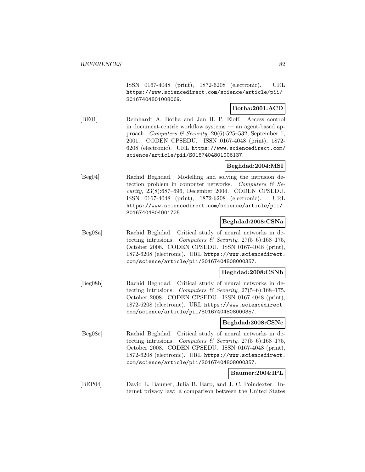ISSN 0167-4048 (print), 1872-6208 (electronic). URL https://www.sciencedirect.com/science/article/pii/ S0167404801008069.

## **Botha:2001:ACD**

[BE01] Reinhardt A. Botha and Jan H. P. Eloff. Access control in document-centric workflow systems — an agent-based approach. Computers & Security,  $20(6)$ :525–532, September 1, 2001. CODEN CPSEDU. ISSN 0167-4048 (print), 1872- 6208 (electronic). URL https://www.sciencedirect.com/ science/article/pii/S0167404801006137.

## **Beghdad:2004:MSI**

[Beg04] Rachid Beghdad. Modelling and solving the intrusion detection problem in computer networks. Computers  $\mathcal{B}$  Security, 23(8):687–696, December 2004. CODEN CPSEDU. ISSN 0167-4048 (print), 1872-6208 (electronic). URL https://www.sciencedirect.com/science/article/pii/ S0167404804001725.

## **Beghdad:2008:CSNa**

[Beg08a] Rachid Beghdad. Critical study of neural networks in detecting intrusions. Computers & Security,  $27(5-6)$ :168-175, October 2008. CODEN CPSEDU. ISSN 0167-4048 (print), 1872-6208 (electronic). URL https://www.sciencedirect. com/science/article/pii/S0167404808000357.

### **Beghdad:2008:CSNb**

[Beg08b] Rachid Beghdad. Critical study of neural networks in detecting intrusions. Computers & Security,  $27(5-6)$ :168-175, October 2008. CODEN CPSEDU. ISSN 0167-4048 (print), 1872-6208 (electronic). URL https://www.sciencedirect. com/science/article/pii/S0167404808000357.

### **Beghdad:2008:CSNc**

[Beg08c] Rachid Beghdad. Critical study of neural networks in detecting intrusions. Computers & Security,  $27(5-6)$ :168-175, October 2008. CODEN CPSEDU. ISSN 0167-4048 (print), 1872-6208 (electronic). URL https://www.sciencedirect. com/science/article/pii/S0167404808000357.

## **Baumer:2004:IPL**

[BEP04] David L. Baumer, Julia B. Earp, and J. C. Poindexter. Internet privacy law: a comparison between the United States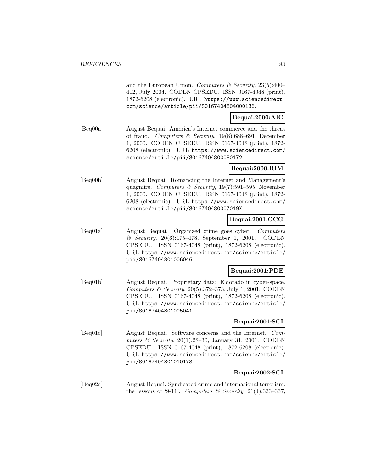and the European Union. Computers  $\mathcal B$  Security, 23(5):400– 412, July 2004. CODEN CPSEDU. ISSN 0167-4048 (print), 1872-6208 (electronic). URL https://www.sciencedirect. com/science/article/pii/S0167404804000136.

## **Bequai:2000:AIC**

[Beq00a] August Bequai. America's Internet commerce and the threat of fraud. Computers & Security,  $19(8):688-691$ , December 1, 2000. CODEN CPSEDU. ISSN 0167-4048 (print), 1872- 6208 (electronic). URL https://www.sciencedirect.com/ science/article/pii/S0167404800080172.

## **Bequai:2000:RIM**

[Beq00b] August Bequai. Romancing the Internet and Management's quagmire. Computers & Security,  $19(7):591-595$ , November 1, 2000. CODEN CPSEDU. ISSN 0167-4048 (print), 1872- 6208 (electronic). URL https://www.sciencedirect.com/ science/article/pii/S016740480007019X.

## **Bequai:2001:OCG**

[Beq01a] August Bequai. Organized crime goes cyber. Computers & Security, 20(6):475–478, September 1, 2001. CODEN CPSEDU. ISSN 0167-4048 (print), 1872-6208 (electronic). URL https://www.sciencedirect.com/science/article/ pii/S0167404801006046.

### **Bequai:2001:PDE**

[Beq01b] August Bequai. Proprietary data: Eldorado in cyber-space. Computers  $\mathcal B$  Security, 20(5):372–373, July 1, 2001. CODEN CPSEDU. ISSN 0167-4048 (print), 1872-6208 (electronic). URL https://www.sciencedirect.com/science/article/ pii/S0167404801005041.

### **Bequai:2001:SCI**

[Beq01c] August Bequai. Software concerns and the Internet. Computers & Security,  $20(1):28-30$ , January 31, 2001. CODEN CPSEDU. ISSN 0167-4048 (print), 1872-6208 (electronic). URL https://www.sciencedirect.com/science/article/ pii/S0167404801010173.

## **Bequai:2002:SCI**

[Beq02a] August Bequai. Syndicated crime and international terrorism: the lessons of '9-11'. Computers & Security, 21(4):333-337,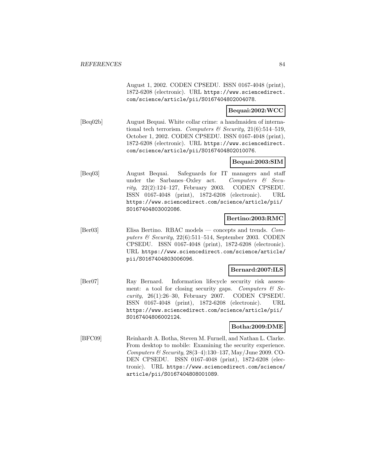August 1, 2002. CODEN CPSEDU. ISSN 0167-4048 (print), 1872-6208 (electronic). URL https://www.sciencedirect. com/science/article/pii/S0167404802004078.

### **Bequai:2002:WCC**

[Beq02b] August Bequai. White collar crime: a handmaiden of international tech terrorism. Computers  $\mathcal{B}$  Security, 21(6):514-519, October 1, 2002. CODEN CPSEDU. ISSN 0167-4048 (print), 1872-6208 (electronic). URL https://www.sciencedirect. com/science/article/pii/S0167404802010076.

## **Bequai:2003:SIM**

[Beq03] August Bequai. Safeguards for IT managers and staff under the Sarbanes–Oxley act. Computers  $\mathcal{C}$  Security, 22(2):124–127, February 2003. CODEN CPSEDU. ISSN 0167-4048 (print), 1872-6208 (electronic). URL https://www.sciencedirect.com/science/article/pii/ S0167404803002086.

## **Bertino:2003:RMC**

[Ber03] Elisa Bertino. RBAC models — concepts and trends. Computers  $\mathcal C$  Security, 22(6):511–514, September 2003. CODEN CPSEDU. ISSN 0167-4048 (print), 1872-6208 (electronic). URL https://www.sciencedirect.com/science/article/ pii/S0167404803006096.

## **Bernard:2007:ILS**

[Ber07] Ray Bernard. Information lifecycle security risk assessment: a tool for closing security gaps. Computers  $\mathcal{B}$  Security, 26(1):26–30, February 2007. CODEN CPSEDU. ISSN 0167-4048 (print), 1872-6208 (electronic). URL https://www.sciencedirect.com/science/article/pii/ S0167404806002124.

### **Botha:2009:DME**

[BFC09] Reinhardt A. Botha, Steven M. Furnell, and Nathan L. Clarke. From desktop to mobile: Examining the security experience. Computers  $\mathcal C$  Security, 28(3–4):130–137, May/June 2009. CO-DEN CPSEDU. ISSN 0167-4048 (print), 1872-6208 (electronic). URL https://www.sciencedirect.com/science/ article/pii/S0167404808001089.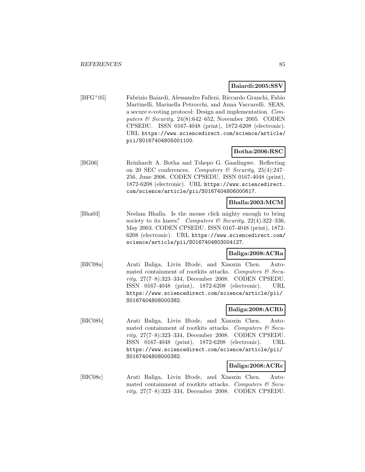#### **Baiardi:2005:SSV**

[BFG<sup>+</sup>05] Fabrizio Baiardi, Alessandro Falleni, Riccardo Granchi, Fabio Martinelli, Marinella Petrocchi, and Anna Vaccarelli. SEAS, a secure e-voting protocol: Design and implementation. Computers  $\mathcal C$  Security, 24(8):642–652, November 2005. CODEN CPSEDU. ISSN 0167-4048 (print), 1872-6208 (electronic). URL https://www.sciencedirect.com/science/article/ pii/S0167404805001100.

### **Botha:2006:RSC**

[BG06] Reinhardt A. Botha and Tshepo G. Gaadingwe. Reflecting on 20 SEC conferences. Computers & Security,  $25(4):247-$ 256, June 2006. CODEN CPSEDU. ISSN 0167-4048 (print), 1872-6208 (electronic). URL https://www.sciencedirect. com/science/article/pii/S0167404806000617.

### **Bhalla:2003:MCM**

[Bha03] Neelam Bhalla. Is the mouse click mighty enough to bring society to its knees? Computers & Security,  $22(4):322-336$ , May 2003. CODEN CPSEDU. ISSN 0167-4048 (print), 1872- 6208 (electronic). URL https://www.sciencedirect.com/ science/article/pii/S0167404803004127.

### **Baliga:2008:ACRa**

[BIC08a] Arati Baliga, Liviu Iftode, and Xiaoxin Chen. Automated containment of rootkits attacks. Computers  $\mathcal C$  Security, 27(7–8):323–334, December 2008. CODEN CPSEDU. ISSN 0167-4048 (print), 1872-6208 (electronic). URL https://www.sciencedirect.com/science/article/pii/ S0167404808000382.

### **Baliga:2008:ACRb**

[BIC08b] Arati Baliga, Liviu Iftode, and Xiaoxin Chen. Automated containment of rootkits attacks. Computers  $\mathcal C$  Security, 27(7–8):323–334, December 2008. CODEN CPSEDU. ISSN 0167-4048 (print), 1872-6208 (electronic). URL https://www.sciencedirect.com/science/article/pii/ S0167404808000382.

### **Baliga:2008:ACRc**

[BIC08c] Arati Baliga, Liviu Iftode, and Xiaoxin Chen. Automated containment of rootkits attacks. Computers  $\mathcal C$  Security, 27(7–8):323–334, December 2008. CODEN CPSEDU.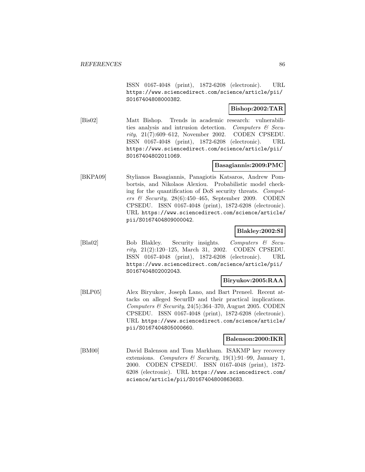ISSN 0167-4048 (print), 1872-6208 (electronic). URL https://www.sciencedirect.com/science/article/pii/ S0167404808000382.

## **Bishop:2002:TAR**

[Bis02] Matt Bishop. Trends in academic research: vulnerabilities analysis and intrusion detection. Computers & Security, 21(7):609–612, November 2002. CODEN CPSEDU. ISSN 0167-4048 (print), 1872-6208 (electronic). URL https://www.sciencedirect.com/science/article/pii/ S0167404802011069.

## **Basagiannis:2009:PMC**

[BKPA09] Stylianos Basagiannis, Panagiotis Katsaros, Andrew Pombortsis, and Nikolaos Alexiou. Probabilistic model checking for the quantification of DoS security threats. Computers & Security, 28(6):450–465, September 2009. CODEN CPSEDU. ISSN 0167-4048 (print), 1872-6208 (electronic). URL https://www.sciencedirect.com/science/article/ pii/S0167404809000042.

### **Blakley:2002:SI**

[Bla02] Bob Blakley. Security insights. Computers & Security, 21(2):120–125, March 31, 2002. CODEN CPSEDU. ISSN 0167-4048 (print), 1872-6208 (electronic). URL https://www.sciencedirect.com/science/article/pii/ S0167404802002043.

### **Biryukov:2005:RAA**

[BLP05] Alex Biryukov, Joseph Lano, and Bart Preneel. Recent attacks on alleged SecurID and their practical implications. Computers & Security, 24(5):364–370, August 2005. CODEN CPSEDU. ISSN 0167-4048 (print), 1872-6208 (electronic). URL https://www.sciencedirect.com/science/article/ pii/S0167404805000660.

### **Balenson:2000:IKR**

[BM00] David Balenson and Tom Markham. ISAKMP key recovery extensions. Computers & Security, 19(1):91-99, January 1, 2000. CODEN CPSEDU. ISSN 0167-4048 (print), 1872- 6208 (electronic). URL https://www.sciencedirect.com/ science/article/pii/S0167404800863683.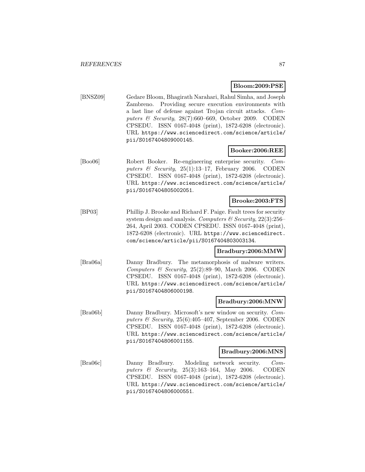### **Bloom:2009:PSE**

[BNSZ09] Gedare Bloom, Bhagirath Narahari, Rahul Simha, and Joseph Zambreno. Providing secure execution environments with a last line of defense against Trojan circuit attacks. Computers & Security, 28(7):660–669, October 2009. CODEN CPSEDU. ISSN 0167-4048 (print), 1872-6208 (electronic). URL https://www.sciencedirect.com/science/article/ pii/S0167404809000145.

### **Booker:2006:REE**

[Boo06] Robert Booker. Re-engineering enterprise security. Computers & Security,  $25(1):13-17$ , February 2006. CODEN CPSEDU. ISSN 0167-4048 (print), 1872-6208 (electronic). URL https://www.sciencedirect.com/science/article/ pii/S0167404805002051.

### **Brooke:2003:FTS**

[BP03] Phillip J. Brooke and Richard F. Paige. Fault trees for security system design and analysis. Computers  $\mathcal C$  Security, 22(3):256– 264, April 2003. CODEN CPSEDU. ISSN 0167-4048 (print), 1872-6208 (electronic). URL https://www.sciencedirect. com/science/article/pii/S0167404803003134.

### **Bradbury:2006:MMW**

[Bra06a] Danny Bradbury. The metamorphosis of malware writers. Computers & Security,  $25(2):89-90$ , March 2006. CODEN CPSEDU. ISSN 0167-4048 (print), 1872-6208 (electronic). URL https://www.sciencedirect.com/science/article/ pii/S0167404806000198.

### **Bradbury:2006:MNW**

[Bra06b] Danny Bradbury. Microsoft's new window on security. Computers  $\mathcal C$  Security, 25(6):405–407, September 2006. CODEN CPSEDU. ISSN 0167-4048 (print), 1872-6208 (electronic). URL https://www.sciencedirect.com/science/article/ pii/S0167404806001155.

### **Bradbury:2006:MNS**

[Bra06c] Danny Bradbury. Modeling network security. Computers & Security, 25(3):163–164, May 2006. CODEN CPSEDU. ISSN 0167-4048 (print), 1872-6208 (electronic). URL https://www.sciencedirect.com/science/article/ pii/S0167404806000551.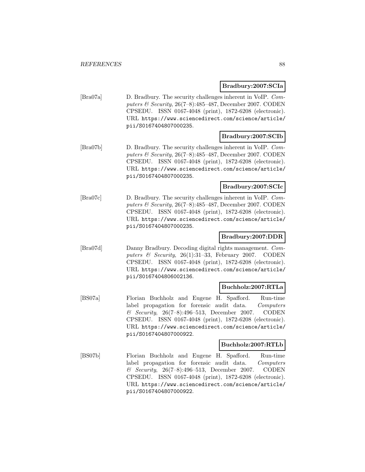## **Bradbury:2007:SCIa**

[Bra07a] D. Bradbury. The security challenges inherent in VoIP. Computers & Security, 26(7–8):485–487, December 2007. CODEN CPSEDU. ISSN 0167-4048 (print), 1872-6208 (electronic). URL https://www.sciencedirect.com/science/article/ pii/S0167404807000235.

## **Bradbury:2007:SCIb**

[Bra07b] D. Bradbury. The security challenges inherent in VoIP. Computers & Security, 26(7–8):485–487, December 2007. CODEN CPSEDU. ISSN 0167-4048 (print), 1872-6208 (electronic). URL https://www.sciencedirect.com/science/article/ pii/S0167404807000235.

## **Bradbury:2007:SCIc**

[Bra07c] D. Bradbury. The security challenges inherent in VoIP. Computers & Security, 26(7–8):485–487, December 2007. CODEN CPSEDU. ISSN 0167-4048 (print), 1872-6208 (electronic). URL https://www.sciencedirect.com/science/article/ pii/S0167404807000235.

## **Bradbury:2007:DDR**

[Bra07d] Danny Bradbury. Decoding digital rights management. Computers & Security,  $26(1):31-33$ , February 2007. CODEN CPSEDU. ISSN 0167-4048 (print), 1872-6208 (electronic). URL https://www.sciencedirect.com/science/article/ pii/S0167404806002136.

## **Buchholz:2007:RTLa**

[BS07a] Florian Buchholz and Eugene H. Spafford. Run-time label propagation for forensic audit data. Computers & Security, 26(7–8):496–513, December 2007. CODEN CPSEDU. ISSN 0167-4048 (print), 1872-6208 (electronic). URL https://www.sciencedirect.com/science/article/ pii/S0167404807000922.

## **Buchholz:2007:RTLb**

[BS07b] Florian Buchholz and Eugene H. Spafford. Run-time label propagation for forensic audit data. Computers & Security, 26(7–8):496–513, December 2007. CODEN CPSEDU. ISSN 0167-4048 (print), 1872-6208 (electronic). URL https://www.sciencedirect.com/science/article/ pii/S0167404807000922.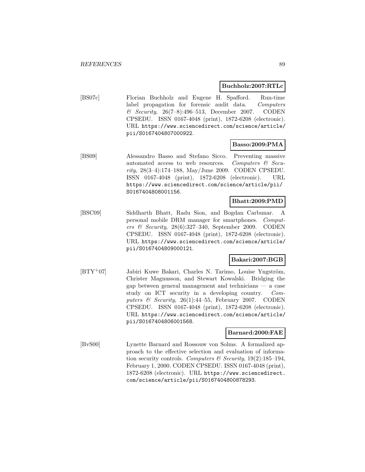#### **Buchholz:2007:RTLc**

[BS07c] Florian Buchholz and Eugene H. Spafford. Run-time label propagation for forensic audit data. Computers & Security, 26(7–8):496–513, December 2007. CODEN CPSEDU. ISSN 0167-4048 (print), 1872-6208 (electronic). URL https://www.sciencedirect.com/science/article/ pii/S0167404807000922.

### **Basso:2009:PMA**

[BS09] Alessandro Basso and Stefano Sicco. Preventing massive automated access to web resources. Computers  $\mathcal{C}$  Security, 28(3–4):174–188, May/June 2009. CODEN CPSEDU. ISSN 0167-4048 (print), 1872-6208 (electronic). URL https://www.sciencedirect.com/science/article/pii/ S0167404808001156.

### **Bhatt:2009:PMD**

[BSC09] Siddharth Bhatt, Radu Sion, and Bogdan Carbunar. A personal mobile DRM manager for smartphones. Computers & Security, 28(6):327–340, September 2009. CODEN CPSEDU. ISSN 0167-4048 (print), 1872-6208 (electronic). URL https://www.sciencedirect.com/science/article/ pii/S0167404809000121.

## **Bakari:2007:BGB**

[BTY<sup>+</sup>07] Jabiri Kuwe Bakari, Charles N. Tarimo, Louise Yngström, Christer Magnusson, and Stewart Kowalski. Bridging the gap between general management and technicians — a case study on ICT security in a developing country. Computers  $\&$  Security, 26(1):44–55, February 2007. CODEN CPSEDU. ISSN 0167-4048 (print), 1872-6208 (electronic). URL https://www.sciencedirect.com/science/article/ pii/S0167404806001568.

#### **Barnard:2000:FAE**

[BvS00] Lynette Barnard and Rossouw von Solms. A formalized approach to the effective selection and evaluation of information security controls. Computers & Security,  $19(2):185-194$ , February 1, 2000. CODEN CPSEDU. ISSN 0167-4048 (print), 1872-6208 (electronic). URL https://www.sciencedirect. com/science/article/pii/S0167404800878293.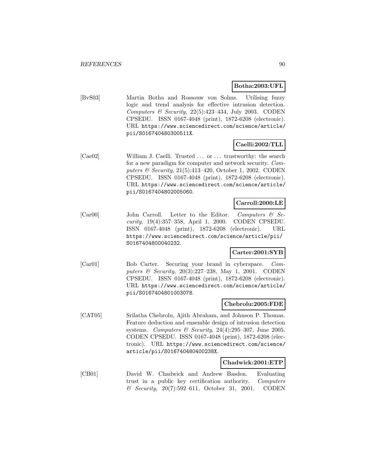### **Botha:2003:UFL**

[BvS03] Martin Botha and Rossouw von Solms. Utilising fuzzy logic and trend analysis for effective intrusion detection. Computers  $\mathcal B$  Security, 22(5):423-434, July 2003. CODEN CPSEDU. ISSN 0167-4048 (print), 1872-6208 (electronic). URL https://www.sciencedirect.com/science/article/ pii/S016740480300511X.

## **Caelli:2002:TLL**

[Cae02] William J. Caelli. Trusted ... or ... trustworthy: the search for a new paradigm for computer and network security. Computers & Security, 21(5):413–420, October 1, 2002. CODEN CPSEDU. ISSN 0167-4048 (print), 1872-6208 (electronic). URL https://www.sciencedirect.com/science/article/ pii/S0167404802005060.

### **Carroll:2000:LE**

[Car00] John Carroll. Letter to the Editor. Computers & Security, 19(4):357–358, April 1, 2000. CODEN CPSEDU. ISSN 0167-4048 (print), 1872-6208 (electronic). URL https://www.sciencedirect.com/science/article/pii/ S0167404800040232.

### **Carter:2001:SYB**

[Car01] Bob Carter. Securing your brand in cyberspace. Computers & Security, 20(3):227–238, May 1, 2001. CODEN CPSEDU. ISSN 0167-4048 (print), 1872-6208 (electronic). URL https://www.sciencedirect.com/science/article/ pii/S0167404801003078.

## **Chebrolu:2005:FDE**

[CAT05] Srilatha Chebrolu, Ajith Abraham, and Johnson P. Thomas. Feature deduction and ensemble design of intrusion detection systems. Computers & Security,  $24(4):295-307$ , June 2005. CODEN CPSEDU. ISSN 0167-4048 (print), 1872-6208 (electronic). URL https://www.sciencedirect.com/science/ article/pii/S016740480400238X.

### **Chadwick:2001:ETP**

[CB01] David W. Chadwick and Andrew Basden. Evaluating trust in a public key certification authority. Computers & Security, 20(7):592–611, October 31, 2001. CODEN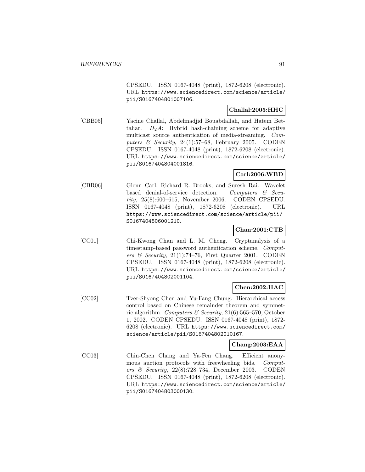CPSEDU. ISSN 0167-4048 (print), 1872-6208 (electronic). URL https://www.sciencedirect.com/science/article/ pii/S0167404801007106.

## **Challal:2005:HHC**

[CBB05] Yacine Challal, Abdelmadjid Bouabdallah, and Hatem Bettahar.  $H_2A$ : Hybrid hash-chaining scheme for adaptive multicast source authentication of media-streaming. Computers & Security, 24(1):57–68, February 2005. CODEN CPSEDU. ISSN 0167-4048 (print), 1872-6208 (electronic). URL https://www.sciencedirect.com/science/article/ pii/S0167404804001816.

## **Carl:2006:WBD**

[CBR06] Glenn Carl, Richard R. Brooks, and Suresh Rai. Wavelet based denial-of-service detection. Computers & Security, 25(8):600–615, November 2006. CODEN CPSEDU. ISSN 0167-4048 (print), 1872-6208 (electronic). URL https://www.sciencedirect.com/science/article/pii/ S0167404806001210.

## **Chan:2001:CTB**

[CC01] Chi-Kwong Chan and L. M. Cheng. Cryptanalysis of a timestamp-based password authentication scheme. Computers & Security,  $21(1)$ :74-76, First Quarter 2001. CODEN CPSEDU. ISSN 0167-4048 (print), 1872-6208 (electronic). URL https://www.sciencedirect.com/science/article/ pii/S0167404802001104.

## **Chen:2002:HAC**

[CC02] Tzer-Shyong Chen and Yu-Fang Chung. Hierarchical access control based on Chinese remainder theorem and symmetric algorithm. Computers & Security,  $21(6)$ :565–570, October 1, 2002. CODEN CPSEDU. ISSN 0167-4048 (print), 1872- 6208 (electronic). URL https://www.sciencedirect.com/ science/article/pii/S0167404802010167.

## **Chang:2003:EAA**

[CC03] Chin-Chen Chang and Ya-Fen Chang. Efficient anonymous auction protocols with freewheeling bids. Computers & Security, 22(8):728–734, December 2003. CODEN CPSEDU. ISSN 0167-4048 (print), 1872-6208 (electronic). URL https://www.sciencedirect.com/science/article/ pii/S0167404803000130.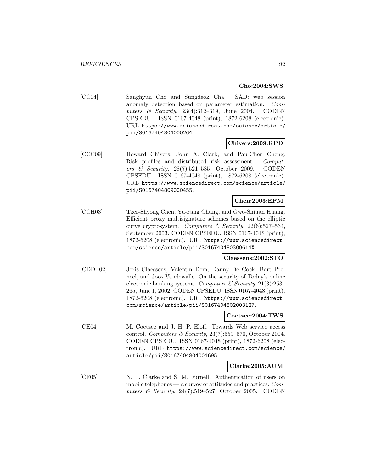**Cho:2004:SWS**

[CC04] Sanghyun Cho and Sungdeok Cha. SAD: web session anomaly detection based on parameter estimation. Computers  $\&$  Security, 23(4):312-319, June 2004. CODEN CPSEDU. ISSN 0167-4048 (print), 1872-6208 (electronic). URL https://www.sciencedirect.com/science/article/ pii/S0167404804000264.

## **Chivers:2009:RPD**

[CCC09] Howard Chivers, John A. Clark, and Pau-Chen Cheng. Risk profiles and distributed risk assessment. Computers & Security, 28(7):521–535, October 2009. CODEN CPSEDU. ISSN 0167-4048 (print), 1872-6208 (electronic). URL https://www.sciencedirect.com/science/article/ pii/S0167404809000455.

## **Chen:2003:EPM**

[CCH03] Tzer-Shyong Chen, Yu-Fang Chung, and Gwo-Shiuan Huang. Efficient proxy multisignature schemes based on the elliptic curve cryptosystem. Computers & Security,  $22(6):527-534$ , September 2003. CODEN CPSEDU. ISSN 0167-4048 (print), 1872-6208 (electronic). URL https://www.sciencedirect. com/science/article/pii/S016740480300614X.

## **Claessens:2002:STO**

[CDD<sup>+</sup>02] Joris Claessens, Valentin Dem, Danny De Cock, Bart Preneel, and Joos Vandewalle. On the security of Today's online electronic banking systems. Computers  $\mathcal C$  Security, 21(3):253– 265, June 1, 2002. CODEN CPSEDU. ISSN 0167-4048 (print), 1872-6208 (electronic). URL https://www.sciencedirect. com/science/article/pii/S0167404802003127.

### **Coetzee:2004:TWS**

[CE04] M. Coetzee and J. H. P. Eloff. Towards Web service access control. Computers & Security, 23(7):559–570, October 2004. CODEN CPSEDU. ISSN 0167-4048 (print), 1872-6208 (electronic). URL https://www.sciencedirect.com/science/ article/pii/S0167404804001695.

### **Clarke:2005:AUM**

[CF05] N. L. Clarke and S. M. Furnell. Authentication of users on mobile telephones — a survey of attitudes and practices. Computers  $\mathcal B$  Security, 24(7):519–527, October 2005. CODEN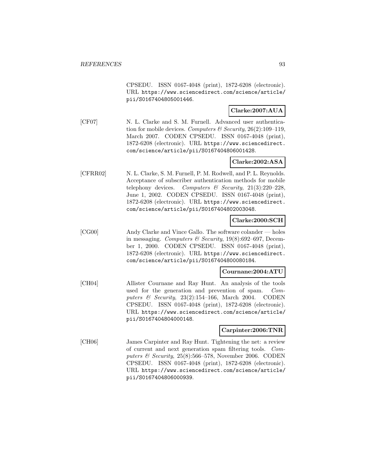CPSEDU. ISSN 0167-4048 (print), 1872-6208 (electronic). URL https://www.sciencedirect.com/science/article/ pii/S0167404805001446.

## **Clarke:2007:AUA**

[CF07] N. L. Clarke and S. M. Furnell. Advanced user authentication for mobile devices. Computers & Security,  $26(2):109-119$ , March 2007. CODEN CPSEDU. ISSN 0167-4048 (print), 1872-6208 (electronic). URL https://www.sciencedirect. com/science/article/pii/S0167404806001428.

### **Clarke:2002:ASA**

[CFRR02] N. L. Clarke, S. M. Furnell, P. M. Rodwell, and P. L. Reynolds. Acceptance of subscriber authentication methods for mobile telephony devices. Computers & Security,  $21(3):220-228$ , June 1, 2002. CODEN CPSEDU. ISSN 0167-4048 (print), 1872-6208 (electronic). URL https://www.sciencedirect. com/science/article/pii/S0167404802003048.

## **Clarke:2000:SCH**

[CG00] Andy Clarke and Vince Gallo. The software colander — holes in messaging. Computers & Security,  $19(8):692-697$ , December 1, 2000. CODEN CPSEDU. ISSN 0167-4048 (print), 1872-6208 (electronic). URL https://www.sciencedirect. com/science/article/pii/S0167404800080184.

#### **Cournane:2004:ATU**

[CH04] Allister Cournane and Ray Hunt. An analysis of the tools used for the generation and prevention of spam. Computers & Security, 23(2):154–166, March 2004. CODEN CPSEDU. ISSN 0167-4048 (print), 1872-6208 (electronic). URL https://www.sciencedirect.com/science/article/ pii/S0167404804000148.

### **Carpinter:2006:TNR**

[CH06] James Carpinter and Ray Hunt. Tightening the net: a review of current and next generation spam filtering tools. Computers & Security,  $25(8):566-578$ , November 2006. CODEN CPSEDU. ISSN 0167-4048 (print), 1872-6208 (electronic). URL https://www.sciencedirect.com/science/article/ pii/S0167404806000939.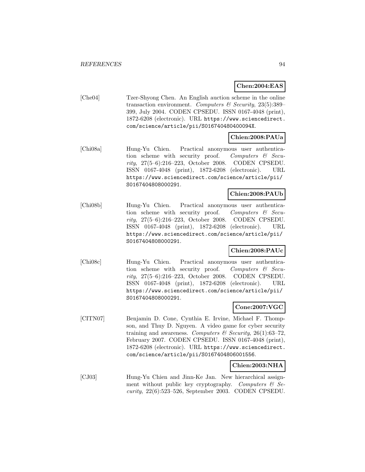## **Chen:2004:EAS**

[Che04] Tzer-Shyong Chen. An English auction scheme in the online transaction environment. Computers & Security, 23(5):389– 399, July 2004. CODEN CPSEDU. ISSN 0167-4048 (print), 1872-6208 (electronic). URL https://www.sciencedirect. com/science/article/pii/S016740480400094X.

## **Chien:2008:PAUa**

[Chi08a] Hung-Yu Chien. Practical anonymous user authentication scheme with security proof. Computers  $\mathcal{C}$  Security, 27(5–6):216–223, October 2008. CODEN CPSEDU. ISSN 0167-4048 (print), 1872-6208 (electronic). URL https://www.sciencedirect.com/science/article/pii/ S0167404808000291.

## **Chien:2008:PAUb**

[Chi08b] Hung-Yu Chien. Practical anonymous user authentication scheme with security proof. Computers  $\mathcal{C}$  Security, 27(5–6):216–223, October 2008. CODEN CPSEDU. ISSN 0167-4048 (print), 1872-6208 (electronic). URL https://www.sciencedirect.com/science/article/pii/ S0167404808000291.

## **Chien:2008:PAUc**

[Chi08c] Hung-Yu Chien. Practical anonymous user authentication scheme with security proof. Computers  $\mathcal{C}$  Security, 27(5–6):216–223, October 2008. CODEN CPSEDU. ISSN 0167-4048 (print), 1872-6208 (electronic). URL https://www.sciencedirect.com/science/article/pii/ S0167404808000291.

### **Cone:2007:VGC**

[CITN07] Benjamin D. Cone, Cynthia E. Irvine, Michael F. Thompson, and Thuy D. Nguyen. A video game for cyber security training and awareness. Computers & Security, 26(1):63-72, February 2007. CODEN CPSEDU. ISSN 0167-4048 (print), 1872-6208 (electronic). URL https://www.sciencedirect. com/science/article/pii/S0167404806001556.

#### **Chien:2003:NHA**

[CJ03] Hung-Yu Chien and Jinn-Ke Jan. New hierarchical assignment without public key cryptography. Computers  $\mathcal{B}$  Security, 22(6):523–526, September 2003. CODEN CPSEDU.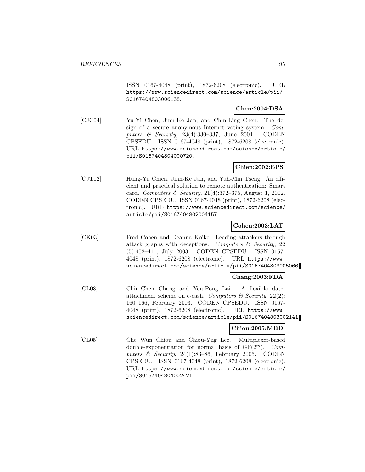ISSN 0167-4048 (print), 1872-6208 (electronic). URL https://www.sciencedirect.com/science/article/pii/ S0167404803006138.

## **Chen:2004:DSA**

[CJC04] Yu-Yi Chen, Jinn-Ke Jan, and Chin-Ling Chen. The design of a secure anonymous Internet voting system. Computers & Security, 23(4):330–337, June 2004. CODEN CPSEDU. ISSN 0167-4048 (print), 1872-6208 (electronic). URL https://www.sciencedirect.com/science/article/ pii/S0167404804000720.

## **Chien:2002:EPS**

[CJT02] Hung-Yu Chien, Jinn-Ke Jan, and Yuh-Min Tseng. An efficient and practical solution to remote authentication: Smart card. Computers & Security, 21(4):372–375, August 1, 2002. CODEN CPSEDU. ISSN 0167-4048 (print), 1872-6208 (electronic). URL https://www.sciencedirect.com/science/ article/pii/S0167404802004157.

## **Cohen:2003:LAT**

[CK03] Fred Cohen and Deanna Koike. Leading attackers through attack graphs with deceptions. Computers  $\mathcal C$  Security, 22 (5):402–411, July 2003. CODEN CPSEDU. ISSN 0167- 4048 (print), 1872-6208 (electronic). URL https://www. sciencedirect.com/science/article/pii/S0167404803005066.

## **Chang:2003:FDA**

[CL03] Chin-Chen Chang and Yeu-Pong Lai. A flexible dateattachment scheme on e-cash. Computers  $\mathcal B$  Security, 22(2): 160–166, February 2003. CODEN CPSEDU. ISSN 0167- 4048 (print), 1872-6208 (electronic). URL https://www. sciencedirect.com/science/article/pii/S0167404803002141.

## **Chiou:2005:MBD**

[CL05] Che Wun Chiou and Chiou-Yng Lee. Multiplexer-based double-exponentiation for normal basis of  $GF(2<sup>m</sup>)$ . Computers & Security, 24(1):83–86, February 2005. CODEN CPSEDU. ISSN 0167-4048 (print), 1872-6208 (electronic). URL https://www.sciencedirect.com/science/article/ pii/S0167404804002421.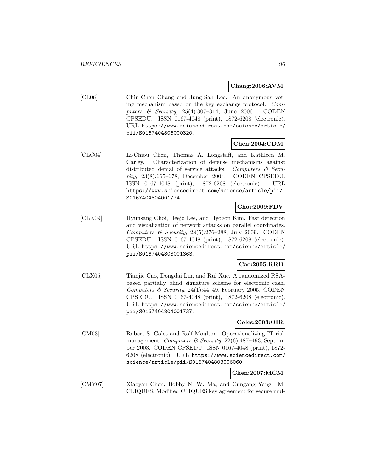## **Chang:2006:AVM**

[CL06] Chin-Chen Chang and Jung-San Lee. An anonymous voting mechanism based on the key exchange protocol. Computers  $\&$  Security, 25(4):307-314, June 2006. CODEN CPSEDU. ISSN 0167-4048 (print), 1872-6208 (electronic). URL https://www.sciencedirect.com/science/article/ pii/S0167404806000320.

## **Chen:2004:CDM**

[CLC04] Li-Chiou Chen, Thomas A. Longstaff, and Kathleen M. Carley. Characterization of defense mechanisms against distributed denial of service attacks. Computers  $\mathcal{C}$  Security, 23(8):665–678, December 2004. CODEN CPSEDU. ISSN 0167-4048 (print), 1872-6208 (electronic). URL https://www.sciencedirect.com/science/article/pii/ S0167404804001774.

## **Choi:2009:FDV**

[CLK09] Hyunsang Choi, Heejo Lee, and Hyogon Kim. Fast detection and visualization of network attacks on parallel coordinates. Computers & Security,  $28(5):276-288$ , July 2009. CODEN CPSEDU. ISSN 0167-4048 (print), 1872-6208 (electronic). URL https://www.sciencedirect.com/science/article/ pii/S0167404808001363.

## **Cao:2005:RRB**

[CLX05] Tianjie Cao, Dongdai Lin, and Rui Xue. A randomized RSAbased partially blind signature scheme for electronic cash. Computers & Security, 24(1):44-49, February 2005. CODEN CPSEDU. ISSN 0167-4048 (print), 1872-6208 (electronic). URL https://www.sciencedirect.com/science/article/ pii/S0167404804001737.

### **Coles:2003:OIR**

[CM03] Robert S. Coles and Rolf Moulton. Operationalizing IT risk management. Computers & Security, 22(6):487-493, September 2003. CODEN CPSEDU. ISSN 0167-4048 (print), 1872- 6208 (electronic). URL https://www.sciencedirect.com/ science/article/pii/S0167404803006060.

## **Chen:2007:MCM**

[CMY07] Xiaoyan Chen, Bobby N. W. Ma, and Cungang Yang. M-CLIQUES: Modified CLIQUES key agreement for secure mul-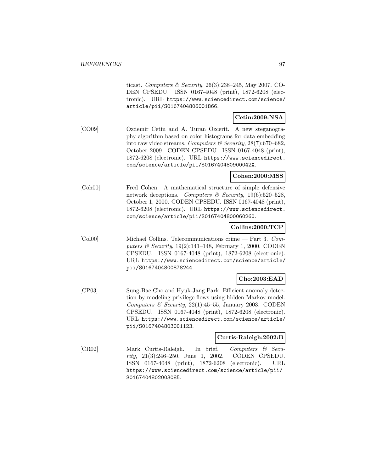ticast. Computers & Security, 26(3):238–245, May 2007. CO-DEN CPSEDU. ISSN 0167-4048 (print), 1872-6208 (electronic). URL https://www.sciencedirect.com/science/ article/pii/S0167404806001866.

## **Cetin:2009:NSA**

[CO09] Ozdemir Cetin and A. Turan Ozcerit. A new steganography algorithm based on color histograms for data embedding into raw video streams. Computers & Security,  $28(7)$ :670–682, October 2009. CODEN CPSEDU. ISSN 0167-4048 (print), 1872-6208 (electronic). URL https://www.sciencedirect. com/science/article/pii/S016740480900042X.

## **Cohen:2000:MSS**

[Coh00] Fred Cohen. A mathematical structure of simple defensive network deceptions. Computers & Security,  $19(6):520-528$ , October 1, 2000. CODEN CPSEDU. ISSN 0167-4048 (print), 1872-6208 (electronic). URL https://www.sciencedirect. com/science/article/pii/S0167404800060260.

## **Collins:2000:TCP**

[Col00] Michael Collins. Telecommunications crime — Part 3. Computers & Security, 19(2):141–148, February 1, 2000. CODEN CPSEDU. ISSN 0167-4048 (print), 1872-6208 (electronic). URL https://www.sciencedirect.com/science/article/ pii/S0167404800878244.

## **Cho:2003:EAD**

[CP03] Sung-Bae Cho and Hyuk-Jang Park. Efficient anomaly detection by modeling privilege flows using hidden Markov model. Computers & Security,  $22(1):45-55$ , January 2003. CODEN CPSEDU. ISSN 0167-4048 (print), 1872-6208 (electronic). URL https://www.sciencedirect.com/science/article/ pii/S0167404803001123.

### **Curtis-Raleigh:2002:B**

[CR02] Mark Curtis-Raleigh. In brief. Computers & Security, 21(3):246–250, June 1, 2002. CODEN CPSEDU. ISSN 0167-4048 (print), 1872-6208 (electronic). URL https://www.sciencedirect.com/science/article/pii/ S0167404802003085.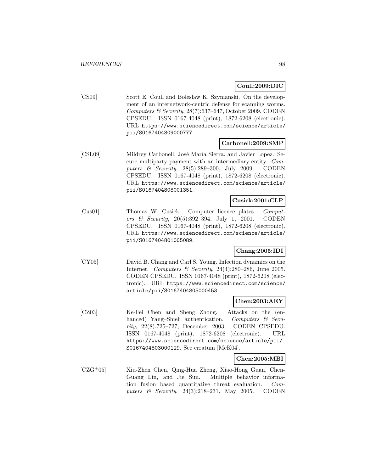## **Coull:2009:DIC**

[CS09] Scott E. Coull and Boleslaw K. Szymanski. On the development of an internetwork-centric defense for scanning worms. Computers & Security, 28(7):637–647, October 2009. CODEN CPSEDU. ISSN 0167-4048 (print), 1872-6208 (electronic). URL https://www.sciencedirect.com/science/article/ pii/S0167404809000777.

## **Carbonell:2009:SMP**

[CSL09] Mildrey Carbonell, José María Sierra, and Javier Lopez. Secure multiparty payment with an intermediary entity. Computers & Security, 28(5):289–300, July 2009. CODEN CPSEDU. ISSN 0167-4048 (print), 1872-6208 (electronic). URL https://www.sciencedirect.com/science/article/ pii/S0167404808001351.

## **Cusick:2001:CLP**

[Cus01] Thomas W. Cusick. Computer licence plates. Computers & Security, 20(5):392–394, July 1, 2001. CODEN CPSEDU. ISSN 0167-4048 (print), 1872-6208 (electronic). URL https://www.sciencedirect.com/science/article/ pii/S0167404801005089.

## **Chang:2005:IDI**

[CY05] David B. Chang and Carl S. Young. Infection dynamics on the Internet. Computers & Security, 24(4):280-286, June 2005. CODEN CPSEDU. ISSN 0167-4048 (print), 1872-6208 (electronic). URL https://www.sciencedirect.com/science/ article/pii/S0167404805000453.

## **Chen:2003:AEY**

[CZ03] Ke-Fei Chen and Sheng Zhong. Attacks on the (enhanced) Yang–Shieh authentication. Computers & Security, 22(8):725–727, December 2003. CODEN CPSEDU. ISSN 0167-4048 (print), 1872-6208 (electronic). URL https://www.sciencedirect.com/science/article/pii/ S0167404803000129. See erratum [McK04].

## **Chen:2005:MBI**

[CZG<sup>+</sup>05] Xiu-Zhen Chen, Qing-Hua Zheng, Xiao-Hong Guan, Chen-Guang Lin, and Jie Sun. Multiple behavior information fusion based quantitative threat evaluation. Computers & Security, 24(3):218–231, May 2005. CODEN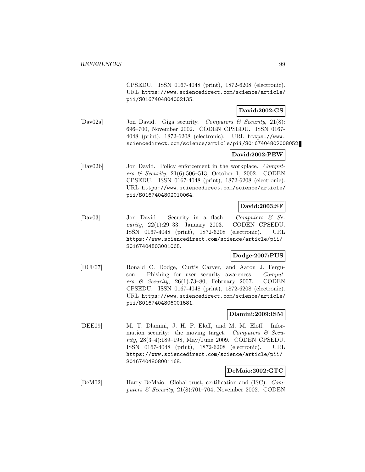CPSEDU. ISSN 0167-4048 (print), 1872-6208 (electronic). URL https://www.sciencedirect.com/science/article/ pii/S0167404804002135.

### **David:2002:GS**

[Dav02a] Jon David. Giga security. Computers & Security, 21(8): 696–700, November 2002. CODEN CPSEDU. ISSN 0167- 4048 (print), 1872-6208 (electronic). URL https://www. sciencedirect.com/science/article/pii/S0167404802008052.

### **David:2002:PEW**

[Dav02b] Jon David. Policy enforcement in the workplace. Computers & Security, 21(6):506–513, October 1, 2002. CODEN CPSEDU. ISSN 0167-4048 (print), 1872-6208 (electronic). URL https://www.sciencedirect.com/science/article/ pii/S0167404802010064.

## **David:2003:SF**

[Dav03] Jon David. Security in a flash. Computers & Security, 22(1):29–33, January 2003. CODEN CPSEDU. ISSN 0167-4048 (print), 1872-6208 (electronic). URL https://www.sciencedirect.com/science/article/pii/ S0167404803001068.

## **Dodge:2007:PUS**

[DCF07] Ronald C. Dodge, Curtis Carver, and Aaron J. Ferguson. Phishing for user security awareness. Computers & Security, 26(1):73–80, February 2007. CODEN CPSEDU. ISSN 0167-4048 (print), 1872-6208 (electronic). URL https://www.sciencedirect.com/science/article/ pii/S0167404806001581.

## **Dlamini:2009:ISM**

[DEE09] M. T. Dlamini, J. H. P. Eloff, and M. M. Eloff. Information security: the moving target. Computers  $\mathcal{C}$  Security, 28(3–4):189–198, May/June 2009. CODEN CPSEDU. ISSN 0167-4048 (print), 1872-6208 (electronic). URL https://www.sciencedirect.com/science/article/pii/ S0167404808001168.

### **DeMaio:2002:GTC**

[DeM02] Harry DeMaio. Global trust, certification and (ISC). Computers & Security,  $21(8)$ :701–704, November 2002. CODEN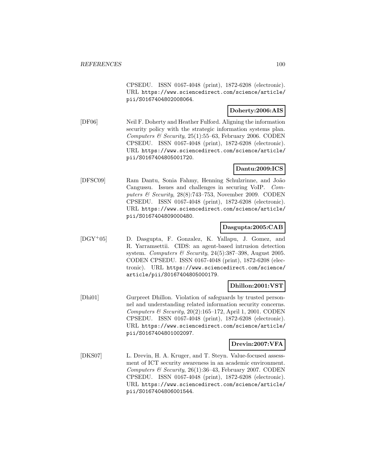CPSEDU. ISSN 0167-4048 (print), 1872-6208 (electronic). URL https://www.sciencedirect.com/science/article/ pii/S0167404802008064.

## **Doherty:2006:AIS**

[DF06] Neil F. Doherty and Heather Fulford. Aligning the information security policy with the strategic information systems plan. Computers  $\mathcal C$  Security, 25(1):55–63, February 2006. CODEN CPSEDU. ISSN 0167-4048 (print), 1872-6208 (electronic). URL https://www.sciencedirect.com/science/article/ pii/S0167404805001720.

## **Dantu:2009:ICS**

[DFSC09] Ram Dantu, Sonia Fahmy, Henning Schulzrinne, and João Cangussu. Issues and challenges in securing VoIP. Computers & Security,  $28(8)$ :743–753, November 2009. CODEN CPSEDU. ISSN 0167-4048 (print), 1872-6208 (electronic). URL https://www.sciencedirect.com/science/article/ pii/S0167404809000480.

## **Dasgupta:2005:CAB**

[DGY<sup>+</sup>05] D. Dasgupta, F. Gonzalez, K. Yallapu, J. Gomez, and R. Yarramsettii. CIDS: an agent-based intrusion detection system. Computers & Security,  $24(5):387-398$ , August 2005. CODEN CPSEDU. ISSN 0167-4048 (print), 1872-6208 (electronic). URL https://www.sciencedirect.com/science/ article/pii/S0167404805000179.

## **Dhillon:2001:VST**

[Dhi01] Gurpreet Dhillon. Violation of safeguards by trusted personnel and understanding related information security concerns. Computers & Security, 20(2):165–172, April 1, 2001. CODEN CPSEDU. ISSN 0167-4048 (print), 1872-6208 (electronic). URL https://www.sciencedirect.com/science/article/ pii/S0167404801002097.

## **Drevin:2007:VFA**

[DKS07] L. Drevin, H. A. Kruger, and T. Steyn. Value-focused assessment of ICT security awareness in an academic environment. Computers & Security, 26(1):36-43, February 2007. CODEN CPSEDU. ISSN 0167-4048 (print), 1872-6208 (electronic). URL https://www.sciencedirect.com/science/article/ pii/S0167404806001544.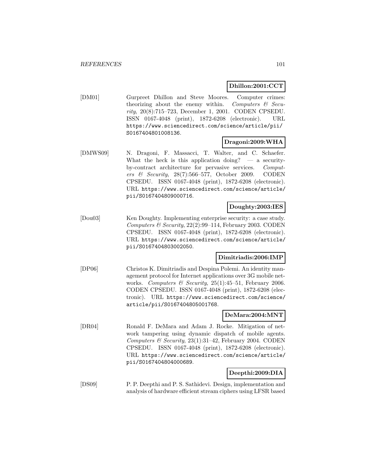### **Dhillon:2001:CCT**

[DM01] Gurpreet Dhillon and Steve Moores. Computer crimes: theorizing about the enemy within. Computers  $\mathcal{C}$  Security, 20(8):715–723, December 1, 2001. CODEN CPSEDU. ISSN 0167-4048 (print), 1872-6208 (electronic). URL https://www.sciencedirect.com/science/article/pii/ S0167404801008136.

## **Dragoni:2009:WHA**

[DMWS09] N. Dragoni, F. Massacci, T. Walter, and C. Schaefer. What the heck is this application doing?  $-$  a securityby-contract architecture for pervasive services. Computers & Security, 28(7):566–577, October 2009. CODEN CPSEDU. ISSN 0167-4048 (print), 1872-6208 (electronic). URL https://www.sciencedirect.com/science/article/ pii/S0167404809000716.

## **Doughty:2003:IES**

[Dou03] Ken Doughty. Implementing enterprise security: a case study. Computers & Security,  $22(2):99-114$ , February 2003. CODEN CPSEDU. ISSN 0167-4048 (print), 1872-6208 (electronic). URL https://www.sciencedirect.com/science/article/ pii/S0167404803002050.

## **Dimitriadis:2006:IMP**

[DP06] Christos K. Dimitriadis and Despina Polemi. An identity management protocol for Internet applications over 3G mobile networks. Computers & Security,  $25(1):45-51$ , February 2006. CODEN CPSEDU. ISSN 0167-4048 (print), 1872-6208 (electronic). URL https://www.sciencedirect.com/science/ article/pii/S0167404805001768.

## **DeMara:2004:MNT**

[DR04] Ronald F. DeMara and Adam J. Rocke. Mitigation of network tampering using dynamic dispatch of mobile agents. Computers & Security, 23(1):31–42, February 2004. CODEN CPSEDU. ISSN 0167-4048 (print), 1872-6208 (electronic). URL https://www.sciencedirect.com/science/article/ pii/S0167404804000689.

## **Deepthi:2009:DIA**

[DS09] P. P. Deepthi and P. S. Sathidevi. Design, implementation and analysis of hardware efficient stream ciphers using LFSR based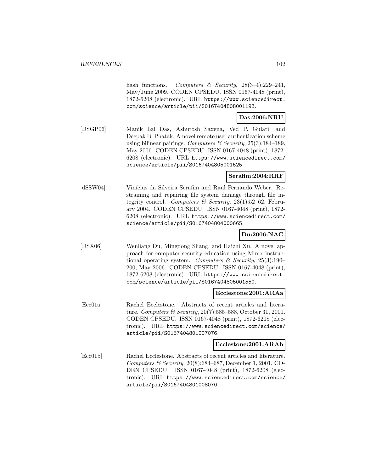hash functions. Computers  $\mathcal{B}$  Security, 28(3-4):229-241, May/June 2009. CODEN CPSEDU. ISSN 0167-4048 (print), 1872-6208 (electronic). URL https://www.sciencedirect. com/science/article/pii/S0167404808001193.

## **Das:2006:NRU**

[DSGP06] Manik Lal Das, Ashutosh Saxena, Ved P. Gulati, and Deepak B. Phatak. A novel remote user authentication scheme using bilinear pairings. Computers  $\mathcal B$  Security, 25(3):184–189, May 2006. CODEN CPSEDU. ISSN 0167-4048 (print), 1872- 6208 (electronic). URL https://www.sciencedirect.com/ science/article/pii/S0167404805001525.

## **Serafim:2004:RRF**

[dSSW04] Vinícius da Silveira Serafim and Raul Fernando Weber. Restraining and repairing file system damage through file integrity control. Computers & Security, 23(1):52-62, February 2004. CODEN CPSEDU. ISSN 0167-4048 (print), 1872- 6208 (electronic). URL https://www.sciencedirect.com/ science/article/pii/S0167404804000665.

## **Du:2006:NAC**

[DSX06] Wenliang Du, Mingdong Shang, and Haizhi Xu. A novel approach for computer security education using Minix instructional operating system. Computers  $\mathscr$  Security, 25(3):190– 200, May 2006. CODEN CPSEDU. ISSN 0167-4048 (print), 1872-6208 (electronic). URL https://www.sciencedirect. com/science/article/pii/S0167404805001550.

### **Ecclestone:2001:ARAa**

[Ecc01a] Rachel Ecclestone. Abstracts of recent articles and literature. Computers & Security, 20(7):585–588, October 31, 2001. CODEN CPSEDU. ISSN 0167-4048 (print), 1872-6208 (electronic). URL https://www.sciencedirect.com/science/ article/pii/S0167404801007076.

### **Ecclestone:2001:ARAb**

[Ecc01b] Rachel Ecclestone. Abstracts of recent articles and literature. Computers & Security, 20(8):684–687, December 1, 2001. CO-DEN CPSEDU. ISSN 0167-4048 (print), 1872-6208 (electronic). URL https://www.sciencedirect.com/science/ article/pii/S0167404801008070.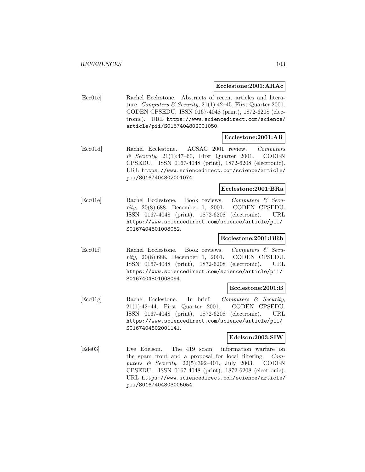#### **Ecclestone:2001:ARAc**

[Ecc01c] Rachel Ecclestone. Abstracts of recent articles and literature. Computers & Security, 21(1):42-45, First Quarter 2001. CODEN CPSEDU. ISSN 0167-4048 (print), 1872-6208 (electronic). URL https://www.sciencedirect.com/science/ article/pii/S0167404802001050.

## **Ecclestone:2001:AR**

[Ecc01d] Rachel Ecclestone. ACSAC 2001 review. Computers  $\&$  Security, 21(1):47–60, First Quarter 2001. CODEN CPSEDU. ISSN 0167-4048 (print), 1872-6208 (electronic). URL https://www.sciencedirect.com/science/article/ pii/S0167404802001074.

### **Ecclestone:2001:BRa**

[Ecc01e] Rachel Ecclestone. Book reviews. Computers & Security, 20(8):688, December 1, 2001. CODEN CPSEDU. ISSN 0167-4048 (print), 1872-6208 (electronic). URL https://www.sciencedirect.com/science/article/pii/ S0167404801008082.

### **Ecclestone:2001:BRb**

[Ecc01f] Rachel Ecclestone. Book reviews. Computers & Security, 20(8):688, December 1, 2001. CODEN CPSEDU. ISSN 0167-4048 (print), 1872-6208 (electronic). URL https://www.sciencedirect.com/science/article/pii/ S0167404801008094.

### **Ecclestone:2001:B**

[Ecc01g] Rachel Ecclestone. In brief. Computers & Security, 21(1):42–44, First Quarter 2001. CODEN CPSEDU. ISSN 0167-4048 (print), 1872-6208 (electronic). URL https://www.sciencedirect.com/science/article/pii/ S0167404802001141.

### **Edelson:2003:SIW**

[Ede03] Eve Edelson. The 419 scam: information warfare on the spam front and a proposal for local filtering. Computers & Security, 22(5):392–401, July 2003. CODEN CPSEDU. ISSN 0167-4048 (print), 1872-6208 (electronic). URL https://www.sciencedirect.com/science/article/ pii/S0167404803005054.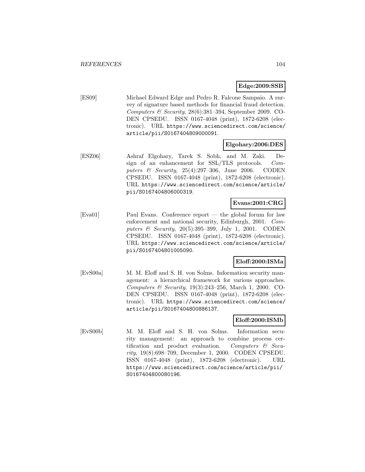## **Edge:2009:SSB**

[ES09] Michael Edward Edge and Pedro R. Falcone Sampaio. A survey of signature based methods for financial fraud detection. Computers & Security,  $28(6)$ :381-394, September 2009. CO-DEN CPSEDU. ISSN 0167-4048 (print), 1872-6208 (electronic). URL https://www.sciencedirect.com/science/ article/pii/S0167404809000091.

### **Elgohary:2006:DES**

[ESZ06] Ashraf Elgohary, Tarek S. Sobh, and M. Zaki. Design of an enhancement for SSL/TLS protocols. Computers & Security, 25(4):297–306, June 2006. CODEN CPSEDU. ISSN 0167-4048 (print), 1872-6208 (electronic). URL https://www.sciencedirect.com/science/article/ pii/S0167404806000319.

## **Evans:2001:CRG**

[Eva01] Paul Evans. Conference report — the global forum for law enforcement and national security, Edinburgh, 2001. Computers & Security, 20(5):395–399, July 1, 2001. CODEN CPSEDU. ISSN 0167-4048 (print), 1872-6208 (electronic). URL https://www.sciencedirect.com/science/article/ pii/S0167404801005090.

## **Eloff:2000:ISMa**

[EvS00a] M. M. Eloff and S. H. von Solms. Information security management: a hierarchical framework for various approaches. Computers & Security, 19(3):243–256, March 1, 2000. CO-DEN CPSEDU. ISSN 0167-4048 (print), 1872-6208 (electronic). URL https://www.sciencedirect.com/science/ article/pii/S0167404800886137.

## **Eloff:2000:ISMb**

[EvS00b] M. M. Eloff and S. H. von Solms. Information security management: an approach to combine process certification and product evaluation. Computers  $\mathcal{C}$  Security, 19(8):698–709, December 1, 2000. CODEN CPSEDU. ISSN 0167-4048 (print), 1872-6208 (electronic). URL https://www.sciencedirect.com/science/article/pii/ S0167404800080196.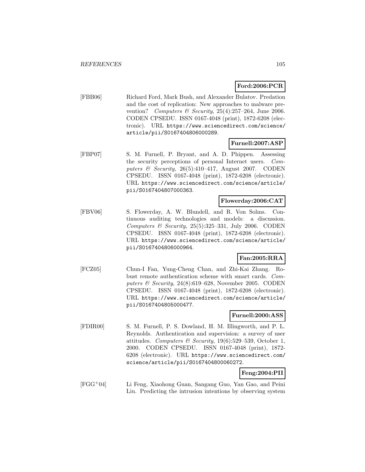## **Ford:2006:PCR**

[FBB06] Richard Ford, Mark Bush, and Alexander Bulatov. Predation and the cost of replication: New approaches to malware prevention? Computers & Security,  $25(4):257-264$ , June 2006. CODEN CPSEDU. ISSN 0167-4048 (print), 1872-6208 (electronic). URL https://www.sciencedirect.com/science/ article/pii/S0167404806000289.

## **Furnell:2007:ASP**

[FBP07] S. M. Furnell, P. Bryant, and A. D. Phippen. Assessing the security perceptions of personal Internet users. Computers & Security, 26(5):410–417, August 2007. CODEN CPSEDU. ISSN 0167-4048 (print), 1872-6208 (electronic). URL https://www.sciencedirect.com/science/article/ pii/S0167404807000363.

### **Flowerday:2006:CAT**

[FBV06] S. Flowerday, A. W. Blundell, and R. Von Solms. Continuous auditing technologies and models: a discussion. Computers  $\mathcal B$  Security, 25(5):325-331, July 2006. CODEN CPSEDU. ISSN 0167-4048 (print), 1872-6208 (electronic). URL https://www.sciencedirect.com/science/article/ pii/S0167404806000964.

## **Fan:2005:RRA**

[FCZ05] Chun-I Fan, Yung-Cheng Chan, and Zhi-Kai Zhang. Robust remote authentication scheme with smart cards. Computers  $\mathcal B$  Security, 24(8):619–628, November 2005. CODEN CPSEDU. ISSN 0167-4048 (print), 1872-6208 (electronic). URL https://www.sciencedirect.com/science/article/ pii/S0167404805000477.

## **Furnell:2000:ASS**

[FDIR00] S. M. Furnell, P. S. Dowland, H. M. Illingworth, and P. L. Reynolds. Authentication and supervision: a survey of user attitudes. Computers & Security,  $19(6):529-539$ , October 1, 2000. CODEN CPSEDU. ISSN 0167-4048 (print), 1872- 6208 (electronic). URL https://www.sciencedirect.com/ science/article/pii/S0167404800060272.

# **Feng:2004:PII**

[FGG<sup>+</sup>04] Li Feng, Xiaohong Guan, Sangang Guo, Yan Gao, and Peini Liu. Predicting the intrusion intentions by observing system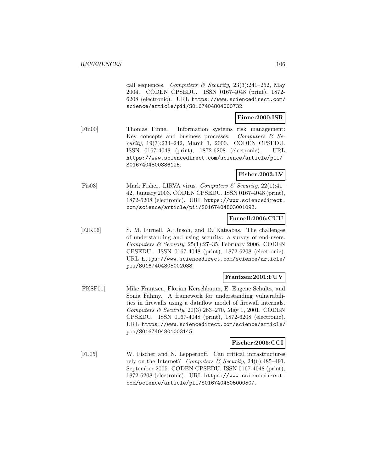call sequences. Computers & Security,  $23(3):241-252$ , May 2004. CODEN CPSEDU. ISSN 0167-4048 (print), 1872- 6208 (electronic). URL https://www.sciencedirect.com/ science/article/pii/S0167404804000732.

## **Finne:2000:ISR**

[Fin00] Thomas Finne. Information systems risk management: Key concepts and business processes. Computers  $\mathcal{C}$  Security, 19(3):234–242, March 1, 2000. CODEN CPSEDU. ISSN 0167-4048 (print), 1872-6208 (electronic). URL https://www.sciencedirect.com/science/article/pii/ S0167404800886125.

### **Fisher:2003:LV**

[Fis03] Mark Fisher. LIRVA virus. Computers & Security, 22(1):41– 42, January 2003. CODEN CPSEDU. ISSN 0167-4048 (print), 1872-6208 (electronic). URL https://www.sciencedirect. com/science/article/pii/S0167404803001093.

### **Furnell:2006:CUU**

[FJK06] S. M. Furnell, A. Jusoh, and D. Katsabas. The challenges of understanding and using security: a survey of end-users. Computers & Security,  $25(1):27-35$ , February 2006. CODEN CPSEDU. ISSN 0167-4048 (print), 1872-6208 (electronic). URL https://www.sciencedirect.com/science/article/ pii/S0167404805002038.

## **Frantzen:2001:FUV**

[FKSF01] Mike Frantzen, Florian Kerschbaum, E. Eugene Schultz, and Sonia Fahmy. A framework for understanding vulnerabilities in firewalls using a dataflow model of firewall internals. Computers & Security,  $20(3):263-270$ , May 1, 2001. CODEN CPSEDU. ISSN 0167-4048 (print), 1872-6208 (electronic). URL https://www.sciencedirect.com/science/article/ pii/S0167404801003145.

### **Fischer:2005:CCI**

[FL05] W. Fischer and N. Lepperhoff. Can critical infrastructures rely on the Internet? Computers & Security, 24(6):485-491, September 2005. CODEN CPSEDU. ISSN 0167-4048 (print), 1872-6208 (electronic). URL https://www.sciencedirect. com/science/article/pii/S0167404805000507.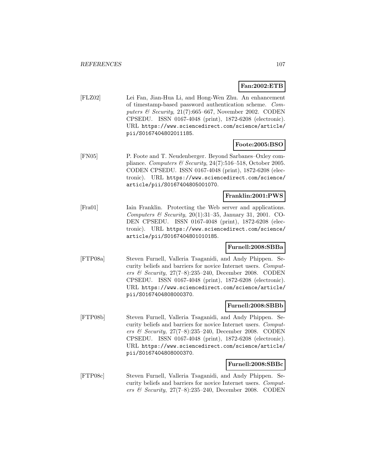## **Fan:2002:ETB**

[FLZ02] Lei Fan, Jian-Hua Li, and Hong-Wen Zhu. An enhancement of timestamp-based password authentication scheme. Computers  $\mathcal B$  Security, 21(7):665–667, November 2002. CODEN CPSEDU. ISSN 0167-4048 (print), 1872-6208 (electronic). URL https://www.sciencedirect.com/science/article/ pii/S0167404802011185.

## **Foote:2005:BSO**

[FN05] P. Foote and T. Neudenberger. Beyond Sarbanes–Oxley compliance. Computers & Security,  $24(7)$ :516–518, October 2005. CODEN CPSEDU. ISSN 0167-4048 (print), 1872-6208 (electronic). URL https://www.sciencedirect.com/science/ article/pii/S0167404805001070.

## **Franklin:2001:PWS**

[Fra01] Iain Franklin. Protecting the Web server and applications. Computers  $\mathcal B$  Security, 20(1):31-35, January 31, 2001. CO-DEN CPSEDU. ISSN 0167-4048 (print), 1872-6208 (electronic). URL https://www.sciencedirect.com/science/ article/pii/S0167404801010185.

### **Furnell:2008:SBBa**

[FTP08a] Steven Furnell, Valleria Tsaganidi, and Andy Phippen. Security beliefs and barriers for novice Internet users. Computers & Security, 27(7–8):235–240, December 2008. CODEN CPSEDU. ISSN 0167-4048 (print), 1872-6208 (electronic). URL https://www.sciencedirect.com/science/article/ pii/S0167404808000370.

### **Furnell:2008:SBBb**

[FTP08b] Steven Furnell, Valleria Tsaganidi, and Andy Phippen. Security beliefs and barriers for novice Internet users. Computers & Security, 27(7–8):235–240, December 2008. CODEN CPSEDU. ISSN 0167-4048 (print), 1872-6208 (electronic). URL https://www.sciencedirect.com/science/article/ pii/S0167404808000370.

#### **Furnell:2008:SBBc**

[FTP08c] Steven Furnell, Valleria Tsaganidi, and Andy Phippen. Security beliefs and barriers for novice Internet users. Computers & Security, 27(7–8):235–240, December 2008. CODEN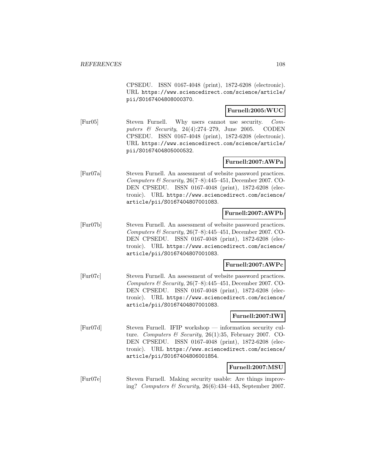CPSEDU. ISSN 0167-4048 (print), 1872-6208 (electronic). URL https://www.sciencedirect.com/science/article/ pii/S0167404808000370.

### **Furnell:2005:WUC**

[Fur05] Steven Furnell. Why users cannot use security. Computers & Security, 24(4):274–279, June 2005. CODEN CPSEDU. ISSN 0167-4048 (print), 1872-6208 (electronic). URL https://www.sciencedirect.com/science/article/ pii/S0167404805000532.

## **Furnell:2007:AWPa**

[Fur07a] Steven Furnell. An assessment of website password practices. Computers & Security,  $26(7-8):445-451$ , December 2007. CO-DEN CPSEDU. ISSN 0167-4048 (print), 1872-6208 (electronic). URL https://www.sciencedirect.com/science/ article/pii/S0167404807001083.

### **Furnell:2007:AWPb**

[Fur07b] Steven Furnell. An assessment of website password practices. Computers & Security, 26(7–8):445–451, December 2007. CO-DEN CPSEDU. ISSN 0167-4048 (print), 1872-6208 (electronic). URL https://www.sciencedirect.com/science/ article/pii/S0167404807001083.

### **Furnell:2007:AWPc**

[Fur07c] Steven Furnell. An assessment of website password practices. Computers & Security,  $26(7-8):445-451$ , December 2007. CO-DEN CPSEDU. ISSN 0167-4048 (print), 1872-6208 (electronic). URL https://www.sciencedirect.com/science/ article/pii/S0167404807001083.

## **Furnell:2007:IWI**

[Fur07d] Steven Furnell. IFIP workshop — information security culture. Computers & Security, 26(1):35, February 2007. CO-DEN CPSEDU. ISSN 0167-4048 (print), 1872-6208 (electronic). URL https://www.sciencedirect.com/science/ article/pii/S0167404806001854.

## **Furnell:2007:MSU**

[Fur07e] Steven Furnell. Making security usable: Are things improving? Computers & Security,  $26(6):434-443$ , September 2007.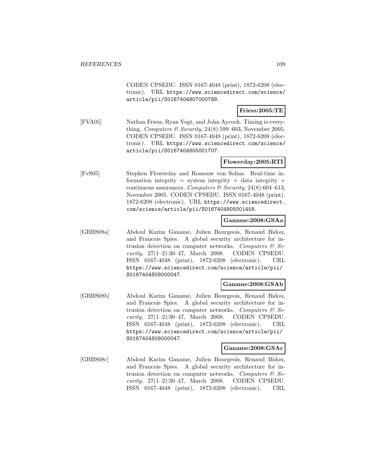CODEN CPSEDU. ISSN 0167-4048 (print), 1872-6208 (electronic). URL https://www.sciencedirect.com/science/ article/pii/S0167404807000788.

### **Friess:2005:TE**

[FVA05] Nathan Friess, Ryan Vogt, and John Aycock. Timing is everything. Computers & Security,  $24(8):599-603$ , November 2005. CODEN CPSEDU. ISSN 0167-4048 (print), 1872-6208 (electronic). URL https://www.sciencedirect.com/science/ article/pii/S0167404805001707.

### **Flowerday:2005:RTI**

[FvS05] Stephen Flowerday and Rossouw von Solms. Real-time information integrity = system integrity + data integrity + continuous assurances. Computers & Security, 24(8):604-613, November 2005. CODEN CPSEDU. ISSN 0167-4048 (print), 1872-6208 (electronic). URL https://www.sciencedirect. com/science/article/pii/S0167404805001458.

#### **Ganame:2008:GSAa**

[GBBS08a] Abdoul Karim Ganame, Julien Bourgeois, Renaud Bidou, and Francois Spies. A global security architecture for intrusion detection on computer networks. Computers  $\mathcal{C}$  Security, 27(1–2):30–47, March 2008. CODEN CPSEDU. ISSN 0167-4048 (print), 1872-6208 (electronic). URL https://www.sciencedirect.com/science/article/pii/ S0167404808000047.

#### **Ganame:2008:GSAb**

[GBBS08b] Abdoul Karim Ganame, Julien Bourgeois, Renaud Bidou, and Francois Spies. A global security architecture for intrusion detection on computer networks. Computers  $\mathcal{C}$  Security, 27(1–2):30–47, March 2008. CODEN CPSEDU. ISSN 0167-4048 (print), 1872-6208 (electronic). URL https://www.sciencedirect.com/science/article/pii/ S0167404808000047.

#### **Ganame:2008:GSAc**

[GBBS08c] Abdoul Karim Ganame, Julien Bourgeois, Renaud Bidou, and Francois Spies. A global security architecture for intrusion detection on computer networks. Computers  $\mathcal{C}$  Security, 27(1–2):30–47, March 2008. CODEN CPSEDU. ISSN 0167-4048 (print), 1872-6208 (electronic). URL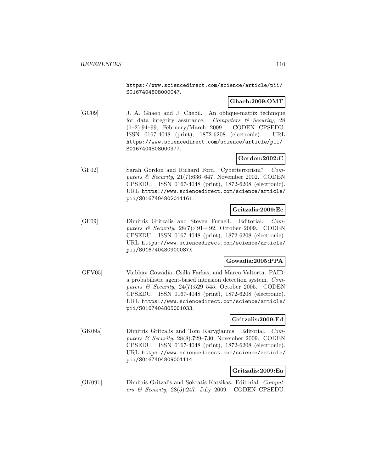https://www.sciencedirect.com/science/article/pii/ S0167404808000047.

# **Ghaeb:2009:OMT**

[GC09] J. A. Ghaeb and J. Chebil. An oblique-matrix technique for data integrity assurance. Computers  $\mathcal C$  Security, 28 (1–2):94–99, February/March 2009. CODEN CPSEDU. ISSN 0167-4048 (print), 1872-6208 (electronic). URL https://www.sciencedirect.com/science/article/pii/ S0167404808000977.

# **Gordon:2002:C**

[GF02] Sarah Gordon and Richard Ford. Cyberterrorism? Computers & Security, 21(7):636–647, November 2002. CODEN CPSEDU. ISSN 0167-4048 (print), 1872-6208 (electronic). URL https://www.sciencedirect.com/science/article/ pii/S0167404802011161.

# **Gritzalis:2009:Ec**

[GF09] Dimitris Gritzalis and Steven Furnell. Editorial. Computers & Security, 28(7):491–492, October 2009. CODEN CPSEDU. ISSN 0167-4048 (print), 1872-6208 (electronic). URL https://www.sciencedirect.com/science/article/ pii/S016740480900087X.

# **Gowadia:2005:PPA**

[GFV05] Vaibhav Gowadia, Csilla Farkas, and Marco Valtorta. PAID: a probabilistic agent-based intrusion detection system. Computers & Security, 24(7):529–545, October 2005. CODEN CPSEDU. ISSN 0167-4048 (print), 1872-6208 (electronic). URL https://www.sciencedirect.com/science/article/ pii/S0167404805001033.

# **Gritzalis:2009:Ed**

[GK09a] Dimitris Gritzalis and Tom Karygiannis. Editorial. Computers  $\mathcal C$  Security, 28(8):729–730, November 2009. CODEN CPSEDU. ISSN 0167-4048 (print), 1872-6208 (electronic). URL https://www.sciencedirect.com/science/article/ pii/S0167404809001114.

# **Gritzalis:2009:Ea**

[GK09b] Dimitris Gritzalis and Sokratis Katsikas. Editorial. Computers & Security,  $28(5):247$ , July 2009. CODEN CPSEDU.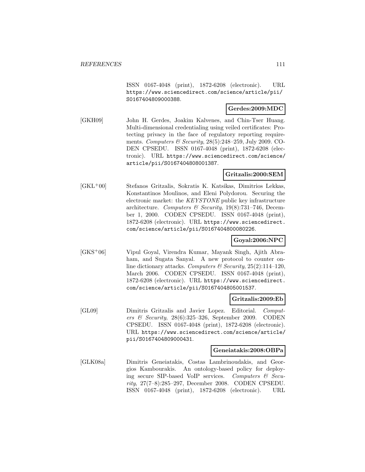ISSN 0167-4048 (print), 1872-6208 (electronic). URL https://www.sciencedirect.com/science/article/pii/ S0167404809000388.

### **Gerdes:2009:MDC**

[GKH09] John H. Gerdes, Joakim Kalvenes, and Chin-Tser Huang. Multi-dimensional credentialing using veiled certificates: Protecting privacy in the face of regulatory reporting requirements. Computers  $\mathcal B$  Security, 28(5):248–259, July 2009. CO-DEN CPSEDU. ISSN 0167-4048 (print), 1872-6208 (electronic). URL https://www.sciencedirect.com/science/ article/pii/S0167404808001387.

### **Gritzalis:2000:SEM**

[GKL<sup>+</sup>00] Stefanos Gritzalis, Sokratis K. Katsikas, Dimitrios Lekkas, Konstantinos Moulinos, and Eleni Polydorou. Securing the electronic market: the KEYSTONE public key infrastructure architecture. Computers & Security,  $19(8)$ :731–746, December 1, 2000. CODEN CPSEDU. ISSN 0167-4048 (print), 1872-6208 (electronic). URL https://www.sciencedirect. com/science/article/pii/S0167404800080226.

# **Goyal:2006:NPC**

[GKS<sup>+</sup>06] Vipul Goyal, Virendra Kumar, Mayank Singh, Ajith Abraham, and Sugata Sanyal. A new protocol to counter online dictionary attacks. Computers & Security,  $25(2):114-120$ , March 2006. CODEN CPSEDU. ISSN 0167-4048 (print), 1872-6208 (electronic). URL https://www.sciencedirect. com/science/article/pii/S0167404805001537.

#### **Gritzalis:2009:Eb**

[GL09] Dimitris Gritzalis and Javier Lopez. Editorial. Computers & Security, 28(6):325–326, September 2009. CODEN CPSEDU. ISSN 0167-4048 (print), 1872-6208 (electronic). URL https://www.sciencedirect.com/science/article/ pii/S0167404809000431.

#### **Geneiatakis:2008:OBPa**

[GLK08a] Dimitris Geneiatakis, Costas Lambrinoudakis, and Georgios Kambourakis. An ontology-based policy for deploying secure SIP-based VoIP services. Computers & Security, 27(7–8):285–297, December 2008. CODEN CPSEDU. ISSN 0167-4048 (print), 1872-6208 (electronic). URL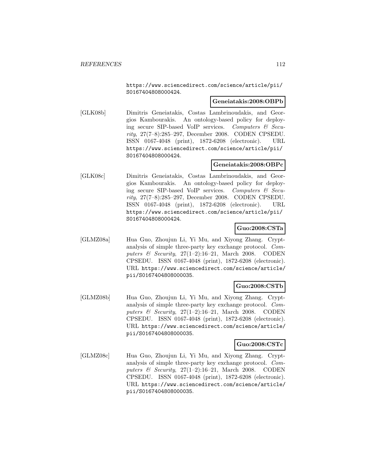https://www.sciencedirect.com/science/article/pii/ S0167404808000424.

# **Geneiatakis:2008:OBPb**

[GLK08b] Dimitris Geneiatakis, Costas Lambrinoudakis, and Georgios Kambourakis. An ontology-based policy for deploying secure SIP-based VoIP services. Computers & Security, 27(7–8):285–297, December 2008. CODEN CPSEDU. ISSN 0167-4048 (print), 1872-6208 (electronic). URL https://www.sciencedirect.com/science/article/pii/ S0167404808000424.

### **Geneiatakis:2008:OBPc**

[GLK08c] Dimitris Geneiatakis, Costas Lambrinoudakis, and Georgios Kambourakis. An ontology-based policy for deploying secure SIP-based VoIP services. Computers & Security, 27(7–8):285–297, December 2008. CODEN CPSEDU. ISSN 0167-4048 (print), 1872-6208 (electronic). URL https://www.sciencedirect.com/science/article/pii/ S0167404808000424.

# **Guo:2008:CSTa**

[GLMZ08a] Hua Guo, Zhoujun Li, Yi Mu, and Xiyong Zhang. Cryptanalysis of simple three-party key exchange protocol. Computers & Security,  $27(1-2):16-21$ , March 2008. CODEN CPSEDU. ISSN 0167-4048 (print), 1872-6208 (electronic). URL https://www.sciencedirect.com/science/article/ pii/S0167404808000035.

#### **Guo:2008:CSTb**

[GLMZ08b] Hua Guo, Zhoujun Li, Yi Mu, and Xiyong Zhang. Cryptanalysis of simple three-party key exchange protocol. Computers & Security,  $27(1-2):16-21$ , March 2008. CODEN CPSEDU. ISSN 0167-4048 (print), 1872-6208 (electronic). URL https://www.sciencedirect.com/science/article/ pii/S0167404808000035.

# **Guo:2008:CSTc**

[GLMZ08c] Hua Guo, Zhoujun Li, Yi Mu, and Xiyong Zhang. Cryptanalysis of simple three-party key exchange protocol. Computers & Security,  $27(1-2):16-21$ , March 2008. CODEN CPSEDU. ISSN 0167-4048 (print), 1872-6208 (electronic). URL https://www.sciencedirect.com/science/article/ pii/S0167404808000035.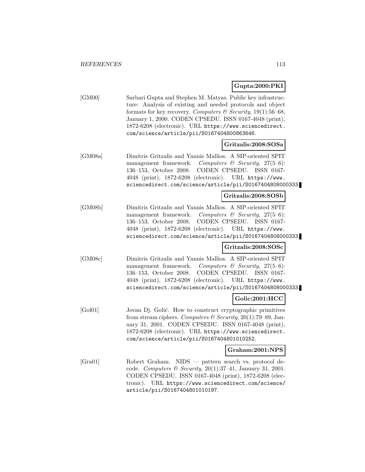# **Gupta:2000:PKI**

[GM00] Sarbari Gupta and Stephen M. Matyas. Public key infrastructure: Analysis of existing and needed protocols and object formats for key recovery. Computers & Security,  $19(1)$ :56–68, January 1, 2000. CODEN CPSEDU. ISSN 0167-4048 (print), 1872-6208 (electronic). URL https://www.sciencedirect. com/science/article/pii/S0167404800863646.

### **Gritzalis:2008:SOSa**

[GM08a] Dimitris Gritzalis and Yannis Mallios. A SIP-oriented SPIT management framework. Computers & Security,  $27(5-6)$ : 136–153, October 2008. CODEN CPSEDU. ISSN 0167- 4048 (print), 1872-6208 (electronic). URL https://www. sciencedirect.com/science/article/pii/S0167404808000333.

### **Gritzalis:2008:SOSb**

[GM08b] Dimitris Gritzalis and Yannis Mallios. A SIP-oriented SPIT management framework. Computers & Security,  $27(5-6)$ : 136–153, October 2008. CODEN CPSEDU. ISSN 0167- 4048 (print), 1872-6208 (electronic). URL https://www. sciencedirect.com/science/article/pii/S0167404808000333.

# **Gritzalis:2008:SOSc**

[GM08c] Dimitris Gritzalis and Yannis Mallios. A SIP-oriented SPIT management framework. Computers  $\mathcal C$  Security, 27(5–6): 136–153, October 2008. CODEN CPSEDU. ISSN 0167- 4048 (print), 1872-6208 (electronic). URL https://www. sciencedirect.com/science/article/pii/S0167404808000333.

# **Golic:2001:HCC**

[Gol01] Jovan Dj. Golić. How to construct cryptographic primitives from stream ciphers. Computers & Security, 20(1):79-89, January 31, 2001. CODEN CPSEDU. ISSN 0167-4048 (print), 1872-6208 (electronic). URL https://www.sciencedirect. com/science/article/pii/S0167404801010252.

#### **Graham:2001:NPS**

[Gra01] Robert Graham. NIDS — pattern search vs. protocol decode. Computers & Security,  $20(1):37-41$ , January 31, 2001. CODEN CPSEDU. ISSN 0167-4048 (print), 1872-6208 (electronic). URL https://www.sciencedirect.com/science/ article/pii/S0167404801010197.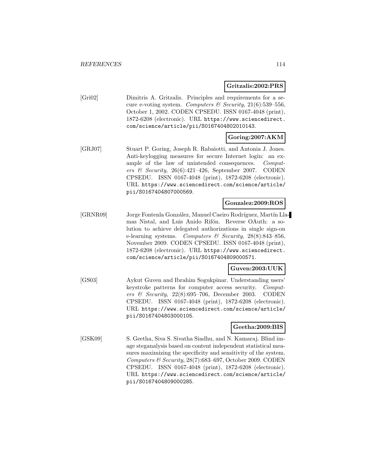**Gritzalis:2002:PRS**

[Gri02] Dimitris A. Gritzalis. Principles and requirements for a secure e-voting system. Computers & Security,  $21(6):539-556$ , October 1, 2002. CODEN CPSEDU. ISSN 0167-4048 (print), 1872-6208 (electronic). URL https://www.sciencedirect. com/science/article/pii/S0167404802010143.

# **Goring:2007:AKM**

[GRJ07] Stuart P. Goring, Joseph R. Rabaiotti, and Antonia J. Jones. Anti-keylogging measures for secure Internet login: an example of the law of unintended consequences. Computers & Security, 26(6):421–426, September 2007. CODEN CPSEDU. ISSN 0167-4048 (print), 1872-6208 (electronic). URL https://www.sciencedirect.com/science/article/ pii/S0167404807000569.

#### **Gonzalez:2009:ROS**

[GRNR09] Jorge Fontenla González, Manuel Caeiro Rodríguez, Martín Llamas Nistal, and Luis Anido Rifón. Reverse OAuth: a solution to achieve delegated authorizations in single sign-on e-learning systems. Computers & Security,  $28(8):843-856$ , November 2009. CODEN CPSEDU. ISSN 0167-4048 (print), 1872-6208 (electronic). URL https://www.sciencedirect. com/science/article/pii/S0167404809000571.

### **Guven:2003:UUK**

[GS03] Aykut Guven and Ibrahim Sogukpinar. Understanding users' keystroke patterns for computer access security. Computers & Security,  $22(8):695-706$ , December 2003. CODEN CPSEDU. ISSN 0167-4048 (print), 1872-6208 (electronic). URL https://www.sciencedirect.com/science/article/ pii/S0167404803000105.

### **Geetha:2009:BIS**

[GSK09] S. Geetha, Siva S. Sivatha Sindhu, and N. Kamaraj. Blind image steganalysis based on content independent statistical measures maximizing the specificity and sensitivity of the system. Computers & Security, 28(7):683–697, October 2009. CODEN CPSEDU. ISSN 0167-4048 (print), 1872-6208 (electronic). URL https://www.sciencedirect.com/science/article/ pii/S0167404809000285.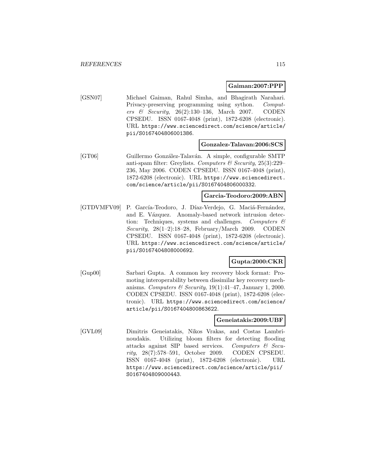#### **Gaiman:2007:PPP**

[GSN07] Michael Gaiman, Rahul Simha, and Bhagirath Narahari. Privacy-preserving programming using sython. Computers & Security, 26(2):130–136, March 2007. CODEN CPSEDU. ISSN 0167-4048 (print), 1872-6208 (electronic). URL https://www.sciencedirect.com/science/article/ pii/S0167404806001386.

#### **Gonzalez-Talavan:2006:SCS**

[GT06] Guillermo González-Talaván. A simple, configurable SMTP anti-spam filter: Greylists. Computers & Security,  $25(3):229$ -236, May 2006. CODEN CPSEDU. ISSN 0167-4048 (print), 1872-6208 (electronic). URL https://www.sciencedirect. com/science/article/pii/S0167404806000332.

#### **Garcia-Teodoro:2009:ABN**

[GTDVMFV09] P. García-Teodoro, J. Díaz-Verdejo, G. Maciá-Fernández, and E. Vázquez. Anomaly-based network intrusion detection: Techniques, systems and challenges. Computers  $\mathcal{C}$ Security,  $28(1-2):18-28$ , February/March 2009. CODEN CPSEDU. ISSN 0167-4048 (print), 1872-6208 (electronic). URL https://www.sciencedirect.com/science/article/ pii/S0167404808000692.

# **Gupta:2000:CKR**

[Gup00] Sarbari Gupta. A common key recovery block format: Promoting interoperability between dissimilar key recovery mechanisms. Computers & Security,  $19(1):41-47$ , January 1, 2000. CODEN CPSEDU. ISSN 0167-4048 (print), 1872-6208 (electronic). URL https://www.sciencedirect.com/science/ article/pii/S0167404800863622.

#### **Geneiatakis:2009:UBF**

[GVL09] Dimitris Geneiatakis, Nikos Vrakas, and Costas Lambrinoudakis. Utilizing bloom filters for detecting flooding attacks against SIP based services. Computers & Security, 28(7):578–591, October 2009. CODEN CPSEDU. ISSN 0167-4048 (print), 1872-6208 (electronic). URL https://www.sciencedirect.com/science/article/pii/ S0167404809000443.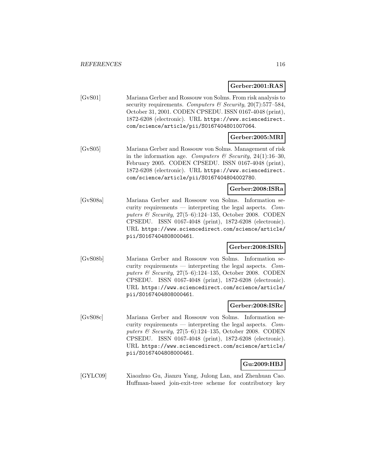# **Gerber:2001:RAS**

| [GvS01] | Mariana Gerber and Rossouw von Solms. From risk analysis to |
|---------|-------------------------------------------------------------|
|         | security requirements. Computers & Security, 20(7):577-584, |
|         | October 31, 2001. CODEN CPSEDU. ISSN 0167-4048 (print),     |
|         | 1872-6208 (electronic). URL https://www.sciencedirect.      |
|         | com/science/article/pii/S0167404801007064.                  |

# **Gerber:2005:MRI**

[GvS05] Mariana Gerber and Rossouw von Solms. Management of risk in the information age. Computers & Security, 24(1):16-30, February 2005. CODEN CPSEDU. ISSN 0167-4048 (print), 1872-6208 (electronic). URL https://www.sciencedirect. com/science/article/pii/S0167404804002780.

### **Gerber:2008:ISRa**

[GvS08a] Mariana Gerber and Rossouw von Solms. Information security requirements — interpreting the legal aspects.  $Com$ puters & Security, 27(5–6):124–135, October 2008. CODEN CPSEDU. ISSN 0167-4048 (print), 1872-6208 (electronic). URL https://www.sciencedirect.com/science/article/ pii/S0167404808000461.

#### **Gerber:2008:ISRb**

[GvS08b] Mariana Gerber and Rossouw von Solms. Information security requirements — interpreting the legal aspects.  $Com$ puters & Security, 27(5–6):124–135, October 2008. CODEN CPSEDU. ISSN 0167-4048 (print), 1872-6208 (electronic). URL https://www.sciencedirect.com/science/article/ pii/S0167404808000461.

#### **Gerber:2008:ISRc**

[GvS08c] Mariana Gerber and Rossouw von Solms. Information security requirements — interpreting the legal aspects. Computers & Security, 27(5–6):124–135, October 2008. CODEN CPSEDU. ISSN 0167-4048 (print), 1872-6208 (electronic). URL https://www.sciencedirect.com/science/article/ pii/S0167404808000461.

# **Gu:2009:HBJ**

[GYLC09] Xiaozhuo Gu, Jianzu Yang, Julong Lan, and Zhenhuan Cao. Huffman-based join-exit-tree scheme for contributory key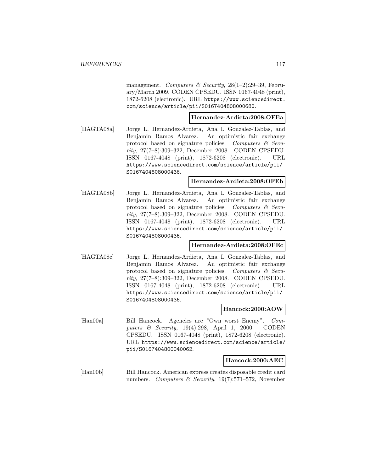management. Computers & Security,  $28(1-2):29-39$ , February/March 2009. CODEN CPSEDU. ISSN 0167-4048 (print), 1872-6208 (electronic). URL https://www.sciencedirect. com/science/article/pii/S0167404808000680.

#### **Hernandez-Ardieta:2008:OFEa**

[HAGTA08a] Jorge L. Hernandez-Ardieta, Ana I. Gonzalez-Tablas, and Benjamin Ramos Alvarez. An optimistic fair exchange protocol based on signature policies. Computers  $\mathcal{C}$  Security, 27(7–8):309–322, December 2008. CODEN CPSEDU. ISSN 0167-4048 (print), 1872-6208 (electronic). URL https://www.sciencedirect.com/science/article/pii/ S0167404808000436.

#### **Hernandez-Ardieta:2008:OFEb**

[HAGTA08b] Jorge L. Hernandez-Ardieta, Ana I. Gonzalez-Tablas, and Benjamin Ramos Alvarez. An optimistic fair exchange protocol based on signature policies. Computers  $\mathcal{C}$  Security, 27(7–8):309–322, December 2008. CODEN CPSEDU. ISSN 0167-4048 (print), 1872-6208 (electronic). URL https://www.sciencedirect.com/science/article/pii/ S0167404808000436.

#### **Hernandez-Ardieta:2008:OFEc**

[HAGTA08c] Jorge L. Hernandez-Ardieta, Ana I. Gonzalez-Tablas, and Benjamin Ramos Alvarez. An optimistic fair exchange protocol based on signature policies. Computers  $\mathcal{C}$  Security, 27(7–8):309–322, December 2008. CODEN CPSEDU. ISSN 0167-4048 (print), 1872-6208 (electronic). URL https://www.sciencedirect.com/science/article/pii/ S0167404808000436.

#### **Hancock:2000:AOW**

[Han00a] Bill Hancock. Agencies are "Own worst Enemy". Computers & Security, 19(4):298, April 1, 2000. CODEN CPSEDU. ISSN 0167-4048 (print), 1872-6208 (electronic). URL https://www.sciencedirect.com/science/article/ pii/S0167404800040062.

# **Hancock:2000:AEC**

[Han00b] Bill Hancock. American express creates disposable credit card numbers. Computers & Security,  $19(7)$ :571–572, November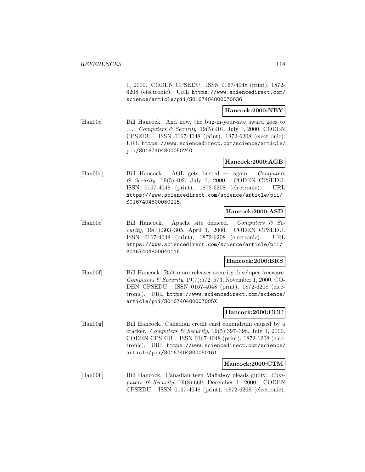1, 2000. CODEN CPSEDU. ISSN 0167-4048 (print), 1872- 6208 (electronic). URL https://www.sciencedirect.com/ science/article/pii/S0167404800070036.

### **Hancock:2000:NBY**

[Han00c] Bill Hancock. And now, the bug-in-your-site award goes to .... Computers & Security, 19(5):404, July 1, 2000. CODEN CPSEDU. ISSN 0167-4048 (print), 1872-6208 (electronic). URL https://www.sciencedirect.com/science/article/ pii/S0167404800050240.

### **Hancock:2000:AGB**

[Han00d] Bill Hancock. AOL gets busted — again. Computers  $\&$  Security, 19(5):402, July 1, 2000. CODEN CPSEDU. ISSN 0167-4048 (print), 1872-6208 (electronic). URL https://www.sciencedirect.com/science/article/pii/ S0167404800050215.

#### **Hancock:2000:ASD**

[Han00e] Bill Hancock. Apache site defaced. Computers & Security, 19(4):303–305, April 1, 2000. CODEN CPSEDU. ISSN 0167-4048 (print), 1872-6208 (electronic). URL https://www.sciencedirect.com/science/article/pii/ S0167404800040116.

#### **Hancock:2000:BRS**

[Han00f] Bill Hancock. Baltimore releases security developer freeware. Computers & Security,  $19(7)$ :572–573, November 1, 2000. CO-DEN CPSEDU. ISSN 0167-4048 (print), 1872-6208 (electronic). URL https://www.sciencedirect.com/science/ article/pii/S016740480007005X.

#### **Hancock:2000:CCC**

[Han00g] Bill Hancock. Canadian credit card conundrum caused by a cracker. Computers & Security, 19(5):397–398, July 1, 2000. CODEN CPSEDU. ISSN 0167-4048 (print), 1872-6208 (electronic). URL https://www.sciencedirect.com/science/ article/pii/S0167404800050161.

#### **Hancock:2000:CTM**

[Han00h] Bill Hancock. Canadian teen Mafiaboy pleads guilty. Computers & Security,  $19(8):669$ , December 1, 2000. CODEN CPSEDU. ISSN 0167-4048 (print), 1872-6208 (electronic).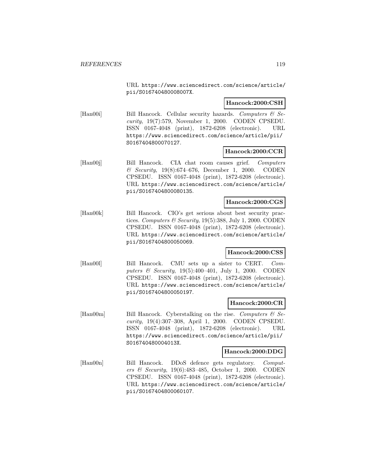URL https://www.sciencedirect.com/science/article/ pii/S016740480008007X.

### **Hancock:2000:CSH**

[Han00i] Bill Hancock. Cellular security hazards. Computers  $\mathcal{B}$  Security, 19(7):579, November 1, 2000. CODEN CPSEDU. ISSN 0167-4048 (print), 1872-6208 (electronic). URL https://www.sciencedirect.com/science/article/pii/ S0167404800070127.

### **Hancock:2000:CCR**

[Han00j] Bill Hancock. CIA chat room causes grief. Computers & Security, 19(8):674–676, December 1, 2000. CODEN CPSEDU. ISSN 0167-4048 (print), 1872-6208 (electronic). URL https://www.sciencedirect.com/science/article/ pii/S0167404800080135.

### **Hancock:2000:CGS**

[Han00k] Bill Hancock. CIO's get serious about best security practices. Computers & Security,  $19(5)$ :388, July 1, 2000. CODEN CPSEDU. ISSN 0167-4048 (print), 1872-6208 (electronic). URL https://www.sciencedirect.com/science/article/ pii/S0167404800050069.

#### **Hancock:2000:CSS**

[Han00l] Bill Hancock. CMU sets up a sister to CERT. Computers & Security, 19(5):400–401, July 1, 2000. CODEN CPSEDU. ISSN 0167-4048 (print), 1872-6208 (electronic). URL https://www.sciencedirect.com/science/article/ pii/S0167404800050197.

### **Hancock:2000:CR**

[Han00m] Bill Hancock. Cyberstalking on the rise. Computers  $\mathcal{C}$  Security, 19(4):307–308, April 1, 2000. CODEN CPSEDU. ISSN 0167-4048 (print), 1872-6208 (electronic). URL https://www.sciencedirect.com/science/article/pii/ S016740480004013X.

#### **Hancock:2000:DDG**

[Han00n] Bill Hancock. DDoS defence gets regulatory. Computers & Security, 19(6):483–485, October 1, 2000. CODEN CPSEDU. ISSN 0167-4048 (print), 1872-6208 (electronic). URL https://www.sciencedirect.com/science/article/ pii/S0167404800060107.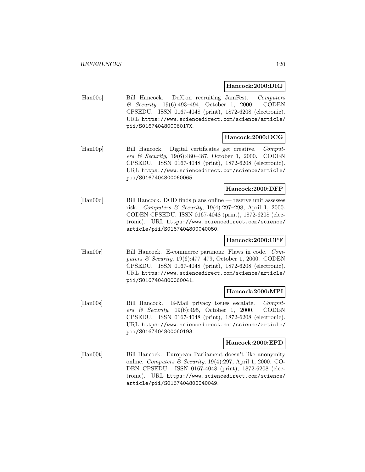### **Hancock:2000:DRJ**

[Han00o] Bill Hancock. DefCon recruiting JamFest. Computers & Security, 19(6):493–494, October 1, 2000. CODEN CPSEDU. ISSN 0167-4048 (print), 1872-6208 (electronic). URL https://www.sciencedirect.com/science/article/ pii/S016740480006017X.

# **Hancock:2000:DCG**

[Han00p] Bill Hancock. Digital certificates get creative. Computers & Security, 19(6):480–487, October 1, 2000. CODEN CPSEDU. ISSN 0167-4048 (print), 1872-6208 (electronic). URL https://www.sciencedirect.com/science/article/ pii/S0167404800060065.

# **Hancock:2000:DFP**

[Han00q] Bill Hancock. DOD finds plans online — reserve unit assesses risk. Computers & Security, 19(4):297–298, April 1, 2000. CODEN CPSEDU. ISSN 0167-4048 (print), 1872-6208 (electronic). URL https://www.sciencedirect.com/science/ article/pii/S0167404800040050.

# **Hancock:2000:CPF**

[Han00r] Bill Hancock. E-commerce paranoia: Flaws in code. Computers & Security, 19(6):477–479, October 1, 2000. CODEN CPSEDU. ISSN 0167-4048 (print), 1872-6208 (electronic). URL https://www.sciencedirect.com/science/article/ pii/S0167404800060041.

#### **Hancock:2000:MPI**

[Han00s] Bill Hancock. E-Mail privacy issues escalate. Computers & Security, 19(6):495, October 1, 2000. CODEN CPSEDU. ISSN 0167-4048 (print), 1872-6208 (electronic). URL https://www.sciencedirect.com/science/article/ pii/S0167404800060193.

#### **Hancock:2000:EPD**

[Han00t] Bill Hancock. European Parliament doesn't like anonymity online. Computers  $\mathcal B$  Security, 19(4):297, April 1, 2000. CO-DEN CPSEDU. ISSN 0167-4048 (print), 1872-6208 (electronic). URL https://www.sciencedirect.com/science/ article/pii/S0167404800040049.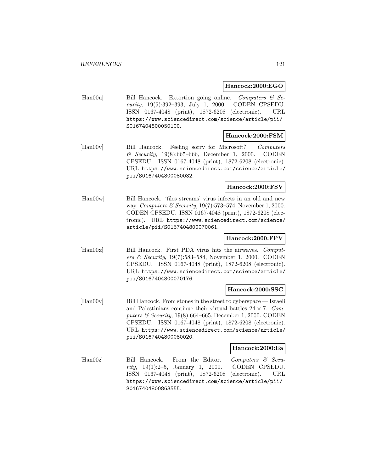### **Hancock:2000:EGO**

[Han00u] Bill Hancock. Extortion going online. Computers & Security, 19(5):392–393, July 1, 2000. CODEN CPSEDU. ISSN 0167-4048 (print), 1872-6208 (electronic). URL https://www.sciencedirect.com/science/article/pii/ S0167404800050100.

### **Hancock:2000:FSM**

[Han00v] Bill Hancock. Feeling sorry for Microsoft? Computers & Security, 19(8):665–666, December 1, 2000. CODEN CPSEDU. ISSN 0167-4048 (print), 1872-6208 (electronic). URL https://www.sciencedirect.com/science/article/ pii/S0167404800080032.

### **Hancock:2000:FSV**

[Han00w] Bill Hancock. 'files streams' virus infects in an old and new way. Computers & Security, 19(7):573–574, November 1, 2000. CODEN CPSEDU. ISSN 0167-4048 (print), 1872-6208 (electronic). URL https://www.sciencedirect.com/science/ article/pii/S0167404800070061.

# **Hancock:2000:FPV**

[Han00x] Bill Hancock. First PDA virus hits the airwaves. Computers & Security, 19(7):583–584, November 1, 2000. CODEN CPSEDU. ISSN 0167-4048 (print), 1872-6208 (electronic). URL https://www.sciencedirect.com/science/article/ pii/S0167404800070176.

# **Hancock:2000:SSC**

[Han00y] Bill Hancock. From stones in the street to cyberspace — Israeli and Palestinians continue their virtual battles  $24 \times 7$ . Computers  $\mathcal B$  Security, 19(8):664–665, December 1, 2000. CODEN CPSEDU. ISSN 0167-4048 (print), 1872-6208 (electronic). URL https://www.sciencedirect.com/science/article/ pii/S0167404800080020.

#### **Hancock:2000:Ea**

[Han00z] Bill Hancock. From the Editor. Computers & Security, 19(1):2–5, January 1, 2000. CODEN CPSEDU. ISSN 0167-4048 (print), 1872-6208 (electronic). URL https://www.sciencedirect.com/science/article/pii/ S0167404800863555.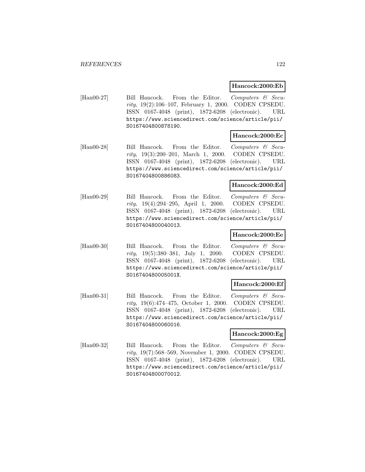#### **Hancock:2000:Eb**

[Han00-27] Bill Hancock. From the Editor. Computers & Security, 19(2):106–107, February 1, 2000. CODEN CPSEDU. ISSN 0167-4048 (print), 1872-6208 (electronic). URL https://www.sciencedirect.com/science/article/pii/ S0167404800878190.

# **Hancock:2000:Ec**

[Han00-28] Bill Hancock. From the Editor. Computers & Security, 19(3):200–201, March 1, 2000. CODEN CPSEDU. ISSN 0167-4048 (print), 1872-6208 (electronic). URL https://www.sciencedirect.com/science/article/pii/ S0167404800886083.

#### **Hancock:2000:Ed**

[Han00-29] Bill Hancock. From the Editor. Computers & Security, 19(4):294–295, April 1, 2000. CODEN CPSEDU. ISSN 0167-4048 (print), 1872-6208 (electronic). URL https://www.sciencedirect.com/science/article/pii/ S0167404800040013.

### **Hancock:2000:Ee**

[Han00-30] Bill Hancock. From the Editor. Computers & Security, 19(5):380–381, July 1, 2000. CODEN CPSEDU. ISSN 0167-4048 (print), 1872-6208 (electronic). URL https://www.sciencedirect.com/science/article/pii/ S016740480005001X.

#### **Hancock:2000:Ef**

[Han00-31] Bill Hancock. From the Editor. Computers & Security, 19(6):474–475, October 1, 2000. CODEN CPSEDU. ISSN 0167-4048 (print), 1872-6208 (electronic). URL https://www.sciencedirect.com/science/article/pii/ S0167404800060016.

# **Hancock:2000:Eg**

[Han00-32] Bill Hancock. From the Editor. Computers & Security, 19(7):568–569, November 1, 2000. CODEN CPSEDU. ISSN 0167-4048 (print), 1872-6208 (electronic). URL https://www.sciencedirect.com/science/article/pii/ S0167404800070012.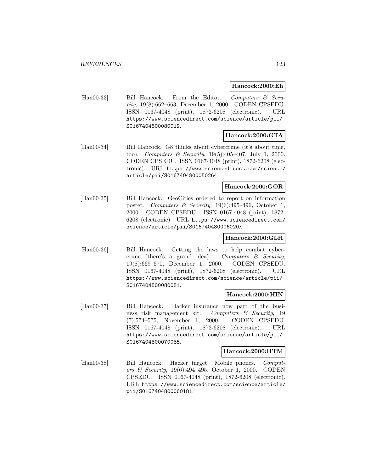### **Hancock:2000:Eh**

[Han00-33] Bill Hancock. From the Editor. Computers & Security, 19(8):662–663, December 1, 2000. CODEN CPSEDU. ISSN 0167-4048 (print), 1872-6208 (electronic). URL https://www.sciencedirect.com/science/article/pii/ S0167404800080019.

# **Hancock:2000:GTA**

[Han00-34] Bill Hancock. G8 thinks about cybercrime (it's about time, too). Computers & Security,  $19(5):405-407$ , July 1, 2000. CODEN CPSEDU. ISSN 0167-4048 (print), 1872-6208 (electronic). URL https://www.sciencedirect.com/science/ article/pii/S0167404800050264.

### **Hancock:2000:GOR**

[Han00-35] Bill Hancock. GeoCities ordered to report on information poster. Computers & Security,  $19(6):495-496$ , October 1, 2000. CODEN CPSEDU. ISSN 0167-4048 (print), 1872- 6208 (electronic). URL https://www.sciencedirect.com/ science/article/pii/S016740480006020X.

# **Hancock:2000:GLH**

[Han00-36] Bill Hancock. Getting the laws to help combat cybercrime (there's a grand idea). Computers  $\mathcal C$  Security, 19(8):669–670, December 1, 2000. CODEN CPSEDU. ISSN 0167-4048 (print), 1872-6208 (electronic). URL https://www.sciencedirect.com/science/article/pii/ S0167404800080081.

# **Hancock:2000:HIN**

[Han00-37] Bill Hancock. Hacker insurance now part of the business risk management kit. Computers & Security, 19 (7):574–575, November 1, 2000. CODEN CPSEDU. ISSN 0167-4048 (print), 1872-6208 (electronic). URL https://www.sciencedirect.com/science/article/pii/ S0167404800070085.

# **Hancock:2000:HTM**

[Han00-38] Bill Hancock. Hacker target: Mobile phones. Computers & Security, 19(6):494–495, October 1, 2000. CODEN CPSEDU. ISSN 0167-4048 (print), 1872-6208 (electronic). URL https://www.sciencedirect.com/science/article/ pii/S0167404800060181.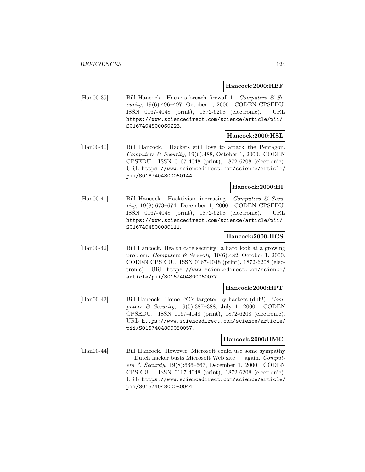#### **Hancock:2000:HBF**

[Han00-39] Bill Hancock. Hackers breach firewall-1. Computers & Security, 19(6):496–497, October 1, 2000. CODEN CPSEDU. ISSN 0167-4048 (print), 1872-6208 (electronic). URL https://www.sciencedirect.com/science/article/pii/ S0167404800060223.

#### **Hancock:2000:HSL**

[Han00-40] Bill Hancock. Hackers still love to attack the Pentagon. Computers & Security,  $19(6):488$ , October 1, 2000. CODEN CPSEDU. ISSN 0167-4048 (print), 1872-6208 (electronic). URL https://www.sciencedirect.com/science/article/ pii/S0167404800060144.

### **Hancock:2000:HI**

[Han00-41] Bill Hancock. Hacktivism increasing. Computers & Security, 19(8):673–674, December 1, 2000. CODEN CPSEDU. ISSN 0167-4048 (print), 1872-6208 (electronic). URL https://www.sciencedirect.com/science/article/pii/ S0167404800080111.

# **Hancock:2000:HCS**

[Han00-42] Bill Hancock. Health care security: a hard look at a growing problem. Computers & Security, 19(6):482, October 1, 2000. CODEN CPSEDU. ISSN 0167-4048 (print), 1872-6208 (electronic). URL https://www.sciencedirect.com/science/ article/pii/S0167404800060077.

#### **Hancock:2000:HPT**

[Han00-43] Bill Hancock. Home PC's targeted by hackers (duh!). Computers & Security, 19(5):387–388, July 1, 2000. CODEN CPSEDU. ISSN 0167-4048 (print), 1872-6208 (electronic). URL https://www.sciencedirect.com/science/article/ pii/S0167404800050057.

#### **Hancock:2000:HMC**

[Han00-44] Bill Hancock. However, Microsoft could use some sympathy — Dutch hacker busts Microsoft Web site — again.  $Comput$ ers & Security, 19(8):666–667, December 1, 2000. CODEN CPSEDU. ISSN 0167-4048 (print), 1872-6208 (electronic). URL https://www.sciencedirect.com/science/article/ pii/S0167404800080044.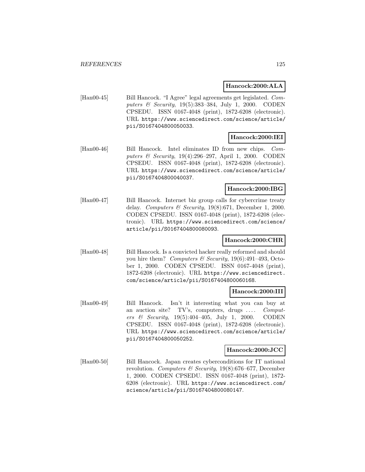### **Hancock:2000:ALA**

[Han00-45] Bill Hancock. "I Agree" legal agreements get legislated. Computers & Security, 19(5):383–384, July 1, 2000. CODEN CPSEDU. ISSN 0167-4048 (print), 1872-6208 (electronic). URL https://www.sciencedirect.com/science/article/ pii/S0167404800050033.

# **Hancock:2000:IEI**

[Han00-46] Bill Hancock. Intel eliminates ID from new chips. Computers & Security, 19(4):296–297, April 1, 2000. CODEN CPSEDU. ISSN 0167-4048 (print), 1872-6208 (electronic). URL https://www.sciencedirect.com/science/article/ pii/S0167404800040037.

# **Hancock:2000:IBG**

[Han00-47] Bill Hancock. Internet biz group calls for cybercrime treaty delay. Computers  $\mathcal B$  Security, 19(8):671, December 1, 2000. CODEN CPSEDU. ISSN 0167-4048 (print), 1872-6208 (electronic). URL https://www.sciencedirect.com/science/ article/pii/S0167404800080093.

# **Hancock:2000:CHR**

[Han00-48] Bill Hancock. Is a convicted hacker really reformed and should you hire them? Computers & Security,  $19(6):491-493$ , October 1, 2000. CODEN CPSEDU. ISSN 0167-4048 (print), 1872-6208 (electronic). URL https://www.sciencedirect. com/science/article/pii/S0167404800060168.

#### **Hancock:2000:III**

[Han00-49] Bill Hancock. Isn't it interesting what you can buy at an auction site? TV's, computers, drugs .... Computers & Security, 19(5):404–405, July 1, 2000. CODEN CPSEDU. ISSN 0167-4048 (print), 1872-6208 (electronic). URL https://www.sciencedirect.com/science/article/ pii/S0167404800050252.

#### **Hancock:2000:JCC**

[Han00-50] Bill Hancock. Japan creates cyberconditions for IT national revolution. Computers & Security,  $19(8):676-677$ , December 1, 2000. CODEN CPSEDU. ISSN 0167-4048 (print), 1872- 6208 (electronic). URL https://www.sciencedirect.com/ science/article/pii/S0167404800080147.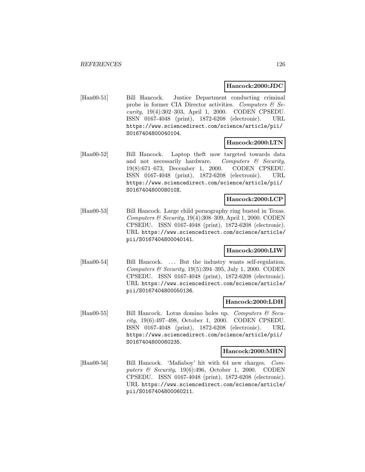### **Hancock:2000:JDC**

[Han00-51] Bill Hancock. Justice Department conducting criminal probe in former CIA Director activities. Computers  $\mathcal{C}$  Security, 19(4):302–303, April 1, 2000. CODEN CPSEDU. ISSN 0167-4048 (print), 1872-6208 (electronic). URL https://www.sciencedirect.com/science/article/pii/ S0167404800040104.

# **Hancock:2000:LTN**

[Han00-52] Bill Hancock. Laptop theft now targeted towards data and not necessarily hardware. Computers  $\mathcal{C}$  Security, 19(8):671–673, December 1, 2000. CODEN CPSEDU. ISSN 0167-4048 (print), 1872-6208 (electronic). URL https://www.sciencedirect.com/science/article/pii/ S016740480008010X.

### **Hancock:2000:LCP**

[Han00-53] Bill Hancock. Large child pornography ring busted in Texas. Computers  $\mathcal C$  Security, 19(4):308–309, April 1, 2000. CODEN CPSEDU. ISSN 0167-4048 (print), 1872-6208 (electronic). URL https://www.sciencedirect.com/science/article/ pii/S0167404800040141.

# **Hancock:2000:LIW**

[Han00-54] Bill Hancock. ... But the industry wants self-regulation. Computers & Security,  $19(5):394-395$ , July 1, 2000. CODEN CPSEDU. ISSN 0167-4048 (print), 1872-6208 (electronic). URL https://www.sciencedirect.com/science/article/ pii/S0167404800050136.

#### **Hancock:2000:LDH**

[Han00-55] Bill Hancock. Lotus domino holes up. Computers  $\mathcal{B}$  Security, 19(6):497–498, October 1, 2000. CODEN CPSEDU. ISSN 0167-4048 (print), 1872-6208 (electronic). URL https://www.sciencedirect.com/science/article/pii/ S0167404800060235.

#### **Hancock:2000:MHN**

[Han00-56] Bill Hancock. 'Mafiaboy' hit with 64 new charges. Computers & Security, 19(6):496, October 1, 2000. CODEN CPSEDU. ISSN 0167-4048 (print), 1872-6208 (electronic). URL https://www.sciencedirect.com/science/article/ pii/S0167404800060211.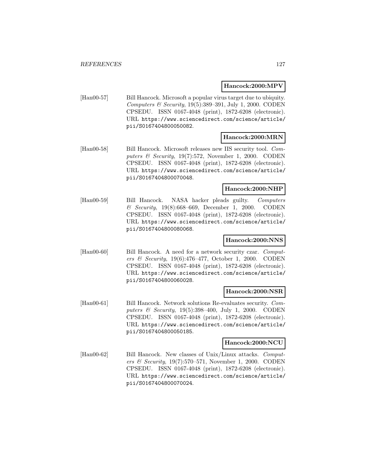#### **Hancock:2000:MPV**

[Han00-57] Bill Hancock. Microsoft a popular virus target due to ubiquity. Computers & Security,  $19(5):389-391$ , July 1, 2000. CODEN CPSEDU. ISSN 0167-4048 (print), 1872-6208 (electronic). URL https://www.sciencedirect.com/science/article/ pii/S0167404800050082.

# **Hancock:2000:MRN**

[Han00-58] Bill Hancock. Microsoft releases new IIS security tool. Computers & Security,  $19(7):572$ , November 1, 2000. CODEN CPSEDU. ISSN 0167-4048 (print), 1872-6208 (electronic). URL https://www.sciencedirect.com/science/article/ pii/S0167404800070048.

### **Hancock:2000:NHP**

[Han00-59] Bill Hancock. NASA hacker pleads guilty. Computers & Security, 19(8):668–669, December 1, 2000. CODEN CPSEDU. ISSN 0167-4048 (print), 1872-6208 (electronic). URL https://www.sciencedirect.com/science/article/ pii/S0167404800080068.

# **Hancock:2000:NNS**

[Han00-60] Bill Hancock. A need for a network security czar. Computers & Security, 19(6):476–477, October 1, 2000. CODEN CPSEDU. ISSN 0167-4048 (print), 1872-6208 (electronic). URL https://www.sciencedirect.com/science/article/ pii/S0167404800060028.

#### **Hancock:2000:NSR**

[Han00-61] Bill Hancock. Network solutions Re-evaluates security. Computers & Security, 19(5):398–400, July 1, 2000. CODEN CPSEDU. ISSN 0167-4048 (print), 1872-6208 (electronic). URL https://www.sciencedirect.com/science/article/ pii/S0167404800050185.

#### **Hancock:2000:NCU**

[Han00-62] Bill Hancock. New classes of Unix/Linux attacks. Computers & Security, 19(7):570–571, November 1, 2000. CODEN CPSEDU. ISSN 0167-4048 (print), 1872-6208 (electronic). URL https://www.sciencedirect.com/science/article/ pii/S0167404800070024.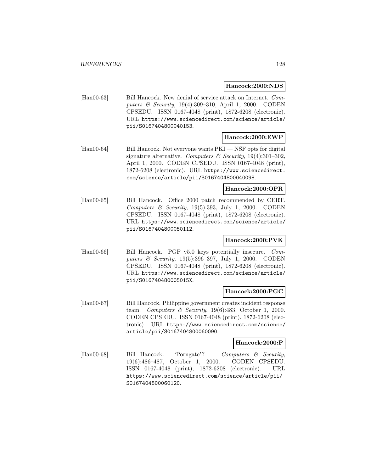#### **Hancock:2000:NDS**

[Han00-63] Bill Hancock. New denial of service attack on Internet. Computers & Security, 19(4):309–310, April 1, 2000. CODEN CPSEDU. ISSN 0167-4048 (print), 1872-6208 (electronic). URL https://www.sciencedirect.com/science/article/ pii/S0167404800040153.

# **Hancock:2000:EWP**

[Han00-64] Bill Hancock. Not everyone wants PKI — NSF opts for digital signature alternative. Computers & Security,  $19(4):301-302$ , April 1, 2000. CODEN CPSEDU. ISSN 0167-4048 (print), 1872-6208 (electronic). URL https://www.sciencedirect. com/science/article/pii/S0167404800040098.

### **Hancock:2000:OPR**

[Han00-65] Bill Hancock. Office 2000 patch recommended by CERT. Computers & Security,  $19(5):393$ , July 1, 2000. CODEN CPSEDU. ISSN 0167-4048 (print), 1872-6208 (electronic). URL https://www.sciencedirect.com/science/article/ pii/S0167404800050112.

# **Hancock:2000:PVK**

[Han00-66] Bill Hancock. PGP v5.0 keys potentially insecure. Computers & Security, 19(5):396–397, July 1, 2000. CODEN CPSEDU. ISSN 0167-4048 (print), 1872-6208 (electronic). URL https://www.sciencedirect.com/science/article/ pii/S016740480005015X.

#### **Hancock:2000:PGC**

[Han00-67] Bill Hancock. Philippine government creates incident response team. Computers & Security, 19(6):483, October 1, 2000. CODEN CPSEDU. ISSN 0167-4048 (print), 1872-6208 (electronic). URL https://www.sciencedirect.com/science/ article/pii/S0167404800060090.

#### **Hancock:2000:P**

[Han00-68] Bill Hancock. 'Porngate'? Computers & Security, 19(6):486–487, October 1, 2000. CODEN CPSEDU. ISSN 0167-4048 (print), 1872-6208 (electronic). URL https://www.sciencedirect.com/science/article/pii/ S0167404800060120.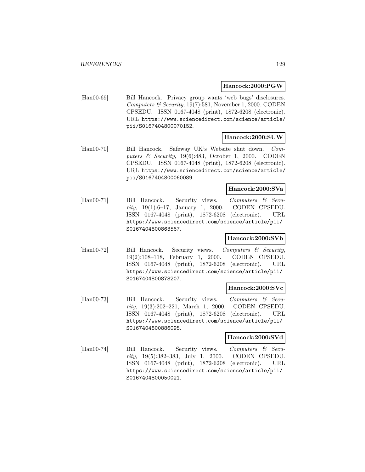#### **Hancock:2000:PGW**

[Han00-69] Bill Hancock. Privacy group wants 'web bugs' disclosures. Computers & Security,  $19(7):581$ , November 1, 2000. CODEN CPSEDU. ISSN 0167-4048 (print), 1872-6208 (electronic). URL https://www.sciencedirect.com/science/article/ pii/S0167404800070152.

# **Hancock:2000:SUW**

[Han00-70] Bill Hancock. Safeway UK's Website shut down. Computers & Security,  $19(6):483$ , October 1, 2000. CODEN CPSEDU. ISSN 0167-4048 (print), 1872-6208 (electronic). URL https://www.sciencedirect.com/science/article/ pii/S0167404800060089.

# **Hancock:2000:SVa**

[Han00-71] Bill Hancock. Security views. Computers & Security, 19(1):6–17, January 1, 2000. CODEN CPSEDU. ISSN 0167-4048 (print), 1872-6208 (electronic). URL https://www.sciencedirect.com/science/article/pii/ S0167404800863567.

### **Hancock:2000:SVb**

[Han00-72] Bill Hancock. Security views. Computers & Security, 19(2):108–118, February 1, 2000. CODEN CPSEDU. ISSN 0167-4048 (print), 1872-6208 (electronic). URL https://www.sciencedirect.com/science/article/pii/ S0167404800878207.

#### **Hancock:2000:SVc**

[Han00-73] Bill Hancock. Security views. Computers & Security, 19(3):202–221, March 1, 2000. CODEN CPSEDU. ISSN 0167-4048 (print), 1872-6208 (electronic). URL https://www.sciencedirect.com/science/article/pii/ S0167404800886095.

### **Hancock:2000:SVd**

[Han00-74] Bill Hancock. Security views. Computers & Security, 19(5):382–383, July 1, 2000. CODEN CPSEDU. ISSN 0167-4048 (print), 1872-6208 (electronic). URL https://www.sciencedirect.com/science/article/pii/ S0167404800050021.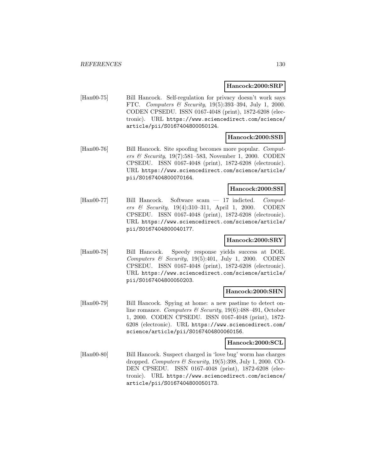#### **Hancock:2000:SRP**

[Han00-75] Bill Hancock. Self-regulation for privacy doesn't work says FTC. Computers & Security, 19(5):393–394, July 1, 2000. CODEN CPSEDU. ISSN 0167-4048 (print), 1872-6208 (electronic). URL https://www.sciencedirect.com/science/ article/pii/S0167404800050124.

### **Hancock:2000:SSB**

[Han00-76] Bill Hancock. Site spoofing becomes more popular. Computers & Security, 19(7):581–583, November 1, 2000. CODEN CPSEDU. ISSN 0167-4048 (print), 1872-6208 (electronic). URL https://www.sciencedirect.com/science/article/ pii/S0167404800070164.

# **Hancock:2000:SSI**

[Han00-77] Bill Hancock. Software scam — 17 indicted. Computers & Security, 19(4):310–311, April 1, 2000. CODEN CPSEDU. ISSN 0167-4048 (print), 1872-6208 (electronic). URL https://www.sciencedirect.com/science/article/ pii/S0167404800040177.

# **Hancock:2000:SRY**

[Han00-78] Bill Hancock. Speedy response yields success at DOE. Computers  $\mathcal C$  Security, 19(5):401, July 1, 2000. CODEN CPSEDU. ISSN 0167-4048 (print), 1872-6208 (electronic). URL https://www.sciencedirect.com/science/article/ pii/S0167404800050203.

#### **Hancock:2000:SHN**

[Han00-79] Bill Hancock. Spying at home: a new pastime to detect online romance. Computers & Security, 19(6):488-491, October 1, 2000. CODEN CPSEDU. ISSN 0167-4048 (print), 1872- 6208 (electronic). URL https://www.sciencedirect.com/ science/article/pii/S0167404800060156.

### **Hancock:2000:SCL**

[Han00-80] Bill Hancock. Suspect charged in 'love bug' worm has charges dropped. Computers  $\mathcal B$  Security, 19(5):398, July 1, 2000. CO-DEN CPSEDU. ISSN 0167-4048 (print), 1872-6208 (electronic). URL https://www.sciencedirect.com/science/ article/pii/S0167404800050173.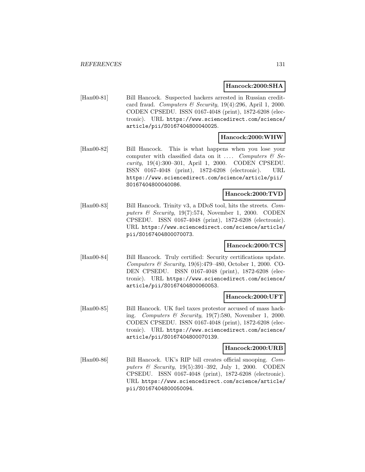### **Hancock:2000:SHA**

[Han00-81] Bill Hancock. Suspected hackers arrested in Russian creditcard fraud. Computers & Security, 19(4):296, April 1, 2000. CODEN CPSEDU. ISSN 0167-4048 (print), 1872-6208 (electronic). URL https://www.sciencedirect.com/science/ article/pii/S0167404800040025.

### **Hancock:2000:WHW**

[Han00-82] Bill Hancock. This is what happens when you lose your computer with classified data on it  $\ldots$  Computers & Security, 19(4):300–301, April 1, 2000. CODEN CPSEDU. ISSN 0167-4048 (print), 1872-6208 (electronic). URL https://www.sciencedirect.com/science/article/pii/ S0167404800040086.

# **Hancock:2000:TVD**

[Han00-83] Bill Hancock. Trinity v3, a DDoS tool, hits the streets. Computers  $\mathcal B$  Security, 19(7):574, November 1, 2000. CODEN CPSEDU. ISSN 0167-4048 (print), 1872-6208 (electronic). URL https://www.sciencedirect.com/science/article/ pii/S0167404800070073.

# **Hancock:2000:TCS**

[Han00-84] Bill Hancock. Truly certified: Security certifications update. Computers & Security, 19(6):479–480, October 1, 2000. CO-DEN CPSEDU. ISSN 0167-4048 (print), 1872-6208 (electronic). URL https://www.sciencedirect.com/science/ article/pii/S0167404800060053.

# **Hancock:2000:UFT**

[Han00-85] Bill Hancock. UK fuel taxes protestor accused of mass hacking. Computers & Security, 19(7):580, November 1, 2000. CODEN CPSEDU. ISSN 0167-4048 (print), 1872-6208 (electronic). URL https://www.sciencedirect.com/science/ article/pii/S0167404800070139.

#### **Hancock:2000:URB**

[Han00-86] Bill Hancock. UK's RIP bill creates official snooping. Computers & Security, 19(5):391–392, July 1, 2000. CODEN CPSEDU. ISSN 0167-4048 (print), 1872-6208 (electronic). URL https://www.sciencedirect.com/science/article/ pii/S0167404800050094.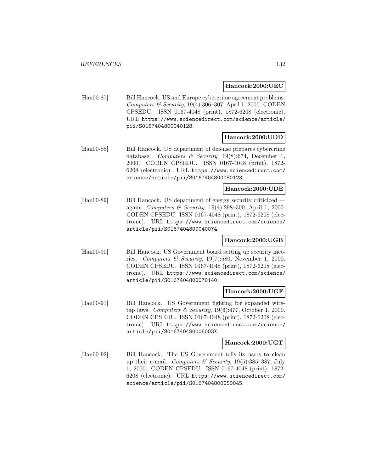### **Hancock:2000:UEC**

[Han00-87] Bill Hancock. US and Europe cybercrime agreement problems. Computers & Security, 19(4):306–307, April 1, 2000. CODEN CPSEDU. ISSN 0167-4048 (print), 1872-6208 (electronic). URL https://www.sciencedirect.com/science/article/ pii/S0167404800040128.

# **Hancock:2000:UDD**

[Han00-88] Bill Hancock. US department of defense prepares cybercrime database. Computers & Security, 19(8):674, December 1, 2000. CODEN CPSEDU. ISSN 0167-4048 (print), 1872- 6208 (electronic). URL https://www.sciencedirect.com/ science/article/pii/S0167404800080123.

### **Hancock:2000:UDE**

[Han00-89] Bill Hancock. US department of energy security criticized again. Computers & Security, 19(4):298–300, April 1, 2000. CODEN CPSEDU. ISSN 0167-4048 (print), 1872-6208 (electronic). URL https://www.sciencedirect.com/science/ article/pii/S0167404800040074.

# **Hancock:2000:UGB**

[Han00-90] Bill Hancock. US Government board setting up security metrics. Computers & Security, 19(7):580, November 1, 2000. CODEN CPSEDU. ISSN 0167-4048 (print), 1872-6208 (electronic). URL https://www.sciencedirect.com/science/ article/pii/S0167404800070140.

#### **Hancock:2000:UGF**

[Han00-91] Bill Hancock. US Government fighting for expanded wiretap laws. Computers & Security, 19(6):477, October 1, 2000. CODEN CPSEDU. ISSN 0167-4048 (print), 1872-6208 (electronic). URL https://www.sciencedirect.com/science/ article/pii/S016740480006003X.

#### **Hancock:2000:UGT**

[Han00-92] Bill Hancock. The US Government tells its users to clean up their e-mail. Computers  $\mathcal B$  Security, 19(5):385–387, July 1, 2000. CODEN CPSEDU. ISSN 0167-4048 (print), 1872- 6208 (electronic). URL https://www.sciencedirect.com/ science/article/pii/S0167404800050045.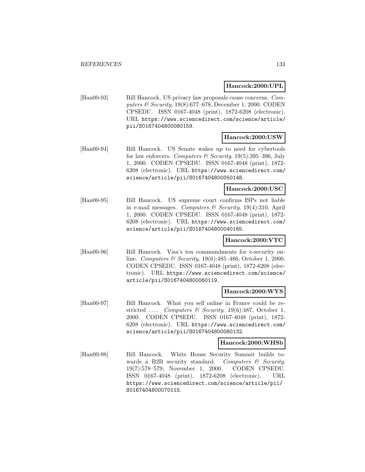### **Hancock:2000:UPL**

[Han00-93] Bill Hancock. US privacy law proposals cause concerns. Computers & Security, 19(8):677–678, December 1, 2000. CODEN CPSEDU. ISSN 0167-4048 (print), 1872-6208 (electronic). URL https://www.sciencedirect.com/science/article/ pii/S0167404800080159.

# **Hancock:2000:USW**

[Han00-94] Bill Hancock. US Senate wakes up to need for cybertools for law enforcers. Computers & Security,  $19(5):395-396$ , July 1, 2000. CODEN CPSEDU. ISSN 0167-4048 (print), 1872- 6208 (electronic). URL https://www.sciencedirect.com/ science/article/pii/S0167404800050148.

### **Hancock:2000:USC**

[Han00-95] Bill Hancock. US supreme court confirms ISPs not liable in e-mail messages. Computers  $\mathcal B$  Security, 19(4):310, April 1, 2000. CODEN CPSEDU. ISSN 0167-4048 (print), 1872- 6208 (electronic). URL https://www.sciencedirect.com/ science/article/pii/S0167404800040165.

# **Hancock:2000:VTC**

[Han00-96] Bill Hancock. Visa's ten commandments for e-security online. Computers & Security, 19(6):485–486, October 1, 2000. CODEN CPSEDU. ISSN 0167-4048 (print), 1872-6208 (electronic). URL https://www.sciencedirect.com/science/ article/pii/S0167404800060119.

#### **Hancock:2000:WYS**

[Han00-97] Bill Hancock. What you sell online in France could be restricted .... Computers & Security, 19(6):487, October 1, 2000. CODEN CPSEDU. ISSN 0167-4048 (print), 1872- 6208 (electronic). URL https://www.sciencedirect.com/ science/article/pii/S0167404800060132.

#### **Hancock:2000:WHSb**

[Han00-98] Bill Hancock. White House Security Summit builds towards a B2B security standard. Computers  $\mathcal{B}$  Security, 19(7):578–579, November 1, 2000. CODEN CPSEDU. ISSN 0167-4048 (print), 1872-6208 (electronic). URL https://www.sciencedirect.com/science/article/pii/ S0167404800070115.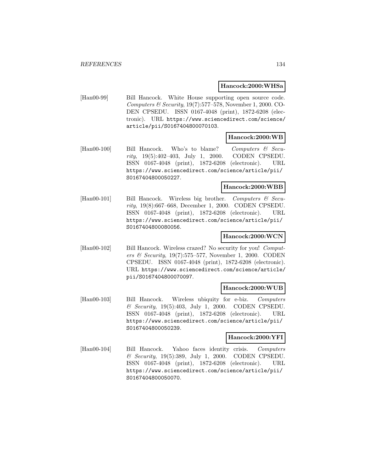#### **Hancock:2000:WHSa**

[Han00-99] Bill Hancock. White House supporting open source code. Computers & Security, 19(7):577–578, November 1, 2000. CO-DEN CPSEDU. ISSN 0167-4048 (print), 1872-6208 (electronic). URL https://www.sciencedirect.com/science/ article/pii/S0167404800070103.

#### **Hancock:2000:WB**

 $[Hand0-100]$  Bill Hancock. Who's to blame? Computers & Security, 19(5):402–403, July 1, 2000. CODEN CPSEDU. ISSN 0167-4048 (print), 1872-6208 (electronic). URL https://www.sciencedirect.com/science/article/pii/ S0167404800050227.

### **Hancock:2000:WBB**

[Han00-101] Bill Hancock. Wireless big brother. Computers & Security, 19(8):667–668, December 1, 2000. CODEN CPSEDU. ISSN 0167-4048 (print), 1872-6208 (electronic). URL https://www.sciencedirect.com/science/article/pii/ S0167404800080056.

# **Hancock:2000:WCN**

[Han00-102] Bill Hancock. Wireless crazed? No security for you! Computers & Security, 19(7):575–577, November 1, 2000. CODEN CPSEDU. ISSN 0167-4048 (print), 1872-6208 (electronic). URL https://www.sciencedirect.com/science/article/ pii/S0167404800070097.

#### **Hancock:2000:WUB**

[Han00-103] Bill Hancock. Wireless ubiquity for e-biz. Computers & Security, 19(5):403, July 1, 2000. CODEN CPSEDU. ISSN 0167-4048 (print), 1872-6208 (electronic). URL https://www.sciencedirect.com/science/article/pii/ S0167404800050239.

# **Hancock:2000:YFI**

[Han00-104] Bill Hancock. Yahoo faces identity crisis. Computers & Security, 19(5):389, July 1, 2000. CODEN CPSEDU. ISSN 0167-4048 (print), 1872-6208 (electronic). URL https://www.sciencedirect.com/science/article/pii/ S0167404800050070.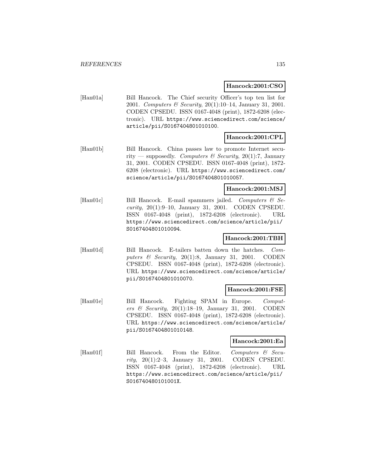#### **Hancock:2001:CSO**

[Han01a] Bill Hancock. The Chief security Officer's top ten list for 2001. Computers & Security, 20(1):10–14, January 31, 2001. CODEN CPSEDU. ISSN 0167-4048 (print), 1872-6208 (electronic). URL https://www.sciencedirect.com/science/ article/pii/S0167404801010100.

# **Hancock:2001:CPL**

[Han01b] Bill Hancock. China passes law to promote Internet security — supposedly. Computers & Security, 20(1):7, January 31, 2001. CODEN CPSEDU. ISSN 0167-4048 (print), 1872- 6208 (electronic). URL https://www.sciencedirect.com/ science/article/pii/S0167404801010057.

### **Hancock:2001:MSJ**

[Han01c] Bill Hancock. E-mail spammers jailed. Computers & Security, 20(1):9–10, January 31, 2001. CODEN CPSEDU. ISSN 0167-4048 (print), 1872-6208 (electronic). URL https://www.sciencedirect.com/science/article/pii/ S0167404801010094.

# **Hancock:2001:TBH**

[Han01d] Bill Hancock. E-tailers batten down the hatches. Computers  $\mathcal C$  Security, 20(1):8, January 31, 2001. CODEN CPSEDU. ISSN 0167-4048 (print), 1872-6208 (electronic). URL https://www.sciencedirect.com/science/article/ pii/S0167404801010070.

#### **Hancock:2001:FSE**

[Han01e] Bill Hancock. Fighting SPAM in Europe. Computers & Security, 20(1):18–19, January 31, 2001. CODEN CPSEDU. ISSN 0167-4048 (print), 1872-6208 (electronic). URL https://www.sciencedirect.com/science/article/ pii/S0167404801010148.

### **Hancock:2001:Ea**

[Han01f] Bill Hancock. From the Editor. Computers & Security, 20(1):2–3, January 31, 2001. CODEN CPSEDU. ISSN 0167-4048 (print), 1872-6208 (electronic). URL https://www.sciencedirect.com/science/article/pii/ S016740480101001X.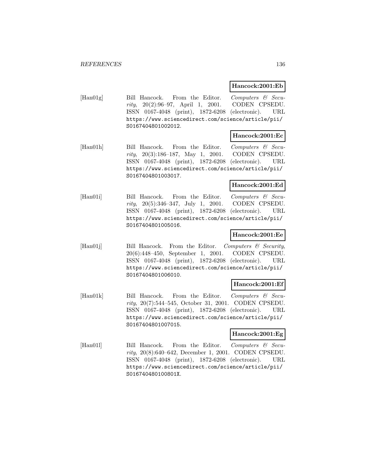### **Hancock:2001:Eb**

[Han01g] Bill Hancock. From the Editor. Computers & Security, 20(2):96–97, April 1, 2001. CODEN CPSEDU. ISSN 0167-4048 (print), 1872-6208 (electronic). URL https://www.sciencedirect.com/science/article/pii/ S0167404801002012.

# **Hancock:2001:Ec**

[Han01h] Bill Hancock. From the Editor. Computers & Security, 20(3):186–187, May 1, 2001. CODEN CPSEDU. ISSN 0167-4048 (print), 1872-6208 (electronic). URL https://www.sciencedirect.com/science/article/pii/ S0167404801003017.

# **Hancock:2001:Ed**

[Han01i] Bill Hancock. From the Editor. Computers & Security, 20(5):346–347, July 1, 2001. CODEN CPSEDU. ISSN 0167-4048 (print), 1872-6208 (electronic). URL https://www.sciencedirect.com/science/article/pii/ S0167404801005016.

# **Hancock:2001:Ee**

[Han01] Bill Hancock. From the Editor. Computers & Security, 20(6):448–450, September 1, 2001. CODEN CPSEDU. ISSN 0167-4048 (print), 1872-6208 (electronic). URL https://www.sciencedirect.com/science/article/pii/ S0167404801006010.

# **Hancock:2001:Ef**

[Han01k] Bill Hancock. From the Editor. Computers & Security, 20(7):544–545, October 31, 2001. CODEN CPSEDU. ISSN 0167-4048 (print), 1872-6208 (electronic). URL https://www.sciencedirect.com/science/article/pii/ S0167404801007015.

# **Hancock:2001:Eg**

[Han011] Bill Hancock. From the Editor. Computers & Security, 20(8):640–642, December 1, 2001. CODEN CPSEDU. ISSN 0167-4048 (print), 1872-6208 (electronic). URL https://www.sciencedirect.com/science/article/pii/ S016740480100801X.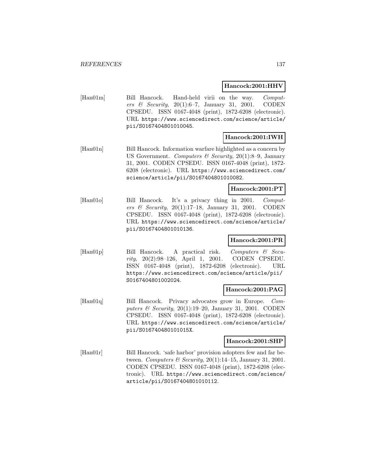#### **Hancock:2001:HHV**

[Han01m] Bill Hancock. Hand-held virii on the way. Computers & Security,  $20(1):6-7$ , January 31, 2001. CODEN CPSEDU. ISSN 0167-4048 (print), 1872-6208 (electronic). URL https://www.sciencedirect.com/science/article/ pii/S0167404801010045.

# **Hancock:2001:IWH**

[Han01n] Bill Hancock. Information warfare highlighted as a concern by US Government. Computers & Security, 20(1):8-9, January 31, 2001. CODEN CPSEDU. ISSN 0167-4048 (print), 1872- 6208 (electronic). URL https://www.sciencedirect.com/ science/article/pii/S0167404801010082.

#### **Hancock:2001:PT**

[Han01o] Bill Hancock. It's a privacy thing in 2001. Computers & Security,  $20(1):17-18$ , January 31, 2001. CODEN CPSEDU. ISSN 0167-4048 (print), 1872-6208 (electronic). URL https://www.sciencedirect.com/science/article/ pii/S0167404801010136.

# **Hancock:2001:PR**

[Han01p] Bill Hancock. A practical risk. Computers & Security, 20(2):98–126, April 1, 2001. CODEN CPSEDU. ISSN 0167-4048 (print), 1872-6208 (electronic). URL https://www.sciencedirect.com/science/article/pii/ S0167404801002024.

#### **Hancock:2001:PAG**

[Han01q] Bill Hancock. Privacy advocates grow in Europe. Computers  $\mathcal B$  Security, 20(1):19–20, January 31, 2001. CODEN CPSEDU. ISSN 0167-4048 (print), 1872-6208 (electronic). URL https://www.sciencedirect.com/science/article/ pii/S016740480101015X.

# **Hancock:2001:SHP**

[Han01r] Bill Hancock. 'safe harbor' provision adopters few and far between. Computers & Security,  $20(1):14-15$ , January 31, 2001. CODEN CPSEDU. ISSN 0167-4048 (print), 1872-6208 (electronic). URL https://www.sciencedirect.com/science/ article/pii/S0167404801010112.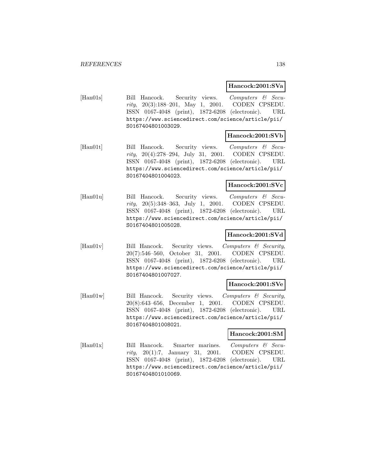#### **Hancock:2001:SVa**

[Han01s] Bill Hancock. Security views. Computers & Security, 20(3):188–201, May 1, 2001. CODEN CPSEDU. ISSN 0167-4048 (print), 1872-6208 (electronic). URL https://www.sciencedirect.com/science/article/pii/ S0167404801003029.

### **Hancock:2001:SVb**

[Han01t] Bill Hancock. Security views. Computers & Security, 20(4):278–294, July 31, 2001. CODEN CPSEDU. ISSN 0167-4048 (print), 1872-6208 (electronic). URL https://www.sciencedirect.com/science/article/pii/ S0167404801004023.

#### **Hancock:2001:SVc**

[Han01u] Bill Hancock. Security views. Computers & Security, 20(5):348–363, July 1, 2001. CODEN CPSEDU. ISSN 0167-4048 (print), 1872-6208 (electronic). URL https://www.sciencedirect.com/science/article/pii/ S0167404801005028.

### **Hancock:2001:SVd**

[Han01v] Bill Hancock. Security views. Computers & Security, 20(7):546–560, October 31, 2001. CODEN CPSEDU. ISSN 0167-4048 (print), 1872-6208 (electronic). URL https://www.sciencedirect.com/science/article/pii/ S0167404801007027.

#### **Hancock:2001:SVe**

[Han01w] Bill Hancock. Security views. Computers & Security, 20(8):643–656, December 1, 2001. CODEN CPSEDU. ISSN 0167-4048 (print), 1872-6208 (electronic). URL https://www.sciencedirect.com/science/article/pii/ S0167404801008021.

# **Hancock:2001:SM**

[Han01x] Bill Hancock. Smarter marines. Computers & Security, 20(1):7, January 31, 2001. CODEN CPSEDU. ISSN 0167-4048 (print), 1872-6208 (electronic). URL https://www.sciencedirect.com/science/article/pii/ S0167404801010069.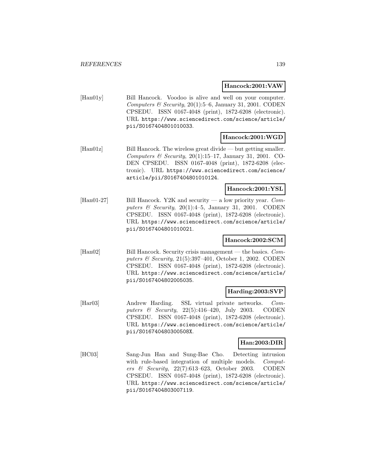#### **Hancock:2001:VAW**

[Han01y] Bill Hancock. Voodoo is alive and well on your computer. Computers & Security, 20(1):5–6, January 31, 2001. CODEN CPSEDU. ISSN 0167-4048 (print), 1872-6208 (electronic). URL https://www.sciencedirect.com/science/article/ pii/S0167404801010033.

# **Hancock:2001:WGD**

[Han01z] Bill Hancock. The wireless great divide — but getting smaller. Computers & Security,  $20(1):15-17$ , January 31, 2001. CO-DEN CPSEDU. ISSN 0167-4048 (print), 1872-6208 (electronic). URL https://www.sciencedirect.com/science/ article/pii/S0167404801010124.

#### **Hancock:2001:YSL**

[Han01-27] Bill Hancock. Y2K and security — a low priority year. Computers & Security,  $20(1):4-5$ , January 31, 2001. CODEN CPSEDU. ISSN 0167-4048 (print), 1872-6208 (electronic). URL https://www.sciencedirect.com/science/article/ pii/S0167404801010021.

# **Hancock:2002:SCM**

[Han02] Bill Hancock. Security crisis management — the basics. Computers & Security, 21(5):397–401, October 1, 2002. CODEN CPSEDU. ISSN 0167-4048 (print), 1872-6208 (electronic). URL https://www.sciencedirect.com/science/article/ pii/S0167404802005035.

#### **Harding:2003:SVP**

[Har03] Andrew Harding. SSL virtual private networks. Computers & Security, 22(5):416–420, July 2003. CODEN CPSEDU. ISSN 0167-4048 (print), 1872-6208 (electronic). URL https://www.sciencedirect.com/science/article/ pii/S016740480300508X.

#### **Han:2003:DIR**

[HC03] Sang-Jun Han and Sung-Bae Cho. Detecting intrusion with rule-based integration of multiple models. *Comput*ers & Security, 22(7):613–623, October 2003. CODEN CPSEDU. ISSN 0167-4048 (print), 1872-6208 (electronic). URL https://www.sciencedirect.com/science/article/ pii/S0167404803007119.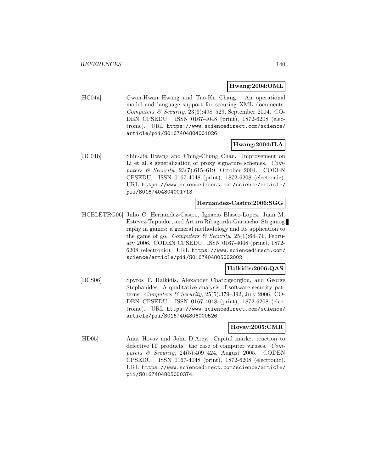#### **Hwang:2004:OML**

[HC04a] Gwan-Hwan Hwang and Tao-Ku Chang. An operational model and language support for securing XML documents. Computers & Security,  $23(6):498-529$ , September 2004. CO-DEN CPSEDU. ISSN 0167-4048 (print), 1872-6208 (electronic). URL https://www.sciencedirect.com/science/ article/pii/S0167404804001026.

### **Hwang:2004:ILA**

[HC04b] Shin-Jia Hwang and Ching-Chung Chan. Improvement on Li et al.'s generalization of proxy signature schemes. Computers & Security, 23(7):615–619, October 2004. CODEN CPSEDU. ISSN 0167-4048 (print), 1872-6208 (electronic). URL https://www.sciencedirect.com/science/article/ pii/S0167404804001713.

#### **Hernandez-Castro:2006:SGG**

[HCBLETRG06] Julio C. Hernandez-Castro, Ignacio Blasco-Lopez, Juan M. Estevez-Tapiador, and Arturo Ribagorda-Garnacho. Steganography in games: a general methodology and its application to the game of go. Computers & Security,  $25(1):64-71$ , February 2006. CODEN CPSEDU. ISSN 0167-4048 (print), 1872- 6208 (electronic). URL https://www.sciencedirect.com/ science/article/pii/S0167404805002002.

# **Halkidis:2006:QAS**

[HCS06] Spyros T. Halkidis, Alexander Chatzigeorgiou, and George Stephanides. A qualitative analysis of software security patterns. Computers & Security,  $25(5):379-392$ , July 2006. CO-DEN CPSEDU. ISSN 0167-4048 (print), 1872-6208 (electronic). URL https://www.sciencedirect.com/science/ article/pii/S0167404806000526.

### **Hovav:2005:CMR**

[HD05] Anat Hovav and John D'Arcy. Capital market reaction to defective IT products: the case of computer viruses. Computers & Security, 24(5):409–424, August 2005. CODEN CPSEDU. ISSN 0167-4048 (print), 1872-6208 (electronic). URL https://www.sciencedirect.com/science/article/ pii/S0167404805000374.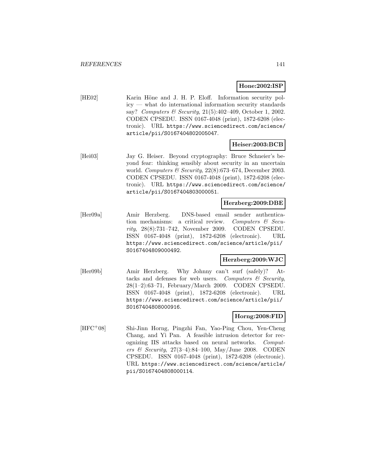### **Hone:2002:ISP**

[HE02] Karin Höne and J. H. P. Eloff. Information security policy — what do international information security standards say? Computers & Security, 21(5):402–409, October 1, 2002. CODEN CPSEDU. ISSN 0167-4048 (print), 1872-6208 (electronic). URL https://www.sciencedirect.com/science/ article/pii/S0167404802005047.

# **Heiser:2003:BCB**

[Hei03] Jay G. Heiser. Beyond cryptography: Bruce Schneier's beyond fear: thinking sensibly about security in an uncertain world. Computers & Security,  $22(8):673-674$ , December 2003. CODEN CPSEDU. ISSN 0167-4048 (print), 1872-6208 (electronic). URL https://www.sciencedirect.com/science/ article/pii/S0167404803000051.

### **Herzberg:2009:DBE**

[Her09a] Amir Herzberg. DNS-based email sender authentication mechanisms: a critical review. Computers  $\mathcal{C}$  Security, 28(8):731–742, November 2009. CODEN CPSEDU. ISSN 0167-4048 (print), 1872-6208 (electronic). URL https://www.sciencedirect.com/science/article/pii/ S0167404809000492.

### **Herzberg:2009:WJC**

[Her09b] Amir Herzberg. Why Johnny can't surf (safely)? Attacks and defenses for web users. Computers  $\mathcal{C}$  Security, 28(1–2):63–71, February/March 2009. CODEN CPSEDU. ISSN 0167-4048 (print), 1872-6208 (electronic). URL https://www.sciencedirect.com/science/article/pii/ S0167404808000916.

# **Horng:2008:FID**

[HFC<sup>+</sup>08] Shi-Jinn Horng, Pingzhi Fan, Yao-Ping Chou, Yen-Cheng Chang, and Yi Pan. A feasible intrusion detector for recognizing IIS attacks based on neural networks. Computers & Security,  $27(3-4):84-100$ , May/June 2008. CODEN CPSEDU. ISSN 0167-4048 (print), 1872-6208 (electronic). URL https://www.sciencedirect.com/science/article/ pii/S0167404808000114.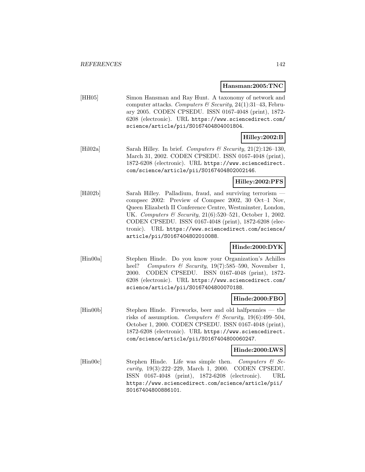#### **Hansman:2005:TNC**

[HH05] Simon Hansman and Ray Hunt. A taxonomy of network and computer attacks. Computers & Security, 24(1):31-43, February 2005. CODEN CPSEDU. ISSN 0167-4048 (print), 1872- 6208 (electronic). URL https://www.sciencedirect.com/ science/article/pii/S0167404804001804.

# **Hilley:2002:B**

[Hil $[02a]$  Sarah Hilley. In brief. *Computers & Security*, 21(2):126–130, March 31, 2002. CODEN CPSEDU. ISSN 0167-4048 (print), 1872-6208 (electronic). URL https://www.sciencedirect. com/science/article/pii/S0167404802002146.

# **Hilley:2002:PFS**

[Hil02b] Sarah Hilley. Palladium, fraud, and surviving terrorism compsec 2002: Preview of Compsec 2002, 30 Oct–1 Nov, Queen Elizabeth II Conference Centre, Westminster, London, UK. Computers & Security, 21(6):520-521, October 1, 2002. CODEN CPSEDU. ISSN 0167-4048 (print), 1872-6208 (electronic). URL https://www.sciencedirect.com/science/ article/pii/S0167404802010088.

# **Hinde:2000:DYK**

[Hin00a] Stephen Hinde. Do you know your Organization's Achilles heel? Computers & Security, 19(7):585-590, November 1, 2000. CODEN CPSEDU. ISSN 0167-4048 (print), 1872- 6208 (electronic). URL https://www.sciencedirect.com/ science/article/pii/S0167404800070188.

#### **Hinde:2000:FBO**

[Hin00b] Stephen Hinde. Fireworks, beer and old halfpennies — the risks of assumption. Computers & Security,  $19(6):499-504$ , October 1, 2000. CODEN CPSEDU. ISSN 0167-4048 (print), 1872-6208 (electronic). URL https://www.sciencedirect. com/science/article/pii/S0167404800060247.

#### **Hinde:2000:LWS**

[Hin00c] Stephen Hinde. Life was simple then. Computers  $\mathcal{C}$  Security, 19(3):222–229, March 1, 2000. CODEN CPSEDU. ISSN 0167-4048 (print), 1872-6208 (electronic). URL https://www.sciencedirect.com/science/article/pii/ S0167404800886101.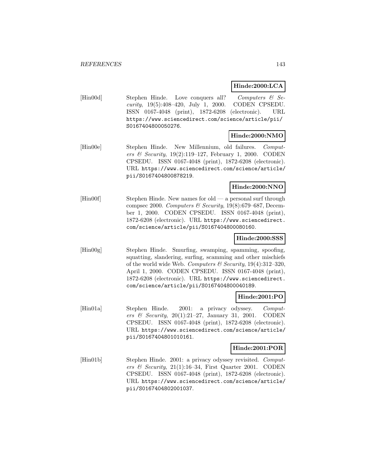**Hinde:2000:LCA**

[Hin00d] Stephen Hinde. Love conquers all? Computers & Security, 19(5):408–420, July 1, 2000. CODEN CPSEDU. ISSN 0167-4048 (print), 1872-6208 (electronic). URL https://www.sciencedirect.com/science/article/pii/ S0167404800050276.

# **Hinde:2000:NMO**

[Hin00e] Stephen Hinde. New Millennium, old failures. Computers & Security, 19(2):119–127, February 1, 2000. CODEN CPSEDU. ISSN 0167-4048 (print), 1872-6208 (electronic). URL https://www.sciencedirect.com/science/article/ pii/S0167404800878219.

### **Hinde:2000:NNO**

[Hin00f] Stephen Hinde. New names for old — a personal surf through compsec 2000. Computers & Security,  $19(8):679-687$ , December 1, 2000. CODEN CPSEDU. ISSN 0167-4048 (print), 1872-6208 (electronic). URL https://www.sciencedirect. com/science/article/pii/S0167404800080160.

# **Hinde:2000:SSS**

[Hin00g] Stephen Hinde. Smurfing, swamping, spamming, spoofing, squatting, slandering, surfing, scamming and other mischiefs of the world wide Web. Computers & Security,  $19(4):312-320$ , April 1, 2000. CODEN CPSEDU. ISSN 0167-4048 (print), 1872-6208 (electronic). URL https://www.sciencedirect. com/science/article/pii/S0167404800040189.

# **Hinde:2001:PO**

[Hin01a] Stephen Hinde. 2001: a privacy odyssey. Computers & Security,  $20(1):21-27$ , January 31, 2001. CODEN CPSEDU. ISSN 0167-4048 (print), 1872-6208 (electronic). URL https://www.sciencedirect.com/science/article/ pii/S0167404801010161.

# **Hinde:2001:POR**

[Hin01b] Stephen Hinde. 2001: a privacy odyssey revisited. Computers & Security,  $21(1):16-34$ , First Quarter 2001. CODEN CPSEDU. ISSN 0167-4048 (print), 1872-6208 (electronic). URL https://www.sciencedirect.com/science/article/ pii/S0167404802001037.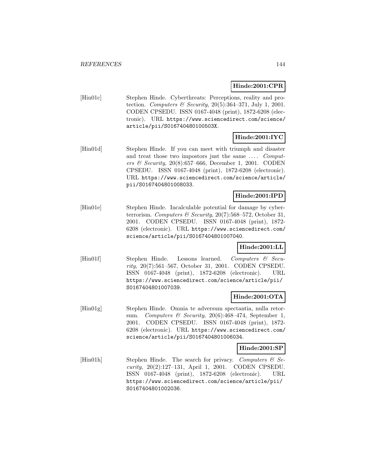# **Hinde:2001:CPR**

[Hin01c] Stephen Hinde. Cyberthreats: Perceptions, reality and protection. Computers & Security,  $20(5):364-371$ , July 1, 2001. CODEN CPSEDU. ISSN 0167-4048 (print), 1872-6208 (electronic). URL https://www.sciencedirect.com/science/ article/pii/S016740480100503X.

# **Hinde:2001:IYC**

[Hin01d] Stephen Hinde. If you can meet with triumph and disaster and treat those two impostors just the same .... Computers & Security,  $20(8):657-666$ , December 1, 2001. CODEN CPSEDU. ISSN 0167-4048 (print), 1872-6208 (electronic). URL https://www.sciencedirect.com/science/article/ pii/S0167404801008033.

# **Hinde:2001:IPD**

[Hin01e] Stephen Hinde. Incalculable potential for damage by cyberterrorism. Computers & Security, 20(7):568-572, October 31, 2001. CODEN CPSEDU. ISSN 0167-4048 (print), 1872- 6208 (electronic). URL https://www.sciencedirect.com/ science/article/pii/S0167404801007040.

# **Hinde:2001:LL**

[Hin01f] Stephen Hinde. Lessons learned. Computers & Security, 20(7):561–567, October 31, 2001. CODEN CPSEDU. ISSN 0167-4048 (print), 1872-6208 (electronic). URL https://www.sciencedirect.com/science/article/pii/ S0167404801007039.

# **Hinde:2001:OTA**

[Hin01g] Stephen Hinde. Omnia te adversum spectantia, nulla retorsum. Computers  $\mathcal B$  Security, 20(6):468-474, September 1, 2001. CODEN CPSEDU. ISSN 0167-4048 (print), 1872- 6208 (electronic). URL https://www.sciencedirect.com/ science/article/pii/S0167404801006034.

# **Hinde:2001:SP**

[Hin01h] Stephen Hinde. The search for privacy. Computers  $\mathcal{B}$  Security, 20(2):127–131, April 1, 2001. CODEN CPSEDU. ISSN 0167-4048 (print), 1872-6208 (electronic). URL https://www.sciencedirect.com/science/article/pii/ S0167404801002036.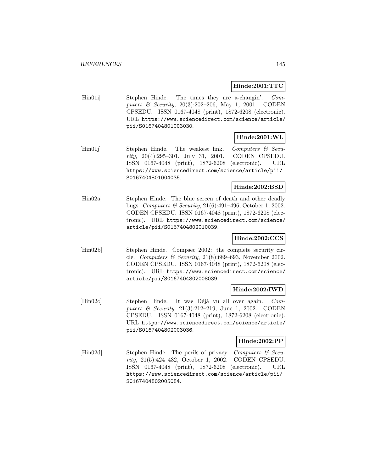## **Hinde:2001:TTC**

[Hin01i] Stephen Hinde. The times they are a-changin'. Computers & Security, 20(3):202–206, May 1, 2001. CODEN CPSEDU. ISSN 0167-4048 (print), 1872-6208 (electronic). URL https://www.sciencedirect.com/science/article/ pii/S0167404801003030.

## **Hinde:2001:WL**

 $[Hin01j]$  Stephen Hinde. The weakest link. Computers & Security, 20(4):295–301, July 31, 2001. CODEN CPSEDU. ISSN 0167-4048 (print), 1872-6208 (electronic). URL https://www.sciencedirect.com/science/article/pii/ S0167404801004035.

## **Hinde:2002:BSD**

[Hin02a] Stephen Hinde. The blue screen of death and other deadly bugs. Computers & Security, 21(6):491–496, October 1, 2002. CODEN CPSEDU. ISSN 0167-4048 (print), 1872-6208 (electronic). URL https://www.sciencedirect.com/science/ article/pii/S0167404802010039.

## **Hinde:2002:CCS**

[Hin02b] Stephen Hinde. Compsec 2002: the complete security circle. Computers & Security,  $21(8):689-693$ , November 2002. CODEN CPSEDU. ISSN 0167-4048 (print), 1872-6208 (electronic). URL https://www.sciencedirect.com/science/ article/pii/S0167404802008039.

## **Hinde:2002:IWD**

[Hin02c] Stephen Hinde. It was Déjà vu all over again. Computers & Security, 21(3):212–219, June 1, 2002. CODEN CPSEDU. ISSN 0167-4048 (print), 1872-6208 (electronic). URL https://www.sciencedirect.com/science/article/ pii/S0167404802003036.

## **Hinde:2002:PP**

[Hin02d] Stephen Hinde. The perils of privacy. Computers & Security, 21(5):424–432, October 1, 2002. CODEN CPSEDU. ISSN 0167-4048 (print), 1872-6208 (electronic). URL https://www.sciencedirect.com/science/article/pii/ S0167404802005084.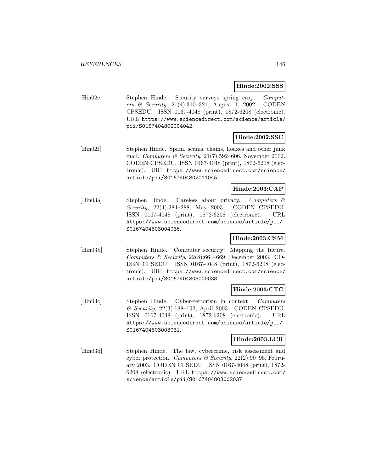#### **Hinde:2002:SSS**

[Hin02e] Stephen Hinde. Security surveys spring crop. Computers & Security, 21(4):310–321, August 1, 2002. CODEN CPSEDU. ISSN 0167-4048 (print), 1872-6208 (electronic). URL https://www.sciencedirect.com/science/article/ pii/S0167404802004042.

## **Hinde:2002:SSC**

[Hin02f] Stephen Hinde. Spam, scams, chains, hoaxes and other junk mail. Computers & Security,  $21(7):592-606$ , November 2002. CODEN CPSEDU. ISSN 0167-4048 (print), 1872-6208 (electronic). URL https://www.sciencedirect.com/science/ article/pii/S0167404802011045.

## **Hinde:2003:CAP**

[Hin03a] Stephen Hinde. Careless about privacy. Computers & Security, 22(4):284–288, May 2003. CODEN CPSEDU. ISSN 0167-4048 (print), 1872-6208 (electronic). URL https://www.sciencedirect.com/science/article/pii/ S0167404803004036.

## **Hinde:2003:CSM**

[Hin03b] Stephen Hinde. Computer security: Mapping the future. Computers & Security,  $22(8):664-669$ , December 2003. CO-DEN CPSEDU. ISSN 0167-4048 (print), 1872-6208 (electronic). URL https://www.sciencedirect.com/science/ article/pii/S0167404803000038.

## **Hinde:2003:CTC**

[Hin03c] Stephen Hinde. Cyber-terrorism in context. Computers & Security, 22(3):188–192, April 2003. CODEN CPSEDU. ISSN 0167-4048 (print), 1872-6208 (electronic). URL https://www.sciencedirect.com/science/article/pii/ S0167404803003031.

## **Hinde:2003:LCR**

[Hin03d] Stephen Hinde. The law, cybercrime, risk assessment and cyber protection. Computers & Security,  $22(2):90-95$ , February 2003. CODEN CPSEDU. ISSN 0167-4048 (print), 1872- 6208 (electronic). URL https://www.sciencedirect.com/ science/article/pii/S0167404803002037.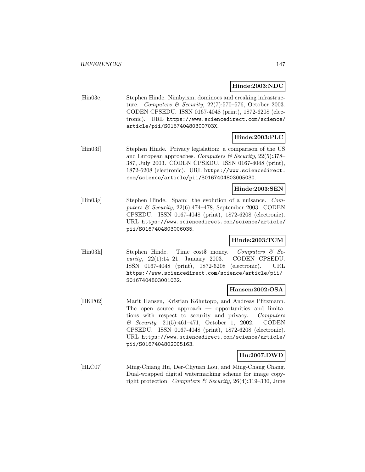**Hinde:2003:NDC**

[Hin03e] Stephen Hinde. Nimbyism, dominoes and creaking infrastructure. Computers & Security,  $22(7)$ :570-576, October 2003. CODEN CPSEDU. ISSN 0167-4048 (print), 1872-6208 (electronic). URL https://www.sciencedirect.com/science/ article/pii/S016740480300703X.

# **Hinde:2003:PLC**

[Hin03f] Stephen Hinde. Privacy legislation: a comparison of the US and European approaches. Computers  $\mathcal C$  Security, 22(5):378– 387, July 2003. CODEN CPSEDU. ISSN 0167-4048 (print), 1872-6208 (electronic). URL https://www.sciencedirect. com/science/article/pii/S0167404803005030.

### **Hinde:2003:SEN**

[Hin03g] Stephen Hinde. Spam: the evolution of a nuisance. Computers & Security,  $22(6):474-478$ , September 2003. CODEN CPSEDU. ISSN 0167-4048 (print), 1872-6208 (electronic). URL https://www.sciencedirect.com/science/article/ pii/S0167404803006035.

## **Hinde:2003:TCM**

[Hin03h] Stephen Hinde. Time cost\$ money. Computers & Security,  $22(1):14-21$ , January 2003. CODEN CPSEDU. ISSN 0167-4048 (print), 1872-6208 (electronic). URL https://www.sciencedirect.com/science/article/pii/ S0167404803001032.

## **Hansen:2002:OSA**

[HKP02] Marit Hansen, Kristian Köhntopp, and Andreas Pfitzmann. The open source approach — opportunities and limitations with respect to security and privacy. Computers & Security, 21(5):461–471, October 1, 2002. CODEN CPSEDU. ISSN 0167-4048 (print), 1872-6208 (electronic). URL https://www.sciencedirect.com/science/article/ pii/S0167404802005163.

## **Hu:2007:DWD**

[HLC07] Ming-Chiang Hu, Der-Chyuan Lou, and Ming-Chang Chang. Dual-wrapped digital watermarking scheme for image copyright protection. Computers  $\mathcal B$  Security, 26(4):319–330, June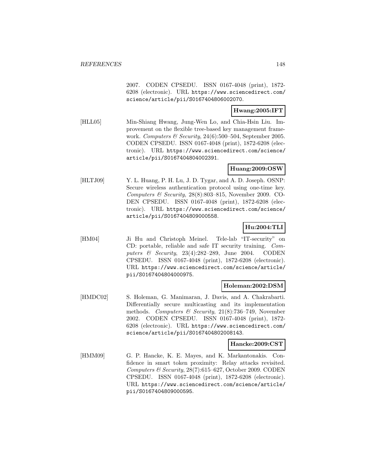2007. CODEN CPSEDU. ISSN 0167-4048 (print), 1872- 6208 (electronic). URL https://www.sciencedirect.com/ science/article/pii/S0167404806002070.

## **Hwang:2005:IFT**

[HLL05] Min-Shiang Hwang, Jung-Wen Lo, and Chia-Hsin Liu. Improvement on the flexible tree-based key management framework. Computers & Security, 24(6):500-504, September 2005. CODEN CPSEDU. ISSN 0167-4048 (print), 1872-6208 (electronic). URL https://www.sciencedirect.com/science/ article/pii/S0167404804002391.

## **Huang:2009:OSW**

[HLTJ09] Y. L. Huang, P. H. Lu, J. D. Tygar, and A. D. Joseph. OSNP: Secure wireless authentication protocol using one-time key. Computers & Security,  $28(8):803-815$ , November 2009. CO-DEN CPSEDU. ISSN 0167-4048 (print), 1872-6208 (electronic). URL https://www.sciencedirect.com/science/ article/pii/S0167404809000558.

### **Hu:2004:TLI**

[HM04] Ji Hu and Christoph Meinel. Tele-lab "IT-security" on CD: portable, reliable and safe IT security training. Computers  $\&$  Security, 23(4):282–289, June 2004. CODEN CPSEDU. ISSN 0167-4048 (print), 1872-6208 (electronic). URL https://www.sciencedirect.com/science/article/ pii/S0167404804000975.

#### **Holeman:2002:DSM**

[HMDC02] S. Holeman, G. Manimaran, J. Davis, and A. Chakrabarti. Differentially secure multicasting and its implementation methods. Computers & Security,  $21(8)$ :736–749, November 2002. CODEN CPSEDU. ISSN 0167-4048 (print), 1872- 6208 (electronic). URL https://www.sciencedirect.com/ science/article/pii/S0167404802008143.

#### **Hancke:2009:CST**

[HMM09] G. P. Hancke, K. E. Mayes, and K. Markantonakis. Confidence in smart token proximity: Relay attacks revisited. Computers & Security, 28(7):615–627, October 2009. CODEN CPSEDU. ISSN 0167-4048 (print), 1872-6208 (electronic). URL https://www.sciencedirect.com/science/article/ pii/S0167404809000595.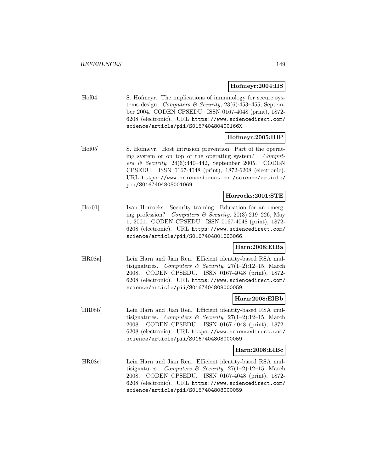#### **Hofmeyr:2004:IIS**

[Hof04] S. Hofmeyr. The implications of immunology for secure systems design. Computers  $\mathcal C$  Security, 23(6):453-455, September 2004. CODEN CPSEDU. ISSN 0167-4048 (print), 1872- 6208 (electronic). URL https://www.sciencedirect.com/ science/article/pii/S016740480400166X.

### **Hofmeyr:2005:HIP**

[Hof05] S. Hofmeyr. Host intrusion prevention: Part of the operating system or on top of the operating system? Computers & Security, 24(6):440-442, September 2005. CODEN CPSEDU. ISSN 0167-4048 (print), 1872-6208 (electronic). URL https://www.sciencedirect.com/science/article/ pii/S0167404805001069.

## **Horrocks:2001:STE**

[Hor01] Ivan Horrocks. Security training: Education for an emerging profession? Computers & Security,  $20(3):219-226$ , May 1, 2001. CODEN CPSEDU. ISSN 0167-4048 (print), 1872- 6208 (electronic). URL https://www.sciencedirect.com/ science/article/pii/S0167404801003066.

#### **Harn:2008:EIBa**

[HR08a] Lein Harn and Jian Ren. Efficient identity-based RSA multisignatures. Computers & Security,  $27(1-2):12-15$ , March 2008. CODEN CPSEDU. ISSN 0167-4048 (print), 1872- 6208 (electronic). URL https://www.sciencedirect.com/ science/article/pii/S0167404808000059.

## **Harn:2008:EIBb**

[HR08b] Lein Harn and Jian Ren. Efficient identity-based RSA multisignatures. Computers & Security,  $27(1-2):12-15$ , March 2008. CODEN CPSEDU. ISSN 0167-4048 (print), 1872- 6208 (electronic). URL https://www.sciencedirect.com/ science/article/pii/S0167404808000059.

#### **Harn:2008:EIBc**

[HR08c] Lein Harn and Jian Ren. Efficient identity-based RSA multisignatures. Computers & Security,  $27(1-2):12-15$ , March 2008. CODEN CPSEDU. ISSN 0167-4048 (print), 1872- 6208 (electronic). URL https://www.sciencedirect.com/ science/article/pii/S0167404808000059.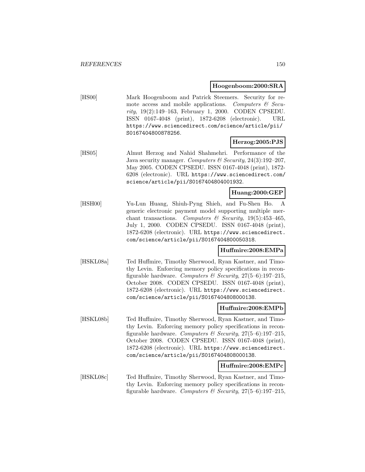#### **Hoogenboom:2000:SRA**

[HS00] Mark Hoogenboom and Patrick Steemers. Security for remote access and mobile applications. Computers  $\mathcal{C}$  Security, 19(2):149–163, February 1, 2000. CODEN CPSEDU. ISSN 0167-4048 (print), 1872-6208 (electronic). URL https://www.sciencedirect.com/science/article/pii/ S0167404800878256.

### **Herzog:2005:PJS**

[HS05] Almut Herzog and Nahid Shahmehri. Performance of the Java security manager. Computers  $\mathcal B$  Security, 24(3):192-207, May 2005. CODEN CPSEDU. ISSN 0167-4048 (print), 1872- 6208 (electronic). URL https://www.sciencedirect.com/ science/article/pii/S0167404804001932.

#### **Huang:2000:GEP**

[HSH00] Yu-Lun Huang, Shiuh-Pyng Shieh, and Fu-Shen Ho. A generic electronic payment model supporting multiple merchant transactions. Computers & Security,  $19(5):453-465$ , July 1, 2000. CODEN CPSEDU. ISSN 0167-4048 (print), 1872-6208 (electronic). URL https://www.sciencedirect. com/science/article/pii/S0167404800050318.

#### **Huffmire:2008:EMPa**

[HSKL08a] Ted Huffmire, Timothy Sherwood, Ryan Kastner, and Timothy Levin. Enforcing memory policy specifications in reconfigurable hardware. Computers & Security,  $27(5-6)$ :197-215, October 2008. CODEN CPSEDU. ISSN 0167-4048 (print), 1872-6208 (electronic). URL https://www.sciencedirect. com/science/article/pii/S0167404808000138.

#### **Huffmire:2008:EMPb**

[HSKL08b] Ted Huffmire, Timothy Sherwood, Ryan Kastner, and Timothy Levin. Enforcing memory policy specifications in reconfigurable hardware. Computers & Security,  $27(5-6)$ :197-215, October 2008. CODEN CPSEDU. ISSN 0167-4048 (print), 1872-6208 (electronic). URL https://www.sciencedirect. com/science/article/pii/S0167404808000138.

#### **Huffmire:2008:EMPc**

[HSKL08c] Ted Huffmire, Timothy Sherwood, Ryan Kastner, and Timothy Levin. Enforcing memory policy specifications in reconfigurable hardware. Computers & Security,  $27(5-6)$ :197-215,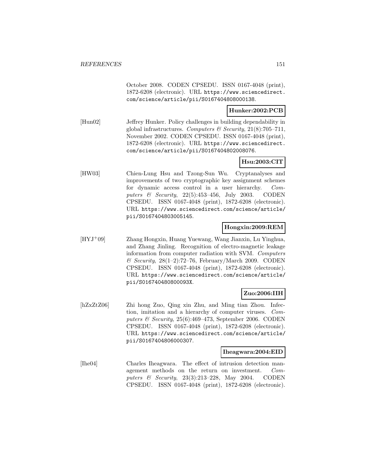October 2008. CODEN CPSEDU. ISSN 0167-4048 (print), 1872-6208 (electronic). URL https://www.sciencedirect. com/science/article/pii/S0167404808000138.

### **Hunker:2002:PCB**

[Hun02] Jeffrey Hunker. Policy challenges in building dependability in global infrastructures. Computers & Security,  $21(8)$ :705-711, November 2002. CODEN CPSEDU. ISSN 0167-4048 (print), 1872-6208 (electronic). URL https://www.sciencedirect. com/science/article/pii/S0167404802008076.

## **Hsu:2003:CIT**

[HW03] Chien-Lung Hsu and Tzong-Sun Wu. Cryptanalyses and improvements of two cryptographic key assignment schemes for dynamic access control in a user hierarchy. Computers  $\&$  Security, 22(5):453-456, July 2003. CODEN CPSEDU. ISSN 0167-4048 (print), 1872-6208 (electronic). URL https://www.sciencedirect.com/science/article/ pii/S0167404803005145.

## **Hongxin:2009:REM**

[HYJ<sup>+</sup>09] Zhang Hongxin, Huang Yuewang, Wang Jianxin, Lu Yinghua, and Zhang Jinling. Recognition of electro-magnetic leakage information from computer radiation with SVM. Computers  $\mathcal C$  Security, 28(1–2):72–76, February/March 2009. CODEN CPSEDU. ISSN 0167-4048 (print), 1872-6208 (electronic). URL https://www.sciencedirect.com/science/article/ pii/S016740480800093X.

## **Zuo:2006:IIH**

[hZxZtZ06] Zhi hong Zuo, Qing xin Zhu, and Ming tian Zhou. Infection, imitation and a hierarchy of computer viruses. Computers  $\mathcal B$  Security, 25(6):469–473, September 2006. CODEN CPSEDU. ISSN 0167-4048 (print), 1872-6208 (electronic). URL https://www.sciencedirect.com/science/article/ pii/S0167404806000307.

#### **Iheagwara:2004:EID**

[Ihe04] Charles Iheagwara. The effect of intrusion detection management methods on the return on investment. Computers & Security, 23(3):213–228, May 2004. CODEN CPSEDU. ISSN 0167-4048 (print), 1872-6208 (electronic).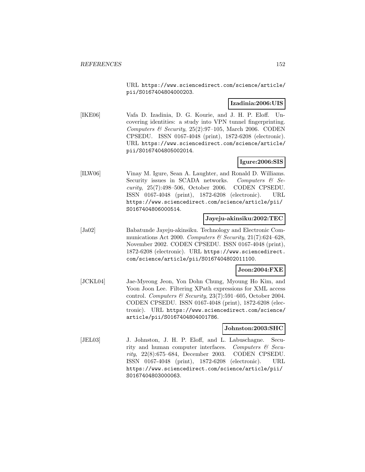URL https://www.sciencedirect.com/science/article/ pii/S0167404804000203.

#### **Izadinia:2006:UIS**

[IKE06] Vafa D. Izadinia, D. G. Kourie, and J. H. P. Eloff. Uncovering identities: a study into VPN tunnel fingerprinting. Computers & Security,  $25(2):97-105$ , March 2006. CODEN CPSEDU. ISSN 0167-4048 (print), 1872-6208 (electronic). URL https://www.sciencedirect.com/science/article/ pii/S0167404805002014.

## **Igure:2006:SIS**

[ILW06] Vinay M. Igure, Sean A. Laughter, and Ronald D. Williams. Security issues in SCADA networks. Computers  $\mathcal{C}$  Security, 25(7):498–506, October 2006. CODEN CPSEDU. ISSN 0167-4048 (print), 1872-6208 (electronic). URL https://www.sciencedirect.com/science/article/pii/ S0167404806000514.

### **Jayeju-akinsiku:2002:TEC**

[Ja02] Babatunde Jayeju-akinsiku. Technology and Electronic Communications Act 2000. Computers & Security,  $21(7)$ :624–628, November 2002. CODEN CPSEDU. ISSN 0167-4048 (print), 1872-6208 (electronic). URL https://www.sciencedirect. com/science/article/pii/S0167404802011100.

#### **Jeon:2004:FXE**

[JCKL04] Jae-Myeong Jeon, Yon Dohn Chung, Myoung Ho Kim, and Yoon Joon Lee. Filtering XPath expressions for XML access control. Computers & Security,  $23(7):591-605$ , October 2004. CODEN CPSEDU. ISSN 0167-4048 (print), 1872-6208 (electronic). URL https://www.sciencedirect.com/science/ article/pii/S0167404804001786.

#### **Johnston:2003:SHC**

[JEL03] J. Johnston, J. H. P. Eloff, and L. Labuschagne. Security and human computer interfaces. Computers  $\mathcal{C}$  Security, 22(8):675–684, December 2003. CODEN CPSEDU. ISSN 0167-4048 (print), 1872-6208 (electronic). URL https://www.sciencedirect.com/science/article/pii/ S0167404803000063.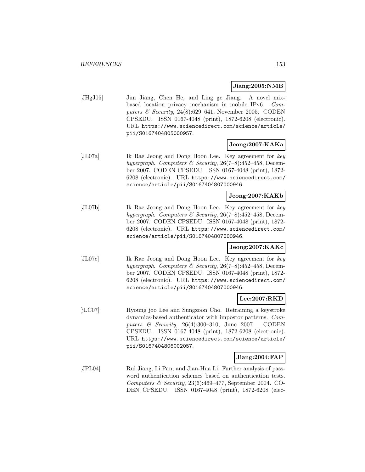#### **Jiang:2005:NMB**

[JHgJ05] Jun Jiang, Chen He, and Ling ge Jiang. A novel mixbased location privacy mechanism in mobile IPv6. Computers  $\mathcal B$  Security, 24(8):629–641, November 2005. CODEN CPSEDU. ISSN 0167-4048 (print), 1872-6208 (electronic). URL https://www.sciencedirect.com/science/article/ pii/S0167404805000957.

## **Jeong:2007:KAKa**

[JL07a] Ik Rae Jeong and Dong Hoon Lee. Key agreement for key hypergraph. Computers & Security,  $26(7-8)$ :452-458, December 2007. CODEN CPSEDU. ISSN 0167-4048 (print), 1872- 6208 (electronic). URL https://www.sciencedirect.com/ science/article/pii/S0167404807000946.

## **Jeong:2007:KAKb**

[JL07b] Ik Rae Jeong and Dong Hoon Lee. Key agreement for key hypergraph. Computers & Security,  $26(7-8):452-458$ , December 2007. CODEN CPSEDU. ISSN 0167-4048 (print), 1872- 6208 (electronic). URL https://www.sciencedirect.com/ science/article/pii/S0167404807000946.

### **Jeong:2007:KAKc**

[JL07c] Ik Rae Jeong and Dong Hoon Lee. Key agreement for key hypergraph. Computers & Security,  $26(7-8):452-458$ , December 2007. CODEN CPSEDU. ISSN 0167-4048 (print), 1872- 6208 (electronic). URL https://www.sciencedirect.com/ science/article/pii/S0167404807000946.

#### **Lee:2007:RKD**

[jLC07] Hyoung joo Lee and Sungzoon Cho. Retraining a keystroke dynamics-based authenticator with impostor patterns. Computers & Security, 26(4):300–310, June 2007. CODEN CPSEDU. ISSN 0167-4048 (print), 1872-6208 (electronic). URL https://www.sciencedirect.com/science/article/ pii/S0167404806002057.

#### **Jiang:2004:FAP**

[JPL04] Rui Jiang, Li Pan, and Jian-Hua Li. Further analysis of password authentication schemes based on authentication tests. Computers & Security, 23(6):469–477, September 2004. CO-DEN CPSEDU. ISSN 0167-4048 (print), 1872-6208 (elec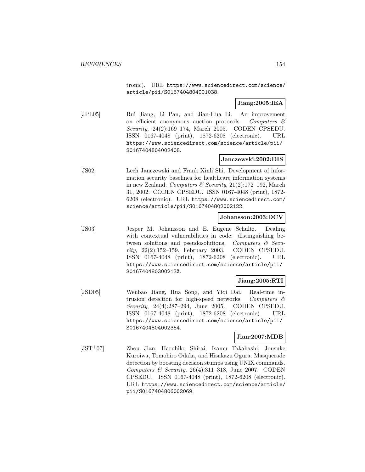tronic). URL https://www.sciencedirect.com/science/ article/pii/S0167404804001038.

## **Jiang:2005:IEA**

[JPL05] Rui Jiang, Li Pan, and Jian-Hua Li. An improvement on efficient anonymous auction protocols. Computers  $\mathcal{C}$ Security, 24(2):169–174, March 2005. CODEN CPSEDU. ISSN 0167-4048 (print), 1872-6208 (electronic). URL https://www.sciencedirect.com/science/article/pii/ S0167404804002408.

## **Janczewski:2002:DIS**

[JS02] Lech Janczewski and Frank Xinli Shi. Development of information security baselines for healthcare information systems in new Zealand. Computers & Security,  $21(2):172-192$ , March 31, 2002. CODEN CPSEDU. ISSN 0167-4048 (print), 1872- 6208 (electronic). URL https://www.sciencedirect.com/ science/article/pii/S0167404802002122.

## **Johansson:2003:DCV**

[JS03] Jesper M. Johansson and E. Eugene Schultz. Dealing with contextual vulnerabilities in code: distinguishing between solutions and pseudosolutions. Computers  $\mathcal{C}$  Security, 22(2):152–159, February 2003. CODEN CPSEDU. ISSN 0167-4048 (print), 1872-6208 (electronic). URL https://www.sciencedirect.com/science/article/pii/ S016740480300213X.

## **Jiang:2005:RTI**

[JSD05] Wenbao Jiang, Hua Song, and Yiqi Dai. Real-time intrusion detection for high-speed networks. Computers & Security, 24(4):287–294, June 2005. CODEN CPSEDU. ISSN 0167-4048 (print), 1872-6208 (electronic). URL https://www.sciencedirect.com/science/article/pii/ S0167404804002354.

## **Jian:2007:MDB**

[JST<sup>+</sup>07] Zhou Jian, Haruhiko Shirai, Isamu Takahashi, Jousuke Kuroiwa, Tomohiro Odaka, and Hisakazu Ogura. Masquerade detection by boosting decision stumps using UNIX commands. Computers  $\&$  Security, 26(4):311-318, June 2007. CODEN CPSEDU. ISSN 0167-4048 (print), 1872-6208 (electronic). URL https://www.sciencedirect.com/science/article/ pii/S0167404806002069.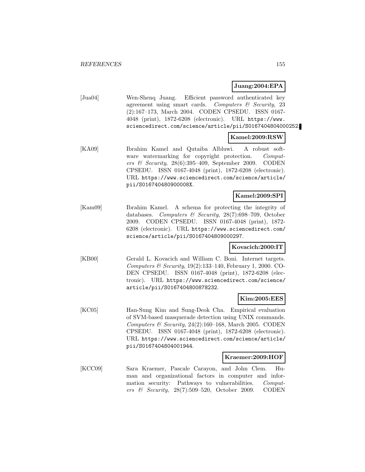### **Juang:2004:EPA**

| $[\text{Jua}04]$ | Wen-Sheng Juang. Efficient password authenticated key            |
|------------------|------------------------------------------------------------------|
|                  | agreement using smart cards. Computers $\mathcal C$ Security, 23 |
|                  | (2):167-173, March 2004. CODEN CPSEDU. ISSN 0167-                |
|                  | 4048 (print), 1872-6208 (electronic). URL https://www.           |
|                  | sciencedirect.com/science/article/pii/S0167404804000252.         |

## **Kamel:2009:RSW**

[KA09] Ibrahim Kamel and Qutaiba Albluwi. A robust software watermarking for copyright protection. Computers & Security, 28(6):395–409, September 2009. CODEN CPSEDU. ISSN 0167-4048 (print), 1872-6208 (electronic). URL https://www.sciencedirect.com/science/article/ pii/S016740480900008X.

## **Kamel:2009:SPI**

[Kam09] Ibrahim Kamel. A schema for protecting the integrity of databases. Computers & Security, 28(7):698–709, October 2009. CODEN CPSEDU. ISSN 0167-4048 (print), 1872- 6208 (electronic). URL https://www.sciencedirect.com/ science/article/pii/S0167404809000297.

### **Kovacich:2000:IT**

[KB00] Gerald L. Kovacich and William C. Boni. Internet targets. Computers & Security, 19(2):133–140, February 1, 2000. CO-DEN CPSEDU. ISSN 0167-4048 (print), 1872-6208 (electronic). URL https://www.sciencedirect.com/science/ article/pii/S0167404800878232.

#### **Kim:2005:EES**

[KC05] Han-Sung Kim and Sung-Deok Cha. Empirical evaluation of SVM-based masquerade detection using UNIX commands. Computers & Security,  $24(2):160-168$ , March 2005. CODEN CPSEDU. ISSN 0167-4048 (print), 1872-6208 (electronic). URL https://www.sciencedirect.com/science/article/ pii/S0167404804001944.

#### **Kraemer:2009:HOF**

[KCC09] Sara Kraemer, Pascale Carayon, and John Clem. Human and organizational factors in computer and information security: Pathways to vulnerabilities. Computers & Security, 28(7):509–520, October 2009. CODEN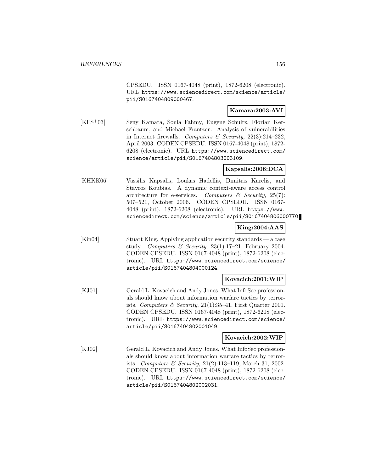CPSEDU. ISSN 0167-4048 (print), 1872-6208 (electronic). URL https://www.sciencedirect.com/science/article/ pii/S0167404809000467.

## **Kamara:2003:AVI**

[KFS<sup>+</sup>03] Seny Kamara, Sonia Fahmy, Eugene Schultz, Florian Kerschbaum, and Michael Frantzen. Analysis of vulnerabilities in Internet firewalls. Computers  $\mathcal B$  Security, 22(3):214–232. April 2003. CODEN CPSEDU. ISSN 0167-4048 (print), 1872- 6208 (electronic). URL https://www.sciencedirect.com/ science/article/pii/S0167404803003109.

## **Kapsalis:2006:DCA**

[KHKK06] Vassilis Kapsalis, Loukas Hadellis, Dimitris Karelis, and Stavros Koubias. A dynamic context-aware access control architecture for e-services. Computers  $\mathscr{C}$  Security, 25(7): 507–521, October 2006. CODEN CPSEDU. ISSN 0167- 4048 (print), 1872-6208 (electronic). URL https://www. sciencedirect.com/science/article/pii/S0167404806000770.

## **King:2004:AAS**

[Kin04] Stuart King. Applying application security standards — a case study. Computers & Security,  $23(1):17-21$ , February 2004. CODEN CPSEDU. ISSN 0167-4048 (print), 1872-6208 (electronic). URL https://www.sciencedirect.com/science/ article/pii/S0167404804000124.

## **Kovacich:2001:WIP**

[KJ01] Gerald L. Kovacich and Andy Jones. What InfoSec professionals should know about information warfare tactics by terrorists. Computers & Security,  $21(1):35-41$ , First Quarter 2001. CODEN CPSEDU. ISSN 0167-4048 (print), 1872-6208 (electronic). URL https://www.sciencedirect.com/science/ article/pii/S0167404802001049.

## **Kovacich:2002:WIP**

[KJ02] Gerald L. Kovacich and Andy Jones. What InfoSec professionals should know about information warfare tactics by terrorists. Computers & Security, 21(2):113–119, March 31, 2002. CODEN CPSEDU. ISSN 0167-4048 (print), 1872-6208 (electronic). URL https://www.sciencedirect.com/science/ article/pii/S0167404802002031.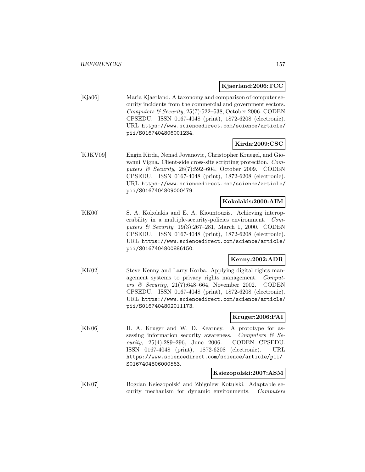## **Kjaerland:2006:TCC**

[Kja06] Maria Kjaerland. A taxonomy and comparison of computer security incidents from the commercial and government sectors. Computers & Security,  $25(7)$ :522-538, October 2006. CODEN CPSEDU. ISSN 0167-4048 (print), 1872-6208 (electronic). URL https://www.sciencedirect.com/science/article/ pii/S0167404806001234.

## **Kirda:2009:CSC**

[KJKV09] Engin Kirda, Nenad Jovanovic, Christopher Kruegel, and Giovanni Vigna. Client-side cross-site scripting protection. Computers & Security, 28(7):592–604, October 2009. CODEN CPSEDU. ISSN 0167-4048 (print), 1872-6208 (electronic). URL https://www.sciencedirect.com/science/article/ pii/S0167404809000479.

### **Kokolakis:2000:AIM**

[KK00] S. A. Kokolakis and E. A. Kiountouzis. Achieving interoperability in a multiple-security-policies environment. Computers & Security, 19(3):267–281, March 1, 2000. CODEN CPSEDU. ISSN 0167-4048 (print), 1872-6208 (electronic). URL https://www.sciencedirect.com/science/article/ pii/S0167404800886150.

## **Kenny:2002:ADR**

[KK02] Steve Kenny and Larry Korba. Applying digital rights management systems to privacy rights management. Computers & Security,  $21(7)$ :648-664, November 2002. CODEN CPSEDU. ISSN 0167-4048 (print), 1872-6208 (electronic). URL https://www.sciencedirect.com/science/article/ pii/S0167404802011173.

## **Kruger:2006:PAI**

[KK06] H. A. Kruger and W. D. Kearney. A prototype for assessing information security awareness. Computers  $\mathcal{C}$  Security, 25(4):289–296, June 2006. CODEN CPSEDU. ISSN 0167-4048 (print), 1872-6208 (electronic). URL https://www.sciencedirect.com/science/article/pii/ S0167404806000563.

## **Ksiezopolski:2007:ASM**

[KK07] Bogdan Ksiezopolski and Zbigniew Kotulski. Adaptable security mechanism for dynamic environments. Computers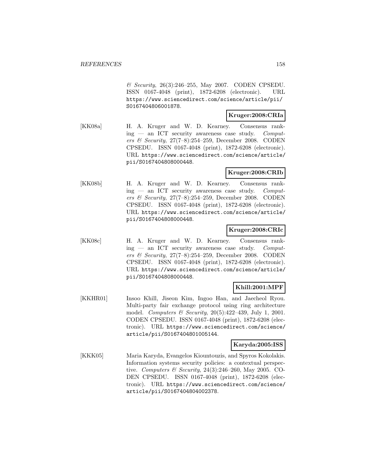& Security, 26(3):246–255, May 2007. CODEN CPSEDU. ISSN 0167-4048 (print), 1872-6208 (electronic). URL https://www.sciencedirect.com/science/article/pii/ S0167404806001878.

#### **Kruger:2008:CRIa**

[KK08a] H. A. Kruger and W. D. Kearney. Consensus rank $ing$  — an ICT security awareness case study. Computers & Security, 27(7–8):254–259, December 2008. CODEN CPSEDU. ISSN 0167-4048 (print), 1872-6208 (electronic). URL https://www.sciencedirect.com/science/article/ pii/S0167404808000448.

### **Kruger:2008:CRIb**

[KK08b] H. A. Kruger and W. D. Kearney. Consensus ranking — an ICT security awareness case study. Computers & Security, 27(7–8):254–259, December 2008. CODEN CPSEDU. ISSN 0167-4048 (print), 1872-6208 (electronic). URL https://www.sciencedirect.com/science/article/ pii/S0167404808000448.

#### **Kruger:2008:CRIc**

[KK08c] H. A. Kruger and W. D. Kearney. Consensus rank $ing$  — an ICT security awareness case study. Computers & Security, 27(7–8):254–259, December 2008. CODEN CPSEDU. ISSN 0167-4048 (print), 1872-6208 (electronic). URL https://www.sciencedirect.com/science/article/ pii/S0167404808000448.

## **Khill:2001:MPF**

[KKHR01] Insoo Khill, Jiseon Kim, Ingoo Han, and Jaecheol Ryou. Multi-party fair exchange protocol using ring architecture model. Computers  $\mathcal B$  Security, 20(5):422-439, July 1, 2001. CODEN CPSEDU. ISSN 0167-4048 (print), 1872-6208 (electronic). URL https://www.sciencedirect.com/science/ article/pii/S0167404801005144.

## **Karyda:2005:ISS**

[KKK05] Maria Karyda, Evangelos Kiountouzis, and Spyros Kokolakis. Information systems security policies: a contextual perspective. Computers & Security, 24(3):246-260, May 2005. CO-DEN CPSEDU. ISSN 0167-4048 (print), 1872-6208 (electronic). URL https://www.sciencedirect.com/science/ article/pii/S0167404804002378.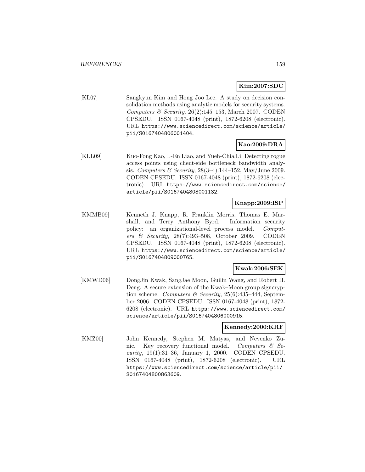## **Kim:2007:SDC**

[KL07] Sangkyun Kim and Hong Joo Lee. A study on decision consolidation methods using analytic models for security systems. Computers & Security,  $26(2):145-153$ , March 2007. CODEN CPSEDU. ISSN 0167-4048 (print), 1872-6208 (electronic). URL https://www.sciencedirect.com/science/article/ pii/S0167404806001404.

## **Kao:2009:DRA**

[KLL09] Kuo-Fong Kao, I.-En Liao, and Yueh-Chia Li. Detecting rogue access points using client-side bottleneck bandwidth analysis. Computers & Security, 28(3–4):144–152, May/June 2009. CODEN CPSEDU. ISSN 0167-4048 (print), 1872-6208 (electronic). URL https://www.sciencedirect.com/science/ article/pii/S0167404808001132.

### **Knapp:2009:ISP**

[KMMB09] Kenneth J. Knapp, R. Franklin Morris, Thomas E. Marshall, and Terry Anthony Byrd. Information security policy: an organizational-level process model. Computers & Security, 28(7):493–508, October 2009. CODEN CPSEDU. ISSN 0167-4048 (print), 1872-6208 (electronic). URL https://www.sciencedirect.com/science/article/ pii/S0167404809000765.

## **Kwak:2006:SEK**

[KMWD06] DongJin Kwak, SangJae Moon, Guilin Wang, and Robert H. Deng. A secure extension of the Kwak–Moon group signcryption scheme. Computers & Security,  $25(6)$ : 435-444, September 2006. CODEN CPSEDU. ISSN 0167-4048 (print), 1872- 6208 (electronic). URL https://www.sciencedirect.com/ science/article/pii/S0167404806000915.

#### **Kennedy:2000:KRF**

[KMZ00] John Kennedy, Stephen M. Matyas, and Nevenko Zunic. Key recovery functional model. Computers  $\mathcal{C}$  Security, 19(1):31–36, January 1, 2000. CODEN CPSEDU. ISSN 0167-4048 (print), 1872-6208 (electronic). URL https://www.sciencedirect.com/science/article/pii/ S0167404800863609.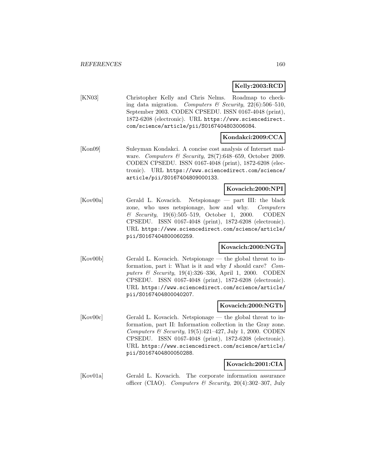## **Kelly:2003:RCD**

[KN03] Christopher Kelly and Chris Nelms. Roadmap to checking data migration. Computers & Security,  $22(6):506-510$ , September 2003. CODEN CPSEDU. ISSN 0167-4048 (print), 1872-6208 (electronic). URL https://www.sciencedirect. com/science/article/pii/S0167404803006084.

## **Kondakci:2009:CCA**

[Kon09] Suleyman Kondakci. A concise cost analysis of Internet malware. Computers & Security, 28(7):648-659, October 2009. CODEN CPSEDU. ISSN 0167-4048 (print), 1872-6208 (electronic). URL https://www.sciencedirect.com/science/ article/pii/S0167404809000133.

### **Kovacich:2000:NPI**

[Kov00a] Gerald L. Kovacich. Netspionage — part III: the black zone, who uses netspionage, how and why. Computers & Security, 19(6):505–519, October 1, 2000. CODEN CPSEDU. ISSN 0167-4048 (print), 1872-6208 (electronic). URL https://www.sciencedirect.com/science/article/ pii/S0167404800060259.

## **Kovacich:2000:NGTa**

[Kov00b] Gerald L. Kovacich. Netspionage — the global threat to information, part i: What is it and why  $I$  should care? Computers & Security, 19(4):326–336, April 1, 2000. CODEN CPSEDU. ISSN 0167-4048 (print), 1872-6208 (electronic). URL https://www.sciencedirect.com/science/article/ pii/S0167404800040207.

#### **Kovacich:2000:NGTb**

[Kov00c] Gerald L. Kovacich. Netspionage — the global threat to information, part II: Information collection in the Gray zone. Computers & Security,  $19(5):421-427$ , July 1, 2000. CODEN CPSEDU. ISSN 0167-4048 (print), 1872-6208 (electronic). URL https://www.sciencedirect.com/science/article/ pii/S0167404800050288.

#### **Kovacich:2001:CIA**

[Kov01a] Gerald L. Kovacich. The corporate information assurance officer (CIAO). Computers & Security, 20(4):302-307, July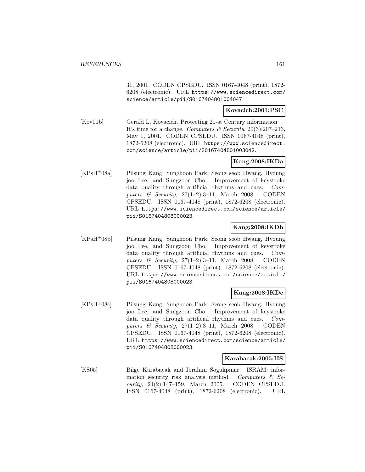31, 2001. CODEN CPSEDU. ISSN 0167-4048 (print), 1872- 6208 (electronic). URL https://www.sciencedirect.com/ science/article/pii/S0167404801004047.

### **Kovacich:2001:PSC**

[Kov01b] Gerald L. Kovacich. Protecting 21-st Century information It's time for a change. Computers  $\mathcal B$  Security, 20(3):207–213, May 1, 2001. CODEN CPSEDU. ISSN 0167-4048 (print), 1872-6208 (electronic). URL https://www.sciencedirect. com/science/article/pii/S0167404801003042.

## **Kang:2008:IKDa**

[KPsH<sup>+</sup>08a] Pilsung Kang, Sunghoon Park, Seong seob Hwang, Hyoung joo Lee, and Sungzoon Cho. Improvement of keystroke data quality through artificial rhythms and cues. Computers & Security,  $27(1-2):3-11$ , March 2008. CODEN CPSEDU. ISSN 0167-4048 (print), 1872-6208 (electronic). URL https://www.sciencedirect.com/science/article/ pii/S0167404808000023.

## **Kang:2008:IKDb**

[KPsH<sup>+</sup>08b] Pilsung Kang, Sunghoon Park, Seong seob Hwang, Hyoung joo Lee, and Sungzoon Cho. Improvement of keystroke data quality through artificial rhythms and cues. Computers & Security,  $27(1-2):3-11$ , March 2008. CODEN CPSEDU. ISSN 0167-4048 (print), 1872-6208 (electronic). URL https://www.sciencedirect.com/science/article/ pii/S0167404808000023.

### **Kang:2008:IKDc**

[KPsH<sup>+</sup>08c] Pilsung Kang, Sunghoon Park, Seong seob Hwang, Hyoung joo Lee, and Sungzoon Cho. Improvement of keystroke data quality through artificial rhythms and cues. Computers & Security,  $27(1-2)$ :3-11, March 2008. CODEN CPSEDU. ISSN 0167-4048 (print), 1872-6208 (electronic). URL https://www.sciencedirect.com/science/article/ pii/S0167404808000023.

#### **Karabacak:2005:IIS**

[KS05] Bilge Karabacak and Ibrahim Sogukpinar. ISRAM: information security risk analysis method. Computers  $\mathcal{C}$  Security, 24(2):147–159, March 2005. CODEN CPSEDU. ISSN 0167-4048 (print), 1872-6208 (electronic). URL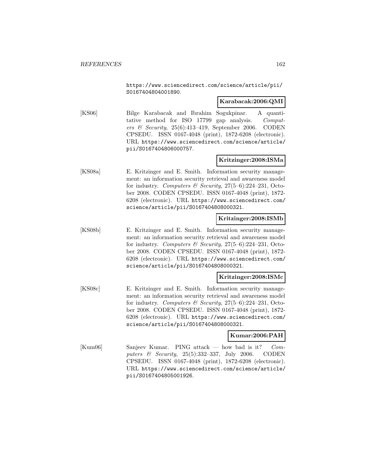https://www.sciencedirect.com/science/article/pii/ S0167404804001890.

#### **Karabacak:2006:QMI**

[KS06] Bilge Karabacak and Ibrahim Sogukpinar. A quantitative method for ISO 17799 gap analysis. Computers & Security,  $25(6):413-419$ , September 2006. CODEN CPSEDU. ISSN 0167-4048 (print), 1872-6208 (electronic). URL https://www.sciencedirect.com/science/article/ pii/S0167404806000757.

## **Kritzinger:2008:ISMa**

[KS08a] E. Kritzinger and E. Smith. Information security management: an information security retrieval and awareness model for industry. Computers & Security,  $27(5-6):224-231$ , October 2008. CODEN CPSEDU. ISSN 0167-4048 (print), 1872- 6208 (electronic). URL https://www.sciencedirect.com/ science/article/pii/S0167404808000321.

## **Kritzinger:2008:ISMb**

[KS08b] E. Kritzinger and E. Smith. Information security management: an information security retrieval and awareness model for industry. Computers & Security,  $27(5-6):224-231$ , October 2008. CODEN CPSEDU. ISSN 0167-4048 (print), 1872- 6208 (electronic). URL https://www.sciencedirect.com/ science/article/pii/S0167404808000321.

## **Kritzinger:2008:ISMc**

[KS08c] E. Kritzinger and E. Smith. Information security management: an information security retrieval and awareness model for industry. Computers & Security,  $27(5-6)$ :224-231, October 2008. CODEN CPSEDU. ISSN 0167-4048 (print), 1872- 6208 (electronic). URL https://www.sciencedirect.com/ science/article/pii/S0167404808000321.

## **Kumar:2006:PAH**

[Kum06] Sanjeev Kumar. PING attack — how bad is it? Computers & Security, 25(5):332–337, July 2006. CODEN CPSEDU. ISSN 0167-4048 (print), 1872-6208 (electronic). URL https://www.sciencedirect.com/science/article/ pii/S0167404805001926.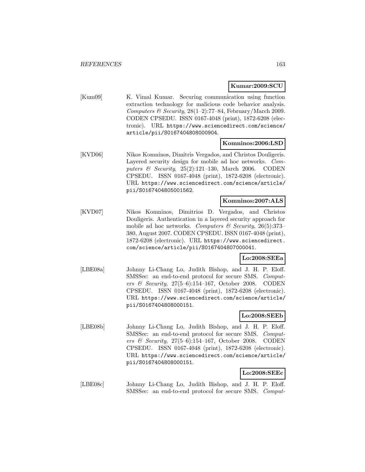## **Kumar:2009:SCU**

[Kum09] K. Vimal Kumar. Securing communication using function extraction technology for malicious code behavior analysis. Computers & Security,  $28(1-2)$ :77-84, February/March 2009. CODEN CPSEDU. ISSN 0167-4048 (print), 1872-6208 (electronic). URL https://www.sciencedirect.com/science/ article/pii/S0167404808000904.

### **Komninos:2006:LSD**

[KVD06] Nikos Komninos, Dimitris Vergados, and Christos Douligeris. Layered security design for mobile ad hoc networks. Computers & Security, 25(2):121–130, March 2006. CODEN CPSEDU. ISSN 0167-4048 (print), 1872-6208 (electronic). URL https://www.sciencedirect.com/science/article/ pii/S0167404805001562.

#### **Komninos:2007:ALS**

[KVD07] Nikos Komninos, Dimitrios D. Vergados, and Christos Douligeris. Authentication in a layered security approach for mobile ad hoc networks. Computers & Security, 26(5):373– 380, August 2007. CODEN CPSEDU. ISSN 0167-4048 (print), 1872-6208 (electronic). URL https://www.sciencedirect. com/science/article/pii/S0167404807000041.

#### **Lo:2008:SEEa**

[LBE08a] Johnny Li-Chang Lo, Judith Bishop, and J. H. P. Eloff. SMSSec: an end-to-end protocol for secure SMS. Computers & Security, 27(5–6):154–167, October 2008. CODEN CPSEDU. ISSN 0167-4048 (print), 1872-6208 (electronic). URL https://www.sciencedirect.com/science/article/ pii/S0167404808000151.

**Lo:2008:SEEb**

[LBE08b] Johnny Li-Chang Lo, Judith Bishop, and J. H. P. Eloff. SMSSec: an end-to-end protocol for secure SMS. Computers & Security,  $27(5-6):154-167$ , October 2008. CODEN CPSEDU. ISSN 0167-4048 (print), 1872-6208 (electronic). URL https://www.sciencedirect.com/science/article/ pii/S0167404808000151.

# **Lo:2008:SEEc**

[LBE08c] Johnny Li-Chang Lo, Judith Bishop, and J. H. P. Eloff. SMSSec: an end-to-end protocol for secure SMS. Comput-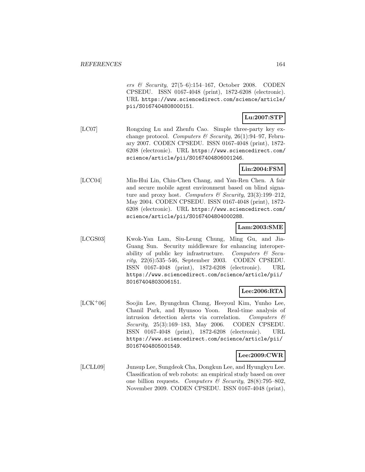ers & Security,  $27(5-6):154-167$ , October 2008. CODEN CPSEDU. ISSN 0167-4048 (print), 1872-6208 (electronic). URL https://www.sciencedirect.com/science/article/ pii/S0167404808000151.

## **Lu:2007:STP**

[LC07] Rongxing Lu and Zhenfu Cao. Simple three-party key exchange protocol. Computers & Security, 26(1):94-97, February 2007. CODEN CPSEDU. ISSN 0167-4048 (print), 1872- 6208 (electronic). URL https://www.sciencedirect.com/ science/article/pii/S0167404806001246.

### **Lin:2004:FSM**

[LCC04] Min-Hui Lin, Chin-Chen Chang, and Yan-Ren Chen. A fair and secure mobile agent environment based on blind signature and proxy host. Computers & Security,  $23(3):199-212$ , May 2004. CODEN CPSEDU. ISSN 0167-4048 (print), 1872- 6208 (electronic). URL https://www.sciencedirect.com/ science/article/pii/S0167404804000288.

#### **Lam:2003:SME**

[LCGS03] Kwok-Yan Lam, Siu-Leung Chung, Ming Gu, and Jia-Guang Sun. Security middleware for enhancing interoperability of public key infrastructure. Computers  $\mathcal{C}$  Security, 22(6):535–546, September 2003. CODEN CPSEDU. ISSN 0167-4048 (print), 1872-6208 (electronic). URL https://www.sciencedirect.com/science/article/pii/ S0167404803006151.

## **Lee:2006:RTA**

[LCK<sup>+</sup>06] Soojin Lee, Byungchun Chung, Heeyoul Kim, Yunho Lee, Chanil Park, and Hyunsoo Yoon. Real-time analysis of intrusion detection alerts via correlation. Computers & Security, 25(3):169–183, May 2006. CODEN CPSEDU. ISSN 0167-4048 (print), 1872-6208 (electronic). URL https://www.sciencedirect.com/science/article/pii/ S0167404805001549.

#### **Lee:2009:CWR**

[LCLL09] Junsup Lee, Sungdeok Cha, Dongkun Lee, and Hyungkyu Lee. Classification of web robots: an empirical study based on over one billion requests. Computers & Security,  $28(8)$ :795–802, November 2009. CODEN CPSEDU. ISSN 0167-4048 (print),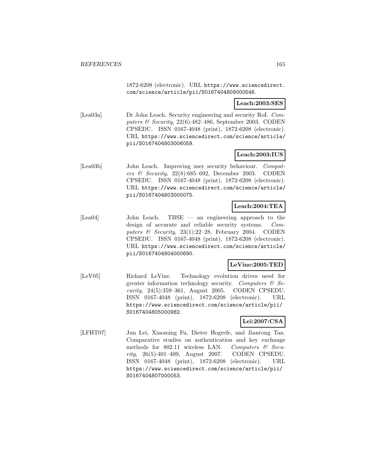1872-6208 (electronic). URL https://www.sciencedirect. com/science/article/pii/S0167404809000546.

### **Leach:2003:SES**

[Lea03a] Dr John Leach. Security engineering and security RoI. Computers & Security,  $22(6):482-486$ , September 2003. CODEN CPSEDU. ISSN 0167-4048 (print), 1872-6208 (electronic). URL https://www.sciencedirect.com/science/article/ pii/S0167404803006059.

## **Leach:2003:IUS**

[Lea03b] John Leach. Improving user security behaviour. Computers & Security,  $22(8):685-692$ , December 2003. CODEN CPSEDU. ISSN 0167-4048 (print), 1872-6208 (electronic). URL https://www.sciencedirect.com/science/article/ pii/S0167404803000075.

## **Leach:2004:TEA**

[Lea04] John Leach. TBSE — an engineering approach to the design of accurate and reliable security systems. Computers  $\mathcal C$  Security, 23(1):22–28, February 2004. CODEN CPSEDU. ISSN 0167-4048 (print), 1872-6208 (electronic). URL https://www.sciencedirect.com/science/article/ pii/S0167404804000690.

## **LeVine:2005:TED**

[LeV05] Richard LeVine. Technology evolution drives need for greater information technology security. Computers  $\mathcal{C}$  Security, 24(5):359–361, August 2005. CODEN CPSEDU. ISSN 0167-4048 (print), 1872-6208 (electronic). URL https://www.sciencedirect.com/science/article/pii/ S0167404805000982.

## **Lei:2007:CSA**

[LFHT07] Jun Lei, Xiaoming Fu, Dieter Hogrefe, and Jianrong Tan. Comparative studies on authentication and key exchange methods for 802.11 wireless LAN. Computers  $\mathcal{C}$  Security, 26(5):401–409, August 2007. CODEN CPSEDU. ISSN 0167-4048 (print), 1872-6208 (electronic). URL https://www.sciencedirect.com/science/article/pii/ S0167404807000053.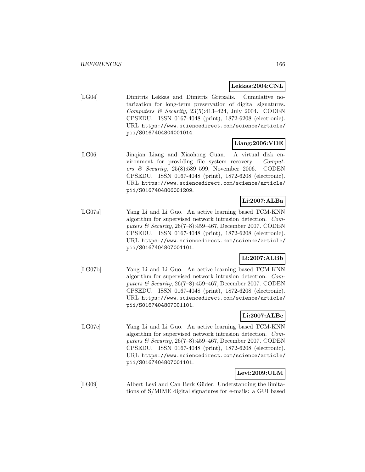### **Lekkas:2004:CNL**

[LG04] Dimitris Lekkas and Dimitris Gritzalis. Cumulative notarization for long-term preservation of digital signatures. Computers  $\mathcal B$  Security, 23(5):413-424, July 2004. CODEN CPSEDU. ISSN 0167-4048 (print), 1872-6208 (electronic). URL https://www.sciencedirect.com/science/article/ pii/S0167404804001014.

# **Liang:2006:VDE**

[LG06] Jinqian Liang and Xiaohong Guan. A virtual disk environment for providing file system recovery. Computers & Security,  $25(8):589-599$ , November 2006. CODEN CPSEDU. ISSN 0167-4048 (print), 1872-6208 (electronic). URL https://www.sciencedirect.com/science/article/ pii/S0167404806001209.

# **Li:2007:ALBa**

[LG07a] Yang Li and Li Guo. An active learning based TCM-KNN algorithm for supervised network intrusion detection. Computers & Security, 26(7–8):459–467, December 2007. CODEN CPSEDU. ISSN 0167-4048 (print), 1872-6208 (electronic). URL https://www.sciencedirect.com/science/article/ pii/S0167404807001101.

# **Li:2007:ALBb**

[LG07b] Yang Li and Li Guo. An active learning based TCM-KNN algorithm for supervised network intrusion detection. Computers & Security, 26(7–8):459–467, December 2007. CODEN CPSEDU. ISSN 0167-4048 (print), 1872-6208 (electronic). URL https://www.sciencedirect.com/science/article/ pii/S0167404807001101.

# **Li:2007:ALBc**

[LG07c] Yang Li and Li Guo. An active learning based TCM-KNN algorithm for supervised network intrusion detection. Computers  $\mathcal B$  Security, 26(7–8):459–467, December 2007. CODEN CPSEDU. ISSN 0167-4048 (print), 1872-6208 (electronic). URL https://www.sciencedirect.com/science/article/ pii/S0167404807001101.

## **Levi:2009:ULM**

[LG09] Albert Levi and Can Berk Güder. Understanding the limitations of S/MIME digital signatures for e-mails: a GUI based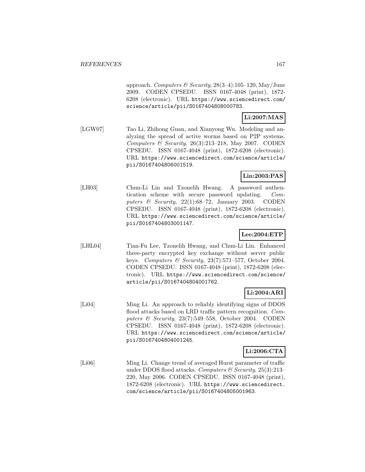approach. Computers & Security,  $28(3-4):105-120$ , May/June 2009. CODEN CPSEDU. ISSN 0167-4048 (print), 1872- 6208 (electronic). URL https://www.sciencedirect.com/ science/article/pii/S0167404808000783.

## **Li:2007:MAS**

[LGW07] Tao Li, Zhihong Guan, and Xianyong Wu. Modeling and analyzing the spread of active worms based on P2P systems. Computers & Security,  $26(3):213-218$ , May 2007. CODEN CPSEDU. ISSN 0167-4048 (print), 1872-6208 (electronic). URL https://www.sciencedirect.com/science/article/ pii/S0167404806001519.

## **Lin:2003:PAS**

[LH03] Chun-Li Lin and Tzonelih Hwang. A password authentication scheme with secure password updating. Computers & Security,  $22(1):68-72$ , January 2003. CODEN CPSEDU. ISSN 0167-4048 (print), 1872-6208 (electronic). URL https://www.sciencedirect.com/science/article/ pii/S0167404803001147.

## **Lee:2004:ETP**

[LHL04] Tian-Fu Lee, Tzonelih Hwang, and Chun-Li Lin. Enhanced three-party encrypted key exchange without server public keys. Computers & Security,  $23(7)$ :571–577, October 2004. CODEN CPSEDU. ISSN 0167-4048 (print), 1872-6208 (electronic). URL https://www.sciencedirect.com/science/ article/pii/S0167404804001762.

## **Li:2004:ARI**

[Li04] Ming Li. An approach to reliably identifying signs of DDOS flood attacks based on LRD traffic pattern recognition. Computers & Security, 23(7):549–558, October 2004. CODEN CPSEDU. ISSN 0167-4048 (print), 1872-6208 (electronic). URL https://www.sciencedirect.com/science/article/ pii/S0167404804001245.

## **Li:2006:CTA**

[Li06] Ming Li. Change trend of averaged Hurst parameter of traffic under DDOS flood attacks. Computers & Security,  $25(3):213-$ 220, May 2006. CODEN CPSEDU. ISSN 0167-4048 (print), 1872-6208 (electronic). URL https://www.sciencedirect. com/science/article/pii/S0167404805001963.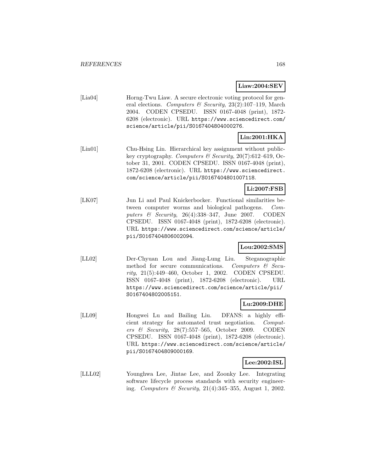**Liaw:2004:SEV**

[Lia04] Horng-Twu Liaw. A secure electronic voting protocol for general elections. Computers & Security, 23(2):107-119, March 2004. CODEN CPSEDU. ISSN 0167-4048 (print), 1872- 6208 (electronic). URL https://www.sciencedirect.com/ science/article/pii/S0167404804000276.

# **Lin:2001:HKA**

[Lin01] Chu-Hsing Lin. Hierarchical key assignment without publickey cryptography. Computers & Security,  $20(7)$ :612–619, October 31, 2001. CODEN CPSEDU. ISSN 0167-4048 (print), 1872-6208 (electronic). URL https://www.sciencedirect. com/science/article/pii/S0167404801007118.

## **Li:2007:FSB**

[LK07] Jun Li and Paul Knickerbocker. Functional similarities between computer worms and biological pathogens. Computers  $\&$  Security, 26(4):338-347, June 2007. CODEN CPSEDU. ISSN 0167-4048 (print), 1872-6208 (electronic). URL https://www.sciencedirect.com/science/article/ pii/S0167404806002094.

# **Lou:2002:SMS**

[LL02] Der-Chyuan Lou and Jiang-Lung Liu. Steganographic method for secure communications. Computers  $\mathcal{C}$  Security, 21(5):449–460, October 1, 2002. CODEN CPSEDU. ISSN 0167-4048 (print), 1872-6208 (electronic). URL https://www.sciencedirect.com/science/article/pii/ S0167404802005151.

## **Lu:2009:DHE**

[LL09] Hongwei Lu and Bailing Liu. DFANS: a highly efficient strategy for automated trust negotiation. Computers & Security, 28(7):557–565, October 2009. CODEN CPSEDU. ISSN 0167-4048 (print), 1872-6208 (electronic). URL https://www.sciencedirect.com/science/article/ pii/S0167404809000169.

#### **Lee:2002:ISL**

[LLL02] Younghwa Lee, Jintae Lee, and Zoonky Lee. Integrating software lifecycle process standards with security engineering. Computers & Security, 21(4):345–355, August 1, 2002.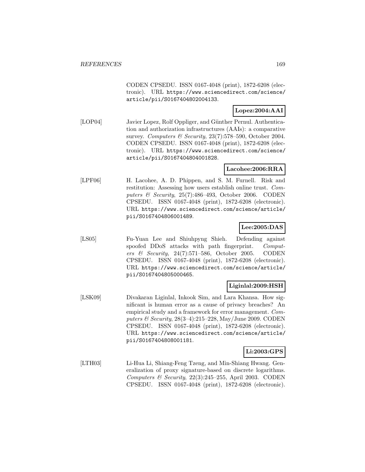CODEN CPSEDU. ISSN 0167-4048 (print), 1872-6208 (electronic). URL https://www.sciencedirect.com/science/ article/pii/S0167404802004133.

## **Lopez:2004:AAI**

[LOP04] Javier Lopez, Rolf Oppliger, and Günther Pernul. Authentication and authorization infrastructures (AAIs): a comparative survey. Computers & Security,  $23(7)$ :578-590, October 2004. CODEN CPSEDU. ISSN 0167-4048 (print), 1872-6208 (electronic). URL https://www.sciencedirect.com/science/ article/pii/S0167404804001828.

## **Lacohee:2006:RRA**

[LPF06] H. Lacohee, A. D. Phippen, and S. M. Furnell. Risk and restitution: Assessing how users establish online trust. Computers  $\mathcal B$  Security, 25(7):486-493, October 2006. CODEN CPSEDU. ISSN 0167-4048 (print), 1872-6208 (electronic). URL https://www.sciencedirect.com/science/article/ pii/S0167404806001489.

### **Lee:2005:DAS**

[LS05] Fu-Yuan Lee and Shiuhpyng Shieh. Defending against spoofed DDoS attacks with path fingerprint. Computers & Security, 24(7):571–586, October 2005. CODEN CPSEDU. ISSN 0167-4048 (print), 1872-6208 (electronic). URL https://www.sciencedirect.com/science/article/ pii/S0167404805000465.

## **Liginlal:2009:HSH**

[LSK09] Divakaran Liginlal, Inkook Sim, and Lara Khansa. How significant is human error as a cause of privacy breaches? An empirical study and a framework for error management. Computers & Security,  $28(3-4):215-228$ , May/June 2009. CODEN CPSEDU. ISSN 0167-4048 (print), 1872-6208 (electronic). URL https://www.sciencedirect.com/science/article/ pii/S0167404808001181.

## **Li:2003:GPS**

[LTH03] Li-Hua Li, Shiang-Feng Tzeng, and Min-Shiang Hwang. Generalization of proxy signature-based on discrete logarithms. Computers & Security,  $22(3):245-255$ , April 2003. CODEN CPSEDU. ISSN 0167-4048 (print), 1872-6208 (electronic).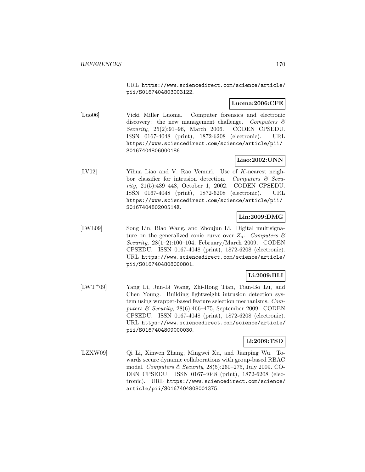URL https://www.sciencedirect.com/science/article/ pii/S0167404803003122.

## **Luoma:2006:CFE**

[Luo06] Vicki Miller Luoma. Computer forensics and electronic discovery: the new management challenge. Computers  $\mathcal{C}$ Security, 25(2):91–96, March 2006. CODEN CPSEDU. ISSN 0167-4048 (print), 1872-6208 (electronic). URL https://www.sciencedirect.com/science/article/pii/ S0167404806000186.

## **Liao:2002:UNN**

[LV02] Yihua Liao and V. Rao Vemuri. Use of K-nearest neighbor classifier for intrusion detection. Computers  $\mathcal{B}$  Security, 21(5):439–448, October 1, 2002. CODEN CPSEDU. ISSN 0167-4048 (print), 1872-6208 (electronic). URL https://www.sciencedirect.com/science/article/pii/ S016740480200514X.

## **Lin:2009:DMG**

[LWL09] Song Lin, Biao Wang, and Zhoujun Li. Digital multisignature on the generalized conic curve over  $Z_n$ . Computers  $\mathcal{C}$ Security, 28(1–2):100–104, February/March 2009. CODEN CPSEDU. ISSN 0167-4048 (print), 1872-6208 (electronic). URL https://www.sciencedirect.com/science/article/ pii/S0167404808000801.

## **Li:2009:BLI**

[LWT<sup>+</sup>09] Yang Li, Jun-Li Wang, Zhi-Hong Tian, Tian-Bo Lu, and Chen Young. Building lightweight intrusion detection system using wrapper-based feature selection mechanisms. Computers  $\mathcal B$  Security, 28(6):466-475, September 2009. CODEN CPSEDU. ISSN 0167-4048 (print), 1872-6208 (electronic). URL https://www.sciencedirect.com/science/article/ pii/S0167404809000030.

## **Li:2009:TSD**

[LZXW09] Qi Li, Xinwen Zhang, Mingwei Xu, and Jianping Wu. Towards secure dynamic collaborations with group-based RBAC model. Computers & Security, 28(5):260–275, July 2009. CO-DEN CPSEDU. ISSN 0167-4048 (print), 1872-6208 (electronic). URL https://www.sciencedirect.com/science/ article/pii/S0167404808001375.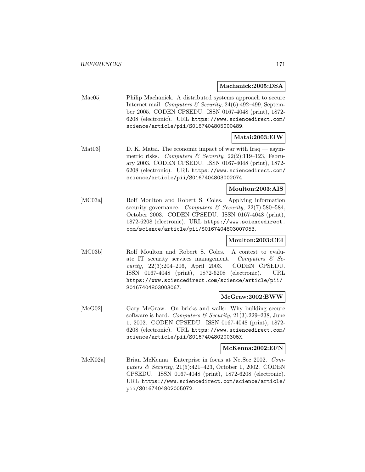**Machanick:2005:DSA**

[Mac05] Philip Machanick. A distributed systems approach to secure Internet mail. Computers & Security, 24(6):492-499, September 2005. CODEN CPSEDU. ISSN 0167-4048 (print), 1872- 6208 (electronic). URL https://www.sciencedirect.com/ science/article/pii/S0167404805000489.

## **Matai:2003:EIW**

[Mat03] D. K. Matai. The economic impact of war with Iraq — asymmetric risks. Computers & Security,  $22(2):119-123$ , February 2003. CODEN CPSEDU. ISSN 0167-4048 (print), 1872- 6208 (electronic). URL https://www.sciencedirect.com/ science/article/pii/S0167404803002074.

#### **Moulton:2003:AIS**

[MC03a] Rolf Moulton and Robert S. Coles. Applying information security governance. Computers & Security,  $22(7)$ :580-584, October 2003. CODEN CPSEDU. ISSN 0167-4048 (print), 1872-6208 (electronic). URL https://www.sciencedirect. com/science/article/pii/S0167404803007053.

## **Moulton:2003:CEI**

[MC03b] Rolf Moulton and Robert S. Coles. A contest to evaluate IT security services management. Computers  $\mathcal{C}$  Security, 22(3):204–206, April 2003. CODEN CPSEDU. ISSN 0167-4048 (print), 1872-6208 (electronic). URL https://www.sciencedirect.com/science/article/pii/ S0167404803003067.

## **McGraw:2002:BWW**

[McG02] Gary McGraw. On bricks and walls: Why building secure software is hard. Computers  $\mathcal B$  Security, 21(3):229–238, June 1, 2002. CODEN CPSEDU. ISSN 0167-4048 (print), 1872- 6208 (electronic). URL https://www.sciencedirect.com/ science/article/pii/S016740480200305X.

#### **McKenna:2002:EFN**

[McK02a] Brian McKenna. Enterprise in focus at NetSec 2002. Computers & Security, 21(5):421–423, October 1, 2002. CODEN CPSEDU. ISSN 0167-4048 (print), 1872-6208 (electronic). URL https://www.sciencedirect.com/science/article/ pii/S0167404802005072.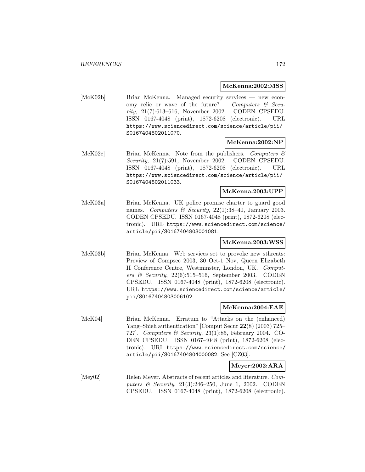#### **McKenna:2002:MSS**

[McK02b] Brian McKenna. Managed security services — new economy relic or wave of the future? Computers  $\mathcal C$  Security, 21(7):613–616, November 2002. CODEN CPSEDU. ISSN 0167-4048 (print), 1872-6208 (electronic). URL https://www.sciencedirect.com/science/article/pii/ S0167404802011070.

## **McKenna:2002:NP**

[McK02c] Brian McKenna. Note from the publishers. Computers & Security, 21(7):591, November 2002. CODEN CPSEDU. ISSN 0167-4048 (print), 1872-6208 (electronic). URL https://www.sciencedirect.com/science/article/pii/ S0167404802011033.

#### **McKenna:2003:UPP**

[McK03a] Brian McKenna. UK police promise charter to guard good names. Computers & Security,  $22(1):38-40$ , January 2003. CODEN CPSEDU. ISSN 0167-4048 (print), 1872-6208 (electronic). URL https://www.sciencedirect.com/science/ article/pii/S0167404803001081.

#### **McKenna:2003:WSS**

[McK03b] Brian McKenna. Web services set to provoke new sthreats: Preview of Compsec 2003, 30 Oct-1 Nov, Queen Elizabeth II Conference Centre, Westminster, London, UK. Computers & Security,  $22(6):515-516$ , September 2003. CODEN CPSEDU. ISSN 0167-4048 (print), 1872-6208 (electronic). URL https://www.sciencedirect.com/science/article/ pii/S0167404803006102.

#### **McKenna:2004:EAE**

[McK04] Brian McKenna. Erratum to "Attacks on the (enhanced) Yang–Shieh authentication" [Comput Secur **22**(8) (2003) 725– 727]. Computers & Security, 23(1):85, February 2004. CO-DEN CPSEDU. ISSN 0167-4048 (print), 1872-6208 (electronic). URL https://www.sciencedirect.com/science/ article/pii/S0167404804000082. See [CZ03].

#### **Meyer:2002:ARA**

[Mey02] Helen Meyer. Abstracts of recent articles and literature. Computers & Security, 21(3):246–250, June 1, 2002. CODEN CPSEDU. ISSN 0167-4048 (print), 1872-6208 (electronic).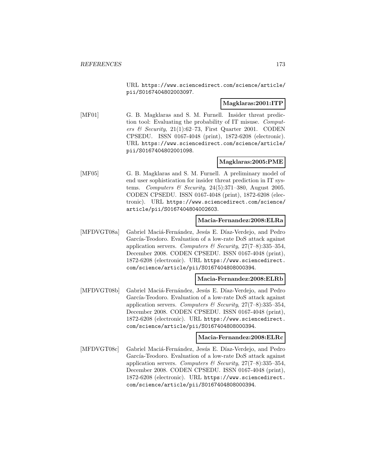URL https://www.sciencedirect.com/science/article/ pii/S0167404802003097.

### **Magklaras:2001:ITP**

[MF01] G. B. Magklaras and S. M. Furnell. Insider threat prediction tool: Evaluating the probability of IT misuse. Computers & Security,  $21(1):62-73$ , First Quarter 2001. CODEN CPSEDU. ISSN 0167-4048 (print), 1872-6208 (electronic). URL https://www.sciencedirect.com/science/article/ pii/S0167404802001098.

## **Magklaras:2005:PME**

[MF05] G. B. Magklaras and S. M. Furnell. A preliminary model of end user sophistication for insider threat prediction in IT systems. Computers & Security, 24(5):371-380, August 2005. CODEN CPSEDU. ISSN 0167-4048 (print), 1872-6208 (electronic). URL https://www.sciencedirect.com/science/ article/pii/S0167404804002603.

### **Macia-Fernandez:2008:ELRa**

[MFDVGT08a] Gabriel Maciá-Fernández, Jesús E. Díaz-Verdejo, and Pedro García-Teodoro. Evaluation of a low-rate DoS attack against application servers. Computers & Security,  $27(7-8):335-354$ , December 2008. CODEN CPSEDU. ISSN 0167-4048 (print), 1872-6208 (electronic). URL https://www.sciencedirect. com/science/article/pii/S0167404808000394.

## **Macia-Fernandez:2008:ELRb**

[MFDVGT08b] Gabriel Maciá-Fernández, Jesús E. Díaz-Verdejo, and Pedro García-Teodoro. Evaluation of a low-rate DoS attack against application servers. Computers & Security,  $27(7-8):335-354$ , December 2008. CODEN CPSEDU. ISSN 0167-4048 (print), 1872-6208 (electronic). URL https://www.sciencedirect. com/science/article/pii/S0167404808000394.

#### **Macia-Fernandez:2008:ELRc**

[MFDVGT08c] Gabriel Maciá-Fernández, Jesús E. Díaz-Verdejo, and Pedro García-Teodoro. Evaluation of a low-rate DoS attack against application servers. Computers & Security,  $27(7-8):335-354$ , December 2008. CODEN CPSEDU. ISSN 0167-4048 (print), 1872-6208 (electronic). URL https://www.sciencedirect. com/science/article/pii/S0167404808000394.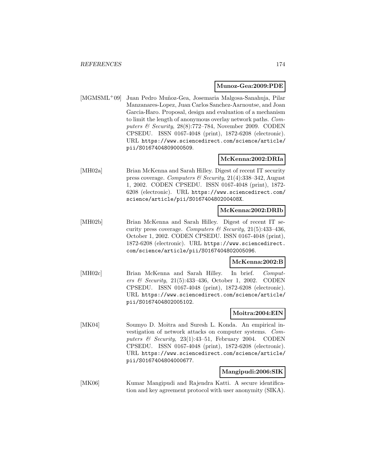#### **Munoz-Gea:2009:PDE**

[MGMSML<sup>+</sup>09] Juan Pedro Muñoz-Gea, Josemaria Malgosa-Sanahuja, Pilar Manzanares-Lopez, Juan Carlos Sanchez-Aarnoutse, and Joan Garcia-Haro. Proposal, design and evaluation of a mechanism to limit the length of anonymous overlay network paths. Computers & Security, 28(8):772–784, November 2009. CODEN CPSEDU. ISSN 0167-4048 (print), 1872-6208 (electronic). URL https://www.sciencedirect.com/science/article/ pii/S0167404809000509.

## **McKenna:2002:DRIa**

[MH02a] Brian McKenna and Sarah Hilley. Digest of recent IT security press coverage. Computers & Security, 21(4):338–342, August 1, 2002. CODEN CPSEDU. ISSN 0167-4048 (print), 1872- 6208 (electronic). URL https://www.sciencedirect.com/ science/article/pii/S016740480200408X.

#### **McKenna:2002:DRIb**

[MH02b] Brian McKenna and Sarah Hilley. Digest of recent IT security press coverage. Computers & Security,  $21(5):433-436$ , October 1, 2002. CODEN CPSEDU. ISSN 0167-4048 (print), 1872-6208 (electronic). URL https://www.sciencedirect. com/science/article/pii/S0167404802005096.

#### **McKenna:2002:B**

[MH02c] Brian McKenna and Sarah Hilley. In brief. Computers & Security, 21(5):433–436, October 1, 2002. CODEN CPSEDU. ISSN 0167-4048 (print), 1872-6208 (electronic). URL https://www.sciencedirect.com/science/article/ pii/S0167404802005102.

## **Moitra:2004:EIN**

[MK04] Soumyo D. Moitra and Suresh L. Konda. An empirical investigation of network attacks on computer systems. Computers & Security, 23(1):43-51, February 2004. CODEN CPSEDU. ISSN 0167-4048 (print), 1872-6208 (electronic). URL https://www.sciencedirect.com/science/article/ pii/S0167404804000677.

### **Mangipudi:2006:SIK**

[MK06] Kumar Mangipudi and Rajendra Katti. A secure identification and key agreement protocol with user anonymity (SIKA).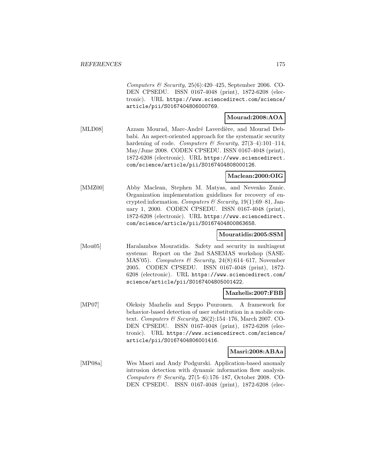Computers & Security,  $25(6):420-425$ , September 2006. CO-DEN CPSEDU. ISSN 0167-4048 (print), 1872-6208 (electronic). URL https://www.sciencedirect.com/science/ article/pii/S0167404806000769.

### **Mourad:2008:AOA**

[MLD08] Azzam Mourad, Marc-André Laverdière, and Mourad Debbabi. An aspect-oriented approach for the systematic security hardening of code. Computers & Security,  $27(3-4):101-114$ , May/June 2008. CODEN CPSEDU. ISSN 0167-4048 (print), 1872-6208 (electronic). URL https://www.sciencedirect. com/science/article/pii/S0167404808000126.

## **Maclean:2000:OIG**

[MMZ00] Abby Maclean, Stephen M. Matyas, and Nevenko Zunic. Organization implementation guidelines for recovery of encrypted information. Computers & Security, 19(1):69-81, January 1, 2000. CODEN CPSEDU. ISSN 0167-4048 (print), 1872-6208 (electronic). URL https://www.sciencedirect. com/science/article/pii/S0167404800863658.

#### **Mouratidis:2005:SSM**

[Mou05] Haralambos Mouratidis. Safety and security in multiagent systems: Report on the 2nd SASEMAS workshop (SASE-MAS'05). Computers & Security, 24(8):614–617, November 2005. CODEN CPSEDU. ISSN 0167-4048 (print), 1872- 6208 (electronic). URL https://www.sciencedirect.com/ science/article/pii/S0167404805001422.

#### **Mazhelis:2007:FBB**

[MP07] Oleksiy Mazhelis and Seppo Puuronen. A framework for behavior-based detection of user substitution in a mobile context. Computers & Security,  $26(2):154-176$ , March 2007. CO-DEN CPSEDU. ISSN 0167-4048 (print), 1872-6208 (electronic). URL https://www.sciencedirect.com/science/ article/pii/S0167404806001416.

#### **Masri:2008:ABAa**

[MP08a] Wes Masri and Andy Podgurski. Application-based anomaly intrusion detection with dynamic information flow analysis. Computers & Security,  $27(5-6)$ :176-187, October 2008. CO-DEN CPSEDU. ISSN 0167-4048 (print), 1872-6208 (elec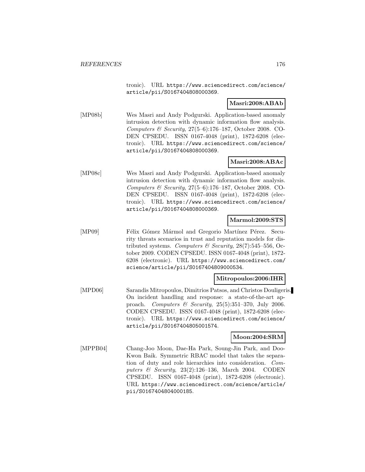tronic). URL https://www.sciencedirect.com/science/ article/pii/S0167404808000369.

### **Masri:2008:ABAb**

[MP08b] Wes Masri and Andy Podgurski. Application-based anomaly intrusion detection with dynamic information flow analysis. Computers & Security, 27(5–6):176–187, October 2008. CO-DEN CPSEDU. ISSN 0167-4048 (print), 1872-6208 (electronic). URL https://www.sciencedirect.com/science/ article/pii/S0167404808000369.

## **Masri:2008:ABAc**

[MP08c] Wes Masri and Andy Podgurski. Application-based anomaly intrusion detection with dynamic information flow analysis. Computers & Security, 27(5–6):176–187, October 2008. CO-DEN CPSEDU. ISSN 0167-4048 (print), 1872-6208 (electronic). URL https://www.sciencedirect.com/science/ article/pii/S0167404808000369.

## **Marmol:2009:STS**

[MP09] Félix Gómez Mármol and Gregorio Martínez Pérez. Security threats scenarios in trust and reputation models for distributed systems. Computers & Security,  $28(7)$ :545-556, October 2009. CODEN CPSEDU. ISSN 0167-4048 (print), 1872- 6208 (electronic). URL https://www.sciencedirect.com/ science/article/pii/S0167404809000534.

#### **Mitropoulos:2006:IHR**

[MPD06] Sarandis Mitropoulos, Dimitrios Patsos, and Christos Douligeris. On incident handling and response: a state-of-the-art approach. Computers  $\mathcal B$  Security, 25(5):351-370, July 2006. CODEN CPSEDU. ISSN 0167-4048 (print), 1872-6208 (electronic). URL https://www.sciencedirect.com/science/ article/pii/S0167404805001574.

#### **Moon:2004:SRM**

[MPPB04] Chang-Joo Moon, Dae-Ha Park, Soung-Jin Park, and Doo-Kwon Baik. Symmetric RBAC model that takes the separation of duty and role hierarchies into consideration. Computers & Security, 23(2):126–136, March 2004. CODEN CPSEDU. ISSN 0167-4048 (print), 1872-6208 (electronic). URL https://www.sciencedirect.com/science/article/ pii/S0167404804000185.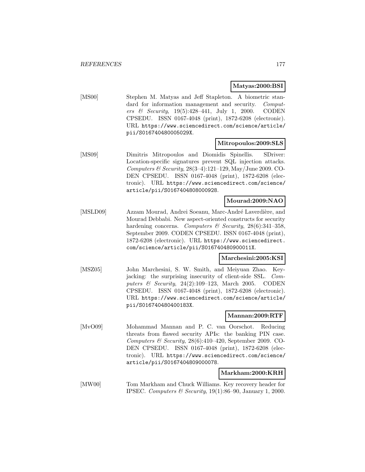### **Matyas:2000:BSI**

[MS00] Stephen M. Matyas and Jeff Stapleton. A biometric standard for information management and security. Computers & Security, 19(5):428–441, July 1, 2000. CODEN CPSEDU. ISSN 0167-4048 (print), 1872-6208 (electronic). URL https://www.sciencedirect.com/science/article/ pii/S016740480005029X.

## **Mitropoulos:2009:SLS**

[MS09] Dimitris Mitropoulos and Diomidis Spinellis. SDriver: Location-specific signatures prevent SQL injection attacks. Computers & Security, 28(3–4):121–129, May/June 2009. CO-DEN CPSEDU. ISSN 0167-4048 (print), 1872-6208 (electronic). URL https://www.sciencedirect.com/science/ article/pii/S0167404808000928.

## **Mourad:2009:NAO**

[MSLD09] Azzam Mourad, Andrei Soeanu, Marc-André Laverdière, and Mourad Debbabi. New aspect-oriented constructs for security hardening concerns. Computers & Security,  $28(6):341-358$ . September 2009. CODEN CPSEDU. ISSN 0167-4048 (print), 1872-6208 (electronic). URL https://www.sciencedirect. com/science/article/pii/S016740480900011X.

## **Marchesini:2005:KSI**

[MSZ05] John Marchesini, S. W. Smith, and Meiyuan Zhao. Keyjacking: the surprising insecurity of client-side SSL. Computers & Security, 24(2):109–123, March 2005. CODEN CPSEDU. ISSN 0167-4048 (print), 1872-6208 (electronic). URL https://www.sciencedirect.com/science/article/ pii/S016740480400183X.

## **Mannan:2009:RTF**

[MvO09] Mohammad Mannan and P. C. van Oorschot. Reducing threats from flawed security APIs: the banking PIN case. Computers & Security,  $28(6):410-420$ , September 2009. CO-DEN CPSEDU. ISSN 0167-4048 (print), 1872-6208 (electronic). URL https://www.sciencedirect.com/science/ article/pii/S0167404809000078.

#### **Markham:2000:KRH**

[MW00] Tom Markham and Chuck Williams. Key recovery header for IPSEC. Computers & Security, 19(1):86–90, January 1, 2000.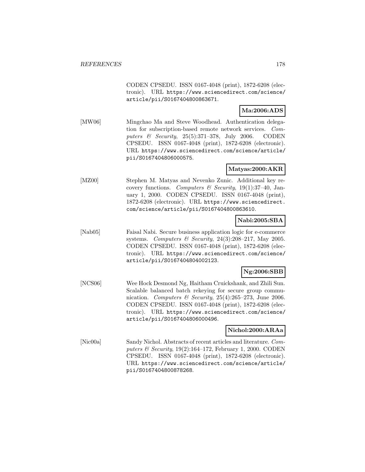CODEN CPSEDU. ISSN 0167-4048 (print), 1872-6208 (electronic). URL https://www.sciencedirect.com/science/ article/pii/S0167404800863671.

## **Ma:2006:ADS**

[MW06] Mingchao Ma and Steve Woodhead. Authentication delegation for subscription-based remote network services. Computers & Security, 25(5):371–378, July 2006. CODEN CPSEDU. ISSN 0167-4048 (print), 1872-6208 (electronic). URL https://www.sciencedirect.com/science/article/ pii/S0167404806000575.

## **Matyas:2000:AKR**

[MZ00] Stephen M. Matyas and Nevenko Zunic. Additional key recovery functions. Computers  $\mathcal B$  Security, 19(1):37-40, January 1, 2000. CODEN CPSEDU. ISSN 0167-4048 (print), 1872-6208 (electronic). URL https://www.sciencedirect. com/science/article/pii/S0167404800863610.

## **Nabi:2005:SBA**

[Nab05] Faisal Nabi. Secure business application logic for e-commerce systems. Computers & Security,  $24(3):208-217$ , May 2005. CODEN CPSEDU. ISSN 0167-4048 (print), 1872-6208 (electronic). URL https://www.sciencedirect.com/science/ article/pii/S0167404804002123.

## **Ng:2006:SBB**

[NCS06] Wee Hock Desmond Ng, Haitham Cruickshank, and Zhili Sun. Scalable balanced batch rekeying for secure group communication. Computers & Security, 25(4):265-273, June 2006. CODEN CPSEDU. ISSN 0167-4048 (print), 1872-6208 (electronic). URL https://www.sciencedirect.com/science/ article/pii/S0167404806000496.

## **Nichol:2000:ARAa**

[Nic00a] Sandy Nichol. Abstracts of recent articles and literature. Computers & Security,  $19(2):164-172$ , February 1, 2000. CODEN CPSEDU. ISSN 0167-4048 (print), 1872-6208 (electronic). URL https://www.sciencedirect.com/science/article/ pii/S0167404800878268.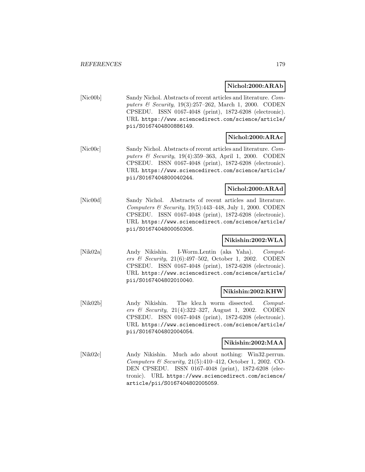**Nichol:2000:ARAb**

[Nic00b] Sandy Nichol. Abstracts of recent articles and literature. Computers & Security, 19(3):257-262, March 1, 2000. CODEN CPSEDU. ISSN 0167-4048 (print), 1872-6208 (electronic). URL https://www.sciencedirect.com/science/article/ pii/S0167404800886149.

## **Nichol:2000:ARAc**

[Nic00c] Sandy Nichol. Abstracts of recent articles and literature. Computers & Security, 19(4):359–363, April 1, 2000. CODEN CPSEDU. ISSN 0167-4048 (print), 1872-6208 (electronic). URL https://www.sciencedirect.com/science/article/ pii/S0167404800040244.

## **Nichol:2000:ARAd**

[Nic00d] Sandy Nichol. Abstracts of recent articles and literature. Computers  $\mathcal B$  Security, 19(5):443-448, July 1, 2000. CODEN CPSEDU. ISSN 0167-4048 (print), 1872-6208 (electronic). URL https://www.sciencedirect.com/science/article/ pii/S0167404800050306.

## **Nikishin:2002:WLA**

[Nik02a] Andy Nikishin. I-Worm.Lentin (aka Yaha). Computers & Security, 21(6):497–502, October 1, 2002. CODEN CPSEDU. ISSN 0167-4048 (print), 1872-6208 (electronic). URL https://www.sciencedirect.com/science/article/ pii/S0167404802010040.

#### **Nikishin:2002:KHW**

[Nik02b] Andy Nikishin. The klez.h worm dissected. Computers & Security, 21(4):322–327, August 1, 2002. CODEN CPSEDU. ISSN 0167-4048 (print), 1872-6208 (electronic). URL https://www.sciencedirect.com/science/article/ pii/S0167404802004054.

#### **Nikishin:2002:MAA**

[Nik02c] Andy Nikishin. Much ado about nothing: Win32.perrun. Computers & Security, 21(5):410–412, October 1, 2002. CO-DEN CPSEDU. ISSN 0167-4048 (print), 1872-6208 (electronic). URL https://www.sciencedirect.com/science/ article/pii/S0167404802005059.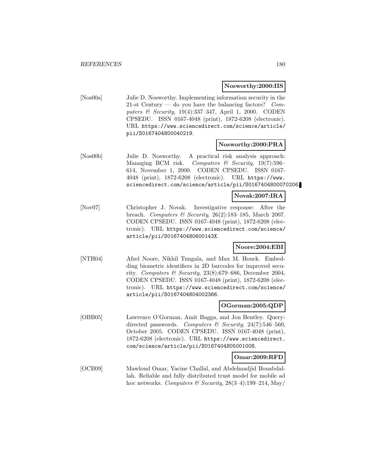#### **Nosworthy:2000:IIS**

[Nos00a] Julie D. Nosworthy. Implementing information security in the 21-st Century — do you have the balancing factors? Computers & Security, 19(4):337–347, April 1, 2000. CODEN CPSEDU. ISSN 0167-4048 (print), 1872-6208 (electronic). URL https://www.sciencedirect.com/science/article/ pii/S0167404800040219.

#### **Nosworthy:2000:PRA**

[Nos00b] Julie D. Nosworthy. A practical risk analysis approach: Managing BCM risk. Computers  $\mathcal C$  Security, 19(7):596– 614, November 1, 2000. CODEN CPSEDU. ISSN 0167- 4048 (print), 1872-6208 (electronic). URL https://www. sciencedirect.com/science/article/pii/S0167404800070206.

#### **Novak:2007:IRA**

[Nov07] Christopher J. Novak. Investigative response: After the breach. Computers & Security,  $26(2):183-185$ , March 2007. CODEN CPSEDU. ISSN 0167-4048 (print), 1872-6208 (electronic). URL https://www.sciencedirect.com/science/ article/pii/S016740480600143X.

#### **Noore:2004:EBI**

[NTH04] Afzel Noore, Nikhil Tungala, and Max M. Houck. Embedding biometric identifiers in 2D barcodes for improved security. Computers & Security, 23(8):679–686, December 2004. CODEN CPSEDU. ISSN 0167-4048 (print), 1872-6208 (electronic). URL https://www.sciencedirect.com/science/ article/pii/S0167404804002366.

#### **OGorman:2005:QDP**

[OBB05] Lawrence O'Gorman, Amit Bagga, and Jon Bentley. Querydirected passwords. Computers & Security, 24(7):546-560, October 2005. CODEN CPSEDU. ISSN 0167-4048 (print), 1872-6208 (electronic). URL https://www.sciencedirect. com/science/article/pii/S0167404805001008.

#### **Omar:2009:RFD**

[OCB09] Mawloud Omar, Yacine Challal, and Abdelmadjid Bouabdallah. Reliable and fully distributed trust model for mobile ad hoc networks. Computers & Security,  $28(3-4):199-214$ , May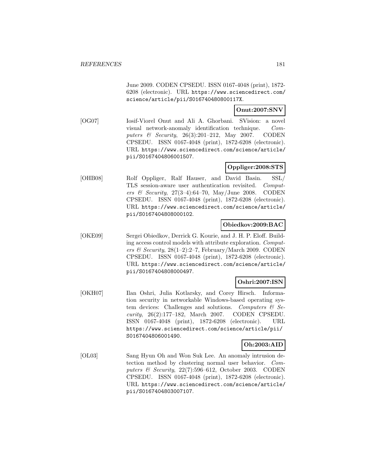June 2009. CODEN CPSEDU. ISSN 0167-4048 (print), 1872- 6208 (electronic). URL https://www.sciencedirect.com/ science/article/pii/S016740480800117X.

# **Onut:2007:SNV**

[OG07] Iosif-Viorel Onut and Ali A. Ghorbani. SVision: a novel visual network-anomaly identification technique. Computers & Security, 26(3):201–212, May 2007. CODEN CPSEDU. ISSN 0167-4048 (print), 1872-6208 (electronic). URL https://www.sciencedirect.com/science/article/ pii/S0167404806001507.

# **Oppliger:2008:STS**

[OHB08] Rolf Oppliger, Ralf Hauser, and David Basin. SSL/ TLS session-aware user authentication revisited. Computers & Security,  $27(3-4):64-70$ , May/June 2008. CODEN CPSEDU. ISSN 0167-4048 (print), 1872-6208 (electronic). URL https://www.sciencedirect.com/science/article/ pii/S0167404808000102.

### **Obiedkov:2009:BAC**

[OKE09] Sergei Obiedkov, Derrick G. Kourie, and J. H. P. Eloff. Building access control models with attribute exploration. Computers & Security,  $28(1-2):2-7$ , February/March 2009. CODEN CPSEDU. ISSN 0167-4048 (print), 1872-6208 (electronic). URL https://www.sciencedirect.com/science/article/ pii/S0167404808000497.

# **Oshri:2007:ISN**

[OKH07] Ilan Oshri, Julia Kotlarsky, and Corey Hirsch. Information security in networkable Windows-based operating system devices: Challenges and solutions. Computers  $\mathcal{C}$  Security, 26(2):177–182, March 2007. CODEN CPSEDU. ISSN 0167-4048 (print), 1872-6208 (electronic). URL https://www.sciencedirect.com/science/article/pii/ S0167404806001490.

# **Oh:2003:AID**

[OL03] Sang Hyun Oh and Won Suk Lee. An anomaly intrusion detection method by clustering normal user behavior. Computers & Security, 22(7):596–612, October 2003. CODEN CPSEDU. ISSN 0167-4048 (print), 1872-6208 (electronic). URL https://www.sciencedirect.com/science/article/ pii/S0167404803007107.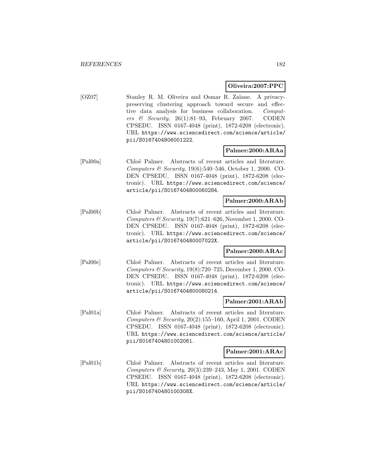### **Oliveira:2007:PPC**

[OZ07] Stanley R. M. Oliveira and Osmar R. Zaïane. A privacypreserving clustering approach toward secure and effective data analysis for business collaboration. Computers & Security,  $26(1):81-93$ , February 2007. CODEN CPSEDU. ISSN 0167-4048 (print), 1872-6208 (electronic). URL https://www.sciencedirect.com/science/article/ pii/S0167404806001222.

### **Palmer:2000:ARAa**

[Pal00a] Chlo¨e Palmer. Abstracts of recent articles and literature. Computers & Security, 19(6):540–546, October 1, 2000. CO-DEN CPSEDU. ISSN 0167-4048 (print), 1872-6208 (electronic). URL https://www.sciencedirect.com/science/ article/pii/S0167404800060284.

### **Palmer:2000:ARAb**

[Pal00b] Chloë Palmer. Abstracts of recent articles and literature. Computers & Security, 19(7):621–626, November 1, 2000. CO-DEN CPSEDU. ISSN 0167-4048 (print), 1872-6208 (electronic). URL https://www.sciencedirect.com/science/ article/pii/S016740480007022X.

### **Palmer:2000:ARAc**

[Pal00c] Chloë Palmer. Abstracts of recent articles and literature. Computers & Security, 19(8):720–725, December 1, 2000. CO-DEN CPSEDU. ISSN 0167-4048 (print), 1872-6208 (electronic). URL https://www.sciencedirect.com/science/ article/pii/S0167404800080214.

#### **Palmer:2001:ARAb**

[Pal01a] Chloë Palmer. Abstracts of recent articles and literature. Computers & Security,  $20(2):155-160$ , April 1, 2001. CODEN CPSEDU. ISSN 0167-4048 (print), 1872-6208 (electronic). URL https://www.sciencedirect.com/science/article/ pii/S0167404801002061.

#### **Palmer:2001:ARAc**

[Pal01b] Chloë Palmer. Abstracts of recent articles and literature. Computers & Security,  $20(3):239-243$ , May 1, 2001. CODEN CPSEDU. ISSN 0167-4048 (print), 1872-6208 (electronic). URL https://www.sciencedirect.com/science/article/ pii/S016740480100308X.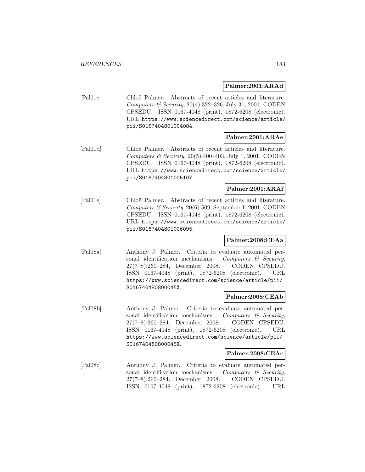#### **Palmer:2001:ARAd**

[Pal01c] Chloë Palmer. Abstracts of recent articles and literature. Computers & Security, 20(4):322–326, July 31, 2001. CODEN CPSEDU. ISSN 0167-4048 (print), 1872-6208 (electronic). URL https://www.sciencedirect.com/science/article/ pii/S0167404801004084.

# **Palmer:2001:ARAe**

[Pal01d] Chloë Palmer. Abstracts of recent articles and literature. Computers & Security,  $20(5):400-403$ , July 1, 2001. CODEN CPSEDU. ISSN 0167-4048 (print), 1872-6208 (electronic). URL https://www.sciencedirect.com/science/article/ pii/S0167404801005107.

### **Palmer:2001:ARAf**

[Pal01e] Chloë Palmer. Abstracts of recent articles and literature. Computers  $\mathcal C$  Security, 20(6):509, September 1, 2001. CODEN CPSEDU. ISSN 0167-4048 (print), 1872-6208 (electronic). URL https://www.sciencedirect.com/science/article/ pii/S0167404801006095.

### **Palmer:2008:CEAa**

[Pal08a] Anthony J. Palmer. Criteria to evaluate automated personal identification mechanisms. Computers  $\mathcal{C}$  Security, 27(7–8):260–284, December 2008. CODEN CPSEDU. ISSN 0167-4048 (print), 1872-6208 (electronic). URL https://www.sciencedirect.com/science/article/pii/ S016740480800045X.

### **Palmer:2008:CEAb**

[Pal08b] Anthony J. Palmer. Criteria to evaluate automated personal identification mechanisms. Computers  $\mathcal{C}$  Security, 27(7–8):260–284, December 2008. CODEN CPSEDU. ISSN 0167-4048 (print), 1872-6208 (electronic). URL https://www.sciencedirect.com/science/article/pii/ S016740480800045X.

# **Palmer:2008:CEAc**

[Pal08c] Anthony J. Palmer. Criteria to evaluate automated personal identification mechanisms. Computers  $\mathcal{C}$  Security, 27(7–8):260–284, December 2008. CODEN CPSEDU. ISSN 0167-4048 (print), 1872-6208 (electronic). URL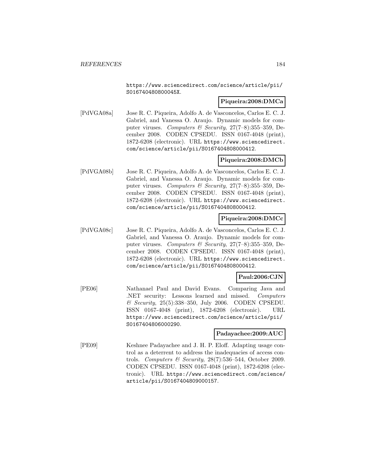https://www.sciencedirect.com/science/article/pii/ S016740480800045X.

### **Piqueira:2008:DMCa**

[PdVGA08a] Jose R. C. Piqueira, Adolfo A. de Vasconcelos, Carlos E. C. J. Gabriel, and Vanessa O. Araujo. Dynamic models for computer viruses. Computers & Security,  $27(7-8)$ :355-359, December 2008. CODEN CPSEDU. ISSN 0167-4048 (print), 1872-6208 (electronic). URL https://www.sciencedirect. com/science/article/pii/S0167404808000412.

# **Piqueira:2008:DMCb**

[PdVGA08b] Jose R. C. Piqueira, Adolfo A. de Vasconcelos, Carlos E. C. J. Gabriel, and Vanessa O. Araujo. Dynamic models for computer viruses. Computers & Security,  $27(7-8):355-359$ , December 2008. CODEN CPSEDU. ISSN 0167-4048 (print), 1872-6208 (electronic). URL https://www.sciencedirect. com/science/article/pii/S0167404808000412.

# **Piqueira:2008:DMCc**

[PdVGA08c] Jose R. C. Piqueira, Adolfo A. de Vasconcelos, Carlos E. C. J. Gabriel, and Vanessa O. Araujo. Dynamic models for computer viruses. Computers & Security,  $27(7-8):355-359$ , December 2008. CODEN CPSEDU. ISSN 0167-4048 (print), 1872-6208 (electronic). URL https://www.sciencedirect. com/science/article/pii/S0167404808000412.

# **Paul:2006:CJN**

[PE06] Nathanael Paul and David Evans. Comparing Java and .NET security: Lessons learned and missed. Computers & Security, 25(5):338–350, July 2006. CODEN CPSEDU. ISSN 0167-4048 (print), 1872-6208 (electronic). URL https://www.sciencedirect.com/science/article/pii/ S0167404806000290.

### **Padayachee:2009:AUC**

[PE09] Keshnee Padayachee and J. H. P. Eloff. Adapting usage control as a deterrent to address the inadequacies of access controls. Computers & Security,  $28(7):536-544$ , October 2009. CODEN CPSEDU. ISSN 0167-4048 (print), 1872-6208 (electronic). URL https://www.sciencedirect.com/science/ article/pii/S0167404809000157.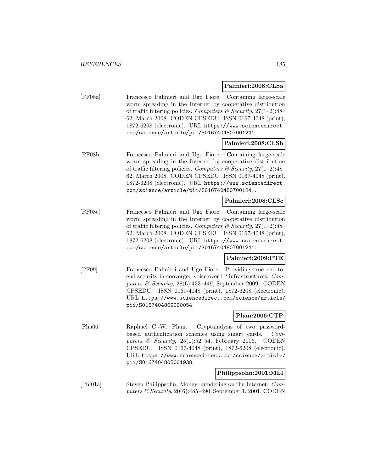### **Palmieri:2008:CLSa**

[PF08a] Francesco Palmieri and Ugo Fiore. Containing large-scale worm spreading in the Internet by cooperative distribution of traffic filtering policies. Computers & Security,  $27(1-2)$ : 48-62, March 2008. CODEN CPSEDU. ISSN 0167-4048 (print), 1872-6208 (electronic). URL https://www.sciencedirect. com/science/article/pii/S0167404807001241.

### **Palmieri:2008:CLSb**

[PF08b] Francesco Palmieri and Ugo Fiore. Containing large-scale worm spreading in the Internet by cooperative distribution of traffic filtering policies. Computers & Security,  $27(1-2)$ :48-62, March 2008. CODEN CPSEDU. ISSN 0167-4048 (print), 1872-6208 (electronic). URL https://www.sciencedirect. com/science/article/pii/S0167404807001241.

#### **Palmieri:2008:CLSc**

[PF08c] Francesco Palmieri and Ugo Fiore. Containing large-scale worm spreading in the Internet by cooperative distribution of traffic filtering policies. Computers & Security,  $27(1-2)$ : 48-62, March 2008. CODEN CPSEDU. ISSN 0167-4048 (print), 1872-6208 (electronic). URL https://www.sciencedirect. com/science/article/pii/S0167404807001241.

### **Palmieri:2009:PTE**

[PF09] Francesco Palmieri and Ugo Fiore. Providing true end-toend security in converged voice over IP infrastructures. Computers & Security, 28(6):433–449, September 2009. CODEN CPSEDU. ISSN 0167-4048 (print), 1872-6208 (electronic). URL https://www.sciencedirect.com/science/article/ pii/S0167404809000054.

# **Phan:2006:CTP**

[Pha06] Raphael C.-W. Phan. Cryptanalysis of two passwordbased authentication schemes using smart cards. Computers & Security,  $25(1):52-54$ , February 2006. CODEN CPSEDU. ISSN 0167-4048 (print), 1872-6208 (electronic). URL https://www.sciencedirect.com/science/article/ pii/S0167404805001938.

### **Philippsohn:2001:MLI**

[Phi01a] Steven Philippsohn. Money laundering on the Internet. Computers & Security, 20(6):485–490, September 1, 2001. CODEN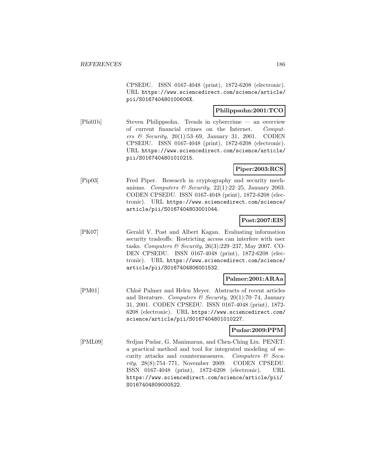CPSEDU. ISSN 0167-4048 (print), 1872-6208 (electronic). URL https://www.sciencedirect.com/science/article/ pii/S016740480100606X.

# **Philippsohn:2001:TCO**

[Phi01b] Steven Philippsohn. Trends in cybercrime — an overview of current financial crimes on the Internet. Computers & Security,  $20(1):53-69$ , January 31, 2001. CODEN CPSEDU. ISSN 0167-4048 (print), 1872-6208 (electronic). URL https://www.sciencedirect.com/science/article/ pii/S0167404801010215.

# **Piper:2003:RCS**

[Pip03] Fred Piper. Reseacrh in cryptography and security mechanisms. Computers & Security,  $22(1):22-25$ , January 2003. CODEN CPSEDU. ISSN 0167-4048 (print), 1872-6208 (electronic). URL https://www.sciencedirect.com/science/ article/pii/S0167404803001044.

# **Post:2007:EIS**

[PK07] Gerald V. Post and Albert Kagan. Evaluating information security tradeoffs: Restricting access can interfere with user tasks. Computers & Security, 26(3):229–237, May 2007. CO-DEN CPSEDU. ISSN 0167-4048 (print), 1872-6208 (electronic). URL https://www.sciencedirect.com/science/ article/pii/S0167404806001532.

### **Palmer:2001:ARAa**

[PM01] Chloë Palmer and Helen Meyer. Abstracts of recent articles and literature. Computers & Security, 20(1):70-74, January 31, 2001. CODEN CPSEDU. ISSN 0167-4048 (print), 1872- 6208 (electronic). URL https://www.sciencedirect.com/ science/article/pii/S0167404801010227.

### **Pudar:2009:PPM**

[PML09] Srdjan Pudar, G. Manimaran, and Chen-Ching Liu. PENET: a practical method and tool for integrated modeling of security attacks and countermeasures. Computers  $\mathcal{C}$  Security, 28(8):754–771, November 2009. CODEN CPSEDU. ISSN 0167-4048 (print), 1872-6208 (electronic). URL https://www.sciencedirect.com/science/article/pii/ S0167404809000522.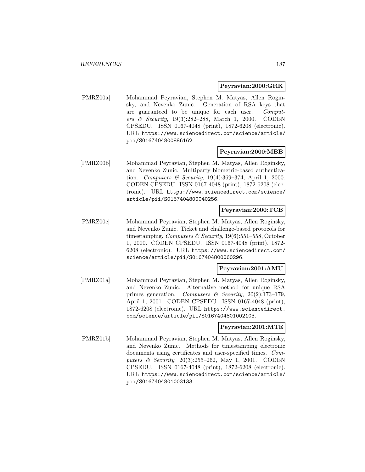#### **Peyravian:2000:GRK**

[PMRZ00a] Mohammad Peyravian, Stephen M. Matyas, Allen Roginsky, and Nevenko Zunic. Generation of RSA keys that are guaranteed to be unique for each user. Computers & Security, 19(3):282–288, March 1, 2000. CODEN CPSEDU. ISSN 0167-4048 (print), 1872-6208 (electronic). URL https://www.sciencedirect.com/science/article/ pii/S0167404800886162.

#### **Peyravian:2000:MBB**

[PMRZ00b] Mohammad Peyravian, Stephen M. Matyas, Allen Roginsky, and Nevenko Zunic. Multiparty biometric-based authentication. Computers & Security,  $19(4):369-374$ , April 1, 2000. CODEN CPSEDU. ISSN 0167-4048 (print), 1872-6208 (electronic). URL https://www.sciencedirect.com/science/ article/pii/S0167404800040256.

### **Peyravian:2000:TCB**

[PMRZ00c] Mohammad Peyravian, Stephen M. Matyas, Allen Roginsky, and Nevenko Zunic. Ticket and challenge-based protocols for timestamping. Computers & Security,  $19(6)$ :551–558, October 1, 2000. CODEN CPSEDU. ISSN 0167-4048 (print), 1872- 6208 (electronic). URL https://www.sciencedirect.com/ science/article/pii/S0167404800060296.

#### **Peyravian:2001:AMU**

[PMRZ01a] Mohammad Peyravian, Stephen M. Matyas, Allen Roginsky, and Nevenko Zunic. Alternative method for unique RSA primes generation. Computers & Security, 20(2):173–179, April 1, 2001. CODEN CPSEDU. ISSN 0167-4048 (print), 1872-6208 (electronic). URL https://www.sciencedirect. com/science/article/pii/S0167404801002103.

#### **Peyravian:2001:MTE**

[PMRZ01b] Mohammad Peyravian, Stephen M. Matyas, Allen Roginsky, and Nevenko Zunic. Methods for timestamping electronic documents using certificates and user-specified times. Computers & Security, 20(3):255–262, May 1, 2001. CODEN CPSEDU. ISSN 0167-4048 (print), 1872-6208 (electronic). URL https://www.sciencedirect.com/science/article/ pii/S0167404801003133.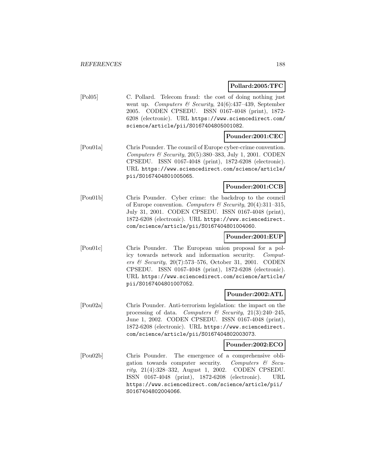# **Pollard:2005:TFC**

[Pol05] C. Pollard. Telecom fraud: the cost of doing nothing just went up. Computers & Security, 24(6):437–439, September 2005. CODEN CPSEDU. ISSN 0167-4048 (print), 1872- 6208 (electronic). URL https://www.sciencedirect.com/ science/article/pii/S0167404805001082.

# **Pounder:2001:CEC**

[Pou01a] Chris Pounder. The council of Europe cyber-crime convention. Computers & Security,  $20(5):380-383$ , July 1, 2001. CODEN CPSEDU. ISSN 0167-4048 (print), 1872-6208 (electronic). URL https://www.sciencedirect.com/science/article/ pii/S0167404801005065.

### **Pounder:2001:CCB**

[Pou01b] Chris Pounder. Cyber crime: the backdrop to the council of Europe convention. Computers & Security,  $20(4):311-315$ , July 31, 2001. CODEN CPSEDU. ISSN 0167-4048 (print), 1872-6208 (electronic). URL https://www.sciencedirect. com/science/article/pii/S0167404801004060.

# **Pounder:2001:EUP**

[Pou01c] Chris Pounder. The European union proposal for a policy towards network and information security. Computers & Security, 20(7):573–576, October 31, 2001. CODEN CPSEDU. ISSN 0167-4048 (print), 1872-6208 (electronic). URL https://www.sciencedirect.com/science/article/ pii/S0167404801007052.

### **Pounder:2002:ATL**

[Pou02a] Chris Pounder. Anti-terrorism legislation: the impact on the processing of data. Computers  $\mathcal B$  Security, 21(3):240–245, June 1, 2002. CODEN CPSEDU. ISSN 0167-4048 (print), 1872-6208 (electronic). URL https://www.sciencedirect. com/science/article/pii/S0167404802003073.

### **Pounder:2002:ECO**

[Pou02b] Chris Pounder. The emergence of a comprehensive obligation towards computer security. Computers  $\mathcal{C}$  Security, 21(4):328–332, August 1, 2002. CODEN CPSEDU. ISSN 0167-4048 (print), 1872-6208 (electronic). URL https://www.sciencedirect.com/science/article/pii/ S0167404802004066.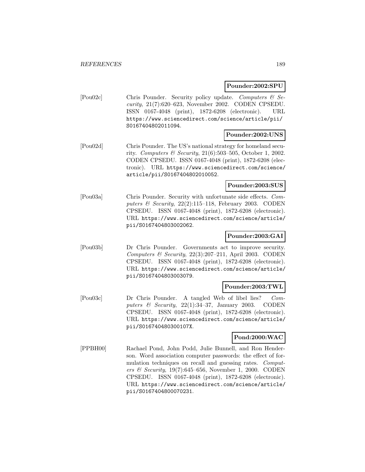### **Pounder:2002:SPU**

[Pou02c] Chris Pounder. Security policy update. Computers & Security, 21(7):620–623, November 2002. CODEN CPSEDU. ISSN 0167-4048 (print), 1872-6208 (electronic). URL https://www.sciencedirect.com/science/article/pii/ S0167404802011094.

### **Pounder:2002:UNS**

[Pou02d] Chris Pounder. The US's national strategy for homeland security. Computers & Security, 21(6):503–505, October 1, 2002. CODEN CPSEDU. ISSN 0167-4048 (print), 1872-6208 (electronic). URL https://www.sciencedirect.com/science/ article/pii/S0167404802010052.

#### **Pounder:2003:SUS**

[Pou03a] Chris Pounder. Security with unfortunate side effects. Computers & Security,  $22(2):115-118$ , February 2003. CODEN CPSEDU. ISSN 0167-4048 (print), 1872-6208 (electronic). URL https://www.sciencedirect.com/science/article/ pii/S0167404803002062.

# **Pounder:2003:GAI**

[Pou03b] Dr Chris Pounder. Governments act to improve security. Computers & Security,  $22(3):207-211$ , April 2003. CODEN CPSEDU. ISSN 0167-4048 (print), 1872-6208 (electronic). URL https://www.sciencedirect.com/science/article/ pii/S0167404803003079.

### **Pounder:2003:TWL**

[Pou03c] Dr Chris Pounder. A tangled Web of libel lies? Computers & Security,  $22(1):34-37$ , January 2003. CODEN CPSEDU. ISSN 0167-4048 (print), 1872-6208 (electronic). URL https://www.sciencedirect.com/science/article/ pii/S016740480300107X.

# **Pond:2000:WAC**

[PPBH00] Rachael Pond, John Podd, Julie Bunnell, and Ron Henderson. Word association computer passwords: the effect of formulation techniques on recall and guessing rates. Computers & Security, 19(7):645–656, November 1, 2000. CODEN CPSEDU. ISSN 0167-4048 (print), 1872-6208 (electronic). URL https://www.sciencedirect.com/science/article/ pii/S0167404800070231.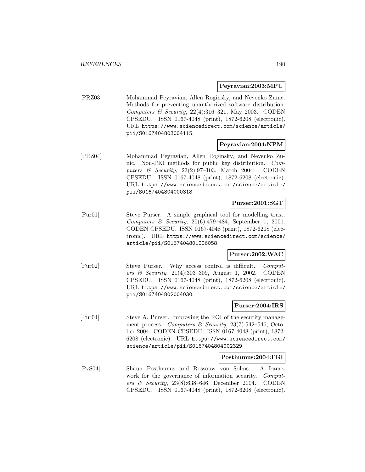#### **Peyravian:2003:MPU**

[PRZ03] Mohammad Peyravian, Allen Roginsky, and Nevenko Zunic. Methods for preventing unauthorized software distribution. Computers  $\mathcal B$  Security, 22(4):316-321, May 2003. CODEN CPSEDU. ISSN 0167-4048 (print), 1872-6208 (electronic). URL https://www.sciencedirect.com/science/article/ pii/S0167404803004115.

### **Peyravian:2004:NPM**

[PRZ04] Mohammad Peyravian, Allen Roginsky, and Nevenko Zunic. Non-PKI methods for public key distribution. Computers & Security, 23(2):97–103, March 2004. CODEN CPSEDU. ISSN 0167-4048 (print), 1872-6208 (electronic). URL https://www.sciencedirect.com/science/article/ pii/S0167404804000318.

### **Purser:2001:SGT**

[Pur01] Steve Purser. A simple graphical tool for modelling trust. Computers  $\mathcal C$  Security, 20(6):479–484, September 1, 2001. CODEN CPSEDU. ISSN 0167-4048 (print), 1872-6208 (electronic). URL https://www.sciencedirect.com/science/ article/pii/S0167404801006058.

#### **Purser:2002:WAC**

[Pur02] Steve Purser. Why access control is difficult. Computers & Security, 21(4):303–309, August 1, 2002. CODEN CPSEDU. ISSN 0167-4048 (print), 1872-6208 (electronic). URL https://www.sciencedirect.com/science/article/ pii/S0167404802004030.

### **Purser:2004:IRS**

[Pur04] Steve A. Purser. Improving the ROI of the security management process. Computers & Security, 23(7):542–546, October 2004. CODEN CPSEDU. ISSN 0167-4048 (print), 1872- 6208 (electronic). URL https://www.sciencedirect.com/ science/article/pii/S0167404804002329.

#### **Posthumus:2004:FGI**

[PvS04] Shaun Posthumus and Rossouw von Solms. A framework for the governance of information security. Computers & Security, 23(8):638–646, December 2004. CODEN CPSEDU. ISSN 0167-4048 (print), 1872-6208 (electronic).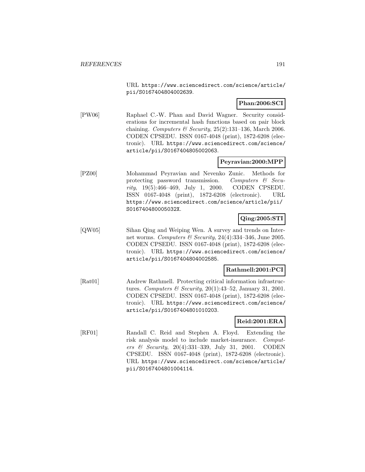URL https://www.sciencedirect.com/science/article/ pii/S0167404804002639.

### **Phan:2006:SCI**

[PW06] Raphael C.-W. Phan and David Wagner. Security considerations for incremental hash functions based on pair block chaining. Computers & Security,  $25(2):131-136$ , March 2006. CODEN CPSEDU. ISSN 0167-4048 (print), 1872-6208 (electronic). URL https://www.sciencedirect.com/science/ article/pii/S0167404805002063.

### **Peyravian:2000:MPP**

[PZ00] Mohammad Peyravian and Nevenko Zunic. Methods for protecting password transmission. Computers  $\mathcal{C}$  Security, 19(5):466–469, July 1, 2000. CODEN CPSEDU. ISSN 0167-4048 (print), 1872-6208 (electronic). URL https://www.sciencedirect.com/science/article/pii/ S016740480005032X.

### **Qing:2005:STI**

[QW05] Sihan Qing and Weiping Wen. A survey and trends on Internet worms. Computers & Security, 24(4):334–346, June 2005. CODEN CPSEDU. ISSN 0167-4048 (print), 1872-6208 (electronic). URL https://www.sciencedirect.com/science/ article/pii/S0167404804002585.

#### **Rathmell:2001:PCI**

[Rat01] Andrew Rathmell. Protecting critical information infrastructures. Computers & Security,  $20(1):43-52$ , January 31, 2001. CODEN CPSEDU. ISSN 0167-4048 (print), 1872-6208 (electronic). URL https://www.sciencedirect.com/science/ article/pii/S0167404801010203.

### **Reid:2001:ERA**

[RF01] Randall C. Reid and Stephen A. Floyd. Extending the risk analysis model to include market-insurance. Computers & Security, 20(4):331–339, July 31, 2001. CODEN CPSEDU. ISSN 0167-4048 (print), 1872-6208 (electronic). URL https://www.sciencedirect.com/science/article/ pii/S0167404801004114.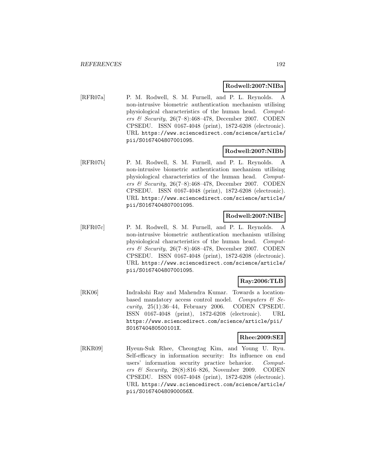#### **Rodwell:2007:NIBa**

[RFR07a] P. M. Rodwell, S. M. Furnell, and P. L. Reynolds. A non-intrusive biometric authentication mechanism utilising physiological characteristics of the human head. Computers & Security,  $26(7-8):468-478$ , December 2007. CODEN CPSEDU. ISSN 0167-4048 (print), 1872-6208 (electronic). URL https://www.sciencedirect.com/science/article/ pii/S0167404807001095.

#### **Rodwell:2007:NIBb**

[RFR07b] P. M. Rodwell, S. M. Furnell, and P. L. Reynolds. A non-intrusive biometric authentication mechanism utilising physiological characteristics of the human head. Computers & Security,  $26(7-8):468-478$ , December 2007. CODEN CPSEDU. ISSN 0167-4048 (print), 1872-6208 (electronic). URL https://www.sciencedirect.com/science/article/ pii/S0167404807001095.

### **Rodwell:2007:NIBc**

[RFR07c] P. M. Rodwell, S. M. Furnell, and P. L. Reynolds. A non-intrusive biometric authentication mechanism utilising physiological characteristics of the human head. Computers & Security, 26(7–8):468–478, December 2007. CODEN CPSEDU. ISSN 0167-4048 (print), 1872-6208 (electronic). URL https://www.sciencedirect.com/science/article/ pii/S0167404807001095.

# **Ray:2006:TLB**

[RK06] Indrakshi Ray and Mahendra Kumar. Towards a locationbased mandatory access control model. Computers & Se $curity$ , 25(1):36–44, February 2006. CODEN CPSEDU. ISSN 0167-4048 (print), 1872-6208 (electronic). URL https://www.sciencedirect.com/science/article/pii/ S016740480500101X.

# **Rhee:2009:SEI**

[RKR09] Hyeun-Suk Rhee, Cheongtag Kim, and Young U. Ryu. Self-efficacy in information security: Its influence on end users' information security practice behavior. Computers & Security, 28(8):816–826, November 2009. CODEN CPSEDU. ISSN 0167-4048 (print), 1872-6208 (electronic). URL https://www.sciencedirect.com/science/article/ pii/S016740480900056X.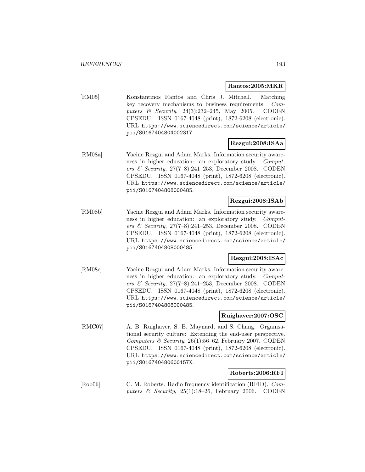### **Rantos:2005:MKR**

[RM05] Konstantinos Rantos and Chris J. Mitchell. Matching key recovery mechanisms to business requirements. Computers  $\&$  Security, 24(3):232-245, May 2005. CODEN CPSEDU. ISSN 0167-4048 (print), 1872-6208 (electronic). URL https://www.sciencedirect.com/science/article/ pii/S0167404804002317.

# **Rezgui:2008:ISAa**

[RM08a] Yacine Rezgui and Adam Marks. Information security awareness in higher education: an exploratory study. Computers & Security, 27(7–8):241–253, December 2008. CODEN CPSEDU. ISSN 0167-4048 (print), 1872-6208 (electronic). URL https://www.sciencedirect.com/science/article/ pii/S0167404808000485.

# **Rezgui:2008:ISAb**

[RM08b] Yacine Rezgui and Adam Marks. Information security awareness in higher education: an exploratory study. Computers & Security, 27(7–8):241–253, December 2008. CODEN CPSEDU. ISSN 0167-4048 (print), 1872-6208 (electronic). URL https://www.sciencedirect.com/science/article/ pii/S0167404808000485.

# **Rezgui:2008:ISAc**

[RM08c] Yacine Rezgui and Adam Marks. Information security awareness in higher education: an exploratory study. Computers & Security, 27(7–8):241–253, December 2008. CODEN CPSEDU. ISSN 0167-4048 (print), 1872-6208 (electronic). URL https://www.sciencedirect.com/science/article/ pii/S0167404808000485.

# **Ruighaver:2007:OSC**

[RMC07] A. B. Ruighaver, S. B. Maynard, and S. Chang. Organisational security culture: Extending the end-user perspective. Computers & Security, 26(1):56–62, February 2007. CODEN CPSEDU. ISSN 0167-4048 (print), 1872-6208 (electronic). URL https://www.sciencedirect.com/science/article/ pii/S016740480600157X.

# **Roberts:2006:RFI**

[Rob06] C. M. Roberts. Radio frequency identification (RFID). Computers  $\&$  Security, 25(1):18–26, February 2006. CODEN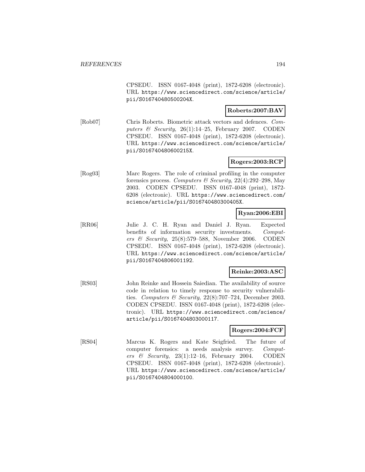CPSEDU. ISSN 0167-4048 (print), 1872-6208 (electronic). URL https://www.sciencedirect.com/science/article/ pii/S016740480500204X.

### **Roberts:2007:BAV**

[Rob07] Chris Roberts. Biometric attack vectors and defences. Computers & Security,  $26(1):14-25$ , February 2007. CODEN CPSEDU. ISSN 0167-4048 (print), 1872-6208 (electronic). URL https://www.sciencedirect.com/science/article/ pii/S016740480600215X.

# **Rogers:2003:RCP**

[Rog03] Marc Rogers. The role of criminal profiling in the computer forensics process. Computers & Security,  $22(4):292-298$ , May 2003. CODEN CPSEDU. ISSN 0167-4048 (print), 1872- 6208 (electronic). URL https://www.sciencedirect.com/ science/article/pii/S016740480300405X.

### **Ryan:2006:EBI**

[RR06] Julie J. C. H. Ryan and Daniel J. Ryan. Expected benefits of information security investments. Computers & Security, 25(8):579–588, November 2006. CODEN CPSEDU. ISSN 0167-4048 (print), 1872-6208 (electronic). URL https://www.sciencedirect.com/science/article/ pii/S0167404806001192.

## **Reinke:2003:ASC**

[RS03] John Reinke and Hossein Saiedian. The availability of source code in relation to timely response to security vulnerabilities. Computers & Security,  $22(8)$ :707-724, December 2003. CODEN CPSEDU. ISSN 0167-4048 (print), 1872-6208 (electronic). URL https://www.sciencedirect.com/science/ article/pii/S0167404803000117.

#### **Rogers:2004:FCF**

[RS04] Marcus K. Rogers and Kate Seigfried. The future of computer forensics: a needs analysis survey. Computers & Security,  $23(1):12-16$ , February 2004. CODEN CPSEDU. ISSN 0167-4048 (print), 1872-6208 (electronic). URL https://www.sciencedirect.com/science/article/ pii/S0167404804000100.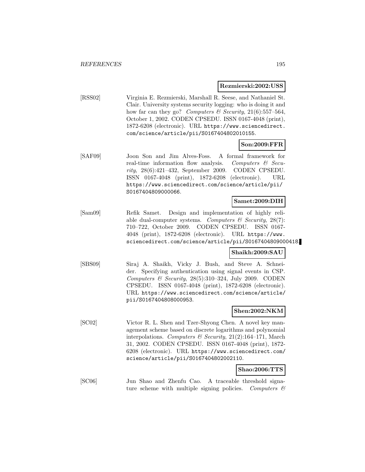#### **Rezmierski:2002:USS**

[RSS02] Virginia E. Rezmierski, Marshall R. Seese, and Nathaniel St. Clair. University systems security logging: who is doing it and how far can they go? Computers & Security,  $21(6):557-564$ , October 1, 2002. CODEN CPSEDU. ISSN 0167-4048 (print), 1872-6208 (electronic). URL https://www.sciencedirect. com/science/article/pii/S0167404802010155.

### **Son:2009:FFR**

[SAF09] Joon Son and Jim Alves-Foss. A formal framework for real-time information flow analysis. Computers  $\mathcal{C}$  Security, 28(6):421–432, September 2009. CODEN CPSEDU. ISSN 0167-4048 (print), 1872-6208 (electronic). URL https://www.sciencedirect.com/science/article/pii/ S0167404809000066.

#### **Samet:2009:DIH**

[Sam09] Refik Samet. Design and implementation of highly reliable dual-computer systems. Computers  $\mathcal C$  Security, 28(7): 710–722, October 2009. CODEN CPSEDU. ISSN 0167- 4048 (print), 1872-6208 (electronic). URL https://www. sciencedirect.com/science/article/pii/S0167404809000418.

#### **Shaikh:2009:SAU**

[SBS09] Siraj A. Shaikh, Vicky J. Bush, and Steve A. Schneider. Specifying authentication using signal events in CSP. Computers  $\mathcal B$  Security, 28(5):310-324, July 2009. CODEN CPSEDU. ISSN 0167-4048 (print), 1872-6208 (electronic). URL https://www.sciencedirect.com/science/article/ pii/S0167404808000953.

#### **Shen:2002:NKM**

[SC02] Victor R. L. Shen and Tzer-Shyong Chen. A novel key management scheme based on discrete logarithms and polynomial interpolations. Computers & Security, 21(2):164-171, March 31, 2002. CODEN CPSEDU. ISSN 0167-4048 (print), 1872- 6208 (electronic). URL https://www.sciencedirect.com/ science/article/pii/S0167404802002110.

#### **Shao:2006:TTS**

[SC06] Jun Shao and Zhenfu Cao. A traceable threshold signature scheme with multiple signing policies. Computers  $\mathcal{C}$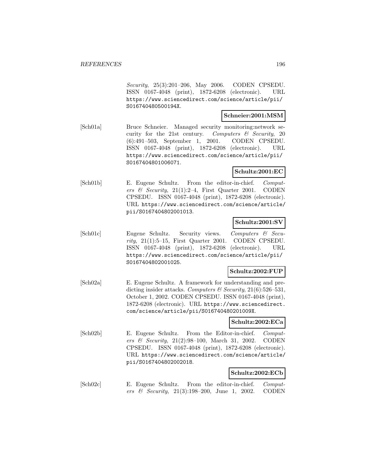Security, 25(3):201–206, May 2006. CODEN CPSEDU. ISSN 0167-4048 (print), 1872-6208 (electronic). URL https://www.sciencedirect.com/science/article/pii/ S016740480500194X.

#### **Schneier:2001:MSM**

[Sch01a] Bruce Schneier. Managed security monitoring:network security for the 21st century. Computers  $\mathcal C$  Security, 20 (6):491–503, September 1, 2001. CODEN CPSEDU. ISSN 0167-4048 (print), 1872-6208 (electronic). URL https://www.sciencedirect.com/science/article/pii/ S0167404801006071.

### **Schultz:2001:EC**

[Sch01b] E. Eugene Schultz. From the editor-in-chief. Computers & Security,  $21(1):2-4$ , First Quarter 2001. CODEN CPSEDU. ISSN 0167-4048 (print), 1872-6208 (electronic). URL https://www.sciencedirect.com/science/article/ pii/S0167404802001013.

### **Schultz:2001:SV**

[Sch01c] Eugene Schultz. Security views. Computers & Security,  $21(1):5-15$ , First Quarter 2001. CODEN CPSEDU. ISSN 0167-4048 (print), 1872-6208 (electronic). URL https://www.sciencedirect.com/science/article/pii/ S0167404802001025.

#### **Schultz:2002:FUP**

[Sch02a] E. Eugene Schultz. A framework for understanding and predicting insider attacks. Computers & Security,  $21(6)$ :526-531, October 1, 2002. CODEN CPSEDU. ISSN 0167-4048 (print), 1872-6208 (electronic). URL https://www.sciencedirect. com/science/article/pii/S016740480201009X.

#### **Schultz:2002:ECa**

[Sch02b] E. Eugene Schultz. From the Editor-in-chief. Computers & Security, 21(2):98–100, March 31, 2002. CODEN CPSEDU. ISSN 0167-4048 (print), 1872-6208 (electronic). URL https://www.sciencedirect.com/science/article/ pii/S0167404802002018.

#### **Schultz:2002:ECb**

[Sch02c] E. Eugene Schultz. From the editor-in-chief. Computers  $\&$  Security, 21(3):198-200, June 1, 2002. CODEN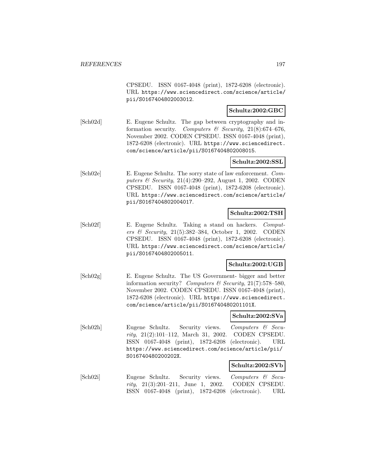CPSEDU. ISSN 0167-4048 (print), 1872-6208 (electronic). URL https://www.sciencedirect.com/science/article/ pii/S0167404802003012.

### **Schultz:2002:GBC**

[Sch02d] E. Eugene Schultz. The gap between cryptography and information security. Computers & Security,  $21(8):674-676$ , November 2002. CODEN CPSEDU. ISSN 0167-4048 (print), 1872-6208 (electronic). URL https://www.sciencedirect. com/science/article/pii/S0167404802008015.

#### **Schultz:2002:SSL**

[Sch02e] E. Eugene Schultz. The sorry state of law enforcement. Computers & Security, 21(4):290–292, August 1, 2002. CODEN CPSEDU. ISSN 0167-4048 (print), 1872-6208 (electronic). URL https://www.sciencedirect.com/science/article/ pii/S0167404802004017.

#### **Schultz:2002:TSH**

[Sch02f] E. Eugene Schultz. Taking a stand on hackers. Computers & Security, 21(5):382–384, October 1, 2002. CODEN CPSEDU. ISSN 0167-4048 (print), 1872-6208 (electronic). URL https://www.sciencedirect.com/science/article/ pii/S0167404802005011.

#### **Schultz:2002:UGB**

[Sch02g] E. Eugene Schultz. The US Government- bigger and better information security? Computers  $\mathcal C$  Security, 21(7):578-580, November 2002. CODEN CPSEDU. ISSN 0167-4048 (print), 1872-6208 (electronic). URL https://www.sciencedirect. com/science/article/pii/S016740480201101X.

#### **Schultz:2002:SVa**

[Sch02h] Eugene Schultz. Security views. Computers & Security, 21(2):101–112, March 31, 2002. CODEN CPSEDU. ISSN 0167-4048 (print), 1872-6208 (electronic). URL https://www.sciencedirect.com/science/article/pii/ S016740480200202X.

#### **Schultz:2002:SVb**

[Sch02i] Eugene Schultz. Security views. Computers & Security, 21(3):201–211, June 1, 2002. CODEN CPSEDU. ISSN 0167-4048 (print), 1872-6208 (electronic). URL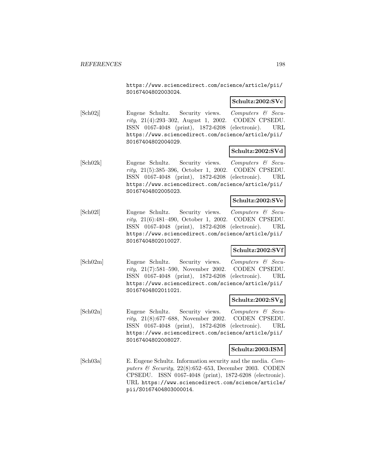https://www.sciencedirect.com/science/article/pii/ S0167404802003024.

#### **Schultz:2002:SVc**

[Sch02j] Eugene Schultz. Security views. Computers & Security, 21(4):293–302, August 1, 2002. CODEN CPSEDU. ISSN 0167-4048 (print), 1872-6208 (electronic). URL https://www.sciencedirect.com/science/article/pii/ S0167404802004029.

#### **Schultz:2002:SVd**

[Sch02k] Eugene Schultz. Security views. Computers & Security, 21(5):385–396, October 1, 2002. CODEN CPSEDU. ISSN 0167-4048 (print), 1872-6208 (electronic). URL https://www.sciencedirect.com/science/article/pii/ S0167404802005023.

#### **Schultz:2002:SVe**

[Sch02l] Eugene Schultz. Security views. Computers & Security, 21(6):481–490, October 1, 2002. CODEN CPSEDU. ISSN 0167-4048 (print), 1872-6208 (electronic). URL https://www.sciencedirect.com/science/article/pii/ S0167404802010027.

#### **Schultz:2002:SVf**

[Sch02m] Eugene Schultz. Security views. Computers & Security, 21(7):581–590, November 2002. CODEN CPSEDU. ISSN 0167-4048 (print), 1872-6208 (electronic). URL https://www.sciencedirect.com/science/article/pii/ S0167404802011021.

#### **Schultz:2002:SVg**

[Sch02n] Eugene Schultz. Security views. Computers & Security, 21(8):677–688, November 2002. CODEN CPSEDU. ISSN 0167-4048 (print), 1872-6208 (electronic). URL https://www.sciencedirect.com/science/article/pii/ S0167404802008027.

#### **Schultz:2003:ISM**

[Sch03a] E. Eugene Schultz. Information security and the media. Computers  $\&$  Security, 22(8):652–653, December 2003. CODEN CPSEDU. ISSN 0167-4048 (print), 1872-6208 (electronic). URL https://www.sciencedirect.com/science/article/ pii/S0167404803000014.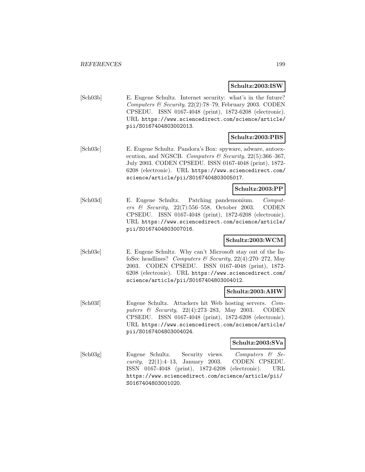#### **Schultz:2003:ISW**

[Sch03b] E. Eugene Schultz. Internet security: what's in the future? Computers & Security,  $22(2)$ :78-79, February 2003. CODEN CPSEDU. ISSN 0167-4048 (print), 1872-6208 (electronic). URL https://www.sciencedirect.com/science/article/ pii/S0167404803002013.

# **Schultz:2003:PBS**

[Sch03c] E. Eugene Schultz. Pandora's Box: spyware, adware, autoexecution, and NGSCB. Computers & Security,  $22(5):366-367$ , July 2003. CODEN CPSEDU. ISSN 0167-4048 (print), 1872- 6208 (electronic). URL https://www.sciencedirect.com/ science/article/pii/S0167404803005017.

### **Schultz:2003:PP**

[Sch03d] E. Eugene Schultz. Patching pandemonium. Computers & Security, 22(7):556–558, October 2003. CODEN CPSEDU. ISSN 0167-4048 (print), 1872-6208 (electronic). URL https://www.sciencedirect.com/science/article/ pii/S0167404803007016.

### **Schultz:2003:WCM**

[Sch03e] E. Eugene Schultz. Why can't Microsoft stay out of the InfoSec headlines? Computers & Security,  $22(4):270-272$ , May 2003. CODEN CPSEDU. ISSN 0167-4048 (print), 1872- 6208 (electronic). URL https://www.sciencedirect.com/ science/article/pii/S0167404803004012.

#### **Schultz:2003:AHW**

[Sch03f] Eugene Schultz. Attackers hit Web hosting servers. Computers & Security, 22(4):273–283, May 2003. CODEN CPSEDU. ISSN 0167-4048 (print), 1872-6208 (electronic). URL https://www.sciencedirect.com/science/article/ pii/S0167404803004024.

#### **Schultz:2003:SVa**

[Sch03g] Eugene Schultz. Security views. Computers & Se $curity, 22(1):4-13, January 2003. CODEN CPSEDU.$ ISSN 0167-4048 (print), 1872-6208 (electronic). URL https://www.sciencedirect.com/science/article/pii/ S0167404803001020.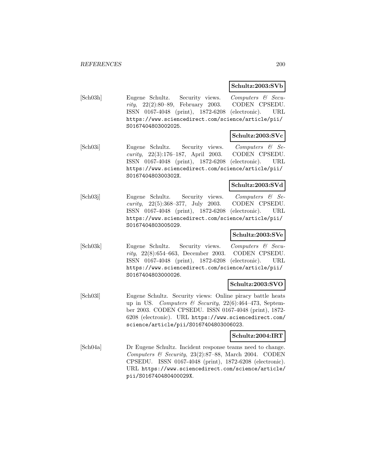# **Schultz:2003:SVb**

[Sch03h] Eugene Schultz. Security views. Computers & Security, 22(2):80–89, February 2003. CODEN CPSEDU. ISSN 0167-4048 (print), 1872-6208 (electronic). URL https://www.sciencedirect.com/science/article/pii/ S0167404803002025.

### **Schultz:2003:SVc**

[Sch03i] Eugene Schultz. Security views. Computers & Security, 22(3):176–187, April 2003. CODEN CPSEDU. ISSN 0167-4048 (print), 1872-6208 (electronic). URL https://www.sciencedirect.com/science/article/pii/ S016740480300302X.

#### **Schultz:2003:SVd**

[Sch03j] Eugene Schultz. Security views. Computers & Security, 22(5):368–377, July 2003. CODEN CPSEDU. ISSN 0167-4048 (print), 1872-6208 (electronic). URL https://www.sciencedirect.com/science/article/pii/ S0167404803005029.

# **Schultz:2003:SVe**

[Sch03k] Eugene Schultz. Security views. Computers & Security, 22(8):654–663, December 2003. CODEN CPSEDU. ISSN 0167-4048 (print), 1872-6208 (electronic). URL https://www.sciencedirect.com/science/article/pii/ S0167404803000026.

### **Schultz:2003:SVO**

[Sch03l] Eugene Schultz. Security views: Online piracy battle heats up in US. Computers & Security,  $22(6)$ :464-473, September 2003. CODEN CPSEDU. ISSN 0167-4048 (print), 1872- 6208 (electronic). URL https://www.sciencedirect.com/ science/article/pii/S0167404803006023.

#### **Schultz:2004:IRT**

[Sch04a] Dr Eugene Schultz. Incident response teams need to change. Computers & Security,  $23(2):87-88$ , March 2004. CODEN CPSEDU. ISSN 0167-4048 (print), 1872-6208 (electronic). URL https://www.sciencedirect.com/science/article/ pii/S016740480400029X.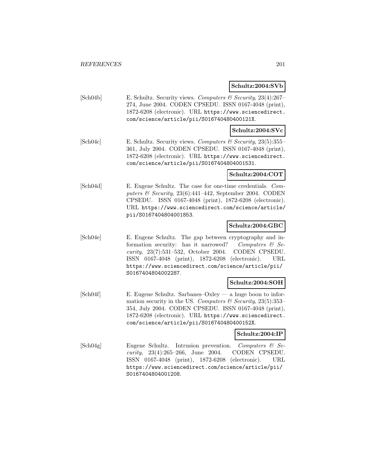### **Schultz:2004:SVb**

[Sch04b] E. Schultz. Security views. Computers & Security, 23(4):267– 274, June 2004. CODEN CPSEDU. ISSN 0167-4048 (print), 1872-6208 (electronic). URL https://www.sciencedirect. com/science/article/pii/S016740480400121X.

### **Schultz:2004:SVc**

[Sch04c] E. Schultz. Security views. Computers & Security, 23(5):355– 361, July 2004. CODEN CPSEDU. ISSN 0167-4048 (print), 1872-6208 (electronic). URL https://www.sciencedirect. com/science/article/pii/S0167404804001531.

#### **Schultz:2004:COT**

[Sch04d] E. Eugene Schultz. The case for one-time credentials. Computers & Security,  $23(6):441-442$ , September 2004. CODEN CPSEDU. ISSN 0167-4048 (print), 1872-6208 (electronic). URL https://www.sciencedirect.com/science/article/ pii/S0167404804001853.

### **Schultz:2004:GBC**

[Sch04e] E. Eugene Schultz. The gap between cryptography and information security: has it narrowed? Computers  $\mathcal{C}$  Security, 23(7):531–532, October 2004. CODEN CPSEDU. ISSN 0167-4048 (print), 1872-6208 (electronic). URL https://www.sciencedirect.com/science/article/pii/ S0167404804002287.

#### **Schultz:2004:SOH**

[Sch04f] E. Eugene Schultz. Sarbanes–Oxley — a huge boon to information security in the US. Computers  $\mathcal C$  Security, 23(5):353– 354, July 2004. CODEN CPSEDU. ISSN 0167-4048 (print), 1872-6208 (electronic). URL https://www.sciencedirect. com/science/article/pii/S016740480400152X.

# **Schultz:2004:IP**

[Sch04g] Eugene Schultz. Intrusion prevention. Computers & Security, 23(4):265–266, June 2004. CODEN CPSEDU. ISSN 0167-4048 (print), 1872-6208 (electronic). URL https://www.sciencedirect.com/science/article/pii/ S0167404804001208.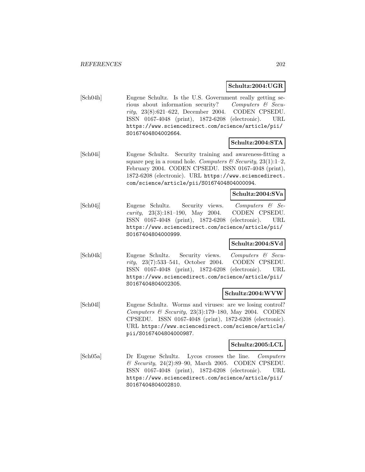### **Schultz:2004:UGR**

[Sch04h] Eugene Schultz. Is the U.S. Government really getting serious about information security? Computers & Security, 23(8):621–622, December 2004. CODEN CPSEDU. ISSN 0167-4048 (print), 1872-6208 (electronic). URL https://www.sciencedirect.com/science/article/pii/ S0167404804002664.

# **Schultz:2004:STA**

[Sch04i] Eugene Schultz. Security training and awareness-fitting a square peg in a round hole. Computers & Security,  $23(1)$ :1–2, February 2004. CODEN CPSEDU. ISSN 0167-4048 (print), 1872-6208 (electronic). URL https://www.sciencedirect. com/science/article/pii/S0167404804000094.

### **Schultz:2004:SVa**

[Sch04j] Eugene Schultz. Security views. Computers & Security, 23(3):181–190, May 2004. CODEN CPSEDU. ISSN 0167-4048 (print), 1872-6208 (electronic). URL https://www.sciencedirect.com/science/article/pii/ S0167404804000999.

### **Schultz:2004:SVd**

[Sch04k] Eugene Schultz. Security views. Computers & Security, 23(7):533–541, October 2004. CODEN CPSEDU. ISSN 0167-4048 (print), 1872-6208 (electronic). URL https://www.sciencedirect.com/science/article/pii/ S0167404804002305.

#### **Schultz:2004:WVW**

[Sch04l] Eugene Schultz. Worms and viruses: are we losing control? Computers & Security,  $23(3):179-180$ , May 2004. CODEN CPSEDU. ISSN 0167-4048 (print), 1872-6208 (electronic). URL https://www.sciencedirect.com/science/article/ pii/S0167404804000987.

### **Schultz:2005:LCL**

[Sch05a] Dr Eugene Schultz. Lycos crosses the line. Computers & Security, 24(2):89–90, March 2005. CODEN CPSEDU. ISSN 0167-4048 (print), 1872-6208 (electronic). URL https://www.sciencedirect.com/science/article/pii/ S0167404804002810.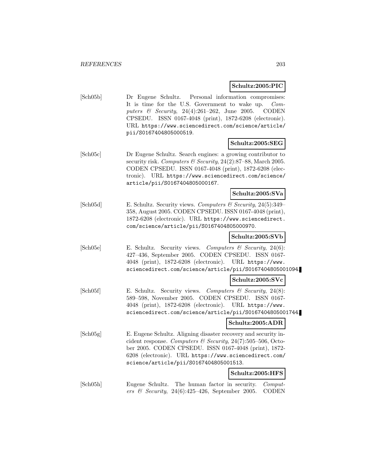#### **Schultz:2005:PIC**

[Sch05b] Dr Eugene Schultz. Personal information compromises: It is time for the U.S. Government to wake up. Computers  $\&$  Security, 24(4):261–262, June 2005. CODEN CPSEDU. ISSN 0167-4048 (print), 1872-6208 (electronic). URL https://www.sciencedirect.com/science/article/ pii/S0167404805000519.

### **Schultz:2005:SEG**

[Sch05c] Dr Eugene Schultz. Search engines: a growing contributor to security risk. Computers  $\mathcal C$  Security, 24(2):87–88, March 2005. CODEN CPSEDU. ISSN 0167-4048 (print), 1872-6208 (electronic). URL https://www.sciencedirect.com/science/ article/pii/S0167404805000167.

#### **Schultz:2005:SVa**

[Sch05d] E. Schultz. Security views. Computers & Security, 24(5):349– 358, August 2005. CODEN CPSEDU. ISSN 0167-4048 (print), 1872-6208 (electronic). URL https://www.sciencedirect. com/science/article/pii/S0167404805000970.

### **Schultz:2005:SVb**

 $[\text{Sch05e}]$  E. Schultz. Security views. Computers & Security, 24(6): 427–436, September 2005. CODEN CPSEDU. ISSN 0167- 4048 (print), 1872-6208 (electronic). URL https://www. sciencedirect.com/science/article/pii/S0167404805001094.

#### **Schultz:2005:SVc**

[Sch05f] E. Schultz. Security views. Computers & Security, 24(8): 589–598, November 2005. CODEN CPSEDU. ISSN 0167- 4048 (print), 1872-6208 (electronic). URL https://www. sciencedirect.com/science/article/pii/S0167404805001744.

#### **Schultz:2005:ADR**

[Sch05g] E. Eugene Schultz. Aligning disaster recovery and security incident response. Computers & Security,  $24(7)$ :505-506, October 2005. CODEN CPSEDU. ISSN 0167-4048 (print), 1872- 6208 (electronic). URL https://www.sciencedirect.com/ science/article/pii/S0167404805001513.

#### **Schultz:2005:HFS**

[Sch05h] Eugene Schultz. The human factor in security. Computers & Security, 24(6):425–426, September 2005. CODEN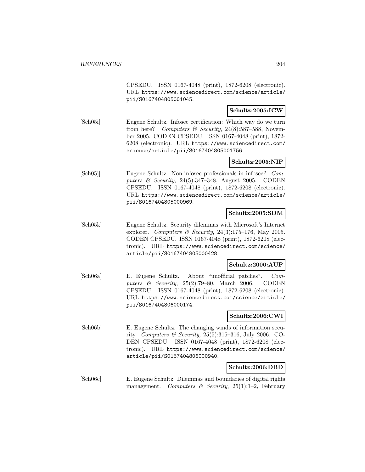CPSEDU. ISSN 0167-4048 (print), 1872-6208 (electronic). URL https://www.sciencedirect.com/science/article/ pii/S0167404805001045.

### **Schultz:2005:ICW**

[Sch05i] Eugene Schultz. Infosec certification: Which way do we turn from here? Computers & Security,  $24(8):587-588$ , November 2005. CODEN CPSEDU. ISSN 0167-4048 (print), 1872- 6208 (electronic). URL https://www.sciencedirect.com/ science/article/pii/S0167404805001756.

### **Schultz:2005:NIP**

[Sch05j] Eugene Schultz. Non-infosec professionals in infosec? Computers  $\mathcal C$  Security, 24(5):347–348, August 2005. CODEN CPSEDU. ISSN 0167-4048 (print), 1872-6208 (electronic). URL https://www.sciencedirect.com/science/article/ pii/S0167404805000969.

#### **Schultz:2005:SDM**

[Sch05k] Eugene Schultz. Security dilemmas with Microsoft's Internet explorer. Computers & Security, 24(3):175-176, May 2005. CODEN CPSEDU. ISSN 0167-4048 (print), 1872-6208 (electronic). URL https://www.sciencedirect.com/science/ article/pii/S0167404805000428.

#### **Schultz:2006:AUP**

[Sch06a] E. Eugene Schultz. About "unofficial patches". Computers & Security, 25(2):79-80, March 2006. CODEN CPSEDU. ISSN 0167-4048 (print), 1872-6208 (electronic). URL https://www.sciencedirect.com/science/article/ pii/S0167404806000174.

#### **Schultz:2006:CWI**

[Sch06b] E. Eugene Schultz. The changing winds of information security. Computers & Security,  $25(5):315-316$ , July 2006. CO-DEN CPSEDU. ISSN 0167-4048 (print), 1872-6208 (electronic). URL https://www.sciencedirect.com/science/ article/pii/S0167404806000940.

#### **Schultz:2006:DBD**

[Sch06c] E. Eugene Schultz. Dilemmas and boundaries of digital rights management. Computers & Security, 25(1):1-2, February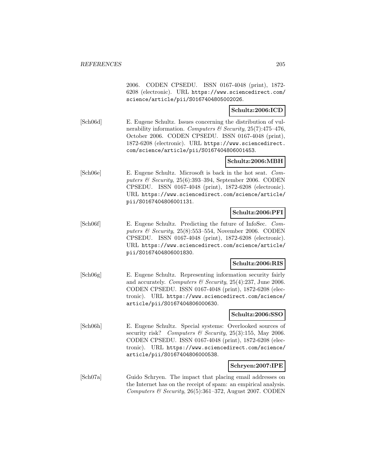2006. CODEN CPSEDU. ISSN 0167-4048 (print), 1872- 6208 (electronic). URL https://www.sciencedirect.com/ science/article/pii/S0167404805002026.

### **Schultz:2006:ICD**

[Sch06d] E. Eugene Schultz. Issues concerning the distribution of vulnerability information. Computers & Security,  $25(7)$ :475-476, October 2006. CODEN CPSEDU. ISSN 0167-4048 (print), 1872-6208 (electronic). URL https://www.sciencedirect. com/science/article/pii/S0167404806001453.

### **Schultz:2006:MBH**

[Sch06e] E. Eugene Schultz. Microsoft is back in the hot seat. Computers  $\&$  Security, 25(6):393-394, September 2006. CODEN CPSEDU. ISSN 0167-4048 (print), 1872-6208 (electronic). URL https://www.sciencedirect.com/science/article/ pii/S0167404806001131.

### **Schultz:2006:PFI**

[Sch06f] E. Eugene Schultz. Predicting the future of InfoSec. Computers  $\mathcal B$  Security, 25(8):553–554, November 2006. CODEN CPSEDU. ISSN 0167-4048 (print), 1872-6208 (electronic). URL https://www.sciencedirect.com/science/article/ pii/S0167404806001830.

### **Schultz:2006:RIS**

[Sch06g] E. Eugene Schultz. Representing information security fairly and accurately. Computers  $\mathcal C$  Security, 25(4):237, June 2006. CODEN CPSEDU. ISSN 0167-4048 (print), 1872-6208 (electronic). URL https://www.sciencedirect.com/science/ article/pii/S0167404806000630.

### **Schultz:2006:SSO**

[Sch06h] E. Eugene Schultz. Special systems: Overlooked sources of security risk? Computers & Security, 25(3):155, May 2006. CODEN CPSEDU. ISSN 0167-4048 (print), 1872-6208 (electronic). URL https://www.sciencedirect.com/science/ article/pii/S0167404806000538.

### **Schryen:2007:IPE**

[Sch07a] Guido Schryen. The impact that placing email addresses on the Internet has on the receipt of spam: an empirical analysis. Computers & Security,  $26(5):361-372$ , August 2007. CODEN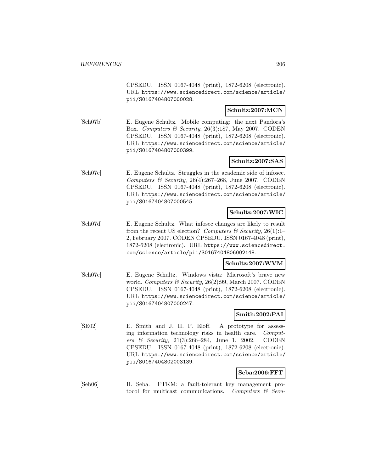CPSEDU. ISSN 0167-4048 (print), 1872-6208 (electronic). URL https://www.sciencedirect.com/science/article/ pii/S0167404807000028.

### **Schultz:2007:MCN**

[Sch07b] E. Eugene Schultz. Mobile computing: the next Pandora's Box. Computers & Security, 26(3):187, May 2007. CODEN CPSEDU. ISSN 0167-4048 (print), 1872-6208 (electronic). URL https://www.sciencedirect.com/science/article/ pii/S0167404807000399.

# **Schultz:2007:SAS**

[Sch07c] E. Eugene Schultz. Struggles in the academic side of infosec. Computers & Security, 26(4):267-268, June 2007. CODEN CPSEDU. ISSN 0167-4048 (print), 1872-6208 (electronic). URL https://www.sciencedirect.com/science/article/ pii/S0167404807000545.

## **Schultz:2007:WIC**

[Sch07d] E. Eugene Schultz. What infosec changes are likely to result from the recent US election? Computers  $\mathcal{B}$  Security, 26(1):1– 2, February 2007. CODEN CPSEDU. ISSN 0167-4048 (print), 1872-6208 (electronic). URL https://www.sciencedirect. com/science/article/pii/S0167404806002148.

### **Schultz:2007:WVM**

[Sch07e] E. Eugene Schultz. Windows vista: Microsoft's brave new world. Computers & Security, 26(2):99, March 2007. CODEN CPSEDU. ISSN 0167-4048 (print), 1872-6208 (electronic). URL https://www.sciencedirect.com/science/article/ pii/S0167404807000247.

# **Smith:2002:PAI**

[SE02] E. Smith and J. H. P. Eloff. A prototype for assessing information technology risks in health care. Computers & Security, 21(3):266–284, June 1, 2002. CODEN CPSEDU. ISSN 0167-4048 (print), 1872-6208 (electronic). URL https://www.sciencedirect.com/science/article/ pii/S0167404802003139.

# **Seba:2006:FFT**

[Seb06] H. Seba. FTKM: a fault-tolerant key management protocol for multicast communications. Computers  $\mathcal{B}$  Secu-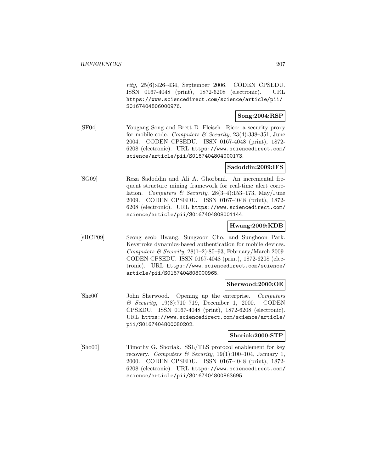rity, 25(6):426–434, September 2006. CODEN CPSEDU. ISSN 0167-4048 (print), 1872-6208 (electronic). URL https://www.sciencedirect.com/science/article/pii/ S0167404806000976.

### **Song:2004:RSP**

[SF04] Yougang Song and Brett D. Fleisch. Rico: a security proxy for mobile code. Computers & Security,  $23(4):338-351$ , June 2004. CODEN CPSEDU. ISSN 0167-4048 (print), 1872- 6208 (electronic). URL https://www.sciencedirect.com/ science/article/pii/S0167404804000173.

# **Sadoddin:2009:IFS**

[SG09] Reza Sadoddin and Ali A. Ghorbani. An incremental frequent structure mining framework for real-time alert correlation. Computers & Security,  $28(3-4):153-173$ , May/June 2009. CODEN CPSEDU. ISSN 0167-4048 (print), 1872- 6208 (electronic). URL https://www.sciencedirect.com/ science/article/pii/S0167404808001144.

#### **Hwang:2009:KDB**

[sHCP09] Seong seob Hwang, Sungzoon Cho, and Sunghoon Park. Keystroke dynamics-based authentication for mobile devices. Computers & Security,  $28(1-2):85-93$ , February/March 2009. CODEN CPSEDU. ISSN 0167-4048 (print), 1872-6208 (electronic). URL https://www.sciencedirect.com/science/ article/pii/S0167404808000965.

### **Sherwood:2000:OE**

[She00] John Sherwood. Opening up the enterprise. Computers & Security, 19(8):710–719, December 1, 2000. CODEN CPSEDU. ISSN 0167-4048 (print), 1872-6208 (electronic). URL https://www.sciencedirect.com/science/article/ pii/S0167404800080202.

#### **Shoriak:2000:STP**

[Sho00] Timothy G. Shoriak. SSL/TLS protocol enablement for key recovery. Computers & Security, 19(1):100-104, January 1, 2000. CODEN CPSEDU. ISSN 0167-4048 (print), 1872- 6208 (electronic). URL https://www.sciencedirect.com/ science/article/pii/S0167404800863695.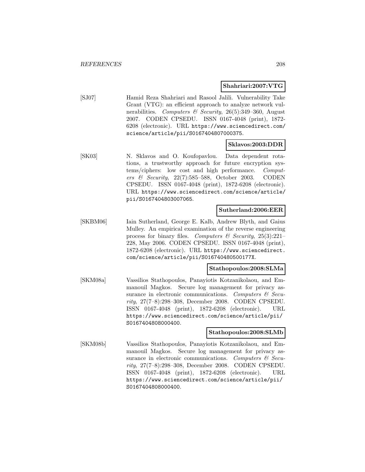#### **Shahriari:2007:VTG**

[SJ07] Hamid Reza Shahriari and Rasool Jalili. Vulnerability Take Grant (VTG): an efficient approach to analyze network vulnerabilities. Computers & Security, 26(5):349-360, August 2007. CODEN CPSEDU. ISSN 0167-4048 (print), 1872- 6208 (electronic). URL https://www.sciencedirect.com/ science/article/pii/S0167404807000375.

### **Sklavos:2003:DDR**

[SK03] N. Sklavos and O. Koufopavlou. Data dependent rotations, a trustworthy approach for future encryption systems/ciphers: low cost and high performance. Computers & Security, 22(7):585–588, October 2003. CODEN CPSEDU. ISSN 0167-4048 (print), 1872-6208 (electronic). URL https://www.sciencedirect.com/science/article/ pii/S0167404803007065.

### **Sutherland:2006:EER**

[SKBM06] Iain Sutherland, George E. Kalb, Andrew Blyth, and Gaius Mulley. An empirical examination of the reverse engineering process for binary files. Computers & Security,  $25(3):221-$ 228, May 2006. CODEN CPSEDU. ISSN 0167-4048 (print), 1872-6208 (electronic). URL https://www.sciencedirect. com/science/article/pii/S016740480500177X.

#### **Stathopoulos:2008:SLMa**

[SKM08a] Vassilios Stathopoulos, Panayiotis Kotzanikolaou, and Emmanouil Magkos. Secure log management for privacy assurance in electronic communications. Computers  $\mathcal{C}$  Security, 27(7–8):298–308, December 2008. CODEN CPSEDU. ISSN 0167-4048 (print), 1872-6208 (electronic). URL https://www.sciencedirect.com/science/article/pii/ S0167404808000400.

#### **Stathopoulos:2008:SLMb**

[SKM08b] Vassilios Stathopoulos, Panayiotis Kotzanikolaou, and Emmanouil Magkos. Secure log management for privacy assurance in electronic communications. Computers  $\mathcal{B}$  Security, 27(7–8):298–308, December 2008. CODEN CPSEDU. ISSN 0167-4048 (print), 1872-6208 (electronic). URL https://www.sciencedirect.com/science/article/pii/ S0167404808000400.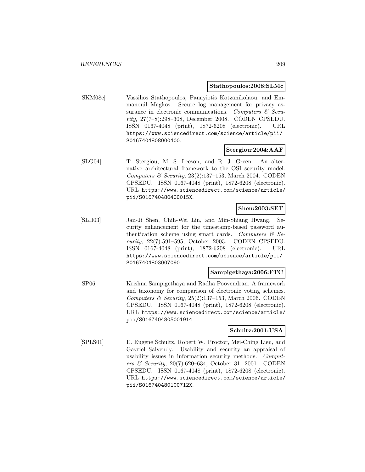#### **Stathopoulos:2008:SLMc**

[SKM08c] Vassilios Stathopoulos, Panayiotis Kotzanikolaou, and Emmanouil Magkos. Secure log management for privacy assurance in electronic communications. Computers  $\mathcal{C}$  Security, 27(7–8):298–308, December 2008. CODEN CPSEDU. ISSN 0167-4048 (print), 1872-6208 (electronic). URL https://www.sciencedirect.com/science/article/pii/ S0167404808000400.

### **Stergiou:2004:AAF**

[SLG04] T. Stergiou, M. S. Leeson, and R. J. Green. An alternative architectural framework to the OSI security model. Computers & Security,  $23(2):137-153$ , March 2004. CODEN CPSEDU. ISSN 0167-4048 (print), 1872-6208 (electronic). URL https://www.sciencedirect.com/science/article/ pii/S016740480400015X.

# **Shen:2003:SET**

[SLH03] Jau-Ji Shen, Chih-Wei Lin, and Min-Shiang Hwang. Security enhancement for the timestamp-based password authentication scheme using smart cards. Computers  $\mathcal{C}$  Security, 22(7):591–595, October 2003. CODEN CPSEDU. ISSN 0167-4048 (print), 1872-6208 (electronic). URL https://www.sciencedirect.com/science/article/pii/ S0167404803007090.

#### **Sampigethaya:2006:FTC**

[SP06] Krishna Sampigethaya and Radha Poovendran. A framework and taxonomy for comparison of electronic voting schemes. Computers & Security,  $25(2):137-153$ , March 2006. CODEN CPSEDU. ISSN 0167-4048 (print), 1872-6208 (electronic). URL https://www.sciencedirect.com/science/article/ pii/S0167404805001914.

### **Schultz:2001:USA**

[SPLS01] E. Eugene Schultz, Robert W. Proctor, Mei-Ching Lien, and Gavriel Salvendy. Usability and security an appraisal of usability issues in information security methods. Computers & Security, 20(7):620–634, October 31, 2001. CODEN CPSEDU. ISSN 0167-4048 (print), 1872-6208 (electronic). URL https://www.sciencedirect.com/science/article/ pii/S016740480100712X.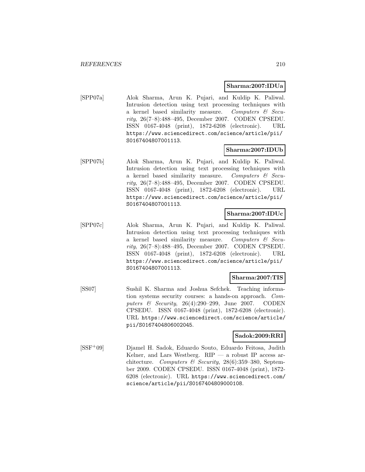#### **Sharma:2007:IDUa**

[SPP07a] Alok Sharma, Arun K. Pujari, and Kuldip K. Paliwal. Intrusion detection using text processing techniques with a kernel based similarity measure. Computers & Security, 26(7–8):488–495, December 2007. CODEN CPSEDU. ISSN 0167-4048 (print), 1872-6208 (electronic). URL https://www.sciencedirect.com/science/article/pii/ S0167404807001113.

### **Sharma:2007:IDUb**

[SPP07b] Alok Sharma, Arun K. Pujari, and Kuldip K. Paliwal. Intrusion detection using text processing techniques with a kernel based similarity measure. Computers  $\mathcal{C}$  Security, 26(7–8):488–495, December 2007. CODEN CPSEDU. ISSN 0167-4048 (print), 1872-6208 (electronic). URL https://www.sciencedirect.com/science/article/pii/ S0167404807001113.

### **Sharma:2007:IDUc**

[SPP07c] Alok Sharma, Arun K. Pujari, and Kuldip K. Paliwal. Intrusion detection using text processing techniques with a kernel based similarity measure. Computers & Security, 26(7–8):488–495, December 2007. CODEN CPSEDU. ISSN 0167-4048 (print), 1872-6208 (electronic). URL https://www.sciencedirect.com/science/article/pii/ S0167404807001113.

#### **Sharma:2007:TIS**

[SS07] Sushil K. Sharma and Joshua Sefchek. Teaching information systems security courses: a hands-on approach. Computers & Security, 26(4):290–299, June 2007. CODEN CPSEDU. ISSN 0167-4048 (print), 1872-6208 (electronic). URL https://www.sciencedirect.com/science/article/ pii/S0167404806002045.

#### **Sadok:2009:RRI**

[SSF<sup>+</sup>09] Djamel H. Sadok, Eduardo Souto, Eduardo Feitosa, Judith Kelner, and Lars Westberg.  $RIP - a$  robust IP access architecture. Computers & Security, 28(6):359-380, September 2009. CODEN CPSEDU. ISSN 0167-4048 (print), 1872- 6208 (electronic). URL https://www.sciencedirect.com/ science/article/pii/S0167404809000108.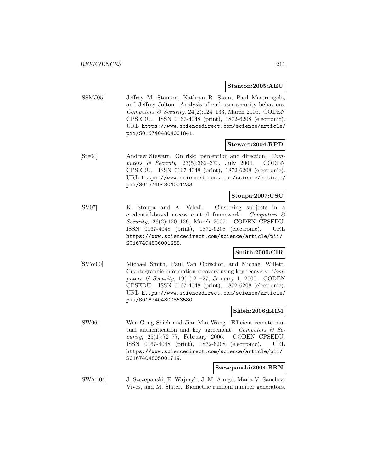#### **Stanton:2005:AEU**

[SSMJ05] Jeffrey M. Stanton, Kathryn R. Stam, Paul Mastrangelo, and Jeffrey Jolton. Analysis of end user security behaviors. Computers & Security, 24(2):124-133, March 2005. CODEN CPSEDU. ISSN 0167-4048 (print), 1872-6208 (electronic). URL https://www.sciencedirect.com/science/article/ pii/S0167404804001841.

#### **Stewart:2004:RPD**

[Ste04] Andrew Stewart. On risk: perception and direction. Computers & Security, 23(5):362–370, July 2004. CODEN CPSEDU. ISSN 0167-4048 (print), 1872-6208 (electronic). URL https://www.sciencedirect.com/science/article/ pii/S0167404804001233.

# **Stoupa:2007:CSC**

[SV07] K. Stoupa and A. Vakali. Clustering subjects in a credential-based access control framework. Computers & Security, 26(2):120–129, March 2007. CODEN CPSEDU. ISSN 0167-4048 (print), 1872-6208 (electronic). URL https://www.sciencedirect.com/science/article/pii/ S0167404806001258.

### **Smith:2000:CIR**

[SVW00] Michael Smith, Paul Van Oorschot, and Michael Willett. Cryptographic information recovery using key recovery. Computers  $\mathcal B$  Security, 19(1):21–27, January 1, 2000. CODEN CPSEDU. ISSN 0167-4048 (print), 1872-6208 (electronic). URL https://www.sciencedirect.com/science/article/ pii/S0167404800863580.

#### **Shieh:2006:ERM**

[SW06] Wen-Gong Shieh and Jian-Min Wang. Efficient remote mutual authentication and key agreement. Computers  $\mathcal{C}$  Security, 25(1):72–77, February 2006. CODEN CPSEDU. ISSN 0167-4048 (print), 1872-6208 (electronic). URL https://www.sciencedirect.com/science/article/pii/ S0167404805001719.

#### **Szczepanski:2004:BRN**

[SWA+04] J. Szczepanski, E. Wajnryb, J. M. Amigó, Maria V. Sanchez-Vives, and M. Slater. Biometric random number generators.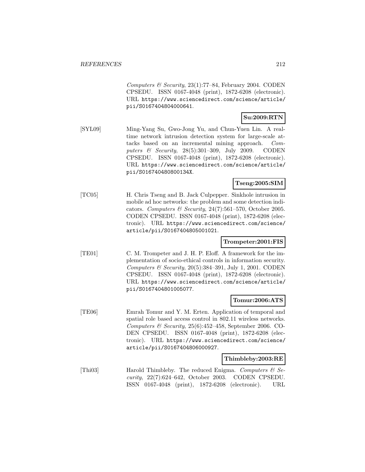Computers & Security,  $23(1)$ :77-84, February 2004. CODEN CPSEDU. ISSN 0167-4048 (print), 1872-6208 (electronic). URL https://www.sciencedirect.com/science/article/ pii/S0167404804000641.

# **Su:2009:RTN**

[SYL09] Ming-Yang Su, Gwo-Jong Yu, and Chun-Yuen Lin. A realtime network intrusion detection system for large-scale attacks based on an incremental mining approach. Computers & Security, 28(5):301–309, July 2009. CODEN CPSEDU. ISSN 0167-4048 (print), 1872-6208 (electronic). URL https://www.sciencedirect.com/science/article/ pii/S016740480800134X.

# **Tseng:2005:SIM**

[TC05] H. Chris Tseng and B. Jack Culpepper. Sinkhole intrusion in mobile ad hoc networks: the problem and some detection indicators. Computers & Security, 24(7):561–570, October 2005. CODEN CPSEDU. ISSN 0167-4048 (print), 1872-6208 (electronic). URL https://www.sciencedirect.com/science/ article/pii/S0167404805001021.

#### **Trompeter:2001:FIS**

[TE01] C. M. Trompeter and J. H. P. Eloff. A framework for the implementation of socio-ethical controls in information security. Computers  $\mathcal C$  Security, 20(5):384–391, July 1, 2001. CODEN CPSEDU. ISSN 0167-4048 (print), 1872-6208 (electronic). URL https://www.sciencedirect.com/science/article/ pii/S0167404801005077.

### **Tomur:2006:ATS**

[TE06] Emrah Tomur and Y. M. Erten. Application of temporal and spatial role based access control in 802.11 wireless networks. Computers & Security,  $25(6):452-458$ , September 2006. CO-DEN CPSEDU. ISSN 0167-4048 (print), 1872-6208 (electronic). URL https://www.sciencedirect.com/science/ article/pii/S0167404806000927.

#### **Thimbleby:2003:RE**

[Thi03] Harold Thimbleby. The reduced Enigma. Computers & Security, 22(7):624–642, October 2003. CODEN CPSEDU. ISSN 0167-4048 (print), 1872-6208 (electronic). URL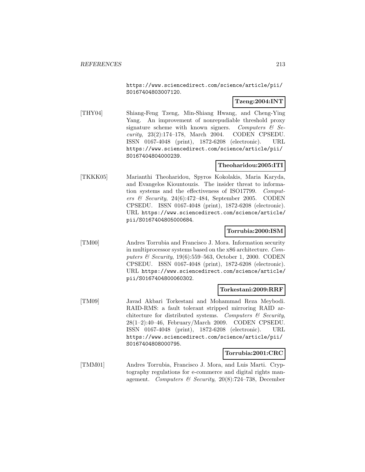https://www.sciencedirect.com/science/article/pii/ S0167404803007120.

# **Tzeng:2004:INT**

[THY04] Shiang-Feng Tzeng, Min-Shiang Hwang, and Cheng-Ying Yang. An improvement of nonrepudiable threshold proxy signature scheme with known signers. Computers  $\mathcal{C}$  Security, 23(2):174–178, March 2004. CODEN CPSEDU. ISSN 0167-4048 (print), 1872-6208 (electronic). URL https://www.sciencedirect.com/science/article/pii/ S0167404804000239.

# **Theoharidou:2005:ITI**

[TKKK05] Marianthi Theoharidou, Spyros Kokolakis, Maria Karyda, and Evangelos Kiountouzis. The insider threat to information systems and the effectiveness of ISO17799. Computers & Security, 24(6):472-484, September 2005. CODEN CPSEDU. ISSN 0167-4048 (print), 1872-6208 (electronic). URL https://www.sciencedirect.com/science/article/ pii/S0167404805000684.

### **Torrubia:2000:ISM**

[TM00] Andres Torrubia and Francisco J. Mora. Information security in multiprocessor systems based on the x86 architecture. Computers & Security, 19(6):559–563, October 1, 2000. CODEN CPSEDU. ISSN 0167-4048 (print), 1872-6208 (electronic). URL https://www.sciencedirect.com/science/article/ pii/S0167404800060302.

#### **Torkestani:2009:RRF**

[TM09] Javad Akbari Torkestani and Mohammad Reza Meybodi. RAID-RMS: a fault tolerant stripped mirroring RAID architecture for distributed systems. Computers  $\mathcal C$  Security, 28(1–2):40–46, February/March 2009. CODEN CPSEDU. ISSN 0167-4048 (print), 1872-6208 (electronic). URL https://www.sciencedirect.com/science/article/pii/ S0167404808000795.

#### **Torrubia:2001:CRC**

[TMM01] Andres Torrubia, Francisco J. Mora, and Luis Marti. Cryptography regulations for e-commerce and digital rights management. Computers & Security, 20(8):724–738, December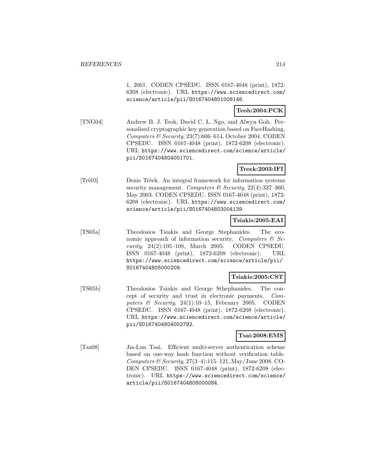1, 2001. CODEN CPSEDU. ISSN 0167-4048 (print), 1872- 6208 (electronic). URL https://www.sciencedirect.com/ science/article/pii/S0167404801008148.

### **Teoh:2004:PCK**

[TNG04] Andrew B. J. Teoh, David C. L. Ngo, and Alwyn Goh. Personalised cryptographic key generation based on FaceHashing. Computers  $\mathcal B$  Security, 23(7):606–614, October 2004. CODEN CPSEDU. ISSN 0167-4048 (print), 1872-6208 (electronic). URL https://www.sciencedirect.com/science/article/ pii/S0167404804001701.

### **Treek:2003:IFI**

[Trè03] Denis Trèek. An integral framework for information systems security management. Computers & Security,  $22(4):337-360$ , May 2003. CODEN CPSEDU. ISSN 0167-4048 (print), 1872- 6208 (electronic). URL https://www.sciencedirect.com/ science/article/pii/S0167404803004139.

### **Tsiakis:2005:EAI**

[TS05a] Theodosios Tsiakis and George Stephanides. The economic approach of information security. Computers  $\mathcal{C}$  Security, 24(2):105–108, March 2005. CODEN CPSEDU. ISSN 0167-4048 (print), 1872-6208 (electronic). URL https://www.sciencedirect.com/science/article/pii/ S0167404805000209.

### **Tsiakis:2005:CST**

[TS05b] Theodosios Tsiakis and George Sthephanides. The concept of security and trust in electronic payments. Computers  $\&$  Security, 24(1):10–15, February 2005. CODEN CPSEDU. ISSN 0167-4048 (print), 1872-6208 (electronic). URL https://www.sciencedirect.com/science/article/ pii/S0167404804002792.

# **Tsai:2008:EMS**

[Tsa08] Jia-Lun Tsai. Efficient multi-server authentication scheme based on one-way hash function without verification table. Computers & Security,  $27(3-4):115-121$ , May/June 2008. CO-DEN CPSEDU. ISSN 0167-4048 (print), 1872-6208 (electronic). URL https://www.sciencedirect.com/science/ article/pii/S0167404808000084.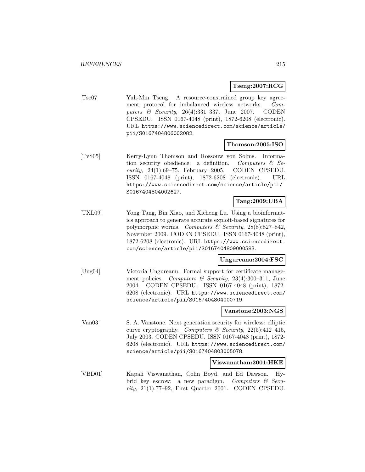### **Tseng:2007:RCG**

[Tse07] Yuh-Min Tseng. A resource-constrained group key agreement protocol for imbalanced wireless networks. Computers  $\&$  Security, 26(4):331-337, June 2007. CODEN CPSEDU. ISSN 0167-4048 (print), 1872-6208 (electronic). URL https://www.sciencedirect.com/science/article/ pii/S0167404806002082.

#### **Thomson:2005:ISO**

[TvS05] Kerry-Lynn Thomson and Rossouw von Solms. Information security obedience: a definition. Computers  $\mathcal{C}$  Security, 24(1):69–75, February 2005. CODEN CPSEDU. ISSN 0167-4048 (print), 1872-6208 (electronic). URL https://www.sciencedirect.com/science/article/pii/ S0167404804002627.

#### **Tang:2009:UBA**

[TXL09] Yong Tang, Bin Xiao, and Xicheng Lu. Using a bioinformatics approach to generate accurate exploit-based signatures for polymorphic worms. Computers & Security, 28(8):827-842, November 2009. CODEN CPSEDU. ISSN 0167-4048 (print), 1872-6208 (electronic). URL https://www.sciencedirect. com/science/article/pii/S0167404809000583.

#### **Ungureanu:2004:FSC**

[Ung04] Victoria Ungureanu. Formal support for certificate management policies. Computers & Security,  $23(4):300-311$ , June 2004. CODEN CPSEDU. ISSN 0167-4048 (print), 1872- 6208 (electronic). URL https://www.sciencedirect.com/ science/article/pii/S0167404804000719.

#### **Vanstone:2003:NGS**

[Van03] S. A. Vanstone. Next generation security for wireless: elliptic curve cryptography. Computers & Security,  $22(5):412-415$ , July 2003. CODEN CPSEDU. ISSN 0167-4048 (print), 1872- 6208 (electronic). URL https://www.sciencedirect.com/ science/article/pii/S0167404803005078.

#### **Viswanathan:2001:HKE**

[VBD01] Kapali Viswanathan, Colin Boyd, and Ed Dawson. Hybrid key escrow: a new paradigm. Computers & Security,  $21(1)$ :77–92, First Quarter 2001. CODEN CPSEDU.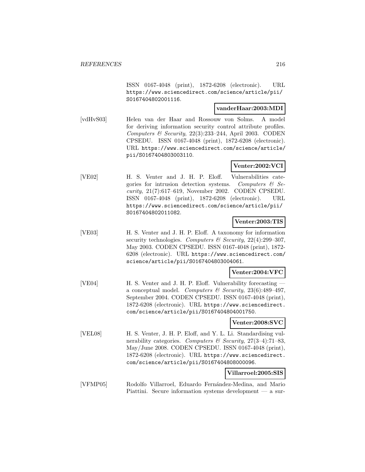ISSN 0167-4048 (print), 1872-6208 (electronic). URL https://www.sciencedirect.com/science/article/pii/ S0167404802001116.

#### **vanderHaar:2003:MDI**

[vdHvS03] Helen van der Haar and Rossouw von Solms. A model for deriving information security control attribute profiles. Computers  $\mathcal B$  Security, 22(3):233-244, April 2003. CODEN CPSEDU. ISSN 0167-4048 (print), 1872-6208 (electronic). URL https://www.sciencedirect.com/science/article/ pii/S0167404803003110.

### **Venter:2002:VCI**

[VE02] H. S. Venter and J. H. P. Eloff. Vulnerabilities categories for intrusion detection systems. Computers  $\mathcal{B}$  Security, 21(7):617–619, November 2002. CODEN CPSEDU. ISSN 0167-4048 (print), 1872-6208 (electronic). URL https://www.sciencedirect.com/science/article/pii/ S0167404802011082.

### **Venter:2003:TIS**

[VE03] H. S. Venter and J. H. P. Eloff. A taxonomy for information security technologies. Computers  $\mathcal C$  Security, 22(4):299-307, May 2003. CODEN CPSEDU. ISSN 0167-4048 (print), 1872- 6208 (electronic). URL https://www.sciencedirect.com/ science/article/pii/S0167404803004061.

#### **Venter:2004:VFC**

[VE04] H. S. Venter and J. H. P. Eloff. Vulnerability forecasting a conceptual model. Computers & Security,  $23(6):489-497$ , September 2004. CODEN CPSEDU. ISSN 0167-4048 (print), 1872-6208 (electronic). URL https://www.sciencedirect. com/science/article/pii/S0167404804001750.

#### **Venter:2008:SVC**

[VEL08] H. S. Venter, J. H. P. Eloff, and Y. L. Li. Standardising vulnerability categories. Computers & Security,  $27(3-4)$ : 71-83, May/June 2008. CODEN CPSEDU. ISSN 0167-4048 (print), 1872-6208 (electronic). URL https://www.sciencedirect. com/science/article/pii/S0167404808000096.

# **Villarroel:2005:SIS**

[VFMP05] Rodolfo Villarroel, Eduardo Fern´andez-Medina, and Mario Piattini. Secure information systems development — a sur-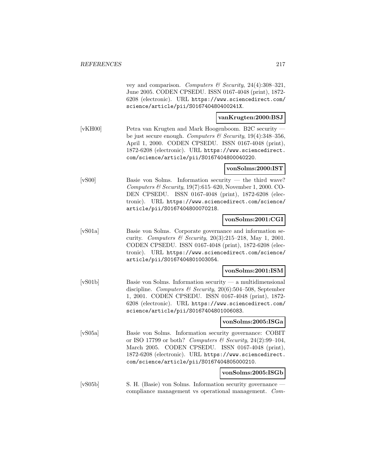|                  | vey and comparison. Computers & Security, 24(4):308-321,<br>June 2005. CODEN CPSEDU. ISSN 0167-4048 (print), 1872-<br>6208 (electronic). URL https://www.sciencedirect.com/<br>science/article/pii/S016740480400241X.                                                                   |                     |
|------------------|-----------------------------------------------------------------------------------------------------------------------------------------------------------------------------------------------------------------------------------------------------------------------------------------|---------------------|
|                  |                                                                                                                                                                                                                                                                                         | vanKrugten:2000:BSJ |
| [ <b>vKH00</b> ] | Petra van Krugten and Mark Hoogenboom. B2C security —<br>be just secure enough. Computers & Security, $19(4):348-356$ ,<br>April 1, 2000. CODEN CPSEDU. ISSN 0167-4048 (print),<br>1872-6208 (electronic). URL https://www.sciencedirect.<br>com/science/article/pii/S0167404800040220. |                     |
|                  |                                                                                                                                                                                                                                                                                         | vonSolms:2000:IST   |
| [vS00]           | Basie von Solms. Information security — the third wave?<br>Computers & Security, $19(7):615-620$ , November 1, 2000. CO-<br>ISSN 0167-4048 (print), 1872-6208 (elec-<br>DEN CPSEDU.<br>tronic). URL https://www.sciencedirect.com/science/<br>article/pii/S0167404800070218.            |                     |
|                  |                                                                                                                                                                                                                                                                                         | vonSolms:2001:CGI   |
| [vS01a]          | Basie von Solms. Corporate governance and information se-<br>curity. Computers & Security, 20(3):215-218, May 1, 2001.<br>CODEN CPSEDU. ISSN 0167-4048 (print), 1872-6208 (elec-<br>tronic). URL https://www.sciencedirect.com/science/<br>article/pii/S0167404801003054.               |                     |
|                  |                                                                                                                                                                                                                                                                                         | vonSolms:2001:ISM   |
| [vS01b]          | Basie von Solms. Information security — a multidimensional<br>discipline. Computers & Security, 20(6):504-508, September<br>1, 2001. CODEN CPSEDU. ISSN 0167-4048 (print), 1872-<br>6208 (electronic). URL https://www.sciencedirect.com/<br>science/article/pii/S0167404801006083.     |                     |
|                  |                                                                                                                                                                                                                                                                                         | vonSolms:2005:ISGa  |
| [vS05a]          | Basie von Solms. Information security governance: COBIT<br>or ISO 17799 or both? Computers & Security, 24(2):99-104,<br>March 2005. CODEN CPSEDU. ISSN 0167-4048 (print),<br>1872-6208 (electronic). URL https://www.sciencedirect.<br>com/science/article/pii/S0167404805000210.       |                     |
|                  |                                                                                                                                                                                                                                                                                         | vonSolms:2005:ISGb  |
| [vS05b]          | S. H. (Basie) von Solms. Information security governance —<br>compliance management vs operational management. Com-                                                                                                                                                                     |                     |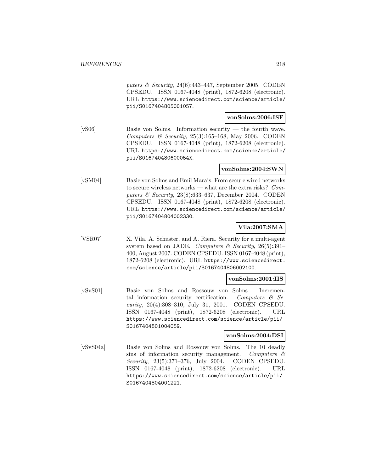puters  $\mathcal B$  Security, 24(6):443-447, September 2005. CODEN CPSEDU. ISSN 0167-4048 (print), 1872-6208 (electronic). URL https://www.sciencedirect.com/science/article/ pii/S0167404805001057.

#### **vonSolms:2006:ISF**

[vS06] Basie von Solms. Information security — the fourth wave. Computers & Security,  $25(3):165-168$ , May 2006. CODEN CPSEDU. ISSN 0167-4048 (print), 1872-6208 (electronic). URL https://www.sciencedirect.com/science/article/ pii/S016740480600054X.

### **vonSolms:2004:SWN**

[vSM04] Basie von Solms and Emil Marais. From secure wired networks to secure wireless networks — what are the extra risks? Computers  $\mathcal B$  Security, 23(8):633–637, December 2004. CODEN CPSEDU. ISSN 0167-4048 (print), 1872-6208 (electronic). URL https://www.sciencedirect.com/science/article/ pii/S0167404804002330.

### **Vila:2007:SMA**

[VSR07] X. Vila, A. Schuster, and A. Riera. Security for a multi-agent system based on JADE. Computers & Security, 26(5):391-400, August 2007. CODEN CPSEDU. ISSN 0167-4048 (print), 1872-6208 (electronic). URL https://www.sciencedirect. com/science/article/pii/S0167404806002100.

#### **vonSolms:2001:IIS**

[vSvS01] Basie von Solms and Rossouw von Solms. Incremental information security certification. Computers  $\mathcal{C}$  Security, 20(4):308–310, July 31, 2001. CODEN CPSEDU. ISSN 0167-4048 (print), 1872-6208 (electronic). URL https://www.sciencedirect.com/science/article/pii/ S0167404801004059.

### **vonSolms:2004:DSI**

[vSvS04a] Basie von Solms and Rossouw von Solms. The 10 deadly sins of information security management. Computers  $\mathcal{C}$ Security, 23(5):371–376, July 2004. CODEN CPSEDU. ISSN 0167-4048 (print), 1872-6208 (electronic). URL https://www.sciencedirect.com/science/article/pii/ S0167404804001221.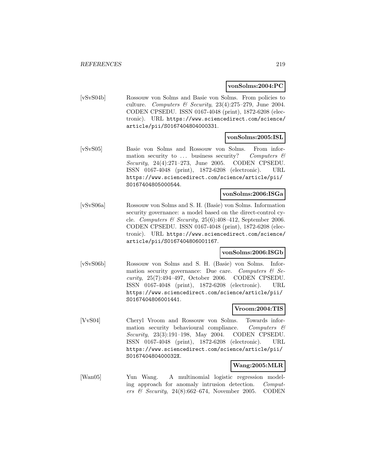#### **vonSolms:2004:PC**

[vSvS04b] Rossouw von Solms and Basie von Solms. From policies to culture. Computers & Security,  $23(4):275-279$ , June 2004. CODEN CPSEDU. ISSN 0167-4048 (print), 1872-6208 (electronic). URL https://www.sciencedirect.com/science/ article/pii/S0167404804000331.

#### **vonSolms:2005:ISL**

[vSvS05] Basie von Solms and Rossouw von Solms. From information security to  $\ldots$  business security? Computers  $\mathcal C$ Security, 24(4):271–273, June 2005. CODEN CPSEDU. ISSN 0167-4048 (print), 1872-6208 (electronic). URL https://www.sciencedirect.com/science/article/pii/ S0167404805000544.

#### **vonSolms:2006:ISGa**

[vSvS06a] Rossouw von Solms and S. H. (Basie) von Solms. Information security governance: a model based on the direct-control cycle. Computers & Security,  $25(6):408-412$ , September 2006. CODEN CPSEDU. ISSN 0167-4048 (print), 1872-6208 (electronic). URL https://www.sciencedirect.com/science/ article/pii/S0167404806001167.

#### **vonSolms:2006:ISGb**

[vSvS06b] Rossouw von Solms and S. H. (Basie) von Solms. Information security governance: Due care. Computers  $\mathcal{C}$  Security, 25(7):494–497, October 2006. CODEN CPSEDU. ISSN 0167-4048 (print), 1872-6208 (electronic). URL https://www.sciencedirect.com/science/article/pii/ S0167404806001441.

### **Vroom:2004:TIS**

[VvS04] Cheryl Vroom and Rossouw von Solms. Towards information security behavioural compliance. Computers  $\mathcal{C}$ Security, 23(3):191–198, May 2004. CODEN CPSEDU. ISSN 0167-4048 (print), 1872-6208 (electronic). URL https://www.sciencedirect.com/science/article/pii/ S016740480400032X.

#### **Wang:2005:MLR**

[Wan05] Yun Wang. A multinomial logistic regression modeling approach for anomaly intrusion detection. Computers & Security,  $24(8):662-674$ , November 2005. CODEN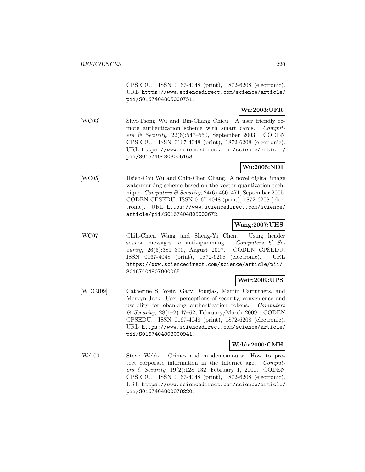CPSEDU. ISSN 0167-4048 (print), 1872-6208 (electronic). URL https://www.sciencedirect.com/science/article/ pii/S0167404805000751.

### **Wu:2003:UFR**

[WC03] Shyi-Tsong Wu and Bin-Chang Chieu. A user friendly remote authentication scheme with smart cards. Computers & Security,  $22(6)$ :547–550, September 2003. CODEN CPSEDU. ISSN 0167-4048 (print), 1872-6208 (electronic). URL https://www.sciencedirect.com/science/article/ pii/S0167404803006163.

# **Wu:2005:NDI**

[WC05] Hsien-Chu Wu and Chin-Chen Chang. A novel digital image watermarking scheme based on the vector quantization technique. Computers & Security, 24(6):460-471, September 2005. CODEN CPSEDU. ISSN 0167-4048 (print), 1872-6208 (electronic). URL https://www.sciencedirect.com/science/ article/pii/S0167404805000672.

### **Wang:2007:UHS**

[WC07] Chih-Chien Wang and Sheng-Yi Chen. Using header session messages to anti-spamming. Computers  $\mathcal{C}$  Security, 26(5):381–390, August 2007. CODEN CPSEDU. ISSN 0167-4048 (print), 1872-6208 (electronic). URL https://www.sciencedirect.com/science/article/pii/ S0167404807000065.

# **Weir:2009:UPS**

[WDCJ09] Catherine S. Weir, Gary Douglas, Martin Carruthers, and Mervyn Jack. User perceptions of security, convenience and usability for ebanking authentication tokens. Computers  $\mathcal C$  Security, 28(1–2):47–62, February/March 2009. CODEN CPSEDU. ISSN 0167-4048 (print), 1872-6208 (electronic). URL https://www.sciencedirect.com/science/article/ pii/S0167404808000941.

# **Webb:2000:CMH**

[Web00] Steve Webb. Crimes and misdemeanours: How to protect corporate information in the Internet age. Computers & Security, 19(2):128–132, February 1, 2000. CODEN CPSEDU. ISSN 0167-4048 (print), 1872-6208 (electronic). URL https://www.sciencedirect.com/science/article/ pii/S0167404800878220.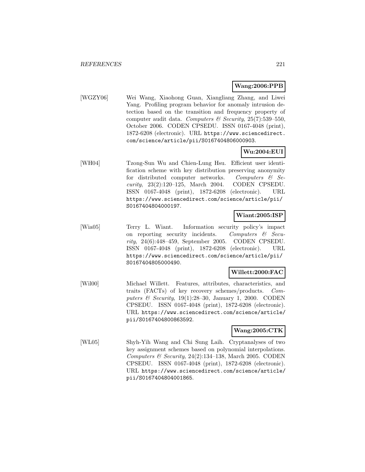### **Wang:2006:PPB**

[WGZY06] Wei Wang, Xiaohong Guan, Xiangliang Zhang, and Liwei Yang. Profiling program behavior for anomaly intrusion detection based on the transition and frequency property of computer audit data. Computers & Security, 25(7):539-550, October 2006. CODEN CPSEDU. ISSN 0167-4048 (print), 1872-6208 (electronic). URL https://www.sciencedirect. com/science/article/pii/S0167404806000903.

# **Wu:2004:EUI**

[WH04] Tzong-Sun Wu and Chien-Lung Hsu. Efficient user identification scheme with key distribution preserving anonymity for distributed computer networks. Computers  $\mathcal{C}$  Security, 23(2):120–125, March 2004. CODEN CPSEDU. ISSN 0167-4048 (print), 1872-6208 (electronic). URL https://www.sciencedirect.com/science/article/pii/ S0167404804000197.

#### **Wiant:2005:ISP**

[Wia05] Terry L. Wiant. Information security policy's impact on reporting security incidents. Computers  $\mathcal{C}$  Security, 24(6):448–459, September 2005. CODEN CPSEDU. ISSN 0167-4048 (print), 1872-6208 (electronic). URL https://www.sciencedirect.com/science/article/pii/ S0167404805000490.

#### **Willett:2000:FAC**

[Wil00] Michael Willett. Features, attributes, characteristics, and traits (FACTs) of key recovery schemes/products. Computers  $\&$  Security, 19(1):28-30, January 1, 2000. CODEN CPSEDU. ISSN 0167-4048 (print), 1872-6208 (electronic). URL https://www.sciencedirect.com/science/article/ pii/S0167404800863592.

### **Wang:2005:CTK**

[WL05] Shyh-Yih Wang and Chi Sung Laih. Cryptanalyses of two key assignment schemes based on polynomial interpolations. Computers & Security, 24(2):134-138, March 2005. CODEN CPSEDU. ISSN 0167-4048 (print), 1872-6208 (electronic). URL https://www.sciencedirect.com/science/article/ pii/S0167404804001865.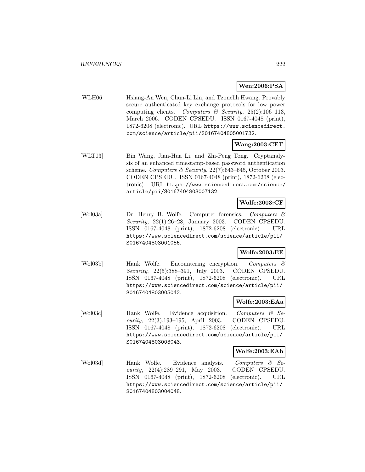# **Wen:2006:PSA**

[WLH06] Hsiang-An Wen, Chun-Li Lin, and Tzonelih Hwang. Provably secure authenticated key exchange protocols for low power computing clients. Computers & Security,  $25(2):106-113$ , March 2006. CODEN CPSEDU. ISSN 0167-4048 (print), 1872-6208 (electronic). URL https://www.sciencedirect. com/science/article/pii/S0167404805001732.

### **Wang:2003:CET**

[WLT03] Bin Wang, Jian-Hua Li, and Zhi-Peng Tong. Cryptanalysis of an enhanced timestamp-based password authentication scheme. Computers & Security,  $22(7)$ :643-645, October 2003. CODEN CPSEDU. ISSN 0167-4048 (print), 1872-6208 (electronic). URL https://www.sciencedirect.com/science/ article/pii/S0167404803007132.

### **Wolfe:2003:CF**

[Wol03a] Dr. Henry B. Wolfe. Computer forensics. Computers & Security,  $22(1):26-28$ , January 2003. CODEN CPSEDU. ISSN 0167-4048 (print), 1872-6208 (electronic). URL https://www.sciencedirect.com/science/article/pii/ S0167404803001056.

## **Wolfe:2003:EE**

[Wol03b] Hank Wolfe. Encountering encryption. Computers & Security, 22(5):388–391, July 2003. CODEN CPSEDU. ISSN 0167-4048 (print), 1872-6208 (electronic). URL https://www.sciencedirect.com/science/article/pii/ S0167404803005042.

### **Wolfe:2003:EAa**

[Wol03c] Hank Wolfe. Evidence acquisition. Computers & Security, 22(3):193–195, April 2003. CODEN CPSEDU. ISSN 0167-4048 (print), 1872-6208 (electronic). URL https://www.sciencedirect.com/science/article/pii/ S0167404803003043.

#### **Wolfe:2003:EAb**

[Wol03d] Hank Wolfe. Evidence analysis. Computers & Security, 22(4):289–291, May 2003. CODEN CPSEDU. ISSN 0167-4048 (print), 1872-6208 (electronic). URL https://www.sciencedirect.com/science/article/pii/ S0167404803004048.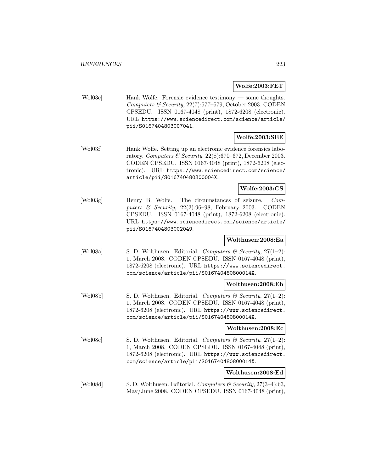#### **Wolfe:2003:FET**

[Wol03e] Hank Wolfe. Forensic evidence testimony — some thoughts. Computers & Security, 22(7):577–579, October 2003. CODEN CPSEDU. ISSN 0167-4048 (print), 1872-6208 (electronic). URL https://www.sciencedirect.com/science/article/ pii/S0167404803007041.

### **Wolfe:2003:SEE**

[Wol03f] Hank Wolfe. Setting up an electronic evidence forensics laboratory. Computers & Security, 22(8):670–672, December 2003. CODEN CPSEDU. ISSN 0167-4048 (print), 1872-6208 (electronic). URL https://www.sciencedirect.com/science/ article/pii/S016740480300004X.

#### **Wolfe:2003:CS**

[Wol03g] Henry B. Wolfe. The circumstances of seizure. Computers  $\mathcal C$  Security, 22(2):96–98, February 2003. CODEN CPSEDU. ISSN 0167-4048 (print), 1872-6208 (electronic). URL https://www.sciencedirect.com/science/article/ pii/S0167404803002049.

#### **Wolthusen:2008:Ea**

[Wol08a] S. D. Wolthusen. Editorial. Computers & Security,  $27(1-2)$ : 1, March 2008. CODEN CPSEDU. ISSN 0167-4048 (print), 1872-6208 (electronic). URL https://www.sciencedirect. com/science/article/pii/S016740480800014X.

### **Wolthusen:2008:Eb**

[Wol08b] S. D. Wolthusen. Editorial. Computers  $\mathcal C$  Security, 27(1–2): 1, March 2008. CODEN CPSEDU. ISSN 0167-4048 (print), 1872-6208 (electronic). URL https://www.sciencedirect. com/science/article/pii/S016740480800014X.

#### **Wolthusen:2008:Ec**

[Wol08c] S. D. Wolthusen. Editorial. Computers & Security, 27(1-2): 1, March 2008. CODEN CPSEDU. ISSN 0167-4048 (print), 1872-6208 (electronic). URL https://www.sciencedirect. com/science/article/pii/S016740480800014X.

### **Wolthusen:2008:Ed**

[Wol08d] S. D. Wolthusen. Editorial. Computers & Security, 27(3-4):63, May/June 2008. CODEN CPSEDU. ISSN 0167-4048 (print),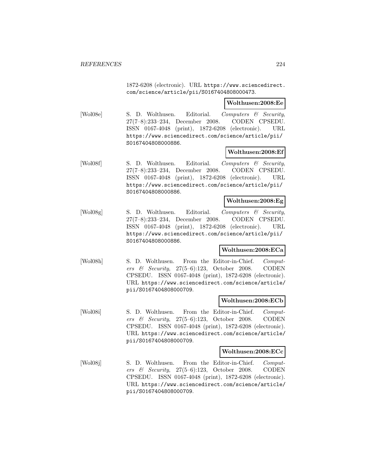1872-6208 (electronic). URL https://www.sciencedirect. com/science/article/pii/S0167404808000473.

**Wolthusen:2008:Ee**

[Wol08e] S. D. Wolthusen. Editorial. Computers & Security, 27(7–8):233–234, December 2008. CODEN CPSEDU. ISSN 0167-4048 (print), 1872-6208 (electronic). URL https://www.sciencedirect.com/science/article/pii/ S0167404808000886.

#### **Wolthusen:2008:Ef**

[Wol08f] S. D. Wolthusen. Editorial. Computers & Security, 27(7–8):233–234, December 2008. CODEN CPSEDU. ISSN 0167-4048 (print), 1872-6208 (electronic). URL https://www.sciencedirect.com/science/article/pii/ S0167404808000886.

#### **Wolthusen:2008:Eg**

[Wol08g] S. D. Wolthusen. Editorial. Computers & Security, 27(7–8):233–234, December 2008. CODEN CPSEDU. ISSN 0167-4048 (print), 1872-6208 (electronic). URL https://www.sciencedirect.com/science/article/pii/ S0167404808000886.

#### **Wolthusen:2008:ECa**

[Wol08h] S. D. Wolthusen. From the Editor-in-Chief. Computers & Security, 27(5–6):123, October 2008. CODEN CPSEDU. ISSN 0167-4048 (print), 1872-6208 (electronic). URL https://www.sciencedirect.com/science/article/ pii/S0167404808000709.

#### **Wolthusen:2008:ECb**

[Wol08i] S. D. Wolthusen. From the Editor-in-Chief. Computers & Security, 27(5–6):123, October 2008. CODEN CPSEDU. ISSN 0167-4048 (print), 1872-6208 (electronic). URL https://www.sciencedirect.com/science/article/ pii/S0167404808000709.

#### **Wolthusen:2008:ECc**

[Wol08j] S. D. Wolthusen. From the Editor-in-Chief. Computers & Security, 27(5–6):123, October 2008. CODEN CPSEDU. ISSN 0167-4048 (print), 1872-6208 (electronic). URL https://www.sciencedirect.com/science/article/ pii/S0167404808000709.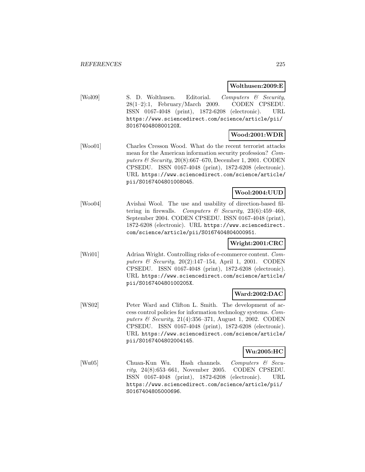### **Wolthusen:2009:E**

[Wol09] S. D. Wolthusen. Editorial. Computers & Security, 28(1–2):1, February/March 2009. CODEN CPSEDU. ISSN 0167-4048 (print), 1872-6208 (electronic). URL https://www.sciencedirect.com/science/article/pii/ S016740480800120X.

# **Wood:2001:WDR**

[Woo01] Charles Cresson Wood. What do the recent terrorist attacks mean for the American information security profession? Computers & Security, 20(8):667–670, December 1, 2001. CODEN CPSEDU. ISSN 0167-4048 (print), 1872-6208 (electronic). URL https://www.sciencedirect.com/science/article/ pii/S0167404801008045.

### **Wool:2004:UUD**

[Woo04] Avishai Wool. The use and usability of direction-based filtering in firewalls. Computers  $\mathcal B$  Security, 23(6):459-468, September 2004. CODEN CPSEDU. ISSN 0167-4048 (print), 1872-6208 (electronic). URL https://www.sciencedirect. com/science/article/pii/S0167404804000951.

### **Wright:2001:CRC**

[Wri01] Adrian Wright. Controlling risks of e-commerce content. Computers & Security, 20(2):147–154, April 1, 2001. CODEN CPSEDU. ISSN 0167-4048 (print), 1872-6208 (electronic). URL https://www.sciencedirect.com/science/article/ pii/S016740480100205X.

# **Ward:2002:DAC**

[WS02] Peter Ward and Clifton L. Smith. The development of access control policies for information technology systems. Computers & Security, 21(4):356–371, August 1, 2002. CODEN CPSEDU. ISSN 0167-4048 (print), 1872-6208 (electronic). URL https://www.sciencedirect.com/science/article/ pii/S0167404802004145.

### **Wu:2005:HC**

[Wu05] Chuan-Kun Wu. Hash channels. Computers & Security, 24(8):653–661, November 2005. CODEN CPSEDU. ISSN 0167-4048 (print), 1872-6208 (electronic). URL https://www.sciencedirect.com/science/article/pii/ S0167404805000696.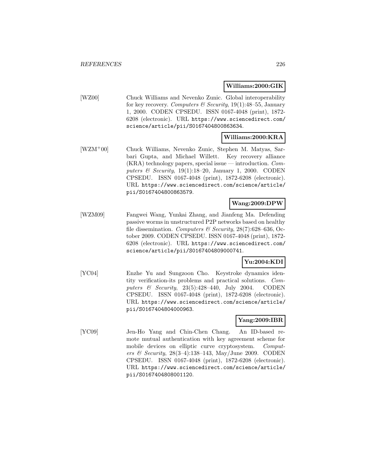#### **Williams:2000:GIK**

[WZ00] Chuck Williams and Nevenko Zunic. Global interoperability for key recovery. Computers & Security,  $19(1)$ :48-55, January 1, 2000. CODEN CPSEDU. ISSN 0167-4048 (print), 1872- 6208 (electronic). URL https://www.sciencedirect.com/ science/article/pii/S0167404800863634.

# **Williams:2000:KRA**

[WZM<sup>+</sup>00] Chuck Williams, Nevenko Zunic, Stephen M. Matyas, Sarbari Gupta, and Michael Willett. Key recovery alliance (KRA) technology papers, special issue — introduction. Computers  $\&$  Security, 19(1):18–20, January 1, 2000. CODEN CPSEDU. ISSN 0167-4048 (print), 1872-6208 (electronic). URL https://www.sciencedirect.com/science/article/ pii/S0167404800863579.

# **Wang:2009:DPW**

[WZM09] Fangwei Wang, Yunkai Zhang, and Jianfeng Ma. Defending passive worms in unstructured P2P networks based on healthy file dissemination. Computers & Security,  $28(7)$ :628-636, October 2009. CODEN CPSEDU. ISSN 0167-4048 (print), 1872- 6208 (electronic). URL https://www.sciencedirect.com/ science/article/pii/S0167404809000741.

# **Yu:2004:KDI**

[YC04] Enzhe Yu and Sungzoon Cho. Keystroke dynamics identity verification-its problems and practical solutions. Computers & Security, 23(5):428–440, July 2004. CODEN CPSEDU. ISSN 0167-4048 (print), 1872-6208 (electronic). URL https://www.sciencedirect.com/science/article/ pii/S0167404804000963.

# **Yang:2009:IBR**

[YC09] Jen-Ho Yang and Chin-Chen Chang. An ID-based remote mutual authentication with key agreement scheme for mobile devices on elliptic curve cryptosystem. Computers & Security, 28(3–4):138–143, May/June 2009. CODEN CPSEDU. ISSN 0167-4048 (print), 1872-6208 (electronic). URL https://www.sciencedirect.com/science/article/ pii/S0167404808001120.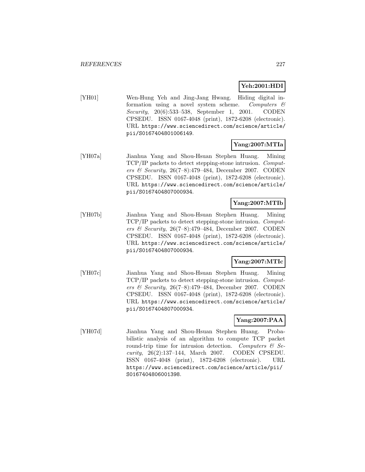# **Yeh:2001:HDI**

[YH01] Wen-Hung Yeh and Jing-Jang Hwang. Hiding digital information using a novel system scheme. Computers  $\mathcal{C}$ Security, 20(6):533–538, September 1, 2001. CODEN CPSEDU. ISSN 0167-4048 (print), 1872-6208 (electronic). URL https://www.sciencedirect.com/science/article/ pii/S0167404801006149.

# **Yang:2007:MTIa**

[YH07a] Jianhua Yang and Shou-Hsuan Stephen Huang. Mining TCP/IP packets to detect stepping-stone intrusion. Computers & Security, 26(7–8):479–484, December 2007. CODEN CPSEDU. ISSN 0167-4048 (print), 1872-6208 (electronic). URL https://www.sciencedirect.com/science/article/ pii/S0167404807000934.

# **Yang:2007:MTIb**

[YH07b] Jianhua Yang and Shou-Hsuan Stephen Huang. Mining TCP/IP packets to detect stepping-stone intrusion. Computers & Security, 26(7–8):479–484, December 2007. CODEN CPSEDU. ISSN 0167-4048 (print), 1872-6208 (electronic). URL https://www.sciencedirect.com/science/article/ pii/S0167404807000934.

# **Yang:2007:MTIc**

[YH07c] Jianhua Yang and Shou-Hsuan Stephen Huang. Mining TCP/IP packets to detect stepping-stone intrusion. Computers & Security,  $26(7-8):479-484$ , December 2007. CODEN CPSEDU. ISSN 0167-4048 (print), 1872-6208 (electronic). URL https://www.sciencedirect.com/science/article/ pii/S0167404807000934.

# **Yang:2007:PAA**

[YH07d] Jianhua Yang and Shou-Hsuan Stephen Huang. Probabilistic analysis of an algorithm to compute TCP packet round-trip time for intrusion detection. Computers  $\mathcal{C}$  Security, 26(2):137–144, March 2007. CODEN CPSEDU. ISSN 0167-4048 (print), 1872-6208 (electronic). URL https://www.sciencedirect.com/science/article/pii/ S0167404806001398.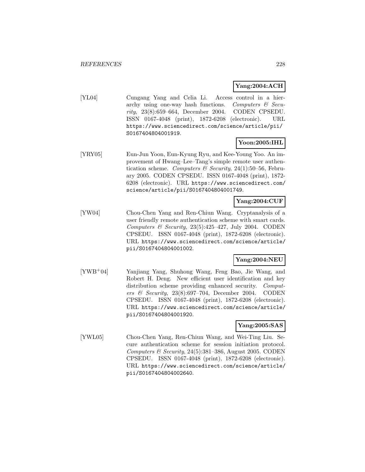# **Yang:2004:ACH**

[YL04] Cungang Yang and Celia Li. Access control in a hierarchy using one-way hash functions. Computers  $\mathcal C$  Security, 23(8):659–664, December 2004. CODEN CPSEDU. ISSN 0167-4048 (print), 1872-6208 (electronic). URL https://www.sciencedirect.com/science/article/pii/ S0167404804001919.

# **Yoon:2005:IHL**

[YRY05] Eun-Jun Yoon, Eun-Kyung Ryu, and Kee-Young Yoo. An improvement of Hwang–Lee–Tang's simple remote user authentication scheme. Computers & Security, 24(1):50–56, February 2005. CODEN CPSEDU. ISSN 0167-4048 (print), 1872- 6208 (electronic). URL https://www.sciencedirect.com/ science/article/pii/S0167404804001749.

# **Yang:2004:CUF**

[YW04] Chou-Chen Yang and Ren-Chiun Wang. Cryptanalysis of a user friendly remote authentication scheme with smart cards. Computers  $\mathcal B$  Security, 23(5):425-427, July 2004. CODEN CPSEDU. ISSN 0167-4048 (print), 1872-6208 (electronic). URL https://www.sciencedirect.com/science/article/ pii/S0167404804001002.

# **Yang:2004:NEU**

[YWB<sup>+</sup>04] Yanjiang Yang, Shuhong Wang, Feng Bao, Jie Wang, and Robert H. Deng. New efficient user identification and key distribution scheme providing enhanced security. Computers & Security,  $23(8):697-704$ , December 2004. CODEN CPSEDU. ISSN 0167-4048 (print), 1872-6208 (electronic). URL https://www.sciencedirect.com/science/article/ pii/S0167404804001920.

### **Yang:2005:SAS**

[YWL05] Chou-Chen Yang, Ren-Chiun Wang, and Wei-Ting Liu. Secure authentication scheme for session initiation protocol. Computers  $\mathcal B$  Security, 24(5):381–386, August 2005. CODEN CPSEDU. ISSN 0167-4048 (print), 1872-6208 (electronic). URL https://www.sciencedirect.com/science/article/ pii/S0167404804002640.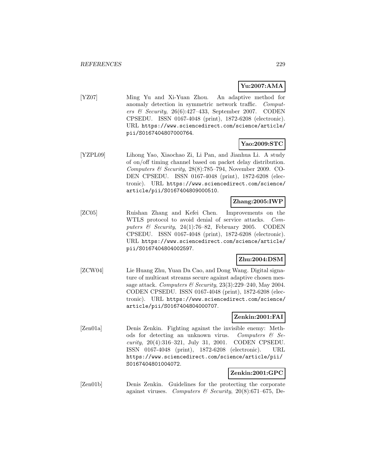# **Yu:2007:AMA**

[YZ07] Ming Yu and Xi-Yuan Zhou. An adaptive method for anomaly detection in symmetric network traffic. Computers & Security,  $26(6):427-433$ , September 2007. CODEN CPSEDU. ISSN 0167-4048 (print), 1872-6208 (electronic). URL https://www.sciencedirect.com/science/article/ pii/S0167404807000764.

# **Yao:2009:STC**

[YZPL09] Lihong Yao, Xiaochao Zi, Li Pan, and Jianhua Li. A study of on/off timing channel based on packet delay distribution. Computers & Security,  $28(8)$ :785–794, November 2009. CO-DEN CPSEDU. ISSN 0167-4048 (print), 1872-6208 (electronic). URL https://www.sciencedirect.com/science/ article/pii/S0167404809000510.

# **Zhang:2005:IWP**

[ZC05] Ruishan Zhang and Kefei Chen. Improvements on the WTLS protocol to avoid denial of service attacks. Computers & Security, 24(1):76–82, February 2005. CODEN CPSEDU. ISSN 0167-4048 (print), 1872-6208 (electronic). URL https://www.sciencedirect.com/science/article/ pii/S0167404804002597.

# **Zhu:2004:DSM**

[ZCW04] Lie Huang Zhu, Yuan Da Cao, and Dong Wang. Digital signature of multicast streams secure against adaptive chosen message attack. Computers & Security,  $23(3):229-240$ , May 2004. CODEN CPSEDU. ISSN 0167-4048 (print), 1872-6208 (electronic). URL https://www.sciencedirect.com/science/ article/pii/S0167404804000707.

# **Zenkin:2001:FAI**

[Zen01a] Denis Zenkin. Fighting against the invisible enemy: Methods for detecting an unknown virus. Computers  $\mathcal{B}$  Security, 20(4):316–321, July 31, 2001. CODEN CPSEDU. ISSN 0167-4048 (print), 1872-6208 (electronic). URL https://www.sciencedirect.com/science/article/pii/ S0167404801004072.

# **Zenkin:2001:GPC**

[Zen01b] Denis Zenkin. Guidelines for the protecting the corporate against viruses. Computers & Security,  $20(8):671-675$ , De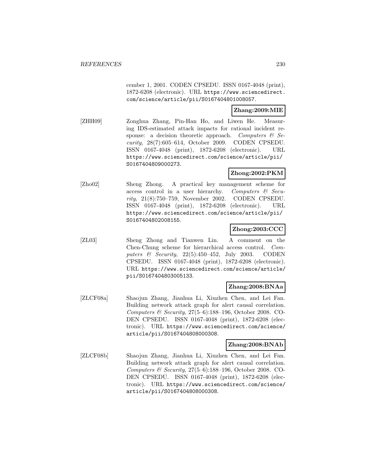cember 1, 2001. CODEN CPSEDU. ISSN 0167-4048 (print), 1872-6208 (electronic). URL https://www.sciencedirect. com/science/article/pii/S0167404801008057.

### **Zhang:2009:MIE**

[ZHH09] Zonghua Zhang, Pin-Han Ho, and Liwen He. Measuring IDS-estimated attack impacts for rational incident response: a decision theoretic approach. Computers  $\mathcal{C}$  Security, 28(7):605–614, October 2009. CODEN CPSEDU. ISSN 0167-4048 (print), 1872-6208 (electronic). URL https://www.sciencedirect.com/science/article/pii/ S0167404809000273.

### **Zhong:2002:PKM**

[Zho02] Sheng Zhong. A practical key management scheme for access control in a user hierarchy. Computers  $\mathcal{C}$  Security, 21(8):750–759, November 2002. CODEN CPSEDU. ISSN 0167-4048 (print), 1872-6208 (electronic). URL https://www.sciencedirect.com/science/article/pii/ S0167404802008155.

#### **Zhong:2003:CCC**

[ZL03] Sheng Zhong and Tianwen Lin. A comment on the Chen-Chung scheme for hierarchical access control. Computers & Security, 22(5):450–452, July 2003. CODEN CPSEDU. ISSN 0167-4048 (print), 1872-6208 (electronic). URL https://www.sciencedirect.com/science/article/ pii/S0167404803005133.

#### **Zhang:2008:BNAa**

[ZLCF08a] Shaojun Zhang, Jianhua Li, Xiuzhen Chen, and Lei Fan. Building network attack graph for alert causal correlation. Computers & Security,  $27(5-6)$ :188-196, October 2008. CO-DEN CPSEDU. ISSN 0167-4048 (print), 1872-6208 (electronic). URL https://www.sciencedirect.com/science/ article/pii/S0167404808000308.

#### **Zhang:2008:BNAb**

[ZLCF08b] Shaojun Zhang, Jianhua Li, Xiuzhen Chen, and Lei Fan. Building network attack graph for alert causal correlation. Computers & Security, 27(5–6):188–196, October 2008. CO-DEN CPSEDU. ISSN 0167-4048 (print), 1872-6208 (electronic). URL https://www.sciencedirect.com/science/ article/pii/S0167404808000308.